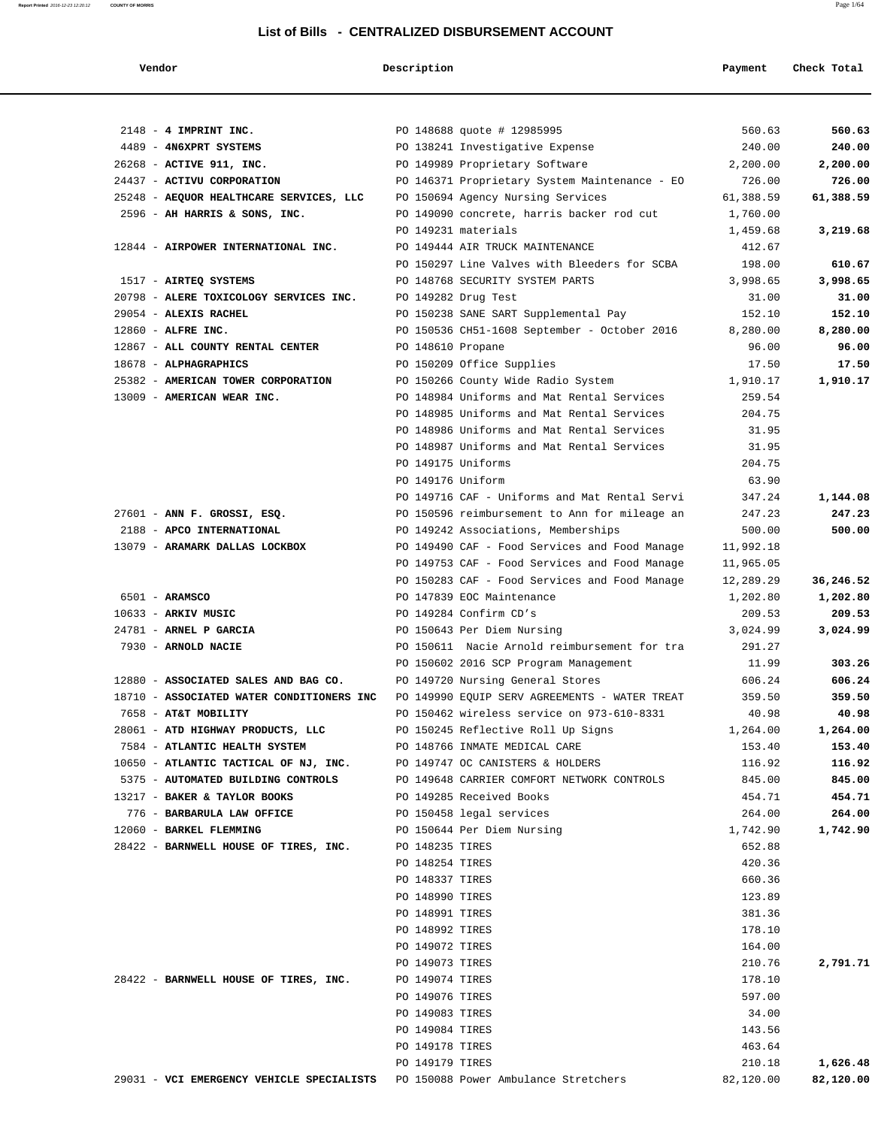| Vendoi |  |  |
|--------|--|--|
|--------|--|--|

#### **Vendor Description Payment Check Total**

| $2148$ - 4 IMPRINT INC.                   | PO 148688 quote # 12985995                                                              | 560.63    | 560.63    |
|-------------------------------------------|-----------------------------------------------------------------------------------------|-----------|-----------|
| 4489 - 4N6XPRT SYSTEMS                    | PO 138241 Investigative Expense                                                         | 240.00    | 240.00    |
| 26268 - ACTIVE 911, INC.                  | PO 149989 Proprietary Software                                                          | 2,200.00  | 2,200.00  |
| 24437 - ACTIVU CORPORATION                | PO 146371 Proprietary System Maintenance - EO                                           | 726.00    | 726.00    |
| 25248 - AEQUOR HEALTHCARE SERVICES, LLC   | PO 150694 Agency Nursing Services                                                       | 61,388.59 | 61,388.59 |
| 2596 - AH HARRIS & SONS, INC.             | PO 149090 concrete, harris backer rod cut                                               | 1,760.00  |           |
|                                           | PO 149231 materials                                                                     | 1,459.68  | 3,219.68  |
| 12844 - AIRPOWER INTERNATIONAL INC.       | PO 149444 AIR TRUCK MAINTENANCE                                                         | 412.67    |           |
|                                           | PO 150297 Line Valves with Bleeders for SCBA                                            | 198.00    | 610.67    |
| 1517 - AIRTEQ SYSTEMS                     | PO 148768 SECURITY SYSTEM PARTS                                                         | 3,998.65  | 3,998.65  |
| 20798 - ALERE TOXICOLOGY SERVICES INC.    | PO 149282 Drug Test                                                                     | 31.00     | 31.00     |
| 29054 - ALEXIS RACHEL                     | PO 150238 SANE SART Supplemental Pay                                                    | 152.10    | 152.10    |
| $12860$ - ALFRE INC.                      | PO 150536 CH51-1608 September - October 2016                                            | 8,280.00  | 8,280.00  |
| 12867 - ALL COUNTY RENTAL CENTER          | PO 148610 Propane                                                                       | 96.00     | 96.00     |
| 18678 - ALPHAGRAPHICS                     | PO 150209 Office Supplies                                                               | 17.50     | 17.50     |
| 25382 - AMERICAN TOWER CORPORATION        | PO 150266 County Wide Radio System                                                      | 1,910.17  | 1,910.17  |
| 13009 - AMERICAN WEAR INC.                | PO 148984 Uniforms and Mat Rental Services                                              | 259.54    |           |
|                                           | PO 148985 Uniforms and Mat Rental Services                                              | 204.75    |           |
|                                           | PO 148986 Uniforms and Mat Rental Services                                              | 31.95     |           |
|                                           | PO 148987 Uniforms and Mat Rental Services                                              | 31.95     |           |
|                                           | PO 149175 Uniforms                                                                      | 204.75    |           |
|                                           | PO 149176 Uniform                                                                       | 63.90     |           |
|                                           | PO 149716 CAF - Uniforms and Mat Rental Servi                                           | 347.24    | 1,144.08  |
| $27601$ - ANN F. GROSSI, ESQ.             | PO 150596 reimbursement to Ann for mileage an                                           | 247.23    | 247.23    |
| 2188 - APCO INTERNATIONAL                 | PO 149242 Associations, Memberships                                                     | 500.00    | 500.00    |
| 13079 - ARAMARK DALLAS LOCKBOX            | PO 149490 CAF - Food Services and Food Manage                                           | 11,992.18 |           |
|                                           | PO 149753 CAF - Food Services and Food Manage                                           | 11,965.05 |           |
|                                           | PO 150283 CAF - Food Services and Food Manage                                           | 12,289.29 | 36,246.52 |
| $6501 - ARAMSCO$                          | PO 147839 EOC Maintenance                                                               | 1,202.80  | 1,202.80  |
| 10633 - ARKIV MUSIC                       | PO 149284 Confirm CD's                                                                  | 209.53    | 209.53    |
| 24781 - ARNEL P GARCIA                    | PO 150643 Per Diem Nursing                                                              | 3,024.99  | 3,024.99  |
| 7930 - ARNOLD NACIE                       | PO 150611 Nacie Arnold reimbursement for tra                                            | 291.27    |           |
|                                           | PO 150602 2016 SCP Program Management                                                   | 11.99     | 303.26    |
| 12880 - ASSOCIATED SALES AND BAG CO.      | PO 149720 Nursing General Stores                                                        | 606.24    | 606.24    |
|                                           | 18710 - ASSOCIATED WATER CONDITIONERS INC PO 149990 EQUIP SERV AGREEMENTS - WATER TREAT | 359.50    | 359.50    |
| 7658 - AT&T MOBILITY                      | PO 150462 wireless service on 973-610-8331                                              | 40.98     | 40.98     |
| 28061 - ATD HIGHWAY PRODUCTS, LLC         | PO 150245 Reflective Roll Up Signs                                                      | 1,264.00  | 1,264.00  |
| 7584 - ATLANTIC HEALTH SYSTEM             | PO 148766 INMATE MEDICAL CARE                                                           | 153.40    | 153.40    |
| 10650 - ATLANTIC TACTICAL OF NJ, INC.     | PO 149747 OC CANISTERS & HOLDERS                                                        | 116.92    | 116.92    |
| 5375 - AUTOMATED BUILDING CONTROLS        | PO 149648 CARRIER COMFORT NETWORK CONTROLS                                              | 845.00    | 845.00    |
| 13217 - BAKER & TAYLOR BOOKS              | PO 149285 Received Books                                                                | 454.71    | 454.71    |
| 776 - BARBARULA LAW OFFICE                | PO 150458 legal services                                                                | 264.00    | 264.00    |
| 12060 - BARKEL FLEMMING                   | PO 150644 Per Diem Nursing                                                              | 1,742.90  | 1,742.90  |
| 28422 - BARNWELL HOUSE OF TIRES, INC.     | PO 148235 TIRES                                                                         | 652.88    |           |
|                                           | PO 148254 TIRES                                                                         | 420.36    |           |
|                                           | PO 148337 TIRES                                                                         | 660.36    |           |
|                                           | PO 148990 TIRES                                                                         | 123.89    |           |
|                                           | PO 148991 TIRES                                                                         | 381.36    |           |
|                                           | PO 148992 TIRES                                                                         | 178.10    |           |
|                                           | PO 149072 TIRES                                                                         | 164.00    |           |
|                                           | PO 149073 TIRES                                                                         | 210.76    | 2,791.71  |
| 28422 - BARNWELL HOUSE OF TIRES, INC.     | PO 149074 TIRES                                                                         | 178.10    |           |
|                                           | PO 149076 TIRES                                                                         | 597.00    |           |
|                                           | PO 149083 TIRES                                                                         | 34.00     |           |
|                                           | PO 149084 TIRES                                                                         | 143.56    |           |
|                                           | PO 149178 TIRES                                                                         | 463.64    |           |
|                                           | PO 149179 TIRES                                                                         | 210.18    | 1,626.48  |
| 29031 - VCI EMERGENCY VEHICLE SPECIALISTS | PO 150088 Power Ambulance Stretchers                                                    | 82,120.00 | 82,120.00 |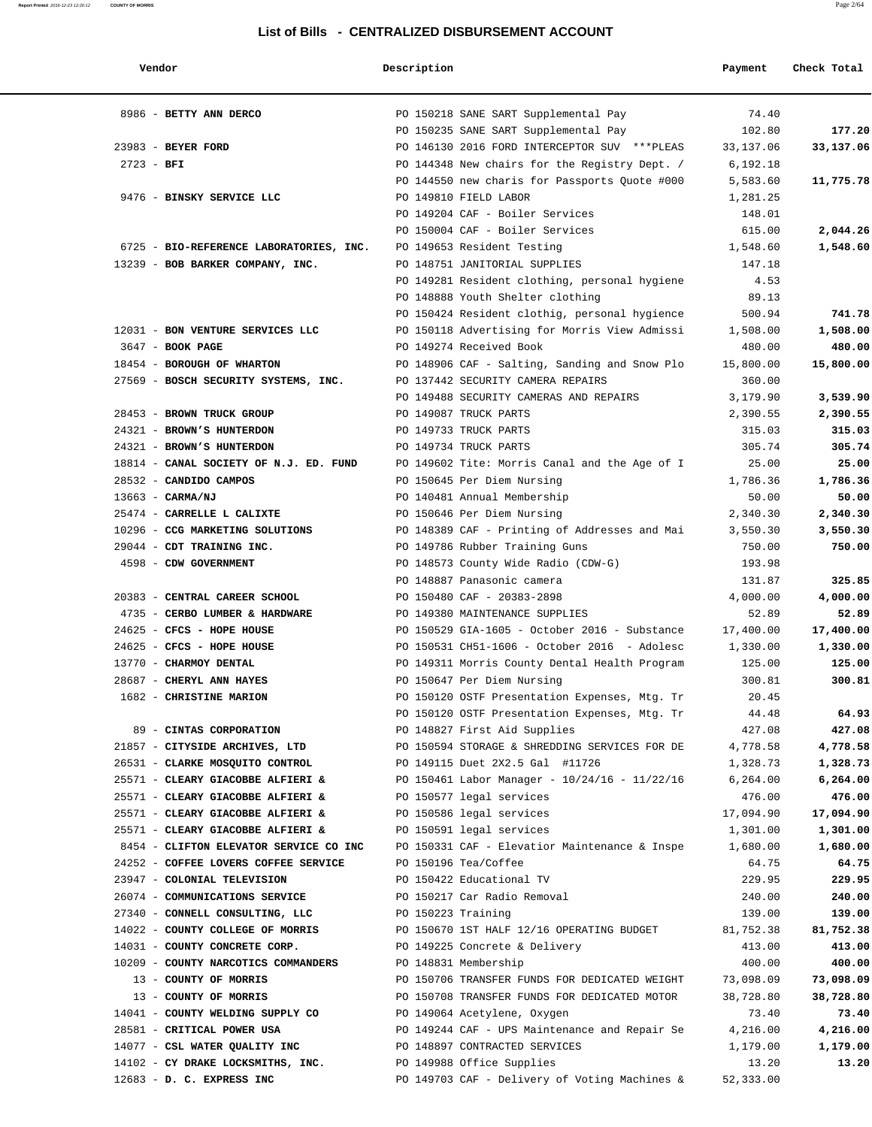| Vendor                                  | Description        |                                                   | Payment   | Check Total |
|-----------------------------------------|--------------------|---------------------------------------------------|-----------|-------------|
| 8986 - BETTY ANN DERCO                  |                    | PO 150218 SANE SART Supplemental Pay              | 74.40     |             |
|                                         |                    | PO 150235 SANE SART Supplemental Pay              | 102.80    | 177.20      |
| 23983 - BEYER FORD                      |                    | PO 146130 2016 FORD INTERCEPTOR SUV *** PLEAS     | 33,137.06 | 33,137.06   |
| $2723 - BFI$                            |                    | PO 144348 New chairs for the Registry Dept. /     | 6,192.18  |             |
|                                         |                    | PO 144550 new charis for Passports Quote #000     | 5,583.60  | 11,775.78   |
| 9476 - BINSKY SERVICE LLC               |                    | PO 149810 FIELD LABOR                             | 1,281.25  |             |
|                                         |                    | PO 149204 CAF - Boiler Services                   | 148.01    |             |
|                                         |                    | PO 150004 CAF - Boiler Services                   | 615.00    | 2,044.26    |
| 6725 - BIO-REFERENCE LABORATORIES, INC. |                    | PO 149653 Resident Testing                        | 1,548.60  | 1,548.60    |
| 13239 - BOB BARKER COMPANY, INC.        |                    | PO 148751 JANITORIAL SUPPLIES                     | 147.18    |             |
|                                         |                    | PO 149281 Resident clothing, personal hygiene     | 4.53      |             |
|                                         |                    | PO 148888 Youth Shelter clothing                  | 89.13     |             |
|                                         |                    | PO 150424 Resident clothig, personal hygience     | 500.94    | 741.78      |
| 12031 - BON VENTURE SERVICES LLC        |                    | PO 150118 Advertising for Morris View Admissi     | 1,508.00  | 1,508.00    |
| 3647 - <b>BOOK PAGE</b>                 |                    | PO 149274 Received Book                           | 480.00    | 480.00      |
| 18454 - BOROUGH OF WHARTON              |                    | PO 148906 CAF - Salting, Sanding and Snow Plo     | 15,800.00 | 15,800.00   |
| 27569 - BOSCH SECURITY SYSTEMS, INC.    |                    | PO 137442 SECURITY CAMERA REPAIRS                 | 360.00    |             |
|                                         |                    | PO 149488 SECURITY CAMERAS AND REPAIRS            | 3,179.90  | 3,539.90    |
| 28453 - BROWN TRUCK GROUP               |                    | PO 149087 TRUCK PARTS                             | 2,390.55  | 2,390.55    |
| 24321 - BROWN'S HUNTERDON               |                    | PO 149733 TRUCK PARTS                             | 315.03    | 315.03      |
| 24321 - BROWN'S HUNTERDON               |                    | PO 149734 TRUCK PARTS                             | 305.74    | 305.74      |
| 18814 - CANAL SOCIETY OF N.J. ED. FUND  |                    | PO 149602 Tite: Morris Canal and the Age of I     | 25.00     | 25.00       |
| 28532 - CANDIDO CAMPOS                  |                    | PO 150645 Per Diem Nursing                        | 1,786.36  | 1,786.36    |
| $13663 - CARMA/NJ$                      |                    | PO 140481 Annual Membership                       | 50.00     | 50.00       |
| 25474 - CARRELLE L CALIXTE              |                    | PO 150646 Per Diem Nursing                        | 2,340.30  | 2,340.30    |
| 10296 - CCG MARKETING SOLUTIONS         |                    | PO 148389 CAF - Printing of Addresses and Mai     | 3,550.30  | 3,550.30    |
| 29044 - CDT TRAINING INC.               |                    | PO 149786 Rubber Training Guns                    | 750.00    | 750.00      |
| 4598 - CDW GOVERNMENT                   |                    | PO 148573 County Wide Radio (CDW-G)               | 193.98    |             |
|                                         |                    | PO 148887 Panasonic camera                        | 131.87    | 325.85      |
| 20383 - CENTRAL CAREER SCHOOL           |                    | PO 150480 CAF - 20383-2898                        | 4,000.00  | 4,000.00    |
| 4735 - CERBO LUMBER & HARDWARE          |                    | PO 149380 MAINTENANCE SUPPLIES                    | 52.89     | 52.89       |
| 24625 - CFCS - HOPE HOUSE               |                    | PO 150529 GIA-1605 - October 2016 - Substance     | 17,400.00 | 17,400.00   |
| 24625 - CFCS - HOPE HOUSE               |                    | PO 150531 CH51-1606 - October 2016 - Adolesc      | 1,330.00  | 1,330.00    |
| 13770 - CHARMOY DENTAL                  |                    | PO 149311 Morris County Dental Health Program     | 125.00    | 125.00      |
| 28687 - CHERYL ANN HAYES                |                    | PO 150647 Per Diem Nursing                        | 300.81    | 300.81      |
| 1682 - CHRISTINE MARION                 |                    | PO 150120 OSTF Presentation Expenses, Mtg. Tr     | 20.45     |             |
|                                         |                    | PO 150120 OSTF Presentation Expenses, Mtg. Tr     | 44.48     | 64.93       |
| 89 - CINTAS CORPORATION                 |                    | PO 148827 First Aid Supplies                      | 427.08    | 427.08      |
| 21857 - CITYSIDE ARCHIVES, LTD          |                    | PO 150594 STORAGE & SHREDDING SERVICES FOR DE     | 4,778.58  | 4,778.58    |
| 26531 - CLARKE MOSQUITO CONTROL         |                    | PO 149115 Duet 2X2.5 Gal #11726                   | 1,328.73  | 1,328.73    |
| 25571 - CLEARY GIACOBBE ALFIERI &       |                    | PO 150461 Labor Manager - $10/24/16$ - $11/22/16$ | 6,264.00  | 6, 264.00   |
| 25571 - CLEARY GIACOBBE ALFIERI &       |                    | PO 150577 legal services                          | 476.00    | 476.00      |
| 25571 - CLEARY GIACOBBE ALFIERI &       |                    | PO 150586 legal services                          | 17,094.90 | 17,094.90   |
| 25571 - CLEARY GIACOBBE ALFIERI &       |                    | PO 150591 legal services                          | 1,301.00  | 1,301.00    |
| 8454 - CLIFTON ELEVATOR SERVICE CO INC  |                    | PO 150331 CAF - Elevatior Maintenance & Inspe     | 1,680.00  | 1,680.00    |
| 24252 - COFFEE LOVERS COFFEE SERVICE    |                    | PO 150196 Tea/Coffee                              | 64.75     | 64.75       |
| 23947 - COLONIAL TELEVISION             |                    | PO 150422 Educational TV                          | 229.95    | 229.95      |
| 26074 - COMMUNICATIONS SERVICE          |                    | PO 150217 Car Radio Removal                       | 240.00    | 240.00      |
| 27340 - CONNELL CONSULTING, LLC         | PO 150223 Training |                                                   | 139.00    | 139.00      |
| 14022 - COUNTY COLLEGE OF MORRIS        |                    | PO 150670 1ST HALF 12/16 OPERATING BUDGET         | 81,752.38 | 81,752.38   |
| 14031 - COUNTY CONCRETE CORP.           |                    | PO 149225 Concrete & Delivery                     | 413.00    | 413.00      |
| 10209 - COUNTY NARCOTICS COMMANDERS     |                    | PO 148831 Membership                              | 400.00    | 400.00      |
| 13 - COUNTY OF MORRIS                   |                    | PO 150706 TRANSFER FUNDS FOR DEDICATED WEIGHT     | 73,098.09 | 73,098.09   |
| 13 - COUNTY OF MORRIS                   |                    | PO 150708 TRANSFER FUNDS FOR DEDICATED MOTOR      | 38,728.80 | 38,728.80   |
| 14041 - COUNTY WELDING SUPPLY CO        |                    | PO 149064 Acetylene, Oxygen                       | 73.40     | 73.40       |
| 28581 - CRITICAL POWER USA              |                    | PO 149244 CAF - UPS Maintenance and Repair Se     | 4,216.00  | 4,216.00    |
| 14077 - CSL WATER QUALITY INC           |                    | PO 148897 CONTRACTED SERVICES                     | 1,179.00  | 1,179.00    |
| 14102 - CY DRAKE LOCKSMITHS, INC.       |                    | PO 149988 Office Supplies                         | 13.20     | 13.20       |
| 12683 - D. C. EXPRESS INC               |                    | PO 149703 CAF - Delivery of Voting Machines &     | 52,333.00 |             |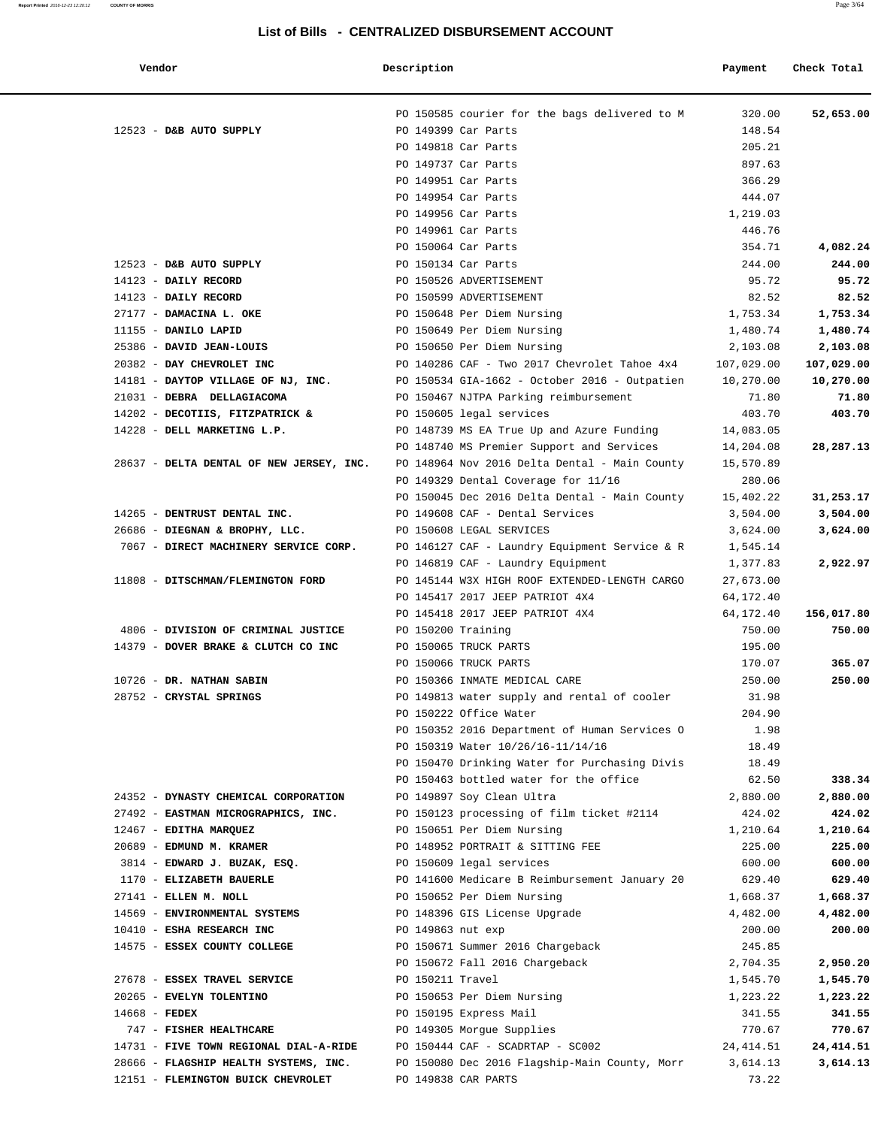| Vendor | Description | Check Total<br>Payment |
|--------|-------------|------------------------|
|        |             |                        |

|                 |                                          |  |                                                                      | 320.00     | 52,653.00  |
|-----------------|------------------------------------------|--|----------------------------------------------------------------------|------------|------------|
|                 | 12523 - D&B AUTO SUPPLY                  |  | PO 150585 courier for the bags delivered to M<br>PO 149399 Car Parts | 148.54     |            |
|                 |                                          |  |                                                                      | 205.21     |            |
|                 |                                          |  | PO 149818 Car Parts                                                  | 897.63     |            |
|                 |                                          |  | PO 149737 Car Parts<br>PO 149951 Car Parts                           | 366.29     |            |
|                 |                                          |  |                                                                      |            |            |
|                 |                                          |  | PO 149954 Car Parts<br>PO 149956 Car Parts                           | 444.07     |            |
|                 |                                          |  |                                                                      | 1,219.03   |            |
|                 |                                          |  | PO 149961 Car Parts                                                  | 446.76     |            |
|                 |                                          |  | PO 150064 Car Parts                                                  | 354.71     | 4,082.24   |
|                 | 12523 - D&B AUTO SUPPLY                  |  | PO 150134 Car Parts                                                  | 244.00     | 244.00     |
|                 | 14123 - DAILY RECORD                     |  | PO 150526 ADVERTISEMENT                                              | 95.72      | 95.72      |
|                 | 14123 - DAILY RECORD                     |  | PO 150599 ADVERTISEMENT                                              | 82.52      | 82.52      |
|                 | 27177 - DAMACINA L. OKE                  |  | PO 150648 Per Diem Nursing                                           | 1,753.34   | 1,753.34   |
|                 | 11155 - DANILO LAPID                     |  | PO 150649 Per Diem Nursing                                           | 1,480.74   | 1,480.74   |
|                 | 25386 - DAVID JEAN-LOUIS                 |  | PO 150650 Per Diem Nursing                                           | 2,103.08   | 2,103.08   |
|                 | 20382 - DAY CHEVROLET INC                |  | PO 140286 CAF - Two 2017 Chevrolet Tahoe 4x4                         | 107,029.00 | 107,029.00 |
|                 | 14181 - DAYTOP VILLAGE OF NJ, INC.       |  | PO 150534 GIA-1662 - October 2016 - Outpatien 10,270.00              |            | 10,270.00  |
|                 | 21031 - DEBRA DELLAGIACOMA               |  | PO 150467 NJTPA Parking reimbursement                                | 71.80      | 71.80      |
|                 | 14202 - DECOTIIS, FITZPATRICK &          |  | PO 150605 legal services                                             | 403.70     | 403.70     |
|                 | 14228 - DELL MARKETING L.P.              |  | PO 148739 MS EA True Up and Azure Funding                            | 14,083.05  |            |
|                 |                                          |  | PO 148740 MS Premier Support and Services                            | 14,204.08  | 28,287.13  |
|                 | 28637 - DELTA DENTAL OF NEW JERSEY, INC. |  | PO 148964 Nov 2016 Delta Dental - Main County                        | 15,570.89  |            |
|                 |                                          |  | PO 149329 Dental Coverage for 11/16                                  | 280.06     |            |
|                 |                                          |  | PO 150045 Dec 2016 Delta Dental - Main County                        | 15,402.22  | 31,253.17  |
|                 | 14265 - DENTRUST DENTAL INC.             |  | PO 149608 CAF - Dental Services                                      | 3,504.00   | 3,504.00   |
|                 | 26686 - DIEGNAN & BROPHY, LLC.           |  | PO 150608 LEGAL SERVICES                                             | 3,624.00   | 3,624.00   |
|                 | 7067 - DIRECT MACHINERY SERVICE CORP.    |  | PO 146127 CAF - Laundry Equipment Service & R                        | 1,545.14   |            |
|                 |                                          |  | PO 146819 CAF - Laundry Equipment                                    | 1,377.83   | 2,922.97   |
|                 | 11808 - DITSCHMAN/FLEMINGTON FORD        |  | PO 145144 W3X HIGH ROOF EXTENDED-LENGTH CARGO                        | 27,673.00  |            |
|                 |                                          |  | PO 145417 2017 JEEP PATRIOT 4X4                                      | 64,172.40  |            |
|                 |                                          |  | PO 145418 2017 JEEP PATRIOT 4X4                                      | 64,172.40  | 156,017.80 |
|                 | 4806 - DIVISION OF CRIMINAL JUSTICE      |  | PO 150200 Training                                                   | 750.00     | 750.00     |
|                 | 14379 - DOVER BRAKE & CLUTCH CO INC      |  | PO 150065 TRUCK PARTS                                                | 195.00     |            |
|                 |                                          |  | PO 150066 TRUCK PARTS                                                | 170.07     | 365.07     |
|                 | 10726 - DR. NATHAN SABIN                 |  | PO 150366 INMATE MEDICAL CARE                                        | 250.00     | 250.00     |
|                 | 28752 - CRYSTAL SPRINGS                  |  | PO 149813 water supply and rental of cooler                          | 31.98      |            |
|                 |                                          |  | PO 150222 Office Water                                               | 204.90     |            |
|                 |                                          |  | PO 150352 2016 Department of Human Services O                        | 1.98       |            |
|                 |                                          |  | PO 150319 Water 10/26/16-11/14/16                                    | 18.49      |            |
|                 |                                          |  | PO 150470 Drinking Water for Purchasing Divis                        | 18.49      |            |
|                 |                                          |  | PO 150463 bottled water for the office                               | 62.50      | 338.34     |
|                 | 24352 - DYNASTY CHEMICAL CORPORATION     |  | PO 149897 Soy Clean Ultra                                            | 2,880.00   | 2,880.00   |
|                 | 27492 - EASTMAN MICROGRAPHICS, INC.      |  | PO 150123 processing of film ticket #2114                            | 424.02     | 424.02     |
|                 | 12467 - EDITHA MARQUEZ                   |  | PO 150651 Per Diem Nursing                                           | 1,210.64   | 1,210.64   |
|                 | 20689 - EDMUND M. KRAMER                 |  | PO 148952 PORTRAIT & SITTING FEE                                     | 225.00     | 225.00     |
|                 | 3814 - EDWARD J. BUZAK, ESQ.             |  | PO 150609 legal services                                             | 600.00     | 600.00     |
|                 | 1170 - ELIZABETH BAUERLE                 |  | PO 141600 Medicare B Reimbursement January 20                        | 629.40     | 629.40     |
|                 | 27141 - ELLEN M. NOLL                    |  | PO 150652 Per Diem Nursing                                           | 1,668.37   | 1,668.37   |
|                 | 14569 - ENVIRONMENTAL SYSTEMS            |  | PO 148396 GIS License Upgrade                                        | 4,482.00   | 4,482.00   |
|                 | 10410 - ESHA RESEARCH INC                |  | PO 149863 nut exp                                                    | 200.00     | 200.00     |
|                 | 14575 - ESSEX COUNTY COLLEGE             |  | PO 150671 Summer 2016 Chargeback                                     | 245.85     |            |
|                 |                                          |  | PO 150672 Fall 2016 Chargeback                                       | 2,704.35   | 2,950.20   |
|                 | 27678 - ESSEX TRAVEL SERVICE             |  | PO 150211 Travel                                                     | 1,545.70   | 1,545.70   |
|                 | 20265 - EVELYN TOLENTINO                 |  | PO 150653 Per Diem Nursing                                           | 1,223.22   | 1,223.22   |
| $14668$ - FEDEX |                                          |  | PO 150195 Express Mail                                               | 341.55     | 341.55     |
|                 | 747 - FISHER HEALTHCARE                  |  | PO 149305 Morgue Supplies                                            | 770.67     | 770.67     |
|                 | 14731 - FIVE TOWN REGIONAL DIAL-A-RIDE   |  | PO 150444 CAF - SCADRTAP - SC002                                     | 24,414.51  | 24,414.51  |
|                 | 28666 - FLAGSHIP HEALTH SYSTEMS, INC.    |  | PO 150080 Dec 2016 Flagship-Main County, Morr                        | 3,614.13   | 3,614.13   |
|                 |                                          |  |                                                                      |            |            |

12151 - **FLEMINGTON BUICK CHEVROLET** PO 149838 CAR PARTS 73.22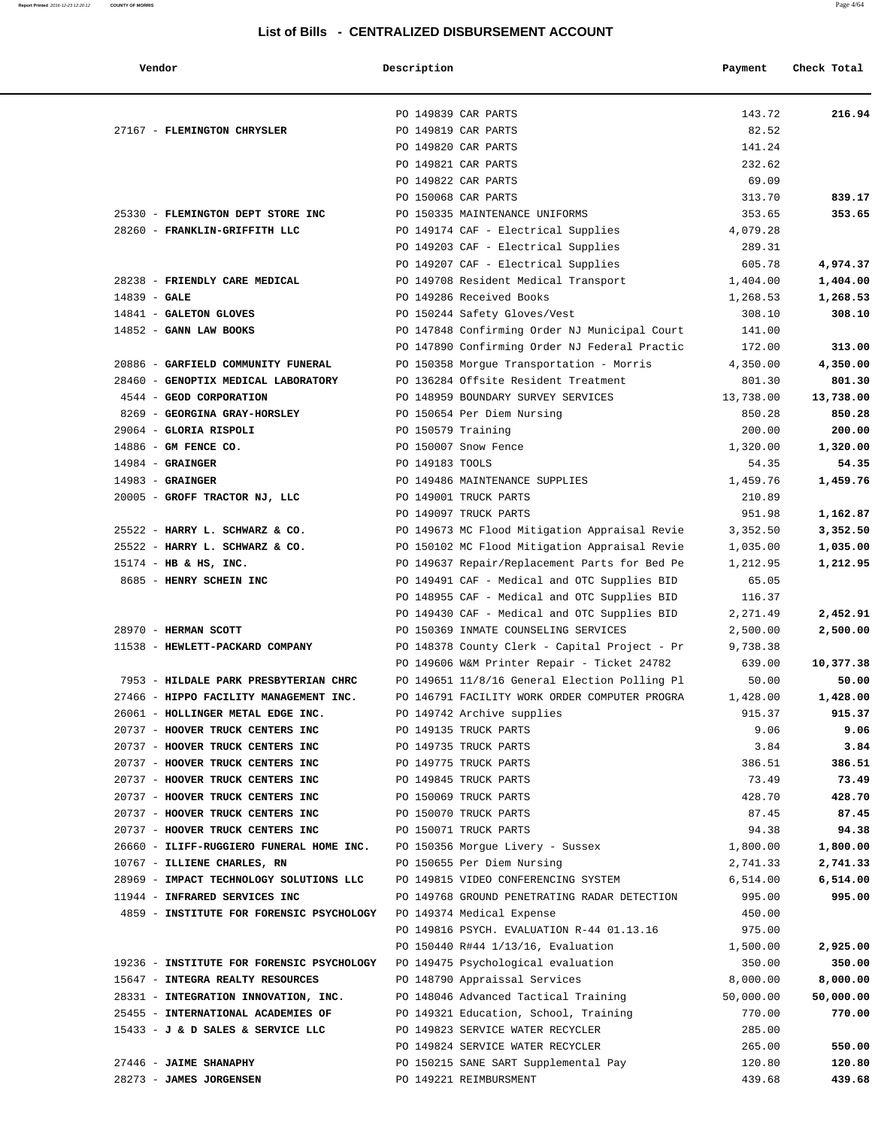|        | ----------- |             |         |             |
|--------|-------------|-------------|---------|-------------|
| Vendor |             | Description | Payment | Check Total |

|                                                                              | PO 149839 CAR PARTS                                         | 143.72<br>216.94                 |
|------------------------------------------------------------------------------|-------------------------------------------------------------|----------------------------------|
| 27167 - FLEMINGTON CHRYSLER                                                  | PO 149819 CAR PARTS                                         | 82.52                            |
|                                                                              | PO 149820 CAR PARTS                                         | 141.24                           |
|                                                                              | PO 149821 CAR PARTS                                         | 232.62                           |
|                                                                              | PO 149822 CAR PARTS                                         | 69.09                            |
|                                                                              | PO 150068 CAR PARTS                                         | 313.70<br>839.17                 |
| 25330 - FLEMINGTON DEPT STORE INC                                            | PO 150335 MAINTENANCE UNIFORMS                              | 353.65<br>353.65                 |
| 28260 - FRANKLIN-GRIFFITH LLC                                                | PO 149174 CAF - Electrical Supplies<br>4,079.28             |                                  |
|                                                                              | PO 149203 CAF - Electrical Supplies                         | 289.31                           |
|                                                                              | PO 149207 CAF - Electrical Supplies                         | 605.78<br>4,974.37               |
| 28238 - FRIENDLY CARE MEDICAL                                                | PO 149708 Resident Medical Transport<br>1,404.00            | 1,404.00                         |
| $14839 - GALE$                                                               | PO 149286 Received Books<br>1,268.53                        | 1,268.53                         |
| 14841 - GALETON GLOVES                                                       | PO 150244 Safety Gloves/Vest                                | 308.10<br>308.10                 |
| $14852$ - GANN LAW BOOKS                                                     | PO 147848 Confirming Order NJ Municipal Court               | 141.00                           |
|                                                                              | PO 147890 Confirming Order NJ Federal Practic               | 313.00<br>172.00                 |
| 20886 - GARFIELD COMMUNITY FUNERAL                                           | PO 150358 Morgue Transportation - Morris<br>4,350.00        | 4,350.00                         |
| 28460 - GENOPTIX MEDICAL LABORATORY                                          | PO 136284 Offsite Resident Treatment                        | 801.30<br>801.30                 |
| 4544 - GEOD CORPORATION                                                      | PO 148959 BOUNDARY SURVEY SERVICES<br>13,738.00             | 13,738.00                        |
| 8269 - GEORGINA GRAY-HORSLEY 60 PO 150654 Per Diem Nursing                   |                                                             | 850.28<br>850.28                 |
| 29064 - GLORIA RISPOLI                                                       | PO 150579 Training                                          | 200.00<br>200.00                 |
| 14886 - GM FENCE CO.                                                         | PO 150007 Snow Fence<br>1,320.00                            | 1,320.00                         |
| $14984$ - GRAINGER                                                           | PO 149183 TOOLS                                             | 54.35<br>54.35                   |
| $14983$ - GRAINGER                                                           | PO 149486 MAINTENANCE SUPPLIES<br>1,459.76                  | 1,459.76                         |
| 20005 - GROFF TRACTOR NJ, LLC                                                | PO 149001 TRUCK PARTS                                       | 210.89                           |
|                                                                              | PO 149097 TRUCK PARTS                                       | 951.98<br>1,162.87               |
| 25522 - HARRY L. SCHWARZ & CO.                                               | PO 149673 MC Flood Mitigation Appraisal Revie<br>3,352.50   | 3,352.50                         |
| 25522 - HARRY L. SCHWARZ & CO.                                               | PO 150102 MC Flood Mitigation Appraisal Revie<br>1,035.00   | 1,035.00                         |
| $15174$ - HB & HS, INC.                                                      | PO 149637 Repair/Replacement Parts for Bed Pe<br>1,212.95   | 1,212.95                         |
| 8685 - HENRY SCHEIN INC                                                      | PO 149491 CAF - Medical and OTC Supplies BID                | 65.05                            |
|                                                                              | PO 148955 CAF - Medical and OTC Supplies BID                | 116.37                           |
|                                                                              | PO 149430 CAF - Medical and OTC Supplies BID<br>2,271.49    | 2,452.91                         |
| 28970 - HERMAN SCOTT                                                         | PO 150369 INMATE COUNSELING SERVICES<br>2,500.00            | 2,500.00                         |
| 11538 - HEWLETT-PACKARD COMPANY                                              | PO 148378 County Clerk - Capital Project - Pr<br>9,738.38   |                                  |
|                                                                              | PO 149606 W&M Printer Repair - Ticket 24782                 | 639.00<br>10,377.38              |
| 7953 - HILDALE PARK PRESBYTERIAN CHRC                                        | PO 149651 11/8/16 General Election Polling Pl               | 50.00<br>50.00                   |
| 27466 - HIPPO FACILITY MANAGEMENT INC.                                       | PO 146791 FACILITY WORK ORDER COMPUTER PROGRA<br>1,428.00   | 1,428.00                         |
| 26061 - HOLLINGER METAL EDGE INC.                                            | PO 149742 Archive supplies                                  | 915.37<br>915.37                 |
| 20737 - HOOVER TRUCK CENTERS INC                                             | PO 149135 TRUCK PARTS                                       | 9.06<br>9.06                     |
| 20737 - HOOVER TRUCK CENTERS INC                                             | PO 149735 TRUCK PARTS                                       | 3.84<br>3.84                     |
| 20737 - HOOVER TRUCK CENTERS INC                                             | PO 149775 TRUCK PARTS                                       | 386.51<br>386.51                 |
| 20737 - HOOVER TRUCK CENTERS INC                                             | PO 149845 TRUCK PARTS                                       | 73.49<br>73.49                   |
| 20737 - HOOVER TRUCK CENTERS INC                                             | PO 150069 TRUCK PARTS                                       | 428.70<br>428.70                 |
| 20737 - HOOVER TRUCK CENTERS INC<br>20737 - HOOVER TRUCK CENTERS INC         | PO 150070 TRUCK PARTS<br>PO 150071 TRUCK PARTS              | 87.45<br>87.45<br>94.38<br>94.38 |
| 26660 - ILIFF-RUGGIERO FUNERAL HOME INC. PO 150356 Morgue Livery - Sussex    |                                                             | 1,800.00                         |
| 10767 - ILLIENE CHARLES, RN                                                  | 1,800.00<br>PO 150655 Per Diem Nursing                      | 2,741.33                         |
| 28969 - IMPACT TECHNOLOGY SOLUTIONS LLC                                      | 2,741.33<br>PO 149815 VIDEO CONFERENCING SYSTEM<br>6,514.00 | 6,514.00                         |
| 11944 - INFRARED SERVICES INC                                                | PO 149768 GROUND PENETRATING RADAR DETECTION                | 995.00<br>995.00                 |
| 4859 - INSTITUTE FOR FORENSIC PSYCHOLOGY PO 149374 Medical Expense           |                                                             | 450.00                           |
|                                                                              | PO 149816 PSYCH. EVALUATION R-44 01.13.16                   | 975.00                           |
|                                                                              | PO 150440 R#44 1/13/16, Evaluation<br>1,500.00              | 2,925.00                         |
| 19236 - INSTITUTE FOR FORENSIC PSYCHOLOGY PO 149475 Psychological evaluation |                                                             | 350.00<br>350.00                 |
| 15647 - INTEGRA REALTY RESOURCES                                             | PO 148790 Appraissal Services<br>8,000.00                   | 8,000.00                         |
| 28331 - INTEGRATION INNOVATION, INC.                                         | PO 148046 Advanced Tactical Training<br>50,000.00           | 50,000.00                        |
| 25455 - INTERNATIONAL ACADEMIES OF                                           | PO 149321 Education, School, Training                       | 770.00<br>770.00                 |
| 15433 - J & D SALES & SERVICE LLC                                            | PO 149823 SERVICE WATER RECYCLER                            | 285.00                           |
|                                                                              | PO 149824 SERVICE WATER RECYCLER                            | 265.00<br>550.00                 |
| 27446 - JAIME SHANAPHY                                                       | PO 150215 SANE SART Supplemental Pay                        | 120.80<br>120.80                 |
| 28273 - JAMES JORGENSEN                                                      | PO 149221 REIMBURSMENT                                      | 439.68<br>439.68                 |
|                                                                              |                                                             |                                  |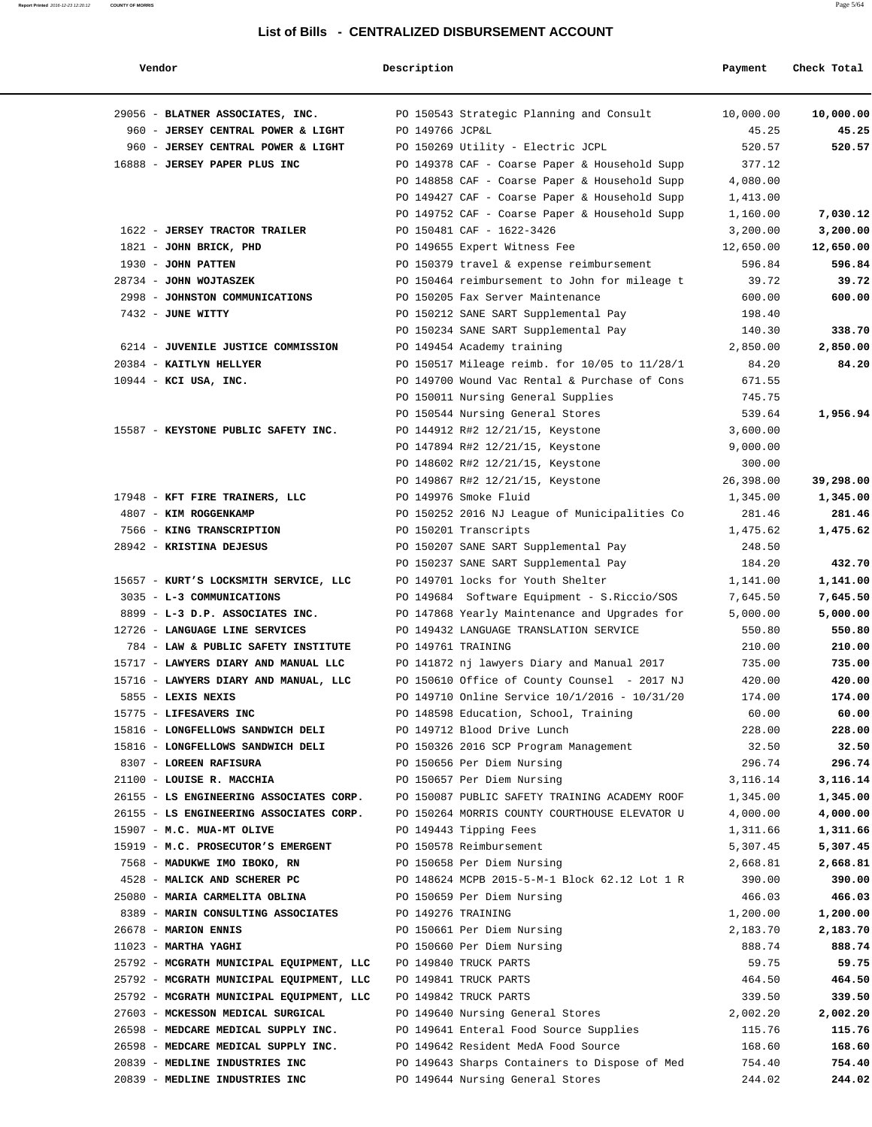| Vendor                                   | Description        |                                               | Payment    | Check Total |
|------------------------------------------|--------------------|-----------------------------------------------|------------|-------------|
| 29056 - BLATNER ASSOCIATES, INC.         |                    | PO 150543 Strategic Planning and Consult      | 10,000.00  | 10,000.00   |
| 960 - JERSEY CENTRAL POWER & LIGHT       | PO 149766 JCP&L    |                                               | 45.25      | 45.25       |
| 960 - JERSEY CENTRAL POWER & LIGHT       |                    | PO 150269 Utility - Electric JCPL             | 520.57     | 520.57      |
| 16888 - JERSEY PAPER PLUS INC            |                    | PO 149378 CAF - Coarse Paper & Household Supp | 377.12     |             |
|                                          |                    | PO 148858 CAF - Coarse Paper & Household Supp | 4,080.00   |             |
|                                          |                    | PO 149427 CAF - Coarse Paper & Household Supp | 1,413.00   |             |
|                                          |                    | PO 149752 CAF - Coarse Paper & Household Supp | 1,160.00   | 7,030.12    |
| 1622 - JERSEY TRACTOR TRAILER            |                    | PO 150481 CAF - 1622-3426                     | 3,200.00   | 3,200.00    |
| 1821 - JOHN BRICK, PHD                   |                    | PO 149655 Expert Witness Fee                  | 12,650.00  | 12,650.00   |
| 1930 - JOHN PATTEN                       |                    | PO 150379 travel & expense reimbursement      | 596.84     | 596.84      |
| 28734 - JOHN WOJTASZEK                   |                    | PO 150464 reimbursement to John for mileage t | 39.72      | 39.72       |
| 2998 - JOHNSTON COMMUNICATIONS           |                    | PO 150205 Fax Server Maintenance              | 600.00     | 600.00      |
| 7432 - JUNE WITTY                        |                    | PO 150212 SANE SART Supplemental Pay          | 198.40     |             |
|                                          |                    | PO 150234 SANE SART Supplemental Pay          | 140.30     | 338.70      |
| 6214 - JUVENILE JUSTICE COMMISSION       |                    | PO 149454 Academy training                    | 2,850.00   | 2,850.00    |
| 20384 - KAITLYN HELLYER                  |                    | PO 150517 Mileage reimb. for 10/05 to 11/28/1 | 84.20      | 84.20       |
| $10944$ - KCI USA, INC.                  |                    | PO 149700 Wound Vac Rental & Purchase of Cons | 671.55     |             |
|                                          |                    | PO 150011 Nursing General Supplies            | 745.75     |             |
|                                          |                    | PO 150544 Nursing General Stores              | 539.64     | 1,956.94    |
| 15587 - KEYSTONE PUBLIC SAFETY INC.      |                    | PO 144912 R#2 12/21/15, Keystone              | 3,600.00   |             |
|                                          |                    | PO 147894 R#2 12/21/15, Keystone              | 9,000.00   |             |
|                                          |                    | PO 148602 R#2 12/21/15, Keystone              | 300.00     |             |
|                                          |                    | PO 149867 R#2 12/21/15, Keystone              | 26,398.00  | 39,298.00   |
| 17948 - KFT FIRE TRAINERS, LLC           |                    | PO 149976 Smoke Fluid                         | 1,345.00   | 1,345.00    |
| 4807 - KIM ROGGENKAMP                    |                    | PO 150252 2016 NJ League of Municipalities Co | 281.46     | 281.46      |
| 7566 - KING TRANSCRIPTION                |                    | PO 150201 Transcripts                         | 1,475.62   | 1,475.62    |
| 28942 - KRISTINA DEJESUS                 |                    | PO 150207 SANE SART Supplemental Pay          | 248.50     |             |
|                                          |                    | PO 150237 SANE SART Supplemental Pay          | 184.20     | 432.70      |
| 15657 - KURT'S LOCKSMITH SERVICE, LLC    |                    | PO 149701 locks for Youth Shelter             | 1,141.00   | 1,141.00    |
| 3035 - L-3 COMMUNICATIONS                |                    | PO 149684 Software Equipment - S.Riccio/SOS   | 7,645.50   | 7,645.50    |
| 8899 - L-3 D.P. ASSOCIATES INC.          |                    | PO 147868 Yearly Maintenance and Upgrades for | 5,000.00   | 5,000.00    |
| 12726 - LANGUAGE LINE SERVICES           |                    | PO 149432 LANGUAGE TRANSLATION SERVICE        | 550.80     | 550.80      |
| 784 - LAW & PUBLIC SAFETY INSTITUTE      |                    | PO 149761 TRAINING                            | 210.00     | 210.00      |
| 15717 - LAWYERS DIARY AND MANUAL LLC     |                    | PO 141872 nj lawyers Diary and Manual 2017    | 735.00     | 735.00      |
| 15716 - LAWYERS DIARY AND MANUAL, LLC    |                    | PO 150610 Office of County Counsel - 2017 NJ  | 420.00     | 420.00      |
| 5855 - LEXIS NEXIS                       |                    | PO 149710 Online Service 10/1/2016 - 10/31/20 | 174.00     | 174.00      |
| 15775 - LIFESAVERS INC                   |                    | PO 148598 Education, School, Training         | 60.00      | 60.00       |
| 15816 - LONGFELLOWS SANDWICH DELI        |                    | PO 149712 Blood Drive Lunch                   | 228.00     | 228.00      |
| 15816 - LONGFELLOWS SANDWICH DELI        |                    | PO 150326 2016 SCP Program Management         | 32.50      | 32.50       |
| 8307 - LOREEN RAFISURA                   |                    | PO 150656 Per Diem Nursing                    | 296.74     | 296.74      |
| 21100 - LOUISE R. MACCHIA                |                    | PO 150657 Per Diem Nursing                    | 3, 116. 14 | 3,116.14    |
| 26155 - LS ENGINEERING ASSOCIATES CORP.  |                    | PO 150087 PUBLIC SAFETY TRAINING ACADEMY ROOF | 1,345.00   | 1,345.00    |
| 26155 - LS ENGINEERING ASSOCIATES CORP.  |                    | PO 150264 MORRIS COUNTY COURTHOUSE ELEVATOR U | 4,000.00   | 4,000.00    |
| 15907 - M.C. MUA-MT OLIVE                |                    | PO 149443 Tipping Fees                        | 1,311.66   | 1,311.66    |
| 15919 - M.C. PROSECUTOR'S EMERGENT       |                    | PO 150578 Reimbursement                       | 5,307.45   | 5,307.45    |
| 7568 - MADUKWE IMO IBOKO, RN             |                    | PO 150658 Per Diem Nursing                    | 2,668.81   | 2,668.81    |
| 4528 - MALICK AND SCHERER PC             |                    | PO 148624 MCPB 2015-5-M-1 Block 62.12 Lot 1 R | 390.00     | 390.00      |
| 25080 - MARIA CARMELITA OBLINA           |                    | PO 150659 Per Diem Nursing                    | 466.03     | 466.03      |
| 8389 - MARIN CONSULTING ASSOCIATES       | PO 149276 TRAINING |                                               | 1,200.00   | 1,200.00    |
| 26678 - MARION ENNIS                     |                    | PO 150661 Per Diem Nursing                    | 2,183.70   | 2,183.70    |
| $11023$ - MARTHA YAGHI                   |                    | PO 150660 Per Diem Nursing                    | 888.74     | 888.74      |
| 25792 - MCGRATH MUNICIPAL EQUIPMENT, LLC |                    | PO 149840 TRUCK PARTS                         | 59.75      | 59.75       |
| 25792 - MCGRATH MUNICIPAL EQUIPMENT, LLC |                    | PO 149841 TRUCK PARTS                         | 464.50     | 464.50      |
| 25792 - MCGRATH MUNICIPAL EQUIPMENT, LLC |                    | PO 149842 TRUCK PARTS                         | 339.50     | 339.50      |
| 27603 - MCKESSON MEDICAL SURGICAL        |                    | PO 149640 Nursing General Stores              | 2,002.20   | 2,002.20    |
| 26598 - MEDCARE MEDICAL SUPPLY INC.      |                    | PO 149641 Enteral Food Source Supplies        | 115.76     | 115.76      |
| 26598 - MEDCARE MEDICAL SUPPLY INC.      |                    | PO 149642 Resident MedA Food Source           | 168.60     | 168.60      |
| 20839 - MEDLINE INDUSTRIES INC           |                    | PO 149643 Sharps Containers to Dispose of Med | 754.40     | 754.40      |
| 20839 - MEDLINE INDUSTRIES INC           |                    | PO 149644 Nursing General Stores              | 244.02     | 244.02      |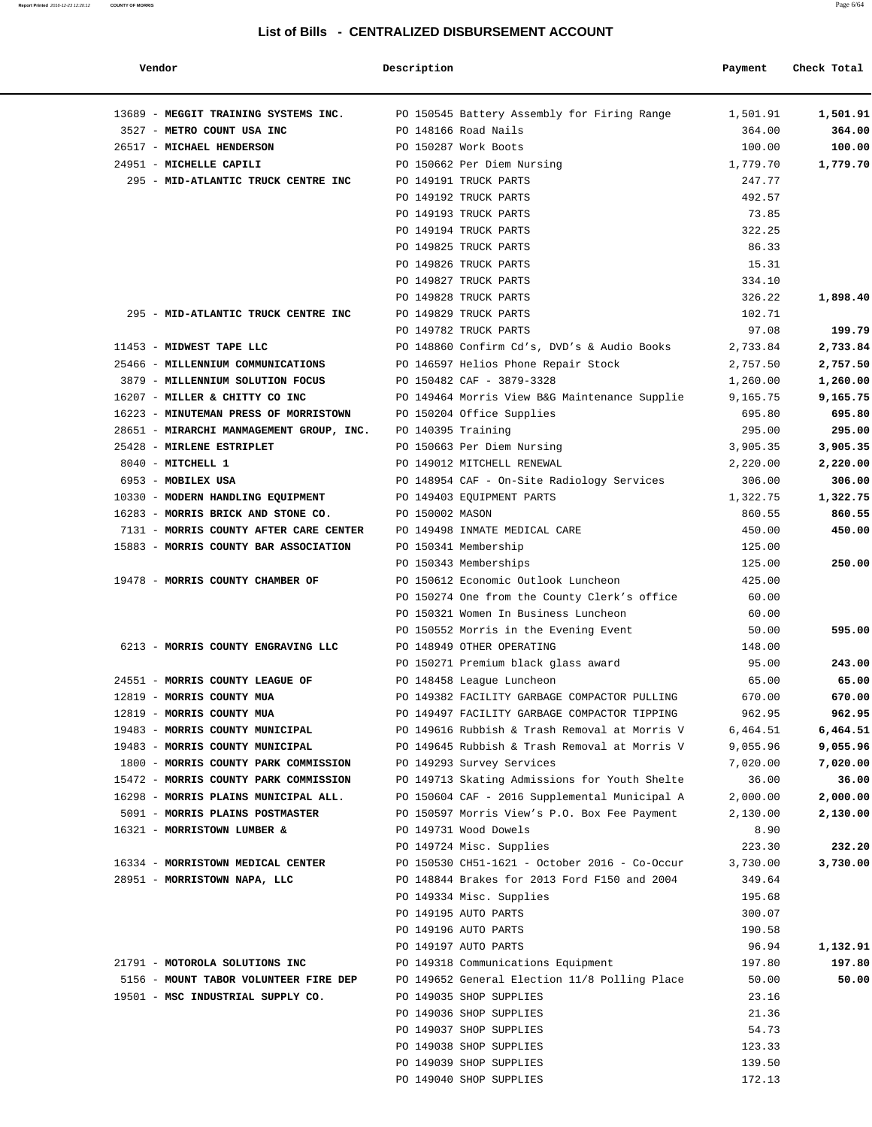| Vendor                                   | Description     |                                               | Payment  | Check Total |
|------------------------------------------|-----------------|-----------------------------------------------|----------|-------------|
| 13689 - MEGGIT TRAINING SYSTEMS INC.     |                 | PO 150545 Battery Assembly for Firing Range   | 1,501.91 | 1,501.91    |
| 3527 - METRO COUNT USA INC               |                 | PO 148166 Road Nails                          | 364.00   | 364.00      |
| 26517 - MICHAEL HENDERSON                |                 | PO 150287 Work Boots                          | 100.00   | 100.00      |
| 24951 - MICHELLE CAPILI                  |                 | PO 150662 Per Diem Nursing                    | 1,779.70 | 1,779.70    |
| 295 - MID-ATLANTIC TRUCK CENTRE INC      |                 | PO 149191 TRUCK PARTS                         | 247.77   |             |
|                                          |                 | PO 149192 TRUCK PARTS                         | 492.57   |             |
|                                          |                 | PO 149193 TRUCK PARTS                         | 73.85    |             |
|                                          |                 | PO 149194 TRUCK PARTS                         | 322.25   |             |
|                                          |                 | PO 149825 TRUCK PARTS                         | 86.33    |             |
|                                          |                 | PO 149826 TRUCK PARTS                         | 15.31    |             |
|                                          |                 | PO 149827 TRUCK PARTS                         | 334.10   |             |
|                                          |                 | PO 149828 TRUCK PARTS                         | 326.22   | 1,898.40    |
| 295 - MID-ATLANTIC TRUCK CENTRE INC      |                 | PO 149829 TRUCK PARTS                         | 102.71   |             |
|                                          |                 | PO 149782 TRUCK PARTS                         | 97.08    | 199.79      |
| 11453 - MIDWEST TAPE LLC                 |                 | PO 148860 Confirm Cd's, DVD's & Audio Books   | 2,733.84 | 2,733.84    |
| 25466 - MILLENNIUM COMMUNICATIONS        |                 | PO 146597 Helios Phone Repair Stock           | 2,757.50 | 2,757.50    |
| 3879 - MILLENNIUM SOLUTION FOCUS         |                 | PO 150482 CAF - 3879-3328                     | 1,260.00 | 1,260.00    |
| 16207 - MILLER & CHITTY CO INC           |                 | PO 149464 Morris View B&G Maintenance Supplie | 9,165.75 | 9,165.75    |
| 16223 - MINUTEMAN PRESS OF MORRISTOWN    |                 | PO 150204 Office Supplies                     | 695.80   | 695.80      |
| 28651 - MIRARCHI MANMAGEMENT GROUP, INC. |                 | PO 140395 Training                            | 295.00   | 295.00      |
| 25428 - MIRLENE ESTRIPLET                |                 | PO 150663 Per Diem Nursing                    | 3,905.35 | 3,905.35    |
| 8040 - MITCHELL 1                        |                 | PO 149012 MITCHELL RENEWAL                    | 2,220.00 | 2,220.00    |
| 6953 - MOBILEX USA                       |                 | PO 148954 CAF - On-Site Radiology Services    | 306.00   | 306.00      |
| 10330 - MODERN HANDLING EQUIPMENT        |                 | PO 149403 EQUIPMENT PARTS                     | 1,322.75 | 1,322.75    |
| 16283 - MORRIS BRICK AND STONE CO.       | PO 150002 MASON |                                               | 860.55   | 860.55      |
| 7131 - MORRIS COUNTY AFTER CARE CENTER   |                 | PO 149498 INMATE MEDICAL CARE                 |          | 450.00      |
|                                          |                 |                                               | 450.00   |             |
| 15883 - MORRIS COUNTY BAR ASSOCIATION    |                 | PO 150341 Membership                          | 125.00   |             |
|                                          |                 | PO 150343 Memberships                         | 125.00   | 250.00      |
| 19478 - MORRIS COUNTY CHAMBER OF         |                 | PO 150612 Economic Outlook Luncheon           | 425.00   |             |
|                                          |                 | PO 150274 One from the County Clerk's office  | 60.00    |             |
|                                          |                 | PO 150321 Women In Business Luncheon          | 60.00    |             |
|                                          |                 | PO 150552 Morris in the Evening Event         | 50.00    | 595.00      |
| 6213 - MORRIS COUNTY ENGRAVING LLC       |                 | PO 148949 OTHER OPERATING                     | 148.00   |             |
|                                          |                 | PO 150271 Premium black glass award           | 95.00    | 243.00      |
| 24551 - MORRIS COUNTY LEAGUE OF          |                 | PO 148458 League Luncheon                     | 65.00    | 65.00       |
| 12819 - MORRIS COUNTY MUA                |                 | PO 149382 FACILITY GARBAGE COMPACTOR PULLING  | 670.00   | 670.00      |
| 12819 - MORRIS COUNTY MUA                |                 | PO 149497 FACILITY GARBAGE COMPACTOR TIPPING  | 962.95   | 962.95      |
| 19483 - MORRIS COUNTY MUNICIPAL          |                 | PO 149616 Rubbish & Trash Removal at Morris V | 6,464.51 | 6,464.51    |
| 19483 - MORRIS COUNTY MUNICIPAL          |                 | PO 149645 Rubbish & Trash Removal at Morris V | 9,055.96 | 9,055.96    |
| 1800 - MORRIS COUNTY PARK COMMISSION     |                 | PO 149293 Survey Services                     | 7,020.00 | 7,020.00    |
| 15472 - MORRIS COUNTY PARK COMMISSION    |                 | PO 149713 Skating Admissions for Youth Shelte | 36.00    | 36.00       |
| 16298 - MORRIS PLAINS MUNICIPAL ALL.     |                 | PO 150604 CAF - 2016 Supplemental Municipal A | 2,000.00 | 2,000.00    |
| 5091 - MORRIS PLAINS POSTMASTER          |                 | PO 150597 Morris View's P.O. Box Fee Payment  | 2,130.00 | 2,130.00    |
| 16321 - MORRISTOWN LUMBER &              |                 | PO 149731 Wood Dowels                         | 8.90     |             |
|                                          |                 | PO 149724 Misc. Supplies                      | 223.30   | 232.20      |
| 16334 - MORRISTOWN MEDICAL CENTER        |                 | PO 150530 CH51-1621 - October 2016 - Co-Occur | 3,730.00 | 3,730.00    |
| 28951 - MORRISTOWN NAPA, LLC             |                 | PO 148844 Brakes for 2013 Ford F150 and 2004  | 349.64   |             |
|                                          |                 | PO 149334 Misc. Supplies                      | 195.68   |             |
|                                          |                 | PO 149195 AUTO PARTS                          | 300.07   |             |
|                                          |                 | PO 149196 AUTO PARTS                          | 190.58   |             |
|                                          |                 | PO 149197 AUTO PARTS                          | 96.94    | 1,132.91    |
| 21791 - MOTOROLA SOLUTIONS INC           |                 | PO 149318 Communications Equipment            | 197.80   | 197.80      |
| 5156 - MOUNT TABOR VOLUNTEER FIRE DEP    |                 | PO 149652 General Election 11/8 Polling Place | 50.00    | 50.00       |
| 19501 - MSC INDUSTRIAL SUPPLY CO.        |                 | PO 149035 SHOP SUPPLIES                       | 23.16    |             |
|                                          |                 | PO 149036 SHOP SUPPLIES                       | 21.36    |             |
|                                          |                 | PO 149037 SHOP SUPPLIES                       | 54.73    |             |
|                                          |                 | PO 149038 SHOP SUPPLIES                       | 123.33   |             |
|                                          |                 | PO 149039 SHOP SUPPLIES                       | 139.50   |             |
|                                          |                 | PO 149040 SHOP SUPPLIES                       | 172.13   |             |
|                                          |                 |                                               |          |             |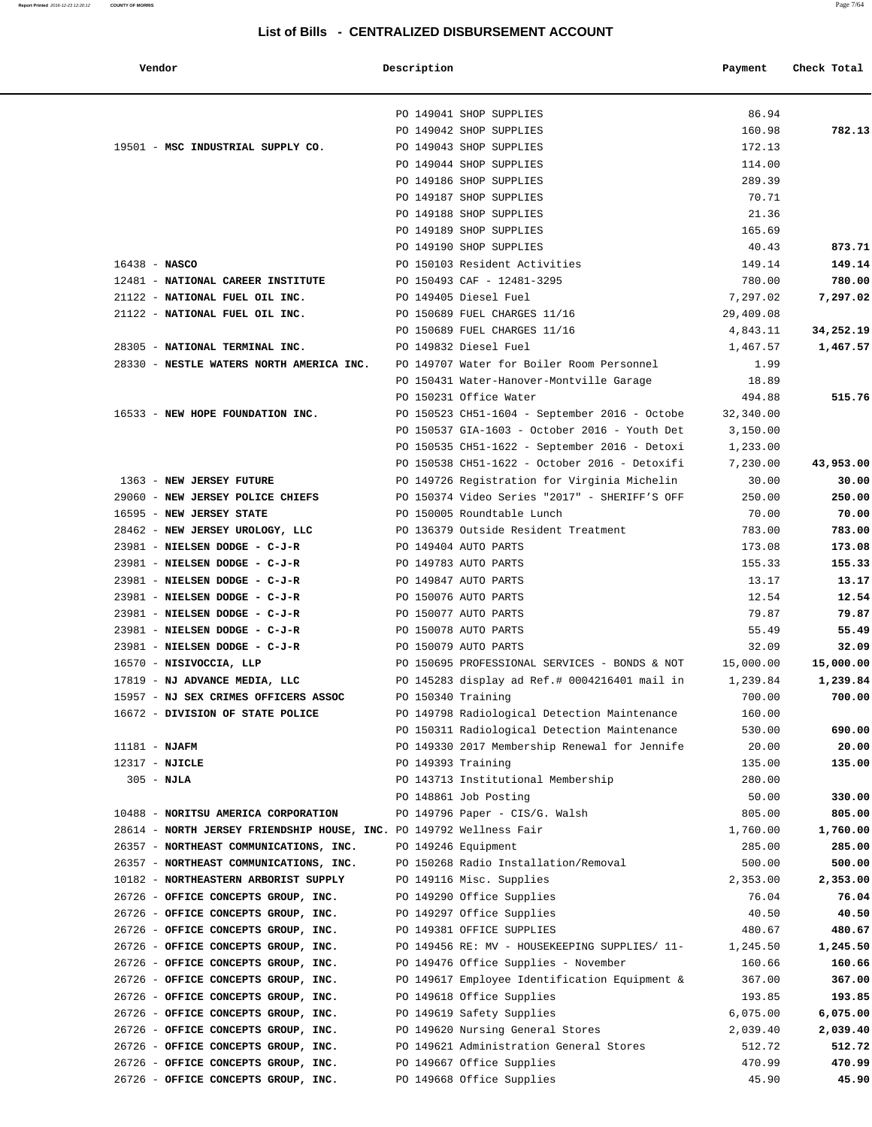**Report Printed** 2016-12-23 12:20:12 **COUNTY OF MORRIS** Page 7/64

#### **List of Bills - CENTRALIZED DISBURSEMENT ACCOUNT**

|  | enar |  |
|--|------|--|

|                                   | . |                         | <u>ULITITUTELED DIUDUITULIILITI AUUUUITI</u>                                                                    |         |             |
|-----------------------------------|---|-------------------------|-----------------------------------------------------------------------------------------------------------------|---------|-------------|
| Vendor                            |   | Description             |                                                                                                                 | Payment | Check Total |
|                                   |   | PO 149041 SHOP SUPPLIES |                                                                                                                 | 86.94   |             |
|                                   |   | PO 149042 SHOP SUPPLIES |                                                                                                                 | 160.98  | 782.13      |
| 19501 - MSC INDUSTRIAL SUPPLY CO. |   | PO 149043 SHOP SUPPLIES |                                                                                                                 | 172.13  |             |
|                                   |   | PO 149044 SHOP SUPPLIES |                                                                                                                 | 114.00  |             |
|                                   |   | PO 149186 SHOP SUPPLIES |                                                                                                                 | 289.39  |             |
|                                   |   | PO 149187 SHOP SUPPLIES |                                                                                                                 | 70.71   |             |
|                                   |   | PO 149188 SHOP SUPPLIES |                                                                                                                 | 21.36   |             |
|                                   |   | PO 149189 SHOP SUPPLIES |                                                                                                                 | 165.69  |             |
|                                   |   | PO 149190 SHOP SUPPLIES |                                                                                                                 | 40.43   | 873.71      |
|                                   |   |                         | the contract of the contract of the contract of the contract of the contract of the contract of the contract of |         |             |

|                                                                                    |                    | PO 149188 SHOP SUPPLIES                       | 21.36     |           |
|------------------------------------------------------------------------------------|--------------------|-----------------------------------------------|-----------|-----------|
|                                                                                    |                    | PO 149189 SHOP SUPPLIES                       | 165.69    |           |
|                                                                                    |                    | PO 149190 SHOP SUPPLIES                       | 40.43     | 873.71    |
| $16438 - NASCO$                                                                    |                    | PO 150103 Resident Activities                 | 149.14    | 149.14    |
| 12481 - NATIONAL CAREER INSTITUTE                                                  |                    | PO 150493 CAF - 12481-3295                    | 780.00    | 780.00    |
| 21122 - NATIONAL FUEL OIL INC.                                                     |                    | PO 149405 Diesel Fuel                         | 7,297.02  | 7,297.02  |
| 21122 - NATIONAL FUEL OIL INC.                                                     |                    | PO 150689 FUEL CHARGES 11/16                  | 29,409.08 |           |
|                                                                                    |                    | PO 150689 FUEL CHARGES 11/16                  | 4,843.11  | 34,252.19 |
| 28305 - NATIONAL TERMINAL INC.<br>PO 149832 Diesel Fuel                            |                    |                                               | 1,467.57  | 1,467.57  |
| 28330 - NESTLE WATERS NORTH AMERICA INC. PO 149707 Water for Boiler Room Personnel |                    |                                               | 1.99      |           |
|                                                                                    |                    | PO 150431 Water-Hanover-Montville Garage      | 18.89     |           |
|                                                                                    |                    | PO 150231 Office Water                        | 494.88    | 515.76    |
| 16533 - NEW HOPE FOUNDATION INC.                                                   |                    | PO 150523 CH51-1604 - September 2016 - Octobe | 32,340.00 |           |
|                                                                                    |                    | PO 150537 GIA-1603 - October 2016 - Youth Det | 3,150.00  |           |
|                                                                                    |                    | PO 150535 CH51-1622 - September 2016 - Detoxi | 1,233.00  |           |
|                                                                                    |                    | PO 150538 CH51-1622 - October 2016 - Detoxifi | 7,230.00  | 43,953.00 |
| 1363 - NEW JERSEY FUTURE                                                           |                    | PO 149726 Registration for Virginia Michelin  | 30.00     | 30.00     |
| 29060 - NEW JERSEY POLICE CHIEFS                                                   |                    | PO 150374 Video Series "2017" - SHERIFF'S OFF | 250.00    | 250.00    |
| 16595 - NEW JERSEY STATE                                                           |                    | PO 150005 Roundtable Lunch                    | 70.00     | 70.00     |
|                                                                                    |                    |                                               |           |           |
| 28462 - NEW JERSEY UROLOGY, LLC                                                    |                    | PO 136379 Outside Resident Treatment          | 783.00    | 783.00    |
| 23981 - NIELSEN DODGE - C-J-R                                                      |                    | PO 149404 AUTO PARTS                          | 173.08    | 173.08    |
| 23981 - NIELSEN DODGE - C-J-R                                                      |                    | PO 149783 AUTO PARTS                          | 155.33    | 155.33    |
| 23981 - NIELSEN DODGE - C-J-R                                                      |                    | PO 149847 AUTO PARTS                          | 13.17     | 13.17     |
| 23981 - NIELSEN DODGE - C-J-R                                                      |                    | PO 150076 AUTO PARTS                          | 12.54     | 12.54     |
| 23981 - NIELSEN DODGE - C-J-R                                                      |                    | PO 150077 AUTO PARTS                          | 79.87     | 79.87     |
| 23981 - NIELSEN DODGE - C-J-R                                                      |                    | PO 150078 AUTO PARTS                          | 55.49     | 55.49     |
| 23981 - NIELSEN DODGE - C-J-R                                                      |                    | PO 150079 AUTO PARTS                          | 32.09     | 32.09     |
| 16570 - NISIVOCCIA, LLP                                                            |                    | PO 150695 PROFESSIONAL SERVICES - BONDS & NOT | 15,000.00 | 15,000.00 |
| 17819 - NJ ADVANCE MEDIA, LLC PO 145283 display ad Ref.# 0004216401 mail in        |                    |                                               | 1,239.84  | 1,239.84  |
| 15957 - NJ SEX CRIMES OFFICERS ASSOC PO 150340 Training                            |                    |                                               | 700.00    | 700.00    |
| 16672 - DIVISION OF STATE POLICE                                                   |                    | PO 149798 Radiological Detection Maintenance  | 160.00    |           |
|                                                                                    |                    | PO 150311 Radiological Detection Maintenance  | 530.00    | 690.00    |
| 11181 - NJAFM                                                                      |                    | PO 149330 2017 Membership Renewal for Jennife | 20.00     | 20.00     |
| $12317 - NJICLE$                                                                   | PO 149393 Training |                                               | 135.00    | 135.00    |
| $305 - NJLA$                                                                       |                    | PO 143713 Institutional Membership            | 280.00    |           |
|                                                                                    |                    | PO 148861 Job Posting                         | 50.00     | 330.00    |
| 10488 - NORITSU AMERICA CORPORATION                                                |                    | PO 149796 Paper - CIS/G. Walsh                | 805.00    | 805.00    |
| 28614 - NORTH JERSEY FRIENDSHIP HOUSE, INC. PO 149792 Wellness Fair                |                    |                                               | 1,760.00  | 1,760.00  |
| 26357 - NORTHEAST COMMUNICATIONS, INC.                                             |                    | PO 149246 Equipment                           | 285.00    | 285.00    |
| 26357 - NORTHEAST COMMUNICATIONS, INC.                                             |                    | PO 150268 Radio Installation/Removal          | 500.00    | 500.00    |
| 10182 - NORTHEASTERN ARBORIST SUPPLY                                               |                    | PO 149116 Misc. Supplies                      | 2,353.00  | 2,353.00  |
| 26726 - OFFICE CONCEPTS GROUP, INC.                                                |                    | PO 149290 Office Supplies                     | 76.04     | 76.04     |
| 26726 - OFFICE CONCEPTS GROUP, INC.                                                |                    | PO 149297 Office Supplies                     | 40.50     | 40.50     |
| 26726 - OFFICE CONCEPTS GROUP, INC.                                                |                    | PO 149381 OFFICE SUPPLIES                     | 480.67    | 480.67    |
| 26726 - OFFICE CONCEPTS GROUP, INC.                                                |                    | PO 149456 RE: MV - HOUSEKEEPING SUPPLIES/ 11- | 1,245.50  | 1,245.50  |
| 26726 - OFFICE CONCEPTS GROUP, INC.                                                |                    | PO 149476 Office Supplies - November          | 160.66    | 160.66    |
| 26726 - OFFICE CONCEPTS GROUP, INC.                                                |                    | PO 149617 Employee Identification Equipment & | 367.00    | 367.00    |
| 26726 - OFFICE CONCEPTS GROUP, INC.                                                |                    | PO 149618 Office Supplies                     | 193.85    | 193.85    |
| 26726 - OFFICE CONCEPTS GROUP, INC.                                                |                    | PO 149619 Safety Supplies                     | 6,075.00  | 6,075.00  |
| 26726 - OFFICE CONCEPTS GROUP, INC.                                                |                    | PO 149620 Nursing General Stores              | 2,039.40  | 2,039.40  |
| 26726 - OFFICE CONCEPTS GROUP, INC.                                                |                    | PO 149621 Administration General Stores       | 512.72    | 512.72    |
| 26726 - OFFICE CONCEPTS GROUP, INC.                                                |                    | PO 149667 Office Supplies                     | 470.99    | 470.99    |
| 26726 - OFFICE CONCEPTS GROUP, INC.                                                |                    | PO 149668 Office Supplies                     | 45.90     | 45.90     |
|                                                                                    |                    |                                               |           |           |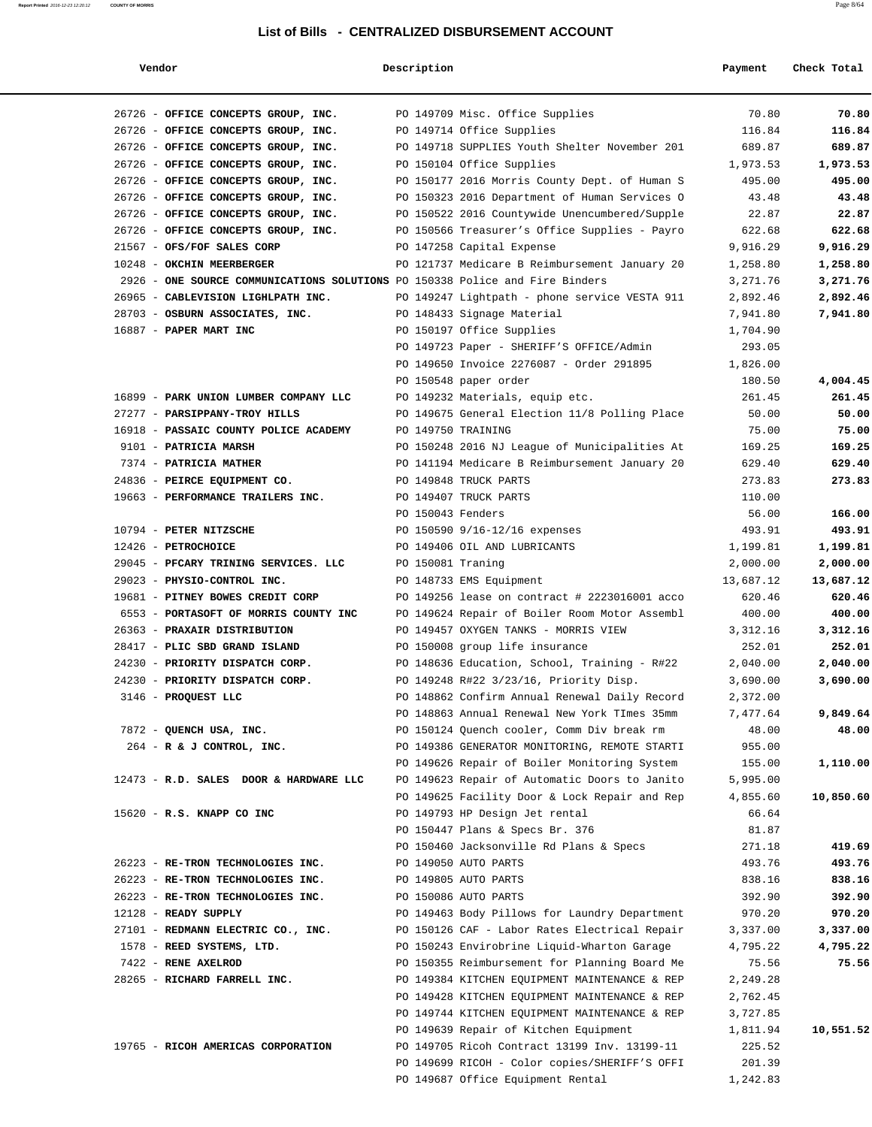| Vendor                                                                       | Description        |                                                                                        | Payment            | Check Total |
|------------------------------------------------------------------------------|--------------------|----------------------------------------------------------------------------------------|--------------------|-------------|
| 26726 - OFFICE CONCEPTS GROUP, INC.                                          |                    | PO 149709 Misc. Office Supplies                                                        | 70.80              | 70.80       |
| 26726 - OFFICE CONCEPTS GROUP, INC.                                          |                    | PO 149714 Office Supplies                                                              | 116.84             | 116.84      |
| 26726 - OFFICE CONCEPTS GROUP, INC.                                          |                    | PO 149718 SUPPLIES Youth Shelter November 201                                          | 689.87             | 689.87      |
| 26726 - OFFICE CONCEPTS GROUP, INC.                                          |                    | PO 150104 Office Supplies                                                              | 1,973.53           | 1,973.53    |
| 26726 - OFFICE CONCEPTS GROUP, INC.                                          |                    | PO 150177 2016 Morris County Dept. of Human S                                          | 495.00             | 495.00      |
| 26726 - OFFICE CONCEPTS GROUP, INC.                                          |                    | PO 150323 2016 Department of Human Services O                                          | 43.48              | 43.48       |
| 26726 - OFFICE CONCEPTS GROUP, INC.                                          |                    | PO 150522 2016 Countywide Unencumbered/Supple                                          | 22.87              | 22.87       |
| 26726 - OFFICE CONCEPTS GROUP, INC.                                          |                    | PO 150566 Treasurer's Office Supplies - Payro                                          | 622.68             | 622.68      |
| 21567 - OFS/FOF SALES CORP                                                   |                    | PO 147258 Capital Expense                                                              | 9,916.29           | 9,916.29    |
| 10248 - OKCHIN MEERBERGER                                                    |                    | PO 121737 Medicare B Reimbursement January 20                                          | 1,258.80           | 1,258.80    |
| 2926 - ONE SOURCE COMMUNICATIONS SOLUTIONS PO 150338 Police and Fire Binders |                    |                                                                                        | 3,271.76           | 3,271.76    |
| 26965 - CABLEVISION LIGHLPATH INC.                                           |                    | PO 149247 Lightpath - phone service VESTA 911                                          | 2,892.46           | 2,892.46    |
| 28703 - OSBURN ASSOCIATES, INC.                                              |                    | PO 148433 Signage Material                                                             | 7,941.80           | 7,941.80    |
| 16887 - PAPER MART INC                                                       |                    | PO 150197 Office Supplies                                                              | 1,704.90           |             |
|                                                                              |                    | PO 149723 Paper - SHERIFF'S OFFICE/Admin                                               | 293.05             |             |
|                                                                              |                    | PO 149650 Invoice 2276087 - Order 291895                                               | 1,826.00           |             |
|                                                                              |                    | PO 150548 paper order                                                                  | 180.50             | 4,004.45    |
| 16899 - PARK UNION LUMBER COMPANY LLC                                        |                    | PO 149232 Materials, equip etc.                                                        | 261.45             | 261.45      |
| 27277 - PARSIPPANY-TROY HILLS                                                |                    | PO 149675 General Election 11/8 Polling Place                                          | 50.00              | 50.00       |
| 16918 - PASSAIC COUNTY POLICE ACADEMY                                        | PO 149750 TRAINING |                                                                                        | 75.00              | 75.00       |
| 9101 - PATRICIA MARSH                                                        |                    | PO 150248 2016 NJ League of Municipalities At                                          | 169.25             | 169.25      |
| 7374 - PATRICIA MATHER                                                       |                    | PO 141194 Medicare B Reimbursement January 20                                          | 629.40             | 629.40      |
| 24836 - PEIRCE EQUIPMENT CO.                                                 |                    | PO 149848 TRUCK PARTS                                                                  | 273.83             | 273.83      |
| 19663 - PERFORMANCE TRAILERS INC.                                            |                    | PO 149407 TRUCK PARTS                                                                  | 110.00             |             |
|                                                                              | PO 150043 Fenders  |                                                                                        | 56.00              | 166.00      |
| 10794 - PETER NITZSCHE                                                       |                    | PO 150590 9/16-12/16 expenses                                                          | 493.91             | 493.91      |
| 12426 - PETROCHOICE                                                          |                    | PO 149406 OIL AND LUBRICANTS                                                           | 1,199.81           | 1,199.81    |
| 29045 - PFCARY TRINING SERVICES. LLC                                         | PO 150081 Traning  |                                                                                        | 2,000.00           | 2,000.00    |
| 29023 - PHYSIO-CONTROL INC.                                                  |                    | PO 148733 EMS Equipment                                                                | 13,687.12          | 13,687.12   |
| 19681 - PITNEY BOWES CREDIT CORP                                             |                    | PO 149256 lease on contract # 2223016001 acco                                          | 620.46             | 620.46      |
| 6553 - PORTASOFT OF MORRIS COUNTY INC                                        |                    | PO 149624 Repair of Boiler Room Motor Assembl                                          | 400.00             | 400.00      |
| 26363 - PRAXAIR DISTRIBUTION                                                 |                    | PO 149457 OXYGEN TANKS - MORRIS VIEW                                                   | 3,312.16           | 3,312.16    |
| 28417 - PLIC SBD GRAND ISLAND                                                |                    | PO 150008 group life insurance                                                         | 252.01             | 252.01      |
| 24230 - PRIORITY DISPATCH CORP.                                              |                    | PO 148636 Education, School, Training - R#22                                           | 2,040.00           | 2,040.00    |
| 24230 - PRIORITY DISPATCH CORP.                                              |                    | PO 149248 R#22 3/23/16, Priority Disp.                                                 | 3,690.00           | 3,690.00    |
| 3146 - PROQUEST LLC                                                          |                    | PO 148862 Confirm Annual Renewal Daily Record                                          | 2,372.00           |             |
|                                                                              |                    | PO 148863 Annual Renewal New York TImes 35mm                                           | 7,477.64           | 9,849.64    |
| 7872 - QUENCH USA, INC.                                                      |                    | PO 150124 Ouench cooler, Comm Div break rm                                             | 48.00              | 48.00       |
| 264 - R & J CONTROL, INC.                                                    |                    | PO 149386 GENERATOR MONITORING, REMOTE STARTI                                          | 955.00             |             |
|                                                                              |                    | PO 149626 Repair of Boiler Monitoring System                                           | 155.00             | 1,110.00    |
| 12473 - R.D. SALES DOOR & HARDWARE LLC                                       |                    | PO 149623 Repair of Automatic Doors to Janito                                          | 5,995.00           |             |
|                                                                              |                    | PO 149625 Facility Door & Lock Repair and Rep                                          | 4,855.60           | 10,850.60   |
| $15620 - R.S.$ KNAPP CO INC                                                  |                    | PO 149793 HP Design Jet rental                                                         | 66.64              |             |
|                                                                              |                    | PO 150447 Plans & Specs Br. 376                                                        | 81.87              |             |
|                                                                              |                    | PO 150460 Jacksonville Rd Plans & Specs                                                | 271.18             | 419.69      |
| 26223 - RE-TRON TECHNOLOGIES INC.                                            |                    | PO 149050 AUTO PARTS                                                                   | 493.76             | 493.76      |
| 26223 - RE-TRON TECHNOLOGIES INC.                                            |                    | PO 149805 AUTO PARTS                                                                   | 838.16             | 838.16      |
| 26223 - RE-TRON TECHNOLOGIES INC.                                            |                    | PO 150086 AUTO PARTS                                                                   | 392.90             | 392.90      |
| 12128 - READY SUPPLY                                                         |                    | PO 149463 Body Pillows for Laundry Department                                          | 970.20             | 970.20      |
| 27101 - REDMANN ELECTRIC CO., INC.                                           |                    | PO 150126 CAF - Labor Rates Electrical Repair                                          | 3,337.00           | 3,337.00    |
| 1578 - REED SYSTEMS, LTD.                                                    |                    | PO 150243 Envirobrine Liquid-Wharton Garage                                            | 4,795.22           | 4,795.22    |
| 7422 - RENE AXELROD                                                          |                    | PO 150355 Reimbursement for Planning Board Me                                          | 75.56              | 75.56       |
| 28265 - RICHARD FARRELL INC.                                                 |                    | PO 149384 KITCHEN EQUIPMENT MAINTENANCE & REP                                          | 2,249.28           |             |
|                                                                              |                    | PO 149428 KITCHEN EQUIPMENT MAINTENANCE & REP                                          | 2,762.45           |             |
|                                                                              |                    | PO 149744 KITCHEN EQUIPMENT MAINTENANCE & REP<br>PO 149639 Repair of Kitchen Equipment | 3,727.85           |             |
| 19765 - RICOH AMERICAS CORPORATION                                           |                    | PO 149705 Ricoh Contract 13199 Inv. 13199-11                                           | 1,811.94<br>225.52 | 10,551.52   |
|                                                                              |                    | PO 149699 RICOH - Color copies/SHERIFF'S OFFI                                          | 201.39             |             |
|                                                                              |                    | PO 149687 Office Equipment Rental                                                      | 1,242.83           |             |
|                                                                              |                    |                                                                                        |                    |             |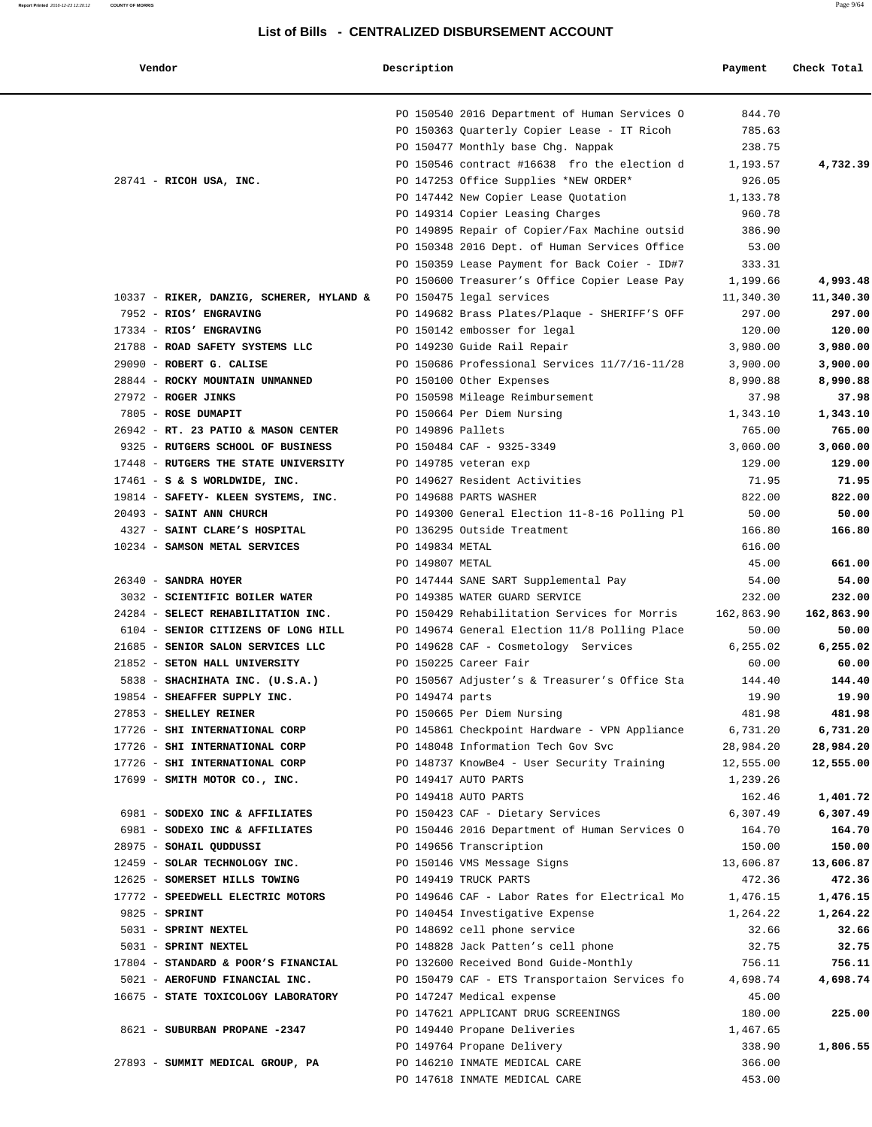#### **Vendor Description Payment Check Total**

| venaor                                   |                   |                                               | Раушенс    |            |
|------------------------------------------|-------------------|-----------------------------------------------|------------|------------|
|                                          |                   | PO 150540 2016 Department of Human Services O | 844.70     |            |
|                                          |                   | PO 150363 Quarterly Copier Lease - IT Ricoh   | 785.63     |            |
|                                          |                   | PO 150477 Monthly base Chg. Nappak            | 238.75     |            |
|                                          |                   | PO 150546 contract #16638 fro the election d  | 1,193.57   | 4,732.39   |
| 28741 - RICOH USA, INC.                  |                   | PO 147253 Office Supplies *NEW ORDER*         | 926.05     |            |
|                                          |                   | PO 147442 New Copier Lease Quotation          | 1,133.78   |            |
|                                          |                   | PO 149314 Copier Leasing Charges              | 960.78     |            |
|                                          |                   | PO 149895 Repair of Copier/Fax Machine outsid | 386.90     |            |
|                                          |                   | PO 150348 2016 Dept. of Human Services Office | 53.00      |            |
|                                          |                   | PO 150359 Lease Payment for Back Coier - ID#7 | 333.31     |            |
|                                          |                   | PO 150600 Treasurer's Office Copier Lease Pay | 1,199.66   | 4,993.48   |
| 10337 - RIKER, DANZIG, SCHERER, HYLAND & |                   | PO 150475 legal services                      | 11,340.30  | 11,340.30  |
| 7952 - RIOS' ENGRAVING                   |                   | PO 149682 Brass Plates/Plaque - SHERIFF'S OFF | 297.00     | 297.00     |
| 17334 - RIOS' ENGRAVING                  |                   | PO 150142 embosser for legal                  | 120.00     | 120.00     |
| 21788 - ROAD SAFETY SYSTEMS LLC          |                   | PO 149230 Guide Rail Repair                   | 3,980.00   | 3,980.00   |
| 29090 - ROBERT G. CALISE                 |                   | PO 150686 Professional Services 11/7/16-11/28 | 3,900.00   | 3,900.00   |
| 28844 - ROCKY MOUNTAIN UNMANNED          |                   | PO 150100 Other Expenses                      | 8,990.88   | 8,990.88   |
| 27972 - ROGER JINKS                      |                   | PO 150598 Mileage Reimbursement               | 37.98      | 37.98      |
| 7805 - ROSE DUMAPIT                      |                   | PO 150664 Per Diem Nursing                    | 1,343.10   | 1,343.10   |
| 26942 - RT. 23 PATIO & MASON CENTER      | PO 149896 Pallets |                                               | 765.00     | 765.00     |
| 9325 - RUTGERS SCHOOL OF BUSINESS        |                   | PO 150484 CAF - 9325-3349                     | 3,060.00   | 3,060.00   |
| 17448 - RUTGERS THE STATE UNIVERSITY     |                   | PO 149785 veteran exp                         | 129.00     | 129.00     |
| $17461 - S$ & S WORLDWIDE, INC.          |                   | PO 149627 Resident Activities                 | 71.95      | 71.95      |
| 19814 - SAFETY- KLEEN SYSTEMS, INC.      |                   | PO 149688 PARTS WASHER                        | 822.00     | 822.00     |
| 20493 - SAINT ANN CHURCH                 |                   | PO 149300 General Election 11-8-16 Polling Pl | 50.00      | 50.00      |
| 4327 - SAINT CLARE'S HOSPITAL            |                   | PO 136295 Outside Treatment                   | 166.80     | 166.80     |
| 10234 - SAMSON METAL SERVICES            | PO 149834 METAL   |                                               | 616.00     |            |
|                                          | PO 149807 METAL   |                                               | 45.00      | 661.00     |
| 26340 - SANDRA HOYER                     |                   | PO 147444 SANE SART Supplemental Pay          | 54.00      | 54.00      |
| 3032 - SCIENTIFIC BOILER WATER           |                   | PO 149385 WATER GUARD SERVICE                 | 232.00     | 232.00     |
| 24284 - SELECT REHABILITATION INC.       |                   | PO 150429 Rehabilitation Services for Morris  | 162,863.90 | 162,863.90 |
| 6104 - SENIOR CITIZENS OF LONG HILL      |                   | PO 149674 General Election 11/8 Polling Place | 50.00      | 50.00      |
| 21685 - SENIOR SALON SERVICES LLC        |                   | PO 149628 CAF - Cosmetology Services          | 6,255.02   | 6,255.02   |
| 21852 - SETON HALL UNIVERSITY            |                   | PO 150225 Career Fair                         | 60.00      | 60.00      |
| 5838 - SHACHIHATA INC. (U.S.A.)          |                   | PO 150567 Adjuster's & Treasurer's Office Sta | 144.40     | 144.40     |
| 19854 - SHEAFFER SUPPLY INC.             | PO 149474 parts   |                                               | 19.90      | 19.90      |
| 27853 - SHELLEY REINER                   |                   | PO 150665 Per Diem Nursing                    | 481.98     | 481.98     |
| 17726 - SHI INTERNATIONAL CORP           |                   | PO 145861 Checkpoint Hardware - VPN Appliance | 6,731.20   | 6,731.20   |
| 17726 - SHI INTERNATIONAL CORP           |                   | PO 148048 Information Tech Gov Svc            | 28,984.20  | 28,984.20  |
| 17726 - SHI INTERNATIONAL CORP           |                   | PO 148737 KnowBe4 - User Security Training    | 12,555.00  | 12,555.00  |
| 17699 - SMITH MOTOR CO., INC.            |                   | PO 149417 AUTO PARTS                          | 1,239.26   |            |
|                                          |                   | PO 149418 AUTO PARTS                          | 162.46     | 1,401.72   |
| 6981 - SODEXO INC & AFFILIATES           |                   | PO 150423 CAF - Dietary Services              | 6,307.49   | 6,307.49   |
| 6981 - SODEXO INC & AFFILIATES           |                   | PO 150446 2016 Department of Human Services O | 164.70     | 164.70     |
| 28975 - SOHAIL QUDDUSSI                  |                   | PO 149656 Transcription                       | 150.00     | 150.00     |
| 12459 - SOLAR TECHNOLOGY INC.            |                   | PO 150146 VMS Message Signs                   | 13,606.87  | 13,606.87  |
| 12625 - SOMERSET HILLS TOWING            |                   | PO 149419 TRUCK PARTS                         | 472.36     | 472.36     |
| 17772 - SPEEDWELL ELECTRIC MOTORS        |                   | PO 149646 CAF - Labor Rates for Electrical Mo | 1,476.15   | 1,476.15   |
| 9825 - SPRINT                            |                   | PO 140454 Investigative Expense               | 1,264.22   | 1,264.22   |
| 5031 - SPRINT NEXTEL                     |                   | PO 148692 cell phone service                  | 32.66      | 32.66      |
| 5031 - SPRINT NEXTEL                     |                   | PO 148828 Jack Patten's cell phone            | 32.75      | 32.75      |
| 17804 - STANDARD & POOR'S FINANCIAL      |                   | PO 132600 Received Bond Guide-Monthly         | 756.11     | 756.11     |
| 5021 - AEROFUND FINANCIAL INC.           |                   | PO 150479 CAF - ETS Transportaion Services fo | 4,698.74   | 4,698.74   |
| 16675 - STATE TOXICOLOGY LABORATORY      |                   | PO 147247 Medical expense                     | 45.00      |            |
|                                          |                   | PO 147621 APPLICANT DRUG SCREENINGS           | 180.00     | 225.00     |
| 8621 - SUBURBAN PROPANE -2347            |                   | PO 149440 Propane Deliveries                  | 1,467.65   |            |
|                                          |                   | PO 149764 Propane Delivery                    | 338.90     | 1,806.55   |
| 27893 - SUMMIT MEDICAL GROUP, PA         |                   | PO 146210 INMATE MEDICAL CARE                 | 366.00     |            |
|                                          |                   | PO 147618 INMATE MEDICAL CARE                 | 453.00     |            |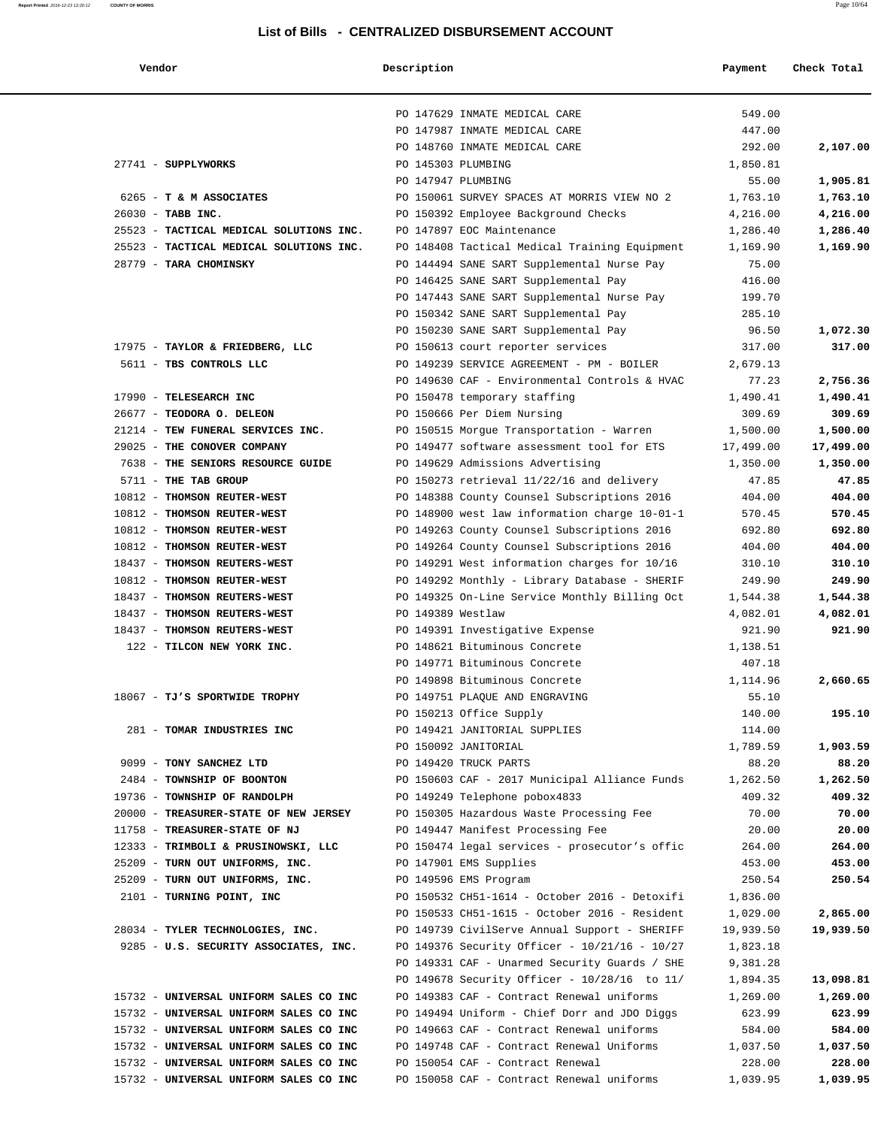## **Report Printed** 2016-12-23 12:20:12 **COUNTY OF MORRIS** Page 10/64

| Vendor                                  | Description                                                    | Payment         | Check Total |
|-----------------------------------------|----------------------------------------------------------------|-----------------|-------------|
|                                         | PO 147629 INMATE MEDICAL CARE                                  | 549.00          |             |
|                                         | PO 147987 INMATE MEDICAL CARE                                  | 447.00          |             |
|                                         | PO 148760 INMATE MEDICAL CARE                                  | 292.00          | 2,107.00    |
| 27741 - SUPPLYWORKS                     | PO 145303 PLUMBING                                             | 1,850.81        |             |
|                                         | PO 147947 PLUMBING                                             | 55.00           | 1,905.81    |
| 6265 - T & M ASSOCIATES                 | PO 150061 SURVEY SPACES AT MORRIS VIEW NO 2                    | 1,763.10        | 1,763.10    |
| 26030 - TABB INC.                       | PO 150392 Employee Background Checks                           | 4,216.00        | 4,216.00    |
| 25523 - TACTICAL MEDICAL SOLUTIONS INC. | PO 147897 EOC Maintenance                                      | 1,286.40        | 1,286.40    |
| 25523 - TACTICAL MEDICAL SOLUTIONS INC. | PO 148408 Tactical Medical Training Equipment                  | 1,169.90        | 1,169.90    |
| 28779 - TARA CHOMINSKY                  | PO 144494 SANE SART Supplemental Nurse Pay                     | 75.00           |             |
|                                         | PO 146425 SANE SART Supplemental Pay                           | 416.00          |             |
|                                         | PO 147443 SANE SART Supplemental Nurse Pay                     | 199.70          |             |
|                                         | PO 150342 SANE SART Supplemental Pay                           | 285.10          |             |
|                                         | PO 150230 SANE SART Supplemental Pay                           | 96.50           | 1,072.30    |
| 17975 - TAYLOR & FRIEDBERG, LLC         | PO 150613 court reporter services                              | 317.00          | 317.00      |
| 5611 - TBS CONTROLS LLC                 | PO 149239 SERVICE AGREEMENT - PM - BOILER                      | 2,679.13        |             |
|                                         | PO 149630 CAF - Environmental Controls & HVAC                  | 77.23           | 2,756.36    |
| 17990 - TELESEARCH INC                  | PO 150478 temporary staffing                                   | 1,490.41        | 1,490.41    |
| 26677 - TEODORA O. DELEON               | PO 150666 Per Diem Nursing                                     | 309.69          | 309.69      |
| 21214 - TEW FUNERAL SERVICES INC.       | PO 150515 Morgue Transportation - Warren                       | 1,500.00        | 1,500.00    |
| 29025 - THE CONOVER COMPANY             | PO 149477 software assessment tool for ETS                     | 17,499.00       | 17,499.00   |
| 7638 - THE SENIORS RESOURCE GUIDE       | PO 149629 Admissions Advertising                               | 1,350.00        | 1,350.00    |
| 5711 - THE TAB GROUP                    | PO 150273 retrieval 11/22/16 and delivery                      | 47.85           | 47.85       |
| 10812 - THOMSON REUTER-WEST             | PO 148388 County Counsel Subscriptions 2016                    | 404.00          | 404.00      |
| 10812 - THOMSON REUTER-WEST             | PO 148900 west law information charge 10-01-1                  | 570.45          | 570.45      |
| 10812 - THOMSON REUTER-WEST             | PO 149263 County Counsel Subscriptions 2016                    | 692.80          | 692.80      |
| 10812 - THOMSON REUTER-WEST             | PO 149264 County Counsel Subscriptions 2016                    | 404.00          | 404.00      |
| 18437 - THOMSON REUTERS-WEST            | PO 149291 West information charges for 10/16                   | 310.10          | 310.10      |
| 10812 - THOMSON REUTER-WEST             | PO 149292 Monthly - Library Database - SHERIF                  | 249.90          | 249.90      |
| 18437 - THOMSON REUTERS-WEST            | PO 149325 On-Line Service Monthly Billing Oct                  | 1,544.38        | 1,544.38    |
| 18437 - THOMSON REUTERS-WEST            | PO 149389 Westlaw                                              | 4,082.01        | 4,082.01    |
| 18437 - THOMSON REUTERS-WEST            | PO 149391 Investigative Expense                                | 921.90          | 921.90      |
| 122 - TILCON NEW YORK INC.              | PO 148621 Bituminous Concrete                                  | 1,138.51        |             |
|                                         | PO 149771 Bituminous Concrete<br>PO 149898 Bituminous Concrete | 407.18          |             |
|                                         |                                                                | 1,114.96        | 2,660.65    |
| 18067 - TJ'S SPORTWIDE TROPHY           | PO 149751 PLAQUE AND ENGRAVING                                 | 55.10<br>140.00 | 195.10      |
| 281 - TOMAR INDUSTRIES INC              | PO 150213 Office Supply<br>PO 149421 JANITORIAL SUPPLIES       | 114.00          |             |
|                                         | PO 150092 JANITORIAL                                           | 1,789.59        | 1,903.59    |
| 9099 - TONY SANCHEZ LTD                 | PO 149420 TRUCK PARTS                                          | 88.20           | 88.20       |
| 2484 - TOWNSHIP OF BOONTON              | PO 150603 CAF - 2017 Municipal Alliance Funds                  | 1,262.50        | 1,262.50    |
| 19736 - TOWNSHIP OF RANDOLPH            | PO 149249 Telephone pobox4833                                  | 409.32          | 409.32      |
| 20000 - TREASURER-STATE OF NEW JERSEY   | PO 150305 Hazardous Waste Processing Fee                       | 70.00           | 70.00       |
| 11758 - TREASURER-STATE OF NJ           | PO 149447 Manifest Processing Fee                              | 20.00           | 20.00       |
| 12333 - TRIMBOLI & PRUSINOWSKI, LLC     | PO 150474 legal services - prosecutor's offic                  | 264.00          | 264.00      |
| 25209 - TURN OUT UNIFORMS, INC.         | PO 147901 EMS Supplies                                         | 453.00          | 453.00      |
| 25209 - TURN OUT UNIFORMS, INC.         | PO 149596 EMS Program                                          | 250.54          | 250.54      |
| 2101 - TURNING POINT, INC               | PO 150532 CH51-1614 - October 2016 - Detoxifi                  | 1,836.00        |             |
|                                         | PO 150533 CH51-1615 - October 2016 - Resident                  | 1,029.00        | 2,865.00    |
| 28034 - TYLER TECHNOLOGIES, INC.        | PO 149739 CivilServe Annual Support - SHERIFF                  | 19,939.50       | 19,939.50   |
| 9285 - U.S. SECURITY ASSOCIATES, INC.   | PO 149376 Security Officer - 10/21/16 - 10/27                  | 1,823.18        |             |
|                                         | PO 149331 CAF - Unarmed Security Guards / SHE                  | 9,381.28        |             |
|                                         | PO 149678 Security Officer - 10/28/16 to 11/                   | 1,894.35        | 13,098.81   |
| 15732 - UNIVERSAL UNIFORM SALES CO INC  | PO 149383 CAF - Contract Renewal uniforms                      | 1,269.00        | 1,269.00    |
| 15732 - UNIVERSAL UNIFORM SALES CO INC  | PO 149494 Uniform - Chief Dorr and JDO Diggs                   | 623.99          | 623.99      |
| 15732 - UNIVERSAL UNIFORM SALES CO INC  | PO 149663 CAF - Contract Renewal uniforms                      | 584.00          | 584.00      |
| 15732 - UNIVERSAL UNIFORM SALES CO INC  | PO 149748 CAF - Contract Renewal Uniforms                      | 1,037.50        | 1,037.50    |
| 15732 - UNIVERSAL UNIFORM SALES CO INC  | PO 150054 CAF - Contract Renewal                               | 228.00          | 228.00      |
| 15732 - UNIVERSAL UNIFORM SALES CO INC  | PO 150058 CAF - Contract Renewal uniforms                      | 1,039.95        | 1,039.95    |
|                                         |                                                                |                 |             |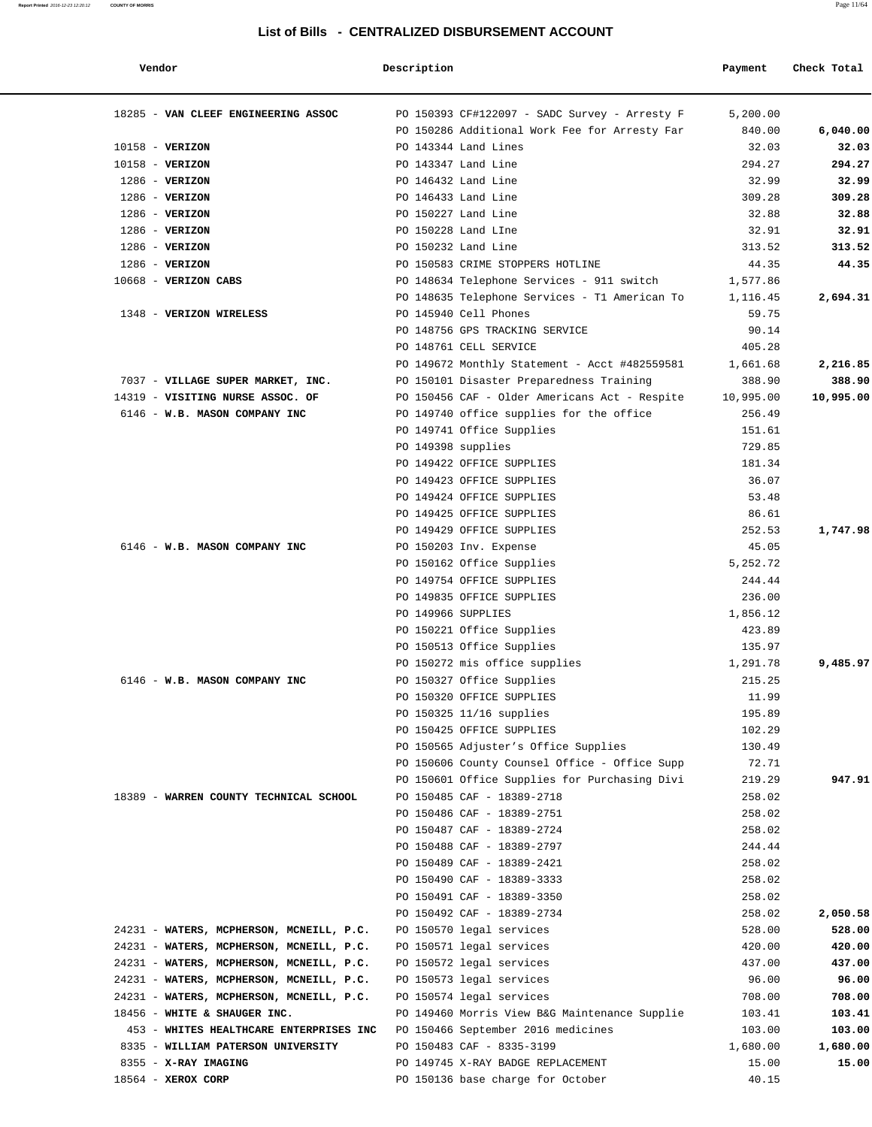| Report Printed 2016-12-23 12:20:12 | <b>COUNTY OF MORRIS</b>             |                                                  |          | Page 11/64  |
|------------------------------------|-------------------------------------|--------------------------------------------------|----------|-------------|
|                                    |                                     | List of Bills - CENTRALIZED DISBURSEMENT ACCOUNT |          |             |
|                                    | Vendor                              | Description                                      | Payment  | Check Total |
|                                    | 18285 - VAN CLEEF ENGINEERING ASSOC | PO 150393 CF#122097 - SADC Survey - Arresty F    | 5,200.00 |             |
|                                    |                                     | PO 150286 Additional Work Fee for Arresty Far    | 840.00   | 6,040.00    |
|                                    | $10158 - VERIZON$                   | PO 143344 Land Lines                             | 32.03    | 32.03       |
|                                    | $10158 - VERIZON$                   | PO 143347 Land Line                              | 294.27   | 294.27      |
|                                    | $1286$ - VERIZON                    | PO 146432 Land Line                              | 32.99    | 32.99       |
|                                    | $1286$ - VERIZON                    | PO 146433 Land Line                              | 309.28   | 309.28      |
|                                    | $1286$ - VERIZON                    | PO 150227 Land Line                              | 32.88    | 32.88       |
|                                    | $1286$ - VERIZON                    | PO 150228 Land LIne                              | 32.91    | 32.91       |
|                                    | $1286$ - VERIZON                    | PO 150232 Land Line                              | 313.52   | 313.52      |
|                                    | -----                               |                                                  | .        | .           |

| $1286$ - VERIZON                         | PO 150232 Land Line                                    | 313.52    | 313.52    |
|------------------------------------------|--------------------------------------------------------|-----------|-----------|
| $1286$ - VERIZON                         | PO 150583 CRIME STOPPERS HOTLINE                       | 44.35     | 44.35     |
| $10668$ - VERIZON CABS                   | PO 148634 Telephone Services - 911 switch              | 1,577.86  |           |
|                                          | PO 148635 Telephone Services - T1 American To 1,116.45 |           | 2,694.31  |
| 1348 - VERIZON WIRELESS                  | PO 145940 Cell Phones                                  | 59.75     |           |
|                                          | PO 148756 GPS TRACKING SERVICE                         | 90.14     |           |
|                                          | PO 148761 CELL SERVICE                                 | 405.28    |           |
|                                          | PO 149672 Monthly Statement - Acct #482559581          | 1,661.68  | 2,216.85  |
| 7037 - VILLAGE SUPER MARKET, INC.        | PO 150101 Disaster Preparedness Training               | 388.90    | 388.90    |
| 14319 - VISITING NURSE ASSOC. OF         | PO 150456 CAF - Older Americans Act - Respite          | 10,995.00 | 10,995.00 |
| 6146 - W.B. MASON COMPANY INC            | PO 149740 office supplies for the office               | 256.49    |           |
|                                          | PO 149741 Office Supplies                              | 151.61    |           |
|                                          | PO 149398 supplies                                     | 729.85    |           |
|                                          | PO 149422 OFFICE SUPPLIES                              | 181.34    |           |
|                                          | PO 149423 OFFICE SUPPLIES                              | 36.07     |           |
|                                          | PO 149424 OFFICE SUPPLIES                              | 53.48     |           |
|                                          | PO 149425 OFFICE SUPPLIES                              | 86.61     |           |
|                                          | PO 149429 OFFICE SUPPLIES                              | 252.53    | 1,747.98  |
| 6146 - W.B. MASON COMPANY INC            | PO 150203 Inv. Expense                                 | 45.05     |           |
|                                          | PO 150162 Office Supplies                              | 5,252.72  |           |
|                                          | PO 149754 OFFICE SUPPLIES                              | 244.44    |           |
|                                          | PO 149835 OFFICE SUPPLIES                              | 236.00    |           |
|                                          | PO 149966 SUPPLIES                                     | 1,856.12  |           |
|                                          | PO 150221 Office Supplies                              | 423.89    |           |
|                                          | PO 150513 Office Supplies                              | 135.97    |           |
|                                          | PO 150272 mis office supplies                          | 1,291.78  | 9,485.97  |
| 6146 - W.B. MASON COMPANY INC            | PO 150327 Office Supplies                              | 215.25    |           |
|                                          | PO 150320 OFFICE SUPPLIES                              | 11.99     |           |
|                                          | PO 150325 11/16 supplies                               | 195.89    |           |
|                                          | PO 150425 OFFICE SUPPLIES                              | 102.29    |           |
|                                          | PO 150565 Adjuster's Office Supplies                   | 130.49    |           |
|                                          | PO 150606 County Counsel Office - Office Supp          | 72.71     |           |
|                                          | PO 150601 Office Supplies for Purchasing Divi          | 219.29    | 947.91    |
| 18389 - WARREN COUNTY TECHNICAL SCHOOL   | PO 150485 CAF - 18389-2718                             | 258.02    |           |
|                                          | PO 150486 CAF - 18389-2751                             | 258.02    |           |
|                                          | PO 150487 CAF - 18389-2724                             | 258.02    |           |
|                                          | PO 150488 CAF - 18389-2797                             | 244.44    |           |
|                                          | PO 150489 CAF - 18389-2421                             | 258.02    |           |
|                                          | PO 150490 CAF - 18389-3333                             | 258.02    |           |
|                                          | PO 150491 CAF - 18389-3350                             | 258.02    |           |
|                                          | PO 150492 CAF - 18389-2734                             | 258.02    | 2,050.58  |
| 24231 - WATERS, MCPHERSON, MCNEILL, P.C. | PO 150570 legal services                               | 528.00    | 528.00    |
| 24231 - WATERS, MCPHERSON, MCNEILL, P.C. | PO 150571 legal services                               | 420.00    | 420.00    |
| 24231 - WATERS, MCPHERSON, MCNEILL, P.C. | PO 150572 legal services                               | 437.00    | 437.00    |
| 24231 - WATERS, MCPHERSON, MCNEILL, P.C. | PO 150573 legal services                               | 96.00     | 96.00     |
| 24231 - WATERS, MCPHERSON, MCNEILL, P.C. | PO 150574 legal services                               | 708.00    | 708.00    |
| 18456 - WHITE & SHAUGER INC.             | PO 149460 Morris View B&G Maintenance Supplie          | 103.41    | 103.41    |
| 453 - WHITES HEALTHCARE ENTERPRISES INC  | PO 150466 September 2016 medicines                     | 103.00    | 103.00    |
| 8335 - WILLIAM PATERSON UNIVERSITY       | PO 150483 CAF - 8335-3199                              | 1,680.00  | 1,680.00  |
| 8355 - X-RAY IMAGING                     | PO 149745 X-RAY BADGE REPLACEMENT                      | 15.00     | 15.00     |
| 18564 - XEROX CORP                       | PO 150136 base charge for October                      | 40.15     |           |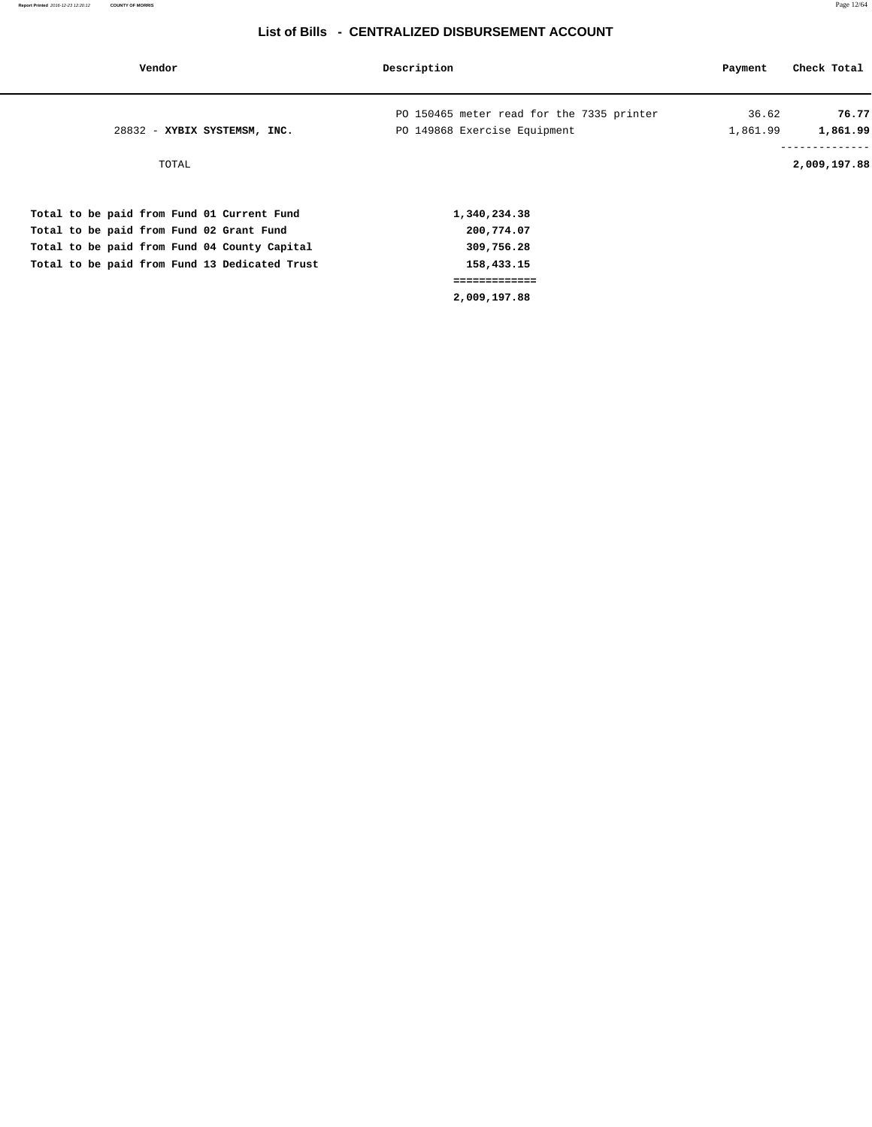| Vendor                                        | Description                               | Payment  | Check Total              |
|-----------------------------------------------|-------------------------------------------|----------|--------------------------|
|                                               | PO 150465 meter read for the 7335 printer | 36.62    | 76.77                    |
| 28832 - XYBIX SYSTEMSM, INC.                  | PO 149868 Exercise Equipment              | 1,861.99 | 1,861.99                 |
| TOTAL                                         |                                           |          | --------<br>2,009,197.88 |
| Total to be paid from Fund 01 Current Fund    | 1,340,234.38                              |          |                          |
| Total to be paid from Fund 02 Grant Fund      | 200,774.07                                |          |                          |
| Total to be paid from Fund 04 County Capital  | 309,756.28                                |          |                          |
| Total to be paid from Fund 13 Dedicated Trust | 158,433.15                                |          |                          |
|                                               | =============                             |          |                          |
|                                               | 2,009,197.88                              |          |                          |
|                                               |                                           |          |                          |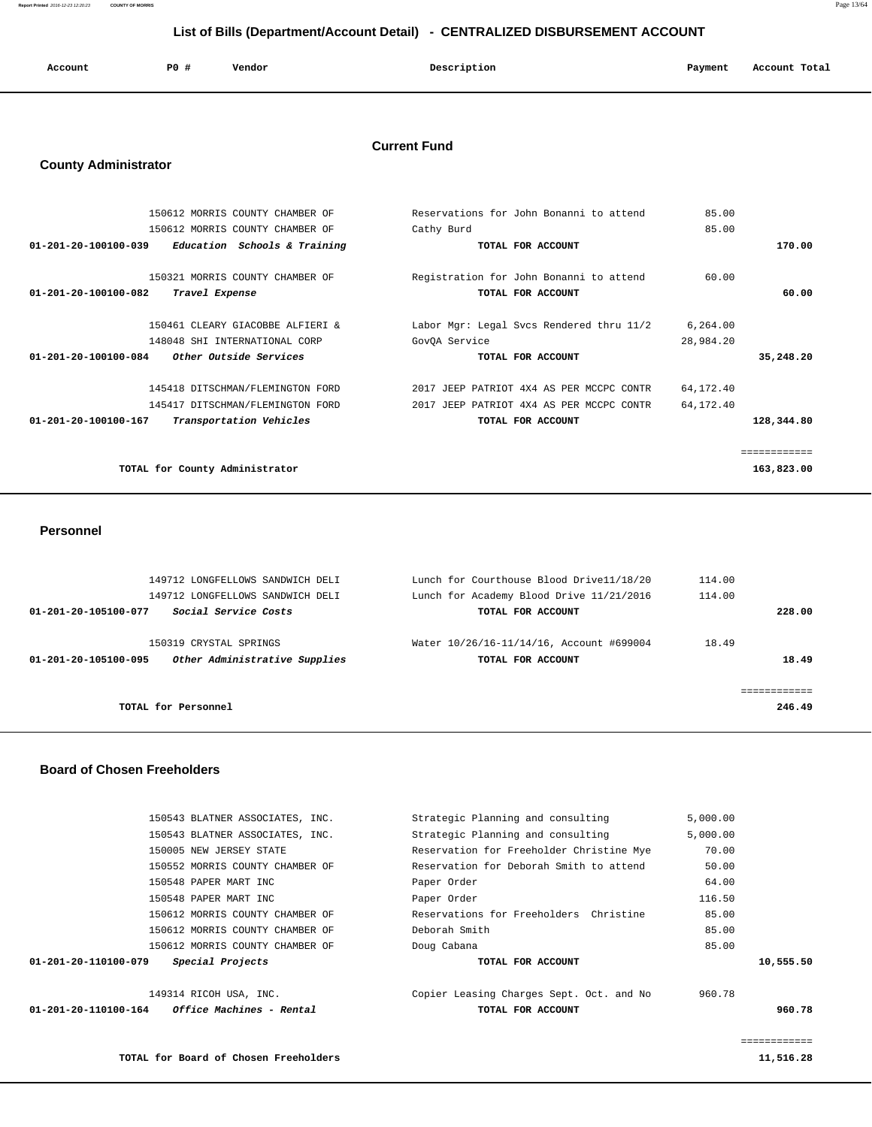**Report Printed** 2016-12-23 12:20:23 **COUNTY OF MORRIS** Page 13/64

## **List of Bills (Department/Account Detail) - CENTRALIZED DISBURSEMENT ACCOUNT**

| Account | P0 # | Vendor | Description<br>$\sim$ $\sim$ | Payment | Account Total<br>. |
|---------|------|--------|------------------------------|---------|--------------------|
|         |      |        |                              |         |                    |

#### **Current Fund**

#### **County Administrator**

| 150612 MORRIS COUNTY CHAMBER OF                                | Reservations for John Bonanni to attend  | 85.00       |              |
|----------------------------------------------------------------|------------------------------------------|-------------|--------------|
| 150612 MORRIS COUNTY CHAMBER OF                                | Cathy Burd                               | 85.00       |              |
| $01 - 201 - 20 - 100100 - 039$<br>Education Schools & Training | TOTAL FOR ACCOUNT                        |             | 170.00       |
|                                                                |                                          |             |              |
| 150321 MORRIS COUNTY CHAMBER OF                                | Registration for John Bonanni to attend  | 60.00       |              |
| $01 - 201 - 20 - 100100 - 082$<br>Travel Expense               | TOTAL FOR ACCOUNT                        |             | 60.00        |
|                                                                |                                          |             |              |
| 150461 CLEARY GIACOBBE ALFIERI &                               | Labor Mgr: Legal Svcs Rendered thru 11/2 | 6,264.00    |              |
| 148048 SHI INTERNATIONAL CORP                                  | GovOA Service                            | 28,984.20   |              |
| $01 - 201 - 20 - 100100 - 084$<br>Other Outside Services       | TOTAL FOR ACCOUNT                        |             | 35,248.20    |
| 145418 DITSCHMAN/FLEMINGTON FORD                               | 2017 JEEP PATRIOT 4X4 AS PER MCCPC CONTR | 64, 172. 40 |              |
| 145417 DITSCHMAN/FLEMINGTON FORD                               | 2017 JEEP PATRIOT 4X4 AS PER MCCPC CONTR | 64, 172.40  |              |
| $01 - 201 - 20 - 100100 - 167$<br>Transportation Vehicles      | TOTAL FOR ACCOUNT                        |             | 128,344.80   |
|                                                                |                                          |             | ============ |
| TOTAL for County Administrator                                 |                                          |             | 163,823.00   |
|                                                                |                                          |             |              |

#### **Personnel**

|        | 114.00 | Lunch for Courthouse Blood Drive11/18/20                      | 149712 LONGFELLOWS SANDWICH DELI                        |                      |
|--------|--------|---------------------------------------------------------------|---------------------------------------------------------|----------------------|
|        | 114.00 | Lunch for Academy Blood Drive 11/21/2016                      | 149712 LONGFELLOWS SANDWICH DELI                        |                      |
| 228.00 |        | TOTAL FOR ACCOUNT                                             | Social Service Costs                                    | 01-201-20-105100-077 |
| 18.49  | 18.49  | Water 10/26/16-11/14/16, Account #699004<br>TOTAL FOR ACCOUNT | 150319 CRYSTAL SPRINGS<br>Other Administrative Supplies | 01-201-20-105100-095 |
| 246.49 |        |                                                               | TOTAL for Personnel                                     |                      |

#### **Board of Chosen Freeholders**

| 01-201-20-110100-164 | <i><b>Office Machines - Rental</b></i> | TOTAL FOR ACCOUNT                        |          | 960.78    |
|----------------------|----------------------------------------|------------------------------------------|----------|-----------|
|                      | 149314 RICOH USA, INC.                 | Copier Leasing Charges Sept. Oct. and No | 960.78   |           |
| 01-201-20-110100-079 | Special Projects                       | TOTAL FOR ACCOUNT                        |          | 10,555.50 |
|                      | 150612 MORRIS COUNTY CHAMBER OF        | Doug Cabana                              | 85.00    |           |
|                      | 150612 MORRIS COUNTY CHAMBER OF        | Deborah Smith                            | 85.00    |           |
|                      | 150612 MORRIS COUNTY CHAMBER OF        | Reservations for Freeholders Christine   | 85.00    |           |
|                      | 150548 PAPER MART INC                  | Paper Order                              | 116.50   |           |
|                      | 150548 PAPER MART INC                  | Paper Order                              | 64.00    |           |
|                      | 150552 MORRIS COUNTY CHAMBER OF        | Reservation for Deborah Smith to attend  | 50.00    |           |
|                      | 150005 NEW JERSEY STATE                | Reservation for Freeholder Christine Mye | 70.00    |           |
|                      | 150543 BLATNER ASSOCIATES, INC.        | Strategic Planning and consulting        | 5,000.00 |           |
|                      | 150543 BLATNER ASSOCIATES, INC.        | Strategic Planning and consulting        | 5.000.00 |           |
|                      |                                        |                                          |          |           |

============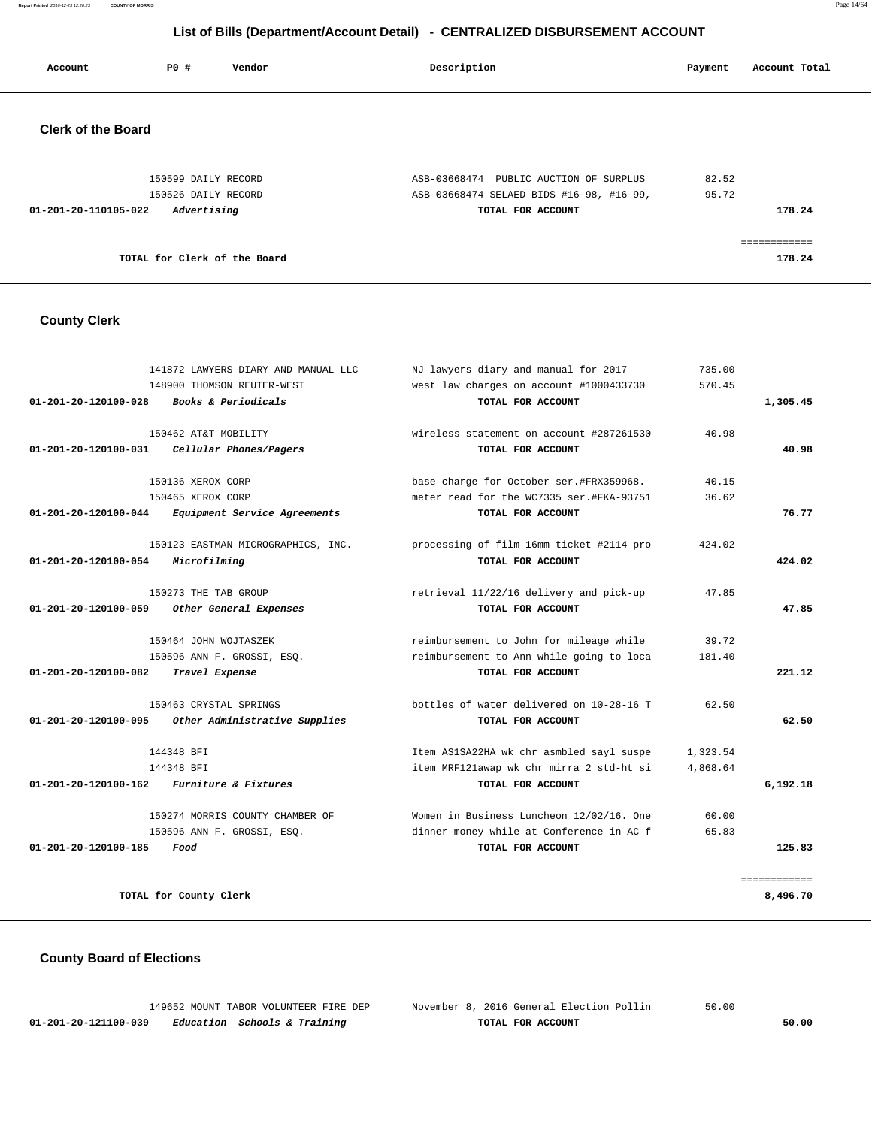**Report Printed** 2016-12-23 12:20:23 **COUNTY OF MORRIS** Page 14/64

## **List of Bills (Department/Account Detail) - CENTRALIZED DISBURSEMENT ACCOUNT**

| Account                   | PO#                          | Vendor | Description                              | Payment | Account Total       |
|---------------------------|------------------------------|--------|------------------------------------------|---------|---------------------|
| <b>Clerk of the Board</b> |                              |        |                                          |         |                     |
|                           | 150599 DAILY RECORD          |        | ASB-03668474 PUBLIC AUCTION OF SURPLUS   | 82.52   |                     |
|                           | 150526 DAILY RECORD          |        | ASB-03668474 SELAED BIDS #16-98, #16-99, | 95.72   |                     |
| 01-201-20-110105-022      | Advertising                  |        | TOTAL FOR ACCOUNT                        |         | 178.24              |
|                           |                              |        |                                          |         | . = = = = = = = = = |
|                           | TOTAL for Clerk of the Board |        |                                          |         | 178.24              |

## **County Clerk**

|                                | 141872 LAWYERS DIARY AND MANUAL LLC<br>148900 THOMSON REUTER-WEST | NJ lawyers diary and manual for 2017<br>west law charges on account #1000433730 | 735.00<br>570.45 |              |
|--------------------------------|-------------------------------------------------------------------|---------------------------------------------------------------------------------|------------------|--------------|
| 01-201-20-120100-028           | Books & Periodicals                                               | TOTAL FOR ACCOUNT                                                               |                  | 1,305.45     |
| $01 - 201 - 20 - 120100 - 031$ | 150462 AT&T MOBILITY<br>Cellular Phones/Pagers                    | wireless statement on account #287261530<br>TOTAL FOR ACCOUNT                   | 40.98            | 40.98        |
|                                | 150136 XEROX CORP                                                 | base charge for October ser.#FRX359968.                                         | 40.15            |              |
|                                | 150465 XEROX CORP                                                 | meter read for the WC7335 ser.#FKA-93751                                        | 36.62            |              |
| 01-201-20-120100-044           | Equipment Service Agreements                                      | TOTAL FOR ACCOUNT                                                               |                  | 76.77        |
| 01-201-20-120100-054           | 150123 EASTMAN MICROGRAPHICS, INC.<br>Microfilming                | processing of film 16mm ticket #2114 pro<br>TOTAL FOR ACCOUNT                   | 424.02           | 424.02       |
| 01-201-20-120100-059           | 150273 THE TAB GROUP<br>Other General Expenses                    | retrieval 11/22/16 delivery and pick-up<br>TOTAL FOR ACCOUNT                    | 47.85            | 47.85        |
|                                | 150464 JOHN WOJTASZEK                                             | reimbursement to John for mileage while                                         | 39.72            |              |
|                                | 150596 ANN F. GROSSI, ESO.                                        | reimbursement to Ann while going to loca                                        | 181.40           |              |
| 01-201-20-120100-082           | Travel Expense                                                    | TOTAL FOR ACCOUNT                                                               |                  | 221.12       |
|                                | 150463 CRYSTAL SPRINGS                                            | bottles of water delivered on 10-28-16 T                                        | 62.50            |              |
| 01-201-20-120100-095           | Other Administrative Supplies                                     | TOTAL FOR ACCOUNT                                                               |                  | 62.50        |
|                                | 144348 BFI                                                        | Item AS1SA22HA wk chr asmbled sayl suspe                                        | 1,323.54         |              |
| 01-201-20-120100-162           | 144348 BFI<br><i>Furniture &amp; Fixtures</i>                     | item MRF121awap wk chr mirra 2 std-ht si<br>TOTAL FOR ACCOUNT                   | 4,868.64         | 6,192.18     |
|                                | 150274 MORRIS COUNTY CHAMBER OF                                   | Women in Business Luncheon 12/02/16. One                                        | 60.00            |              |
|                                | 150596 ANN F. GROSSI, ESO.                                        | dinner money while at Conference in AC f                                        | 65.83            |              |
| 01-201-20-120100-185           | Food                                                              | TOTAL FOR ACCOUNT                                                               |                  | 125.83       |
|                                |                                                                   |                                                                                 |                  | ============ |
|                                | TOTAL for County Clerk                                            |                                                                                 |                  | 8,496.70     |

## **County Board of Elections**

|                      | 149652 MOUNT TABOR VOLUNTEER FIRE DEP   | November 8, 2016 General Election Pollin | 50.00 |
|----------------------|-----------------------------------------|------------------------------------------|-------|
| 01-201-20-121100-039 | <i>Education Schools &amp; Training</i> | TOTAL FOR ACCOUNT                        | 50.00 |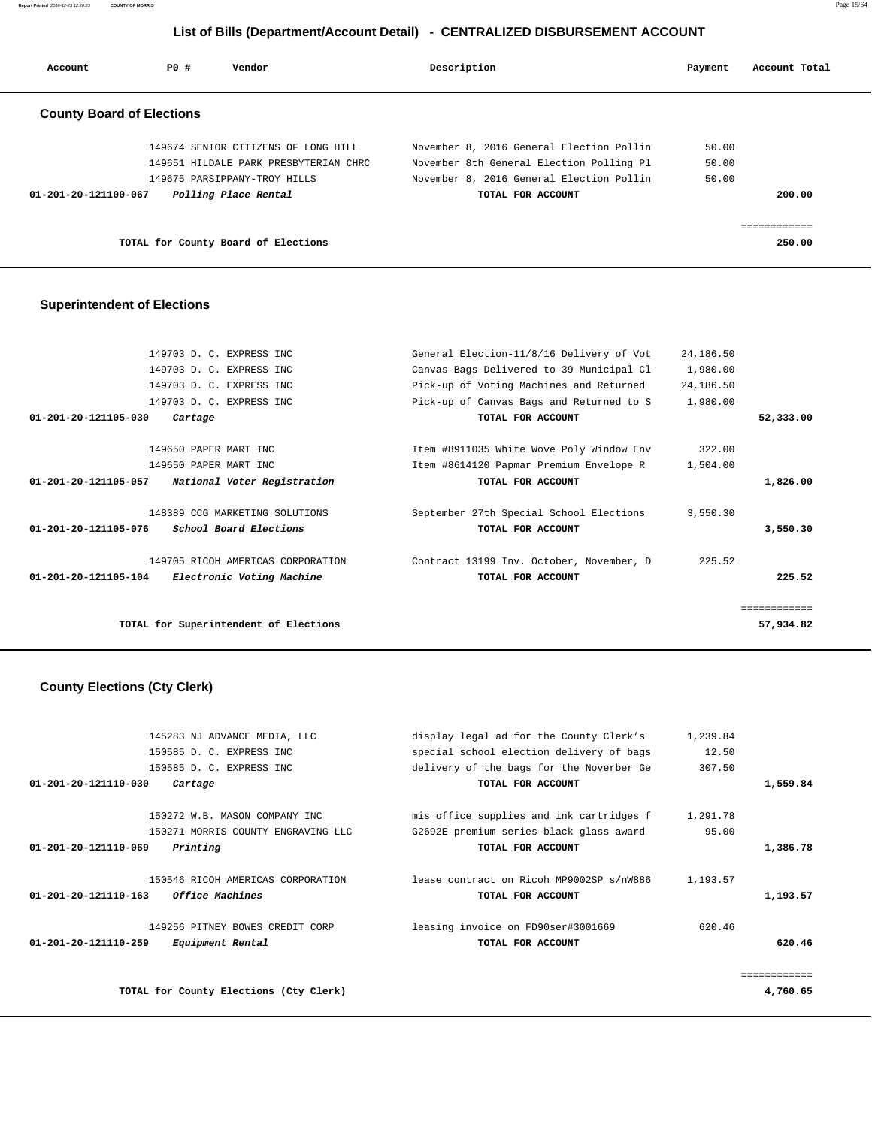**Report Printed** 2016-12-23 12:20:23 **COUNTY OF MORRIS** Page 15/64

## **List of Bills (Department/Account Detail) - CENTRALIZED DISBURSEMENT ACCOUNT**

| Account                          | PO# | Vendor                                | Description                              | Payment | Account Total |
|----------------------------------|-----|---------------------------------------|------------------------------------------|---------|---------------|
| <b>County Board of Elections</b> |     |                                       |                                          |         |               |
|                                  |     | 149674 SENIOR CITIZENS OF LONG HILL   | November 8, 2016 General Election Pollin | 50.00   |               |
|                                  |     | 149651 HILDALE PARK PRESBYTERIAN CHRC | November 8th General Election Polling Pl | 50.00   |               |
|                                  |     | 149675 PARSIPPANY-TROY HILLS          | November 8, 2016 General Election Pollin | 50.00   |               |
| 01-201-20-121100-067             |     | Polling Place Rental                  | TOTAL FOR ACCOUNT                        |         | 200.00        |
|                                  |     |                                       |                                          |         |               |
|                                  |     | TOTAL for County Board of Elections   |                                          |         | 250.00        |

#### **Superintendent of Elections**

|                                | 149703 D. C. EXPRESS INC              | General Election-11/8/16 Delivery of Vot | 24,186.50 |              |
|--------------------------------|---------------------------------------|------------------------------------------|-----------|--------------|
|                                | 149703 D. C. EXPRESS INC              | Canvas Bags Delivered to 39 Municipal Cl | 1,980.00  |              |
|                                | 149703 D. C. EXPRESS INC              | Pick-up of Voting Machines and Returned  | 24,186.50 |              |
|                                | 149703 D. C. EXPRESS INC              | Pick-up of Canvas Bags and Returned to S | 1,980.00  |              |
| $01 - 201 - 20 - 121105 - 030$ | Cartage                               | TOTAL FOR ACCOUNT                        |           | 52,333.00    |
|                                | 149650 PAPER MART INC                 | Item #8911035 White Wove Poly Window Env | 322.00    |              |
|                                | 149650 PAPER MART INC                 | Item #8614120 Papmar Premium Envelope R  | 1,504.00  |              |
| 01-201-20-121105-057           | National Voter Registration           | TOTAL FOR ACCOUNT                        |           | 1,826.00     |
|                                | 148389 CCG MARKETING SOLUTIONS        | September 27th Special School Elections  | 3,550.30  |              |
| 01-201-20-121105-076           | School Board Elections                | TOTAL FOR ACCOUNT                        |           | 3,550.30     |
|                                | 149705 RICOH AMERICAS CORPORATION     | Contract 13199 Inv. October, November, D | 225.52    |              |
| 01-201-20-121105-104           | Electronic Voting Machine             | TOTAL FOR ACCOUNT                        |           | 225.52       |
|                                |                                       |                                          |           | ============ |
|                                | TOTAL for Superintendent of Elections |                                          |           | 57,934.82    |
|                                |                                       |                                          |           |              |

## **County Elections (Cty Clerk)**

| $01 - 201 - 20 - 121110 - 030$ | 145283 NJ ADVANCE MEDIA, LLC<br>150585 D. C. EXPRESS INC<br>150585 D. C. EXPRESS INC<br>Cartage | display legal ad for the County Clerk's<br>special school election delivery of bags<br>delivery of the bags for the Noverber Ge<br>TOTAL FOR ACCOUNT | 1,239.84<br>12.50<br>307.50 | 1,559.84 |
|--------------------------------|-------------------------------------------------------------------------------------------------|------------------------------------------------------------------------------------------------------------------------------------------------------|-----------------------------|----------|
| $01 - 201 - 20 - 121110 - 069$ | 150272 W.B. MASON COMPANY INC<br>150271 MORRIS COUNTY ENGRAVING LLC<br>Printing                 | mis office supplies and ink cartridges f<br>G2692E premium series black glass award<br>TOTAL FOR ACCOUNT                                             | 1,291.78<br>95.00           | 1,386.78 |
| $01 - 201 - 20 - 121110 - 163$ | 150546 RICOH AMERICAS CORPORATION<br><i><b>Office Machines</b></i>                              | lease contract on Ricoh MP9002SP s/nW886<br>TOTAL FOR ACCOUNT                                                                                        | 1,193.57                    | 1,193.57 |
| $01 - 201 - 20 - 121110 - 259$ | 149256 PITNEY BOWES CREDIT CORP<br>Equipment Rental                                             | leasing invoice on FD90ser#3001669<br>TOTAL FOR ACCOUNT                                                                                              | 620.46                      | 620.46   |
|                                | TOTAL for County Elections (Cty Clerk)                                                          |                                                                                                                                                      |                             | 4,760.65 |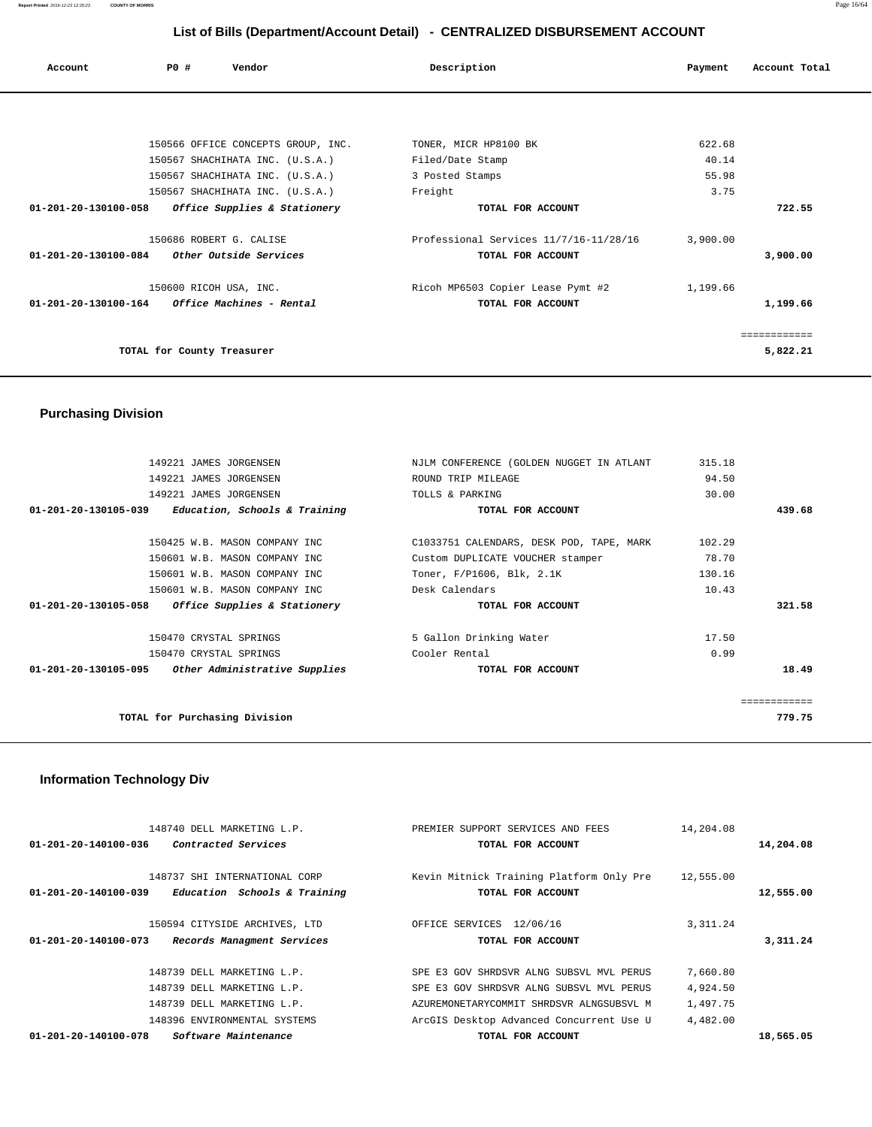| Account | PO#                                                     | Vendor                             | Description                            | Payment  | Account Total |
|---------|---------------------------------------------------------|------------------------------------|----------------------------------------|----------|---------------|
|         |                                                         |                                    |                                        |          |               |
|         |                                                         |                                    |                                        |          |               |
|         |                                                         | 150566 OFFICE CONCEPTS GROUP, INC. | TONER, MICR HP8100 BK                  | 622.68   |               |
|         | 150567 SHACHIHATA INC. (U.S.A.)                         |                                    | Filed/Date Stamp                       | 40.14    |               |
|         |                                                         | 150567 SHACHIHATA INC. (U.S.A.)    | 3 Posted Stamps                        | 55.98    |               |
|         |                                                         | 150567 SHACHIHATA INC. (U.S.A.)    | Freight                                | 3.75     |               |
|         | 01-201-20-130100-058 Office Supplies & Stationery       |                                    | TOTAL FOR ACCOUNT                      |          | 722.55        |
|         | 150686 ROBERT G. CALISE                                 |                                    | Professional Services 11/7/16-11/28/16 | 3,900.00 |               |
|         | 01-201-20-130100-084 Other Outside Services             |                                    | TOTAL FOR ACCOUNT                      |          | 3,900.00      |
|         | 150600 RICOH USA, INC.                                  |                                    | Ricoh MP6503 Copier Lease Pymt #2      | 1,199.66 |               |
|         | $01 - 201 - 20 - 130100 - 164$ Office Machines - Rental |                                    | TOTAL FOR ACCOUNT                      |          | 1,199.66      |
|         |                                                         |                                    |                                        |          | ============  |
|         | TOTAL for County Treasurer                              |                                    |                                        |          | 5,822.21      |

## **Purchasing Division**

| 149221 JAMES JORGENSEN                                          | NJLM CONFERENCE (GOLDEN NUGGET IN ATLANT | 315.18 |              |
|-----------------------------------------------------------------|------------------------------------------|--------|--------------|
| 149221 JAMES JORGENSEN                                          | ROUND TRIP MILEAGE                       | 94.50  |              |
| 149221 JAMES JORGENSEN                                          | TOLLS & PARKING                          | 30.00  |              |
| 01-201-20-130105-039<br>Education, Schools & Training           | TOTAL FOR ACCOUNT                        |        | 439.68       |
|                                                                 |                                          |        |              |
| 150425 W.B. MASON COMPANY INC                                   | C1033751 CALENDARS, DESK POD, TAPE, MARK | 102.29 |              |
| 150601 W.B. MASON COMPANY INC                                   | Custom DUPLICATE VOUCHER stamper         | 78.70  |              |
| 150601 W.B. MASON COMPANY INC                                   | Toner, F/P1606, Blk, 2.1K                | 130.16 |              |
| 150601 W.B. MASON COMPANY INC                                   | Desk Calendars                           | 10.43  |              |
| 01-201-20-130105-058<br><i>Office Supplies &amp; Stationery</i> | TOTAL FOR ACCOUNT                        |        | 321.58       |
| 150470 CRYSTAL SPRINGS                                          | 5 Gallon Drinking Water                  | 17.50  |              |
| 150470 CRYSTAL SPRINGS                                          | Cooler Rental                            | 0.99   |              |
| Other Administrative Supplies<br>01-201-20-130105-095           | TOTAL FOR ACCOUNT                        |        | 18.49        |
|                                                                 |                                          |        | eessessesses |
| TOTAL for Purchasing Division                                   |                                          |        | 779.75       |
|                                                                 |                                          |        |              |

## **Information Technology Div**

| 148740 DELL MARKETING L.P.                                     | PREMIER SUPPORT SERVICES AND FEES                             | 14,204.08 |           |
|----------------------------------------------------------------|---------------------------------------------------------------|-----------|-----------|
| Contracted Services<br>01-201-20-140100-036                    | TOTAL FOR ACCOUNT                                             |           | 14,204.08 |
| 148737 SHI INTERNATIONAL CORP                                  |                                                               |           |           |
| $01 - 201 - 20 - 140100 - 039$<br>Education Schools & Training | Kevin Mitnick Training Platform Only Pre<br>TOTAL FOR ACCOUNT | 12,555.00 | 12,555.00 |
|                                                                |                                                               |           |           |
| 150594 CITYSIDE ARCHIVES, LTD                                  | OFFICE SERVICES 12/06/16                                      | 3, 311.24 |           |
| 01-201-20-140100-073<br>Records Managment Services             | TOTAL FOR ACCOUNT                                             |           | 3,311.24  |
| 148739 DELL MARKETING L.P.                                     | SPE E3 GOV SHRDSVR ALNG SUBSVL MVL PERUS                      |           |           |
|                                                                |                                                               | 7,660.80  |           |
| 148739 DELL MARKETING L.P.                                     | SPE E3 GOV SHRDSVR ALNG SUBSVL MVL PERUS                      | 4,924.50  |           |
| 148739 DELL MARKETING L.P.                                     | AZUREMONETARYCOMMIT SHRDSVR ALNGSUBSVL M                      | 1,497.75  |           |
| 148396 ENVIRONMENTAL SYSTEMS                                   | ArcGIS Desktop Advanced Concurrent Use U                      | 4,482.00  |           |
| 01-201-20-140100-078<br>Software Maintenance                   | TOTAL FOR ACCOUNT                                             |           | 18,565.05 |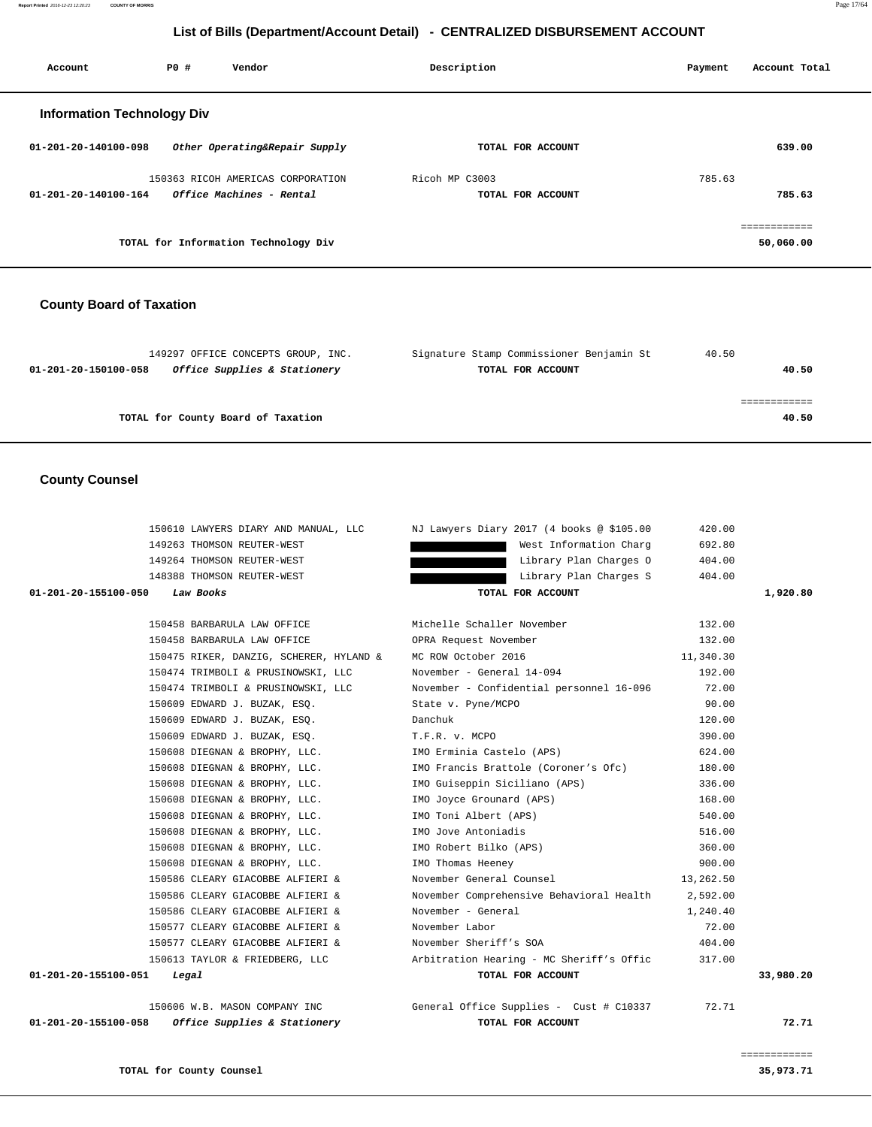**Report Printed** 2016-12-23 12:20:23 **COUNTY OF MORRIS** Page 17/64

#### **List of Bills (Department/Account Detail) - CENTRALIZED DISBURSEMENT ACCOUNT**

| Account                           | PO# | Vendor                               | Description    |                   | Payment | Account Total |
|-----------------------------------|-----|--------------------------------------|----------------|-------------------|---------|---------------|
| <b>Information Technology Div</b> |     |                                      |                |                   |         |               |
| $01 - 201 - 20 - 140100 - 098$    |     | Other Operating&Repair Supply        |                | TOTAL FOR ACCOUNT |         | 639.00        |
|                                   |     | 150363 RICOH AMERICAS CORPORATION    | Ricoh MP C3003 |                   | 785.63  |               |
| $01 - 201 - 20 - 140100 - 164$    |     | Office Machines - Rental             |                | TOTAL FOR ACCOUNT |         | 785.63        |
|                                   |     |                                      |                |                   |         | ============  |
|                                   |     | TOTAL for Information Technology Div |                |                   |         | 50,060.00     |

#### **County Board of Taxation**

| 149297 OFFICE CONCEPTS GROUP, INC.                   | Signature Stamp Commissioner Benjamin St | 40.50 |
|------------------------------------------------------|------------------------------------------|-------|
| Office Supplies & Stationery<br>01-201-20-150100-058 | TOTAL FOR ACCOUNT                        | 40.50 |
|                                                      |                                          |       |
|                                                      |                                          |       |
| TOTAL for County Board of Taxation                   |                                          | 40.50 |
|                                                      |                                          |       |

#### **County Counsel**

|                                |                                                            | 150610 LAWYERS DIARY AND MANUAL, LLC     NJ Lawyers Diary 2017 (4 books @ \$105.00 | 420.00    |          |
|--------------------------------|------------------------------------------------------------|------------------------------------------------------------------------------------|-----------|----------|
|                                | 149263 THOMSON REUTER-WEST                                 | West Information Charg                                                             | 692.80    |          |
|                                | 149264 THOMSON REUTER-WEST                                 | Library Plan Charges O                                                             | 404.00    |          |
|                                | 148388 THOMSON REUTER-WEST                                 | Library Plan Charges S                                                             | 404.00    |          |
| 01-201-20-155100-050 Law Books |                                                            | TOTAL FOR ACCOUNT                                                                  |           | 1,920.80 |
|                                |                                                            |                                                                                    |           |          |
|                                | 150458 BARBARULA LAW OFFICE                                | Michelle Schaller November                                                         | 132.00    |          |
|                                | 150458 BARBARULA LAW OFFICE                                | OPRA Request November                                                              | 132.00    |          |
|                                | 150475 RIKER, DANZIG, SCHERER, HYLAND &                    | MC ROW October 2016                                                                | 11,340.30 |          |
|                                | 150474 TRIMBOLI & PRUSINOWSKI, LLC                         | November - General 14-094                                                          | 192.00    |          |
|                                | 150474 TRIMBOLI & PRUSINOWSKI, LLC                         | November - Confidential personnel 16-096                                           | 72.00     |          |
|                                | 150609 EDWARD J. BUZAK, ESO.                               | State v. Pyne/MCPO                                                                 | 90.00     |          |
|                                | 150609 EDWARD J. BUZAK, ESO.                               | Danchuk                                                                            | 120.00    |          |
|                                | 150609 EDWARD J. BUZAK, ESQ. T.F.R. v. MCPO                |                                                                                    | 390.00    |          |
|                                |                                                            | 150608 DIEGNAN & BROPHY, LLC. TMO Erminia Castelo (APS)                            | 624.00    |          |
|                                |                                                            | 150608 DIEGNAN & BROPHY, LLC. MO Francis Brattole (Coroner's Ofc)                  | 180.00    |          |
|                                |                                                            | 150608 DIEGNAN & BROPHY, LLC. TMO Guiseppin Siciliano (APS)                        | 336.00    |          |
|                                | 150608 DIEGNAN & BROPHY, LLC. 100 IMO Joyce Grounard (APS) |                                                                                    | 168.00    |          |
|                                | 150608 DIEGNAN & BROPHY, LLC. TMO Toni Albert (APS)        |                                                                                    | 540.00    |          |
|                                | 150608 DIEGNAN & BROPHY, LLC. 1MO Jove Antoniadis          |                                                                                    | 516.00    |          |
|                                | 150608 DIEGNAN & BROPHY, LLC. THO Robert Bilko (APS)       |                                                                                    | 360.00    |          |
|                                | 150608 DIEGNAN & BROPHY, LLC.                              | IMO Thomas Heeney                                                                  | 900.00    |          |
|                                | 150586 CLEARY GIACOBBE ALFIERI &                           | November General Counsel                                                           | 13,262.50 |          |
|                                | 150586 CLEARY GIACOBBE ALFIERI &                           | November Comprehensive Behavioral Health                                           | 2,592.00  |          |

 150586 CLEARY GIACOBBE ALFIERI & November - General 1,240.40 150577 CLEARY GIACOBBE ALFIERI & November Labor 72.00 150577 CLEARY GIACOBBE ALFIERI & November Sheriff's SOA 404.00 150613 TAYLOR & FRIEDBERG, LLC Arbitration Hearing - MC Sheriff's Offic 317.00  **01-201-20-155100-051 Legal TOTAL FOR ACCOUNT 33,980.20**

 150606 W.B. MASON COMPANY INC General Office Supplies - Cust # C10337 72.71  **01-201-20-155100-058 Office Supplies & Stationery TOTAL FOR ACCOUNT 72.71**

============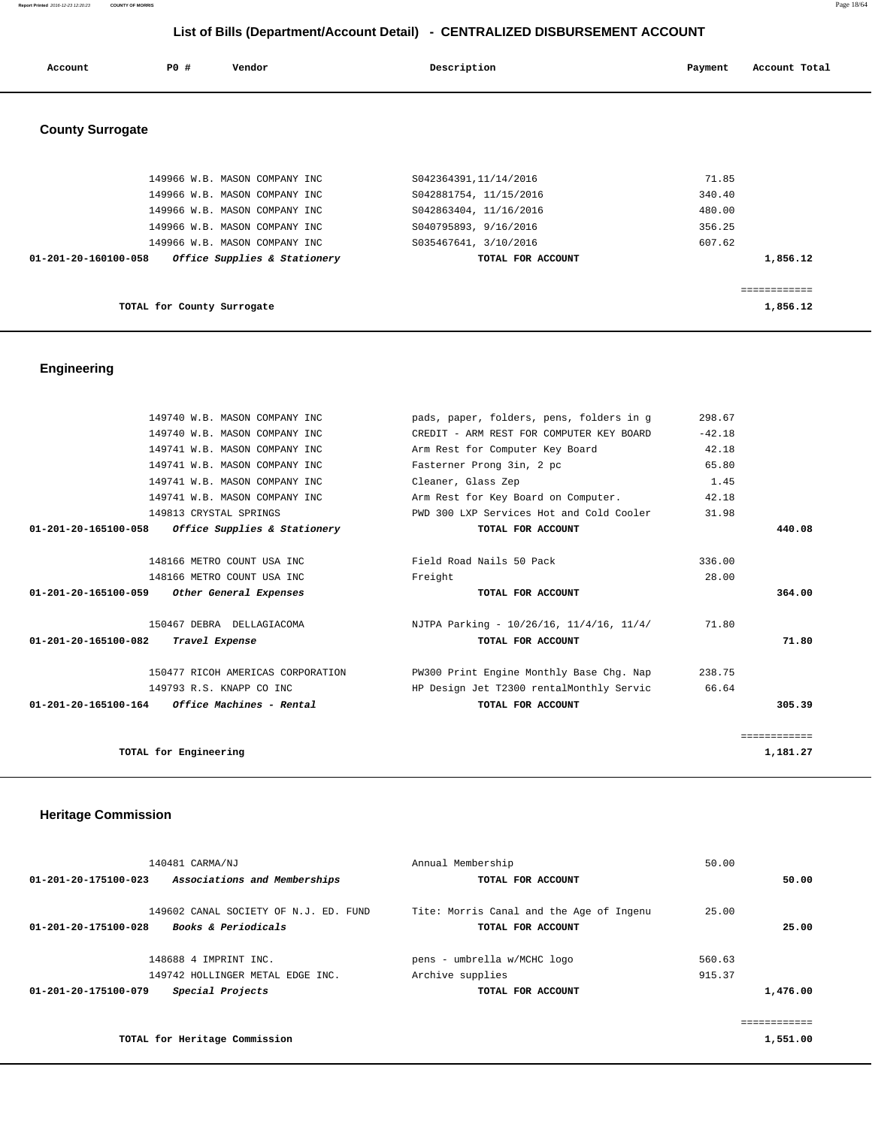| Account                 | <b>PO #</b> | Vendor                        | Description            | Account Total<br>Payment |
|-------------------------|-------------|-------------------------------|------------------------|--------------------------|
| <b>County Surrogate</b> |             |                               |                        |                          |
|                         |             | 149966 W.B. MASON COMPANY INC | S042364391,11/14/2016  | 71.85                    |
|                         |             | 149966 W.B. MASON COMPANY INC | S042881754, 11/15/2016 | 340.40                   |
|                         |             | 149966 W.B. MASON COMPANY INC | S042863404, 11/16/2016 | 480.00                   |
|                         |             | 149966 W.B. MASON COMPANY INC | S040795893, 9/16/2016  | 356.25                   |
|                         |             | 149966 W.B. MASON COMPANY INC | S035467641, 3/10/2016  | 607.62                   |
| 01-201-20-160100-058    |             | Office Supplies & Stationery  | TOTAL FOR ACCOUNT      | 1,856.12                 |

============

**TOTAL for County Surrogate 1,856.12**

#### **Engineering**

| 149740 W.B. MASON COMPANY INC                        | pads, paper, folders, pens, folders in q | 298.67   |                          |
|------------------------------------------------------|------------------------------------------|----------|--------------------------|
| 149740 W.B. MASON COMPANY INC                        | CREDIT - ARM REST FOR COMPUTER KEY BOARD | $-42.18$ |                          |
| 149741 W.B. MASON COMPANY INC                        | Arm Rest for Computer Key Board          | 42.18    |                          |
| 149741 W.B. MASON COMPANY INC                        | Fasterner Prong 3in, 2 pc                | 65.80    |                          |
| 149741 W.B. MASON COMPANY INC                        | Cleaner, Glass Zep                       | 1.45     |                          |
| 149741 W.B. MASON COMPANY INC                        | Arm Rest for Key Board on Computer.      | 42.18    |                          |
| 149813 CRYSTAL SPRINGS                               | PWD 300 LXP Services Hot and Cold Cooler | 31.98    |                          |
| 01-201-20-165100-058<br>Office Supplies & Stationery | TOTAL FOR ACCOUNT                        |          | 440.08                   |
|                                                      |                                          |          |                          |
| 148166 METRO COUNT USA INC                           | Field Road Nails 50 Pack                 | 336.00   |                          |
| 148166 METRO COUNT USA INC                           | Freight                                  | 28.00    |                          |
| 01-201-20-165100-059<br>Other General Expenses       |                                          |          |                          |
|                                                      | TOTAL FOR ACCOUNT                        |          | 364.00                   |
| 150467 DEBRA DELLAGIACOMA                            | NJTPA Parking - 10/26/16, 11/4/16, 11/4/ | 71.80    |                          |
| 01-201-20-165100-082<br>Travel Expense               | TOTAL FOR ACCOUNT                        |          | 71.80                    |
| 150477 RICOH AMERICAS CORPORATION                    | PW300 Print Engine Monthly Base Chg. Nap | 238.75   |                          |
| 149793 R.S. KNAPP CO INC                             | HP Design Jet T2300 rentalMonthly Servic | 66.64    |                          |
| $01-201-20-165100-164$ Office Machines - Rental      | TOTAL FOR ACCOUNT                        |          | 305.39                   |
|                                                      |                                          |          |                          |
| TOTAL for Engineering                                |                                          |          | ============<br>1,181.27 |

## **Heritage Commission**

| Annual Membership                                             | 50.00  |                         |
|---------------------------------------------------------------|--------|-------------------------|
| TOTAL FOR ACCOUNT                                             |        | 50.00                   |
| Tite: Morris Canal and the Age of Ingenu<br>TOTAL FOR ACCOUNT | 25.00  | 25.00                   |
| pens - umbrella w/MCHC logo                                   | 560.63 |                         |
| Archive supplies                                              | 915.37 |                         |
| TOTAL FOR ACCOUNT                                             |        | 1,476.00                |
|                                                               |        |                         |
|                                                               |        | . = = = = = = = = = = = |
|                                                               |        | 1,551.00                |
|                                                               |        |                         |

**Report Printed** 2016-12-23 12:20:23 **COUNTY OF MORRIS** Page 18/64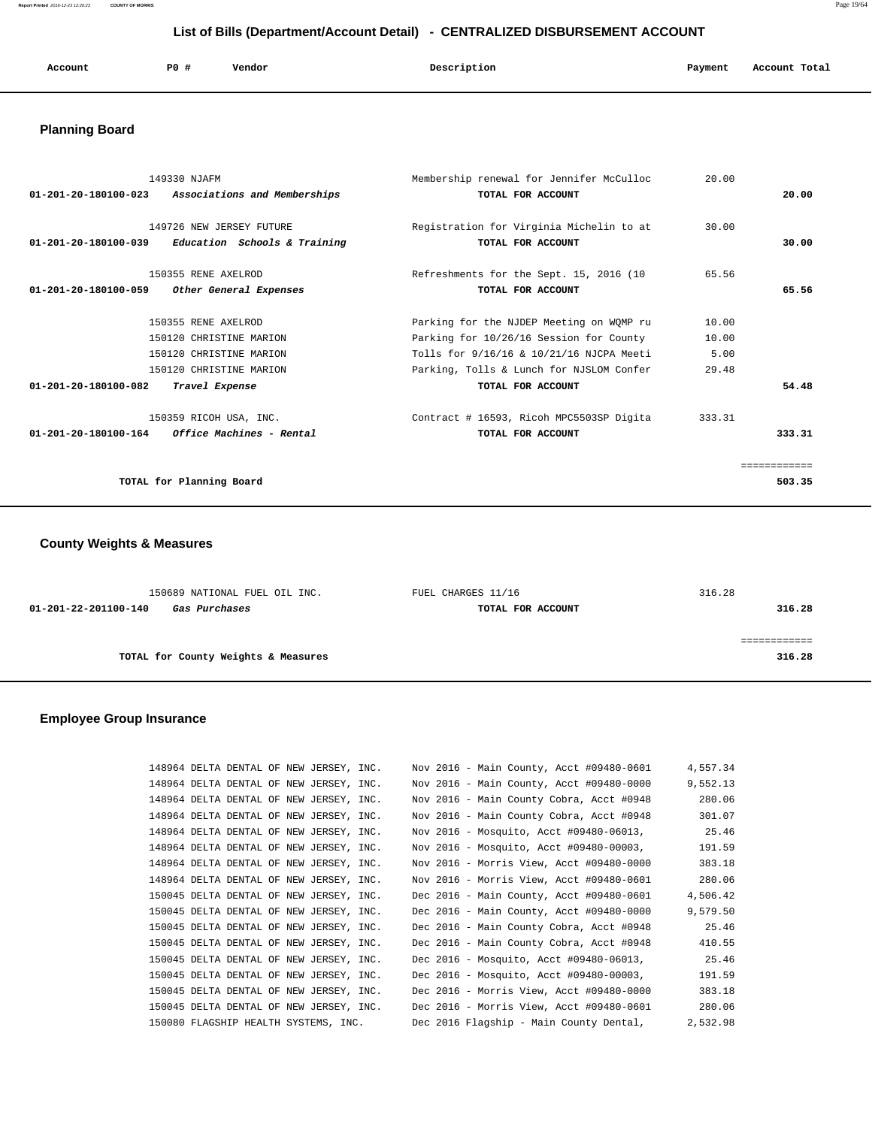**Report Printed** 2016-12-23 12:20:23 **COUNTY OF MORRIS** Page 19/64

## **List of Bills (Department/Account Detail) - CENTRALIZED DISBURSEMENT ACCOUNT**

| Account | PO# | Vendor | Description | Payment | Account Total<br>.<br>. |
|---------|-----|--------|-------------|---------|-------------------------|
|         |     |        |             |         |                         |

## **Planning Board**

| 149330 NJAFM<br>01-201-20-180100-023<br>Associations and Memberships                                                                  | Membership renewal for Jennifer McCulloc<br>TOTAL FOR ACCOUNT                                                                                                               | 20.00                           | 20.00                 |
|---------------------------------------------------------------------------------------------------------------------------------------|-----------------------------------------------------------------------------------------------------------------------------------------------------------------------------|---------------------------------|-----------------------|
| 149726 NEW JERSEY FUTURE<br>Education Schools & Training<br>01-201-20-180100-039                                                      | Registration for Virginia Michelin to at<br>TOTAL FOR ACCOUNT                                                                                                               | 30.00                           | 30.00                 |
| 150355 RENE AXELROD<br>01-201-20-180100-059<br>Other General Expenses                                                                 | Refreshments for the Sept. 15, 2016 (10<br>TOTAL FOR ACCOUNT                                                                                                                | 65.56                           | 65.56                 |
| 150355 RENE AXELROD<br>150120 CHRISTINE MARION<br>150120 CHRISTINE MARION<br>150120 CHRISTINE MARION                                  | Parking for the NJDEP Meeting on WQMP ru<br>Parking for 10/26/16 Session for County<br>Tolls for 9/16/16 & 10/21/16 NJCPA Meeti<br>Parking, Tolls & Lunch for NJSLOM Confer | 10.00<br>10.00<br>5.00<br>29.48 |                       |
| $01 - 201 - 20 - 180100 - 082$<br>Travel Expense<br>150359 RICOH USA, INC.<br>$01 - 201 - 20 - 180100 - 164$ Office Machines - Rental | TOTAL FOR ACCOUNT<br>Contract # 16593, Ricoh MPC5503SP Digita<br>TOTAL FOR ACCOUNT                                                                                          | 333.31                          | 54.48<br>333.31       |
| TOTAL for Planning Board                                                                                                              |                                                                                                                                                                             |                                 | ===========<br>503.35 |

## **County Weights & Measures**

| 150689 NATIONAL FUEL OIL INC.         | FUEL CHARGES 11/16 | 316.28 |
|---------------------------------------|--------------------|--------|
| 01-201-22-201100-140<br>Gas Purchases | TOTAL FOR ACCOUNT  | 316.28 |
|                                       |                    |        |
|                                       |                    |        |
| TOTAL for County Weights & Measures   |                    | 316.28 |
|                                       |                    |        |

## **Employee Group Insurance**

| 148964 DELTA DENTAL OF NEW JERSEY, INC. | Nov 2016 - Main County, Acct #09480-0601 | 4,557.34 |
|-----------------------------------------|------------------------------------------|----------|
| 148964 DELTA DENTAL OF NEW JERSEY, INC. | Nov 2016 - Main County, Acct #09480-0000 | 9,552.13 |
| 148964 DELTA DENTAL OF NEW JERSEY, INC. | Nov 2016 - Main County Cobra, Acct #0948 | 280.06   |
| 148964 DELTA DENTAL OF NEW JERSEY, INC. | Nov 2016 - Main County Cobra, Acct #0948 | 301.07   |
| 148964 DELTA DENTAL OF NEW JERSEY, INC. | Nov 2016 - Mosquito, Acct #09480-06013,  | 25.46    |
| 148964 DELTA DENTAL OF NEW JERSEY, INC. | Nov 2016 - Mosquito, Acct #09480-00003,  | 191.59   |
| 148964 DELTA DENTAL OF NEW JERSEY, INC. | Nov 2016 - Morris View, Acct #09480-0000 | 383.18   |
| 148964 DELTA DENTAL OF NEW JERSEY, INC. | Nov 2016 - Morris View, Acct #09480-0601 | 280.06   |
| 150045 DELTA DENTAL OF NEW JERSEY, INC. | Dec 2016 - Main County, Acct #09480-0601 | 4,506.42 |
| 150045 DELTA DENTAL OF NEW JERSEY, INC. | Dec 2016 - Main County, Acct #09480-0000 | 9,579.50 |
| 150045 DELTA DENTAL OF NEW JERSEY, INC. | Dec 2016 - Main County Cobra, Acct #0948 | 25.46    |
| 150045 DELTA DENTAL OF NEW JERSEY, INC. | Dec 2016 - Main County Cobra, Acct #0948 | 410.55   |
| 150045 DELTA DENTAL OF NEW JERSEY, INC. | Dec 2016 - Mosquito, Acct #09480-06013,  | 25.46    |
| 150045 DELTA DENTAL OF NEW JERSEY, INC. | Dec 2016 - Mosquito, Acct #09480-00003,  | 191.59   |
| 150045 DELTA DENTAL OF NEW JERSEY, INC. | Dec 2016 - Morris View, Acct #09480-0000 | 383.18   |
| 150045 DELTA DENTAL OF NEW JERSEY, INC. | Dec 2016 - Morris View, Acct #09480-0601 | 280.06   |
| 150080 FLAGSHIP HEALTH SYSTEMS, INC.    | Dec 2016 Flagship - Main County Dental,  | 2,532.98 |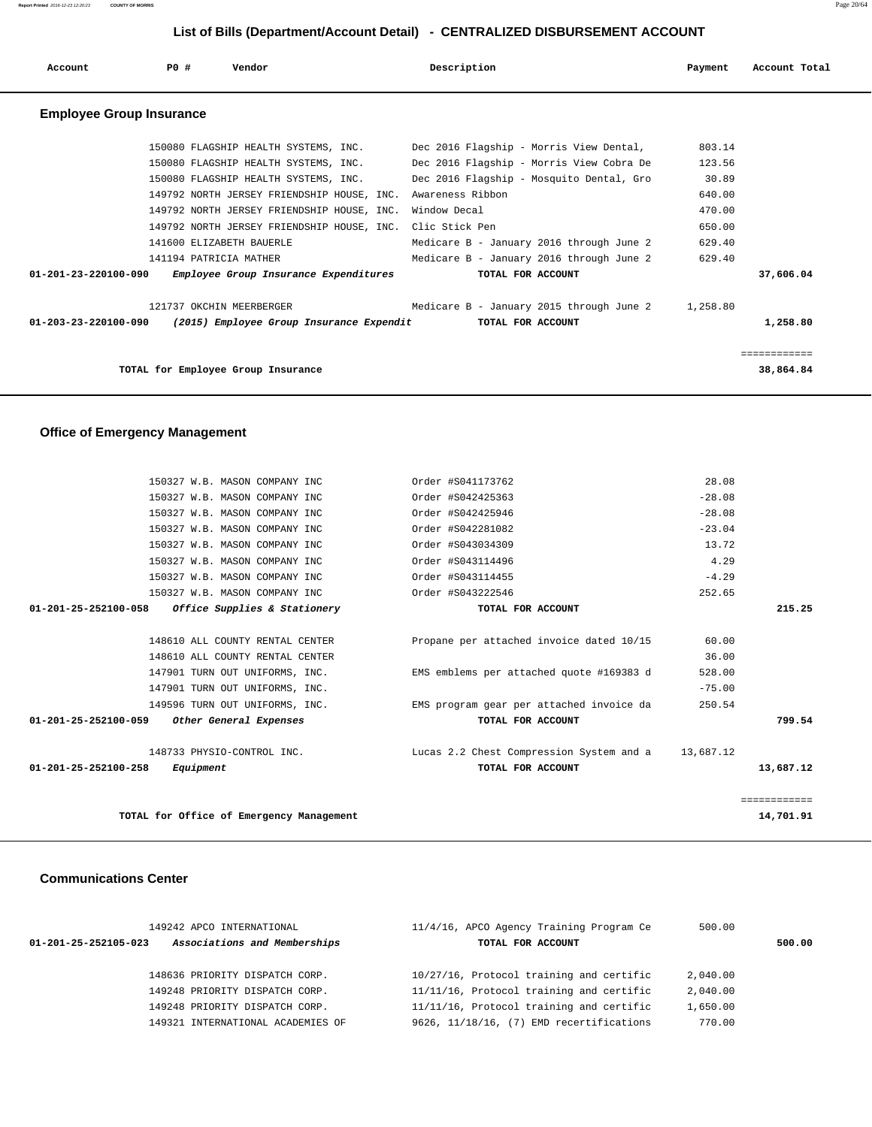**Report Printed** 2016-12-23 12:20:23 **COUNTY OF MORRIS** Page 20/64

## **List of Bills (Department/Account Detail) - CENTRALIZED DISBURSEMENT ACCOUNT**

| Account                         | PO# | Vendor                                                    | Description                                                                   | Payment  | Account Total |
|---------------------------------|-----|-----------------------------------------------------------|-------------------------------------------------------------------------------|----------|---------------|
| <b>Employee Group Insurance</b> |     |                                                           |                                                                               |          |               |
|                                 |     |                                                           | 150080 FLAGSHIP HEALTH SYSTEMS, INC. Dec 2016 Flagship - Morris View Dental,  | 803.14   |               |
|                                 |     |                                                           | 150080 FLAGSHIP HEALTH SYSTEMS, INC. Dec 2016 Flagship - Morris View Cobra De | 123.56   |               |
|                                 |     | 150080 FLAGSHIP HEALTH SYSTEMS, INC.                      | Dec 2016 Flagship - Mosquito Dental, Gro                                      | 30.89    |               |
|                                 |     | 149792 NORTH JERSEY FRIENDSHIP HOUSE, INC.                | Awareness Ribbon                                                              | 640.00   |               |
|                                 |     | 149792 NORTH JERSEY FRIENDSHIP HOUSE, INC.                | Window Decal                                                                  | 470.00   |               |
|                                 |     | 149792 NORTH JERSEY FRIENDSHIP HOUSE, INC. Clic Stick Pen |                                                                               | 650.00   |               |
|                                 |     | 141600 ELIZABETH BAUERLE                                  | Medicare B - January 2016 through June 2                                      | 629.40   |               |
|                                 |     | 141194 PATRICIA MATHER                                    | Medicare B - January 2016 through June 2                                      | 629.40   |               |
| 01-201-23-220100-090            |     | Employee Group Insurance Expenditures                     | TOTAL FOR ACCOUNT                                                             |          | 37,606.04     |
|                                 |     | 121737 OKCHIN MEERBERGER                                  | Medicare B - January 2015 through June 2                                      | 1,258.80 |               |
| 01-203-23-220100-090            |     | (2015) Employee Group Insurance Expendit                  | TOTAL FOR ACCOUNT                                                             |          | 1,258.80      |
|                                 |     |                                                           |                                                                               |          | ============  |
|                                 |     | TOTAL for Employee Group Insurance                        |                                                                               |          | 38,864.84     |

## **Office of Emergency Management**

| 150327 W.B. MASON COMPANY INC                            | Order #S041173762                        | 28.08     |              |
|----------------------------------------------------------|------------------------------------------|-----------|--------------|
| 150327 W.B. MASON COMPANY INC                            | Order #S042425363                        | $-28.08$  |              |
| 150327 W.B. MASON COMPANY INC                            | Order #S042425946                        | $-28.08$  |              |
| 150327 W.B. MASON COMPANY INC                            | Order #S042281082                        | $-23.04$  |              |
| 150327 W.B. MASON COMPANY INC                            | Order #S043034309                        | 13.72     |              |
| 150327 W.B. MASON COMPANY INC                            | Order #S043114496                        | 4.29      |              |
| 150327 W.B. MASON COMPANY INC                            | Order #S043114455                        | $-4.29$   |              |
| 150327 W.B. MASON COMPANY INC                            | Order #S043222546                        | 252.65    |              |
| 01-201-25-252100-058<br>Office Supplies & Stationery     | TOTAL FOR ACCOUNT                        |           | 215.25       |
|                                                          |                                          |           |              |
| 148610 ALL COUNTY RENTAL CENTER                          | Propane per attached invoice dated 10/15 | 60.00     |              |
| 148610 ALL COUNTY RENTAL CENTER                          |                                          | 36.00     |              |
| 147901 TURN OUT UNIFORMS, INC.                           | EMS emblems per attached quote #169383 d | 528.00    |              |
| 147901 TURN OUT UNIFORMS, INC.                           |                                          | $-75.00$  |              |
| 149596 TURN OUT UNIFORMS, INC.                           | EMS program gear per attached invoice da | 250.54    |              |
| $01 - 201 - 25 - 252100 - 059$<br>Other General Expenses | TOTAL FOR ACCOUNT                        |           | 799.54       |
| 148733 PHYSIO-CONTROL INC.                               | Lucas 2.2 Chest Compression System and a | 13,687.12 |              |
| $01 - 201 - 25 - 252100 - 258$<br>Equipment              | TOTAL FOR ACCOUNT                        |           | 13,687.12    |
|                                                          |                                          |           |              |
|                                                          |                                          |           | ============ |
| TOTAL for Office of Emergency Management                 |                                          |           | 14,701.91    |

#### **Communications Center**

| 149242 APCO INTERNATIONAL                                      | 11/4/16, APCO Agency Training Program Ce | 500.00   |        |
|----------------------------------------------------------------|------------------------------------------|----------|--------|
| Associations and Memberships<br>$01 - 201 - 25 - 252105 - 023$ | TOTAL FOR ACCOUNT                        |          | 500.00 |
|                                                                |                                          |          |        |
| 148636 PRIORITY DISPATCH CORP.                                 | 10/27/16, Protocol training and certific | 2,040.00 |        |
| 149248 PRIORITY DISPATCH CORP.                                 | 11/11/16, Protocol training and certific | 2,040.00 |        |
| 149248 PRIORITY DISPATCH CORP.                                 | 11/11/16, Protocol training and certific | 1,650.00 |        |
| 149321 INTERNATIONAL ACADEMIES OF                              | 9626, 11/18/16, (7) EMD recertifications | 770.00   |        |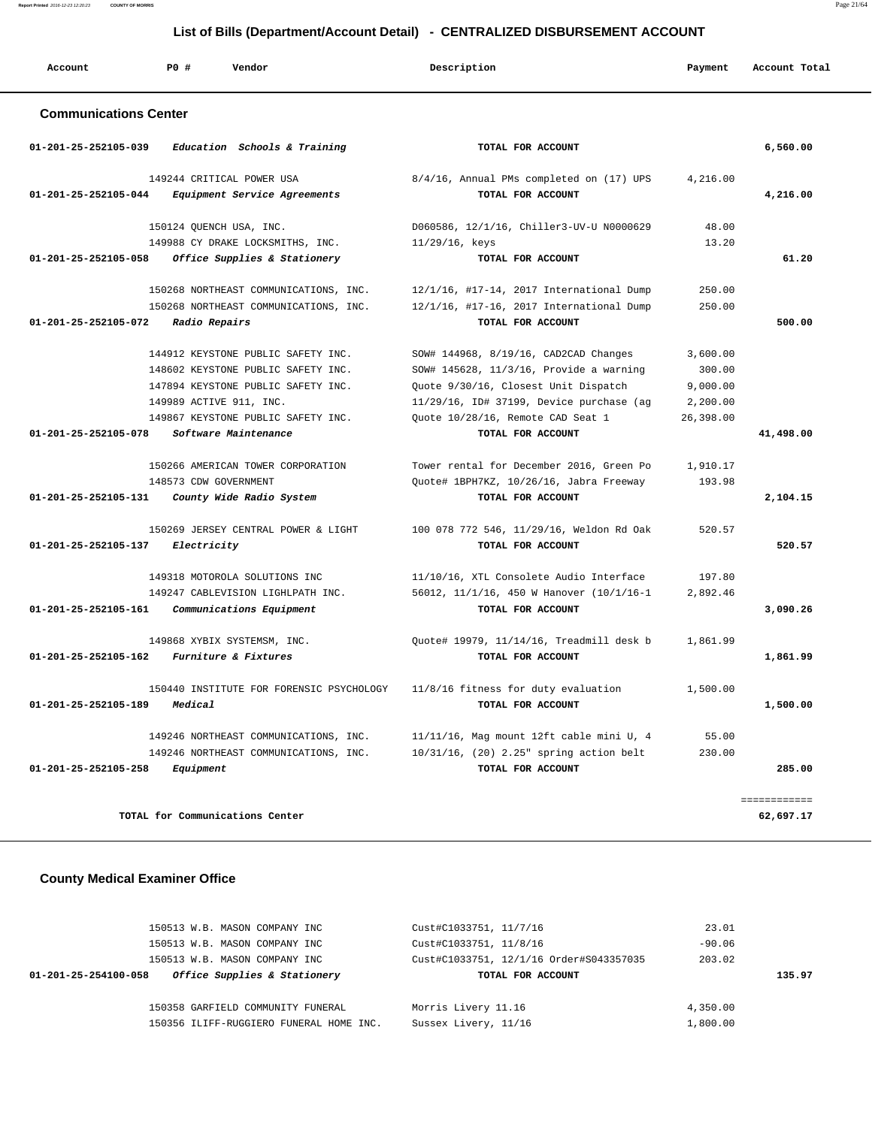**Report Printed** 2016-12-23 12:20:23 **COUNTY OF MORRIS** Page 21/64

## **List of Bills (Department/Account Detail) - CENTRALIZED DISBURSEMENT ACCOUNT**

| Account                        | PO#<br>Vendor                                                                                                                                                                                           | Description                                                                                                                                                                                                                    | Payment                                                 | Account Total             |
|--------------------------------|---------------------------------------------------------------------------------------------------------------------------------------------------------------------------------------------------------|--------------------------------------------------------------------------------------------------------------------------------------------------------------------------------------------------------------------------------|---------------------------------------------------------|---------------------------|
| <b>Communications Center</b>   |                                                                                                                                                                                                         |                                                                                                                                                                                                                                |                                                         |                           |
| $01 - 201 - 25 - 252105 - 039$ | Education Schools & Training                                                                                                                                                                            | TOTAL FOR ACCOUNT                                                                                                                                                                                                              |                                                         | 6,560.00                  |
| 01-201-25-252105-044           | 149244 CRITICAL POWER USA<br>Equipment Service Agreements                                                                                                                                               | 8/4/16, Annual PMs completed on (17) UPS<br>TOTAL FOR ACCOUNT                                                                                                                                                                  | 4,216.00                                                | 4,216.00                  |
|                                | 150124 QUENCH USA, INC.<br>149988 CY DRAKE LOCKSMITHS, INC.                                                                                                                                             | D060586, 12/1/16, Chiller3-UV-U N0000629<br>11/29/16, keys                                                                                                                                                                     | 48.00<br>13.20                                          |                           |
| 01-201-25-252105-058           | Office Supplies & Stationery                                                                                                                                                                            | TOTAL FOR ACCOUNT                                                                                                                                                                                                              |                                                         | 61.20                     |
| 01-201-25-252105-072           | 150268 NORTHEAST COMMUNICATIONS, INC.<br>150268 NORTHEAST COMMUNICATIONS, INC.<br>Radio Repairs                                                                                                         | 12/1/16, #17-14, 2017 International Dump<br>12/1/16, #17-16, 2017 International Dump<br>TOTAL FOR ACCOUNT                                                                                                                      | 250.00<br>250.00                                        | 500.00                    |
| 01-201-25-252105-078           | 144912 KEYSTONE PUBLIC SAFETY INC.<br>148602 KEYSTONE PUBLIC SAFETY INC.<br>147894 KEYSTONE PUBLIC SAFETY INC.<br>149989 ACTIVE 911, INC.<br>149867 KEYSTONE PUBLIC SAFETY INC.<br>Software Maintenance | SOW# 144968, 8/19/16, CAD2CAD Changes<br>SOW# 145628, 11/3/16, Provide a warning<br>Quote 9/30/16, Closest Unit Dispatch<br>11/29/16, ID# 37199, Device purchase (ag<br>Quote 10/28/16, Remote CAD Seat 1<br>TOTAL FOR ACCOUNT | 3,600.00<br>300.00<br>9,000.00<br>2,200.00<br>26,398.00 | 41,498.00                 |
| 01-201-25-252105-131           | 150266 AMERICAN TOWER CORPORATION<br>148573 CDW GOVERNMENT<br>County Wide Radio System                                                                                                                  | Tower rental for December 2016, Green Po<br>Quote# 1BPH7KZ, 10/26/16, Jabra Freeway<br>TOTAL FOR ACCOUNT                                                                                                                       | 1,910.17<br>193.98                                      | 2,104.15                  |
| 01-201-25-252105-137           | 150269 JERSEY CENTRAL POWER & LIGHT<br>Electricity                                                                                                                                                      | 100 078 772 546, 11/29/16, Weldon Rd Oak<br>TOTAL FOR ACCOUNT                                                                                                                                                                  | 520.57                                                  | 520.57                    |
| 01-201-25-252105-161           | 149318 MOTOROLA SOLUTIONS INC<br>149247 CABLEVISION LIGHLPATH INC.<br>Communications Equipment                                                                                                          | 11/10/16, XTL Consolete Audio Interface<br>56012, 11/1/16, 450 W Hanover (10/1/16-1<br>TOTAL FOR ACCOUNT                                                                                                                       | 197.80<br>2.892.46                                      | 3,090.26                  |
| 01-201-25-252105-162           | 149868 XYBIX SYSTEMSM, INC.<br>Furniture & Fixtures                                                                                                                                                     | Ouote# 19979, 11/14/16, Treadmill desk b<br>TOTAL FOR ACCOUNT                                                                                                                                                                  | 1,861.99                                                | 1,861.99                  |
| 01-201-25-252105-189           | 150440 INSTITUTE FOR FORENSIC PSYCHOLOGY<br>Medical                                                                                                                                                     | 11/8/16 fitness for duty evaluation<br>TOTAL FOR ACCOUNT                                                                                                                                                                       | 1,500.00                                                | 1,500.00                  |
| 01-201-25-252105-258           | 149246 NORTHEAST COMMUNICATIONS, INC.<br>149246 NORTHEAST COMMUNICATIONS, INC.<br>Equipment                                                                                                             | 11/11/16, Mag mount 12ft cable mini U, 4<br>10/31/16, (20) 2.25" spring action belt<br>TOTAL FOR ACCOUNT                                                                                                                       | 55.00<br>230.00                                         | 285.00                    |
|                                | TOTAL for Communications Center                                                                                                                                                                         |                                                                                                                                                                                                                                |                                                         | ============<br>62,697.17 |

## **County Medical Examiner Office**

| 150513 W.B. MASON COMPANY INC<br>150513 W.B. MASON COMPANY INC | Cust#C1033751, 11/7/16<br>Cust#C1033751, 11/8/16 | 23.01<br>$-90.06$ |        |
|----------------------------------------------------------------|--------------------------------------------------|-------------------|--------|
| 150513 W.B. MASON COMPANY INC                                  | Cust#C1033751, 12/1/16 Order#S043357035          | 203.02            |        |
| Office Supplies & Stationery<br>01-201-25-254100-058           | TOTAL FOR ACCOUNT                                |                   | 135.97 |
|                                                                |                                                  |                   |        |
| 150358 GARFIELD COMMUNITY FUNERAL                              | Morris Livery 11.16                              | 4,350.00          |        |
| 150356 ILIFF-RUGGIERO FUNERAL HOME INC.                        | Sussex Livery, 11/16                             | 1,800.00          |        |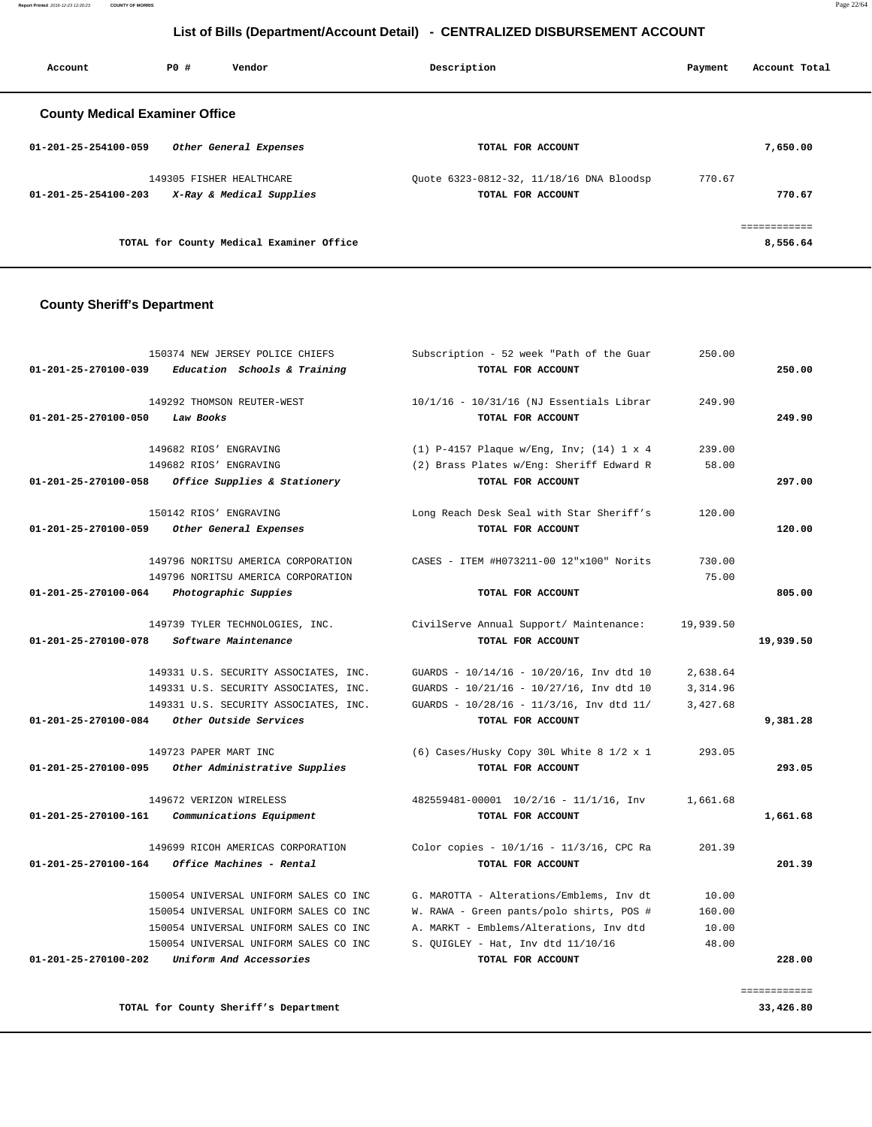**Report Printed** 2016-12-23 12:20:23 **COUNTY OF MORRIS** Page 22/64

## **List of Bills (Department/Account Detail) - CENTRALIZED DISBURSEMENT ACCOUNT**

| PO# | Vendor | Description                                                                                                             | Payment                                  | Account Total                            |
|-----|--------|-------------------------------------------------------------------------------------------------------------------------|------------------------------------------|------------------------------------------|
|     |        |                                                                                                                         |                                          |                                          |
|     |        | TOTAL FOR ACCOUNT                                                                                                       |                                          | 7,650.00                                 |
|     |        |                                                                                                                         | 770.67                                   |                                          |
|     |        | TOTAL FOR ACCOUNT                                                                                                       |                                          | 770.67                                   |
|     |        |                                                                                                                         |                                          | ============                             |
|     |        |                                                                                                                         |                                          | 8,556.64                                 |
|     |        | <b>County Medical Examiner Office</b><br>Other General Expenses<br>149305 FISHER HEALTHCARE<br>X-Ray & Medical Supplies | TOTAL for County Medical Examiner Office | Ouote 6323-0812-32, 11/18/16 DNA Bloodsp |

#### **County Sheriff's Department**

|           | 250.00    | Subscription - 52 week "Path of the Guar     | 150374 NEW JERSEY POLICE CHIEFS       |                      |
|-----------|-----------|----------------------------------------------|---------------------------------------|----------------------|
| 250.00    |           | TOTAL FOR ACCOUNT                            | Education Schools & Training          | 01-201-25-270100-039 |
|           | 249.90    | 10/1/16 - 10/31/16 (NJ Essentials Librar     | 149292 THOMSON REUTER-WEST            |                      |
| 249.90    |           | TOTAL FOR ACCOUNT                            | Law Books                             | 01-201-25-270100-050 |
|           | 239.00    | $(1)$ P-4157 Plaque w/Eng, Inv; $(14)$ 1 x 4 | 149682 RIOS' ENGRAVING                |                      |
|           | 58.00     | (2) Brass Plates w/Eng: Sheriff Edward R     | 149682 RIOS' ENGRAVING                |                      |
| 297.00    |           | TOTAL FOR ACCOUNT                            | Office Supplies & Stationery          | 01-201-25-270100-058 |
|           | 120.00    | Long Reach Desk Seal with Star Sheriff's     | 150142 RIOS' ENGRAVING                |                      |
| 120.00    |           | TOTAL FOR ACCOUNT                            | Other General Expenses                | 01-201-25-270100-059 |
|           | 730.00    | CASES - ITEM #H073211-00 12"x100" Norits     | 149796 NORITSU AMERICA CORPORATION    |                      |
|           | 75.00     |                                              | 149796 NORITSU AMERICA CORPORATION    |                      |
| 805.00    |           | TOTAL FOR ACCOUNT                            | Photographic Suppies                  | 01-201-25-270100-064 |
|           | 19,939.50 | CivilServe Annual Support/ Maintenance:      | 149739 TYLER TECHNOLOGIES, INC.       |                      |
| 19,939.50 |           | TOTAL FOR ACCOUNT                            | Software Maintenance                  | 01-201-25-270100-078 |
|           | 2,638.64  | GUARDS - 10/14/16 - 10/20/16, Inv dtd 10     | 149331 U.S. SECURITY ASSOCIATES, INC. |                      |
|           | 3,314.96  | GUARDS - 10/21/16 - 10/27/16, Inv dtd 10     | 149331 U.S. SECURITY ASSOCIATES, INC. |                      |
|           | 3,427.68  | GUARDS - 10/28/16 - 11/3/16, Inv dtd 11/     | 149331 U.S. SECURITY ASSOCIATES, INC. |                      |
| 9,381.28  |           | TOTAL FOR ACCOUNT                            | Other Outside Services                | 01-201-25-270100-084 |
|           | 293.05    | (6) Cases/Husky Copy 30L White 8 1/2 x 1     | 149723 PAPER MART INC                 |                      |
| 293.05    |           | TOTAL FOR ACCOUNT                            | Other Administrative Supplies         | 01-201-25-270100-095 |
|           | 1,661.68  | 482559481-00001 10/2/16 - 11/1/16, Inv       | 149672 VERIZON WIRELESS               |                      |
| 1,661.68  |           | TOTAL FOR ACCOUNT                            | Communications Equipment              | 01-201-25-270100-161 |
|           | 201.39    | Color copies - 10/1/16 - 11/3/16, CPC Ra     | 149699 RICOH AMERICAS CORPORATION     |                      |
| 201.39    |           | TOTAL FOR ACCOUNT                            | Office Machines - Rental              | 01-201-25-270100-164 |
|           | 10.00     | G. MAROTTA - Alterations/Emblems, Inv dt     | 150054 UNIVERSAL UNIFORM SALES CO INC |                      |
|           | 160.00    | W. RAWA - Green pants/polo shirts, POS #     | 150054 UNIVERSAL UNIFORM SALES CO INC |                      |
|           | 10.00     | A. MARKT - Emblems/Alterations, Inv dtd      | 150054 UNIVERSAL UNIFORM SALES CO INC |                      |
|           |           |                                              | 150054 UNIVERSAL UNIFORM SALES CO INC |                      |
|           | 48.00     | S. QUIGLEY - Hat, Inv dtd 11/10/16           |                                       |                      |

**TOTAL for County Sheriff's Department 33,426.80**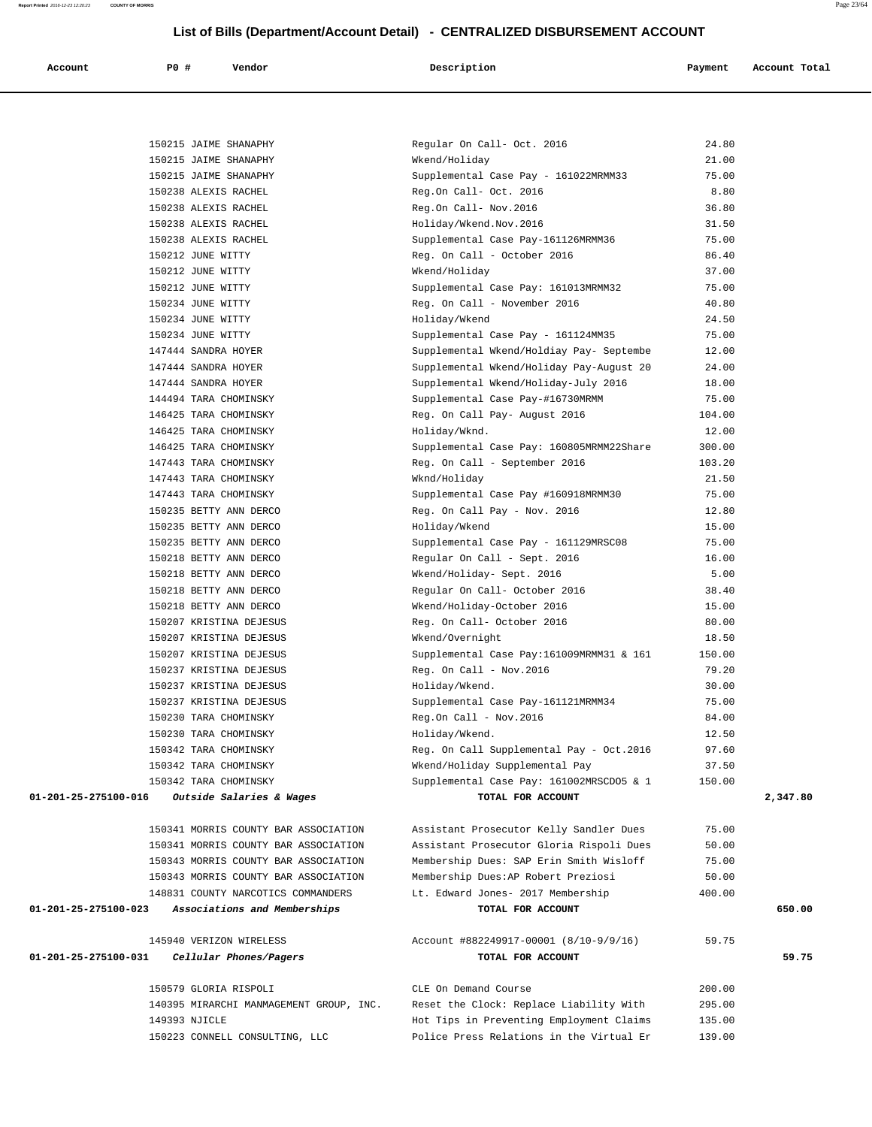**Report Printed** 2016-12-23 12:20:23 **COUNTY OF MORRIS** Page 23/64

 **List of Bills (Department/Account Detail) - CENTRALIZED DISBURSEMENT ACCOUNT**

| Account | PO # | Vendor | Description | Payment | Account Total |
|---------|------|--------|-------------|---------|---------------|

 150215 JAIME SHANAPHY Regular On Call- Oct. 2016 24.80 150215 JAIME SHANAPHY Wkend/Holiday 21.00 150215 JAIME SHANAPHY Supplemental Case Pay - 161022MRMM33 75.00

| 150238 ALEXIS RACHEL                        | Reg.On Call- Nov. 2016                    | 36.80  |
|---------------------------------------------|-------------------------------------------|--------|
| 150238 ALEXIS RACHEL                        | Holiday/Wkend.Nov.2016                    | 31.50  |
| 150238 ALEXIS RACHEL                        | Supplemental Case Pay-161126MRMM36        | 75.00  |
| 150212 JUNE WITTY                           | Reg. On Call - October 2016               | 86.40  |
| 150212 JUNE WITTY                           | Wkend/Holiday                             | 37.00  |
| 150212 JUNE WITTY                           | Supplemental Case Pay: 161013MRMM32       | 75.00  |
| 150234 JUNE WITTY                           | Reg. On Call - November 2016              | 40.80  |
| 150234 JUNE WITTY                           | Holiday/Wkend                             | 24.50  |
| 150234 JUNE WITTY                           | Supplemental Case Pay - 161124MM35        | 75.00  |
| 147444 SANDRA HOYER                         | Supplemental Wkend/Holdiay Pay- Septembe  | 12.00  |
| 147444 SANDRA HOYER                         | Supplemental Wkend/Holiday Pay-August 20  | 24.00  |
| 147444 SANDRA HOYER                         | Supplemental Wkend/Holiday-July 2016      | 18.00  |
| 144494 TARA CHOMINSKY                       | Supplemental Case Pay-#16730MRMM          | 75.00  |
| 146425 TARA CHOMINSKY                       | Reg. On Call Pay- August 2016             | 104.00 |
| 146425 TARA CHOMINSKY                       | Holiday/Wknd.                             | 12.00  |
| 146425 TARA CHOMINSKY                       | Supplemental Case Pay: 160805MRMM22Share  | 300.00 |
| 147443 TARA CHOMINSKY                       | Reg. On Call - September 2016             | 103.20 |
| 147443 TARA CHOMINSKY                       | Wknd/Holiday                              | 21.50  |
| 147443 TARA CHOMINSKY                       | Supplemental Case Pay #160918MRMM30       | 75.00  |
| 150235 BETTY ANN DERCO                      | Reg. On Call Pay - Nov. 2016              | 12.80  |
| 150235 BETTY ANN DERCO                      | Holiday/Wkend                             | 15.00  |
| 150235 BETTY ANN DERCO                      | Supplemental Case Pay - 161129MRSC08      | 75.00  |
| 150218 BETTY ANN DERCO                      | Regular On Call - Sept. 2016              | 16.00  |
| 150218 BETTY ANN DERCO                      | Wkend/Holiday- Sept. 2016                 | 5.00   |
| 150218 BETTY ANN DERCO                      | Regular On Call- October 2016             | 38.40  |
| 150218 BETTY ANN DERCO                      | Wkend/Holiday-October 2016                | 15.00  |
| 150207 KRISTINA DEJESUS                     | Reg. On Call- October 2016                | 80.00  |
| 150207 KRISTINA DEJESUS                     | Wkend/Overnight                           | 18.50  |
| 150207 KRISTINA DEJESUS                     | Supplemental Case Pay: 161009MRMM31 & 161 | 150.00 |
| 150237 KRISTINA DEJESUS                     | Reg. On Call - Nov. 2016                  | 79.20  |
| 150237 KRISTINA DEJESUS                     | Holiday/Wkend.                            | 30.00  |
| 150237 KRISTINA DEJESUS                     | Supplemental Case Pay-161121MRMM34        | 75.00  |
| 150230 TARA CHOMINSKY                       | Reg.On Call - Nov.2016                    | 84.00  |
| 150230 TARA CHOMINSKY                       | Holiday/Wkend.                            | 12.50  |
| 150342 TARA CHOMINSKY                       | Reg. On Call Supplemental Pay - Oct.2016  | 97.60  |
| 150342 TARA CHOMINSKY                       | Wkend/Holiday Supplemental Pay            | 37.50  |
| 150342 TARA CHOMINSKY                       | Supplemental Case Pay: 161002MRSCD05 & 1  | 150.00 |
| Outside Salaries & Wages<br>$-275100-016$   | TOTAL FOR ACCOUNT                         |        |
| 150341 MORRIS COUNTY BAR ASSOCIATION        | Assistant Prosecutor Kelly Sandler Dues   | 75.00  |
| 150341 MORRIS COUNTY BAR ASSOCIATION        | Assistant Prosecutor Gloria Rispoli Dues  | 50.00  |
| 150343 MORRIS COUNTY BAR ASSOCIATION        | Membership Dues: SAP Erin Smith Wisloff   | 75.00  |
| 150343 MORRIS COUNTY BAR ASSOCIATION        | Membership Dues: AP Robert Preziosi       | 50.00  |
| 148831 COUNTY NARCOTICS COMMANDERS          | Lt. Edward Jones- 2017 Membership         | 400.00 |
| Associations and Memberships<br>-275100-023 | TOTAL FOR ACCOUNT                         |        |
| 145940 VERIZON WIRELESS                     | Account #882249917-00001 (8/10-9/9/16)    | 59.75  |
| $-275100 - 031$<br>Cellular Phones/Pagers   | TOTAL FOR ACCOUNT                         |        |
| 150579 GLORIA RISPOLI                       | CLE On Demand Course                      | 200.00 |
| 140395 MIRARCHI MANMAGEMENT GROUP, INC.     | Reset the Clock: Replace Liability With   | 295.00 |
| 149393 NJICLE                               | Hot Tips in Preventing Employment Claims  | 135.00 |
| 150223 CONNELL CONSULTING, LLC              | Police Press Relations in the Virtual Er  | 139.00 |
|                                             |                                           |        |

| 150238 ALEXIS RACHEL                                 | Reg.On Call- Oct. 2016                    | 8.80   |          |
|------------------------------------------------------|-------------------------------------------|--------|----------|
|                                                      |                                           | 36.80  |          |
| 150238 ALEXIS RACHEL<br>150238 ALEXIS RACHEL         | Reg.On Call- Nov.2016                     |        |          |
|                                                      | Holiday/Wkend.Nov.2016                    | 31.50  |          |
| 150238 ALEXIS RACHEL                                 | Supplemental Case Pay-161126MRMM36        | 75.00  |          |
| 150212 JUNE WITTY<br>150212 JUNE WITTY               | Reg. On Call - October 2016               | 86.40  |          |
|                                                      | Wkend/Holiday                             | 37.00  |          |
| 150212 JUNE WITTY                                    | Supplemental Case Pay: 161013MRMM32       | 75.00  |          |
| 150234 JUNE WITTY                                    | Reg. On Call - November 2016              | 40.80  |          |
| 150234 JUNE WITTY                                    | Holiday/Wkend                             | 24.50  |          |
| 150234 JUNE WITTY                                    | Supplemental Case Pay - 161124MM35        | 75.00  |          |
| 147444 SANDRA HOYER                                  | Supplemental Wkend/Holdiay Pay- Septembe  | 12.00  |          |
| 147444 SANDRA HOYER                                  | Supplemental Wkend/Holiday Pay-August 20  | 24.00  |          |
| 147444 SANDRA HOYER                                  | Supplemental Wkend/Holiday-July 2016      | 18.00  |          |
| 144494 TARA CHOMINSKY                                | Supplemental Case Pay-#16730MRMM          | 75.00  |          |
| 146425 TARA CHOMINSKY                                | Reg. On Call Pay- August 2016             | 104.00 |          |
| 146425 TARA CHOMINSKY                                | Holiday/Wknd.                             | 12.00  |          |
| 146425 TARA CHOMINSKY                                | Supplemental Case Pay: 160805MRMM22Share  | 300.00 |          |
| 147443 TARA CHOMINSKY                                | Reg. On Call - September 2016             | 103.20 |          |
| 147443 TARA CHOMINSKY                                | Wknd/Holiday                              | 21.50  |          |
| 147443 TARA CHOMINSKY                                | Supplemental Case Pay #160918MRMM30       | 75.00  |          |
| 150235 BETTY ANN DERCO                               | Reg. On Call Pay - Nov. 2016              | 12.80  |          |
| 150235 BETTY ANN DERCO                               | Holiday/Wkend                             | 15.00  |          |
| 150235 BETTY ANN DERCO                               | Supplemental Case Pay - 161129MRSC08      | 75.00  |          |
| 150218 BETTY ANN DERCO                               | Regular On Call - Sept. 2016              | 16.00  |          |
| 150218 BETTY ANN DERCO                               | Wkend/Holiday- Sept. 2016                 | 5.00   |          |
| 150218 BETTY ANN DERCO                               | Regular On Call- October 2016             | 38.40  |          |
| 150218 BETTY ANN DERCO                               | Wkend/Holiday-October 2016                | 15.00  |          |
| 150207 KRISTINA DEJESUS                              | Reg. On Call- October 2016                | 80.00  |          |
| 150207 KRISTINA DEJESUS                              | Wkend/Overnight                           | 18.50  |          |
| 150207 KRISTINA DEJESUS                              | Supplemental Case Pay: 161009MRMM31 & 161 | 150.00 |          |
| 150237 KRISTINA DEJESUS                              | Reg. On Call - Nov. 2016                  | 79.20  |          |
| 150237 KRISTINA DEJESUS                              | Holiday/Wkend.                            | 30.00  |          |
| 150237 KRISTINA DEJESUS                              | Supplemental Case Pay-161121MRMM34        | 75.00  |          |
| 150230 TARA CHOMINSKY                                | Reg.On Call - Nov.2016                    | 84.00  |          |
| 150230 TARA CHOMINSKY                                | Holiday/Wkend.                            | 12.50  |          |
| 150342 TARA CHOMINSKY                                | Reg. On Call Supplemental Pay - Oct.2016  | 97.60  |          |
| 150342 TARA CHOMINSKY                                | Wkend/Holiday Supplemental Pay            | 37.50  |          |
| 150342 TARA CHOMINSKY                                | Supplemental Case Pay: 161002MRSCD05 & 1  | 150.00 |          |
| 01-201-25-275100-016<br>Outside Salaries & Wages     | TOTAL FOR ACCOUNT                         |        | 2,347.80 |
|                                                      |                                           |        |          |
| 150341 MORRIS COUNTY BAR ASSOCIATION                 | Assistant Prosecutor Kelly Sandler Dues   | 75.00  |          |
| 150341 MORRIS COUNTY BAR ASSOCIATION                 | Assistant Prosecutor Gloria Rispoli Dues  | 50.00  |          |
| 150343 MORRIS COUNTY BAR ASSOCIATION                 | Membership Dues: SAP Erin Smith Wisloff   | 75.00  |          |
| 150343 MORRIS COUNTY BAR ASSOCIATION                 | Membership Dues: AP Robert Preziosi       | 50.00  |          |
| 148831 COUNTY NARCOTICS COMMANDERS                   | Lt. Edward Jones- 2017 Membership         | 400.00 |          |
| 01-201-25-275100-023<br>Associations and Memberships | TOTAL FOR ACCOUNT                         |        | 650.00   |
| 145940 VERIZON WIRELESS                              | Account #882249917-00001 (8/10-9/9/16)    | 59.75  |          |
| 01-201-25-275100-031<br>Cellular Phones/Pagers       | TOTAL FOR ACCOUNT                         |        | 59.75    |
|                                                      |                                           |        |          |
| 150579 GLORIA RISPOLI                                | CLE On Demand Course                      | 200.00 |          |
| 140395 MIRARCHI MANMAGEMENT GROUP, INC.              | Reset the Clock: Replace Liability With   | 295.00 |          |
| 149393 NJICLE                                        | Hot Tips in Preventing Employment Claims  | 135.00 |          |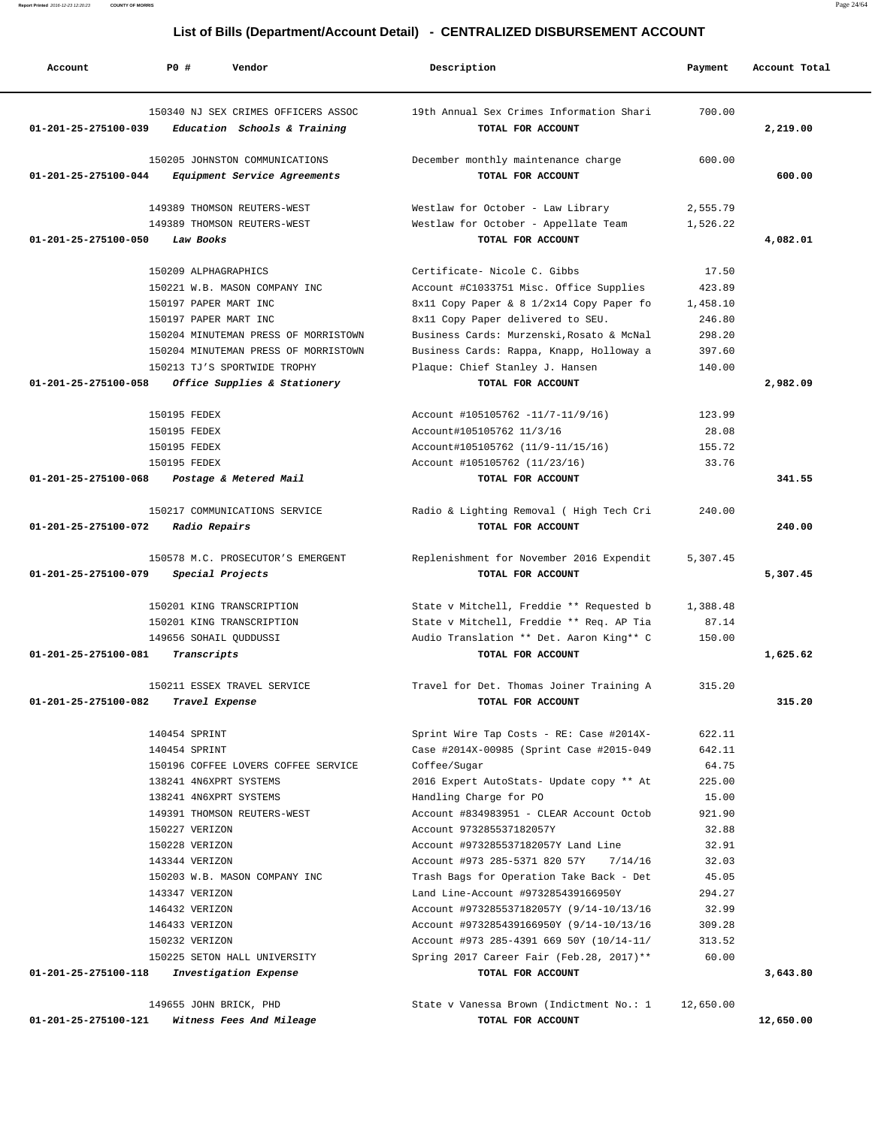| Account              | PO#<br>Vendor                                                       | Description                                                   | Payment   | Account Total |
|----------------------|---------------------------------------------------------------------|---------------------------------------------------------------|-----------|---------------|
| 01-201-25-275100-039 | 150340 NJ SEX CRIMES OFFICERS ASSOC<br>Education Schools & Training | 19th Annual Sex Crimes Information Shari<br>TOTAL FOR ACCOUNT | 700.00    | 2,219.00      |
|                      | 150205 JOHNSTON COMMUNICATIONS                                      | December monthly maintenance charge                           | 600.00    |               |
| 01-201-25-275100-044 | Equipment Service Agreements                                        | TOTAL FOR ACCOUNT                                             |           | 600.00        |
|                      |                                                                     |                                                               |           |               |
|                      | 149389 THOMSON REUTERS-WEST                                         | Westlaw for October - Law Library                             | 2,555.79  |               |
| 01-201-25-275100-050 | 149389 THOMSON REUTERS-WEST<br>Law Books                            | Westlaw for October - Appellate Team<br>TOTAL FOR ACCOUNT     | 1,526.22  | 4,082.01      |
|                      |                                                                     |                                                               |           |               |
|                      | 150209 ALPHAGRAPHICS                                                | Certificate- Nicole C. Gibbs                                  | 17.50     |               |
|                      | 150221 W.B. MASON COMPANY INC                                       | Account #C1033751 Misc. Office Supplies                       | 423.89    |               |
|                      | 150197 PAPER MART INC                                               | 8x11 Copy Paper & 8 1/2x14 Copy Paper fo                      | 1,458.10  |               |
|                      | 150197 PAPER MART INC                                               | 8x11 Copy Paper delivered to SEU.                             | 246.80    |               |
|                      | 150204 MINUTEMAN PRESS OF MORRISTOWN                                | Business Cards: Murzenski, Rosato & McNal                     | 298.20    |               |
|                      | 150204 MINUTEMAN PRESS OF MORRISTOWN                                | Business Cards: Rappa, Knapp, Holloway a                      | 397.60    |               |
|                      | 150213 TJ'S SPORTWIDE TROPHY                                        | Plaque: Chief Stanley J. Hansen                               | 140.00    |               |
| 01-201-25-275100-058 | Office Supplies & Stationery                                        | TOTAL FOR ACCOUNT                                             |           | 2,982.09      |
|                      | 150195 FEDEX                                                        | Account #105105762 -11/7-11/9/16)                             | 123.99    |               |
|                      | 150195 FEDEX                                                        | Account#105105762 11/3/16                                     | 28.08     |               |
|                      | 150195 FEDEX                                                        | Account#105105762 (11/9-11/15/16)                             | 155.72    |               |
|                      | 150195 FEDEX                                                        | Account #105105762 (11/23/16)                                 | 33.76     |               |
| 01-201-25-275100-068 | Postage & Metered Mail                                              | TOTAL FOR ACCOUNT                                             |           | 341.55        |
|                      |                                                                     |                                                               |           |               |
|                      | 150217 COMMUNICATIONS SERVICE                                       | Radio & Lighting Removal ( High Tech Cri                      | 240.00    |               |
| 01-201-25-275100-072 | Radio Repairs                                                       | TOTAL FOR ACCOUNT                                             |           | 240.00        |
|                      | 150578 M.C. PROSECUTOR'S EMERGENT                                   | Replenishment for November 2016 Expendit                      | 5,307.45  |               |
| 01-201-25-275100-079 | Special Projects                                                    | TOTAL FOR ACCOUNT                                             |           | 5,307.45      |
|                      | 150201 KING TRANSCRIPTION                                           | State v Mitchell, Freddie ** Requested b                      | 1,388.48  |               |
|                      | 150201 KING TRANSCRIPTION                                           | State v Mitchell, Freddie ** Req. AP Tia                      | 87.14     |               |
|                      | 149656 SOHAIL QUDDUSSI                                              | Audio Translation ** Det. Aaron King** C                      | 150.00    |               |
| 01-201-25-275100-081 | Transcripts                                                         | TOTAL FOR ACCOUNT                                             |           | 1,625.62      |
|                      |                                                                     |                                                               |           |               |
|                      | 150211 ESSEX TRAVEL SERVICE                                         | Travel for Det. Thomas Joiner Training A                      | 315.20    |               |
| 01-201-25-275100-082 | Travel Expense                                                      | TOTAL FOR ACCOUNT                                             |           | 315.20        |
|                      | 140454 SPRINT                                                       | Sprint Wire Tap Costs - RE: Case #2014X-                      | 622.11    |               |
|                      | 140454 SPRINT                                                       | Case #2014X-00985 (Sprint Case #2015-049                      | 642.11    |               |
|                      | 150196 COFFEE LOVERS COFFEE SERVICE                                 | Coffee/Sugar                                                  | 64.75     |               |
|                      | 138241 4N6XPRT SYSTEMS                                              | 2016 Expert AutoStats- Update copy ** At                      | 225.00    |               |
|                      | 138241 4N6XPRT SYSTEMS                                              | Handling Charge for PO                                        | 15.00     |               |
|                      | 149391 THOMSON REUTERS-WEST                                         | Account #834983951 - CLEAR Account Octob                      | 921.90    |               |
|                      | 150227 VERIZON                                                      | Account 973285537182057Y                                      | 32.88     |               |
|                      | 150228 VERIZON                                                      | Account #973285537182057Y Land Line                           | 32.91     |               |
|                      | 143344 VERIZON                                                      | Account #973 285-5371 820 57Y 7/14/16                         | 32.03     |               |
|                      | 150203 W.B. MASON COMPANY INC                                       | Trash Bags for Operation Take Back - Det                      | 45.05     |               |
|                      | 143347 VERIZON                                                      | Land Line-Account #973285439166950Y                           | 294.27    |               |
|                      | 146432 VERIZON                                                      | Account #973285537182057Y (9/14-10/13/16                      | 32.99     |               |
|                      | 146433 VERIZON                                                      | Account #973285439166950Y (9/14-10/13/16                      | 309.28    |               |
|                      | 150232 VERIZON                                                      | Account #973 285-4391 669 50Y (10/14-11/                      | 313.52    |               |
|                      | 150225 SETON HALL UNIVERSITY                                        | Spring 2017 Career Fair (Feb.28, 2017)**                      | 60.00     |               |
|                      | 01-201-25-275100-118 Investigation Expense                          | TOTAL FOR ACCOUNT                                             |           | 3,643.80      |
|                      | 149655 JOHN BRICK, PHD                                              | State v Vanessa Brown (Indictment No.: 1                      | 12,650.00 |               |
|                      | 01-201-25-275100-121 Witness Fees And Mileage                       | TOTAL FOR ACCOUNT                                             |           | 12,650.00     |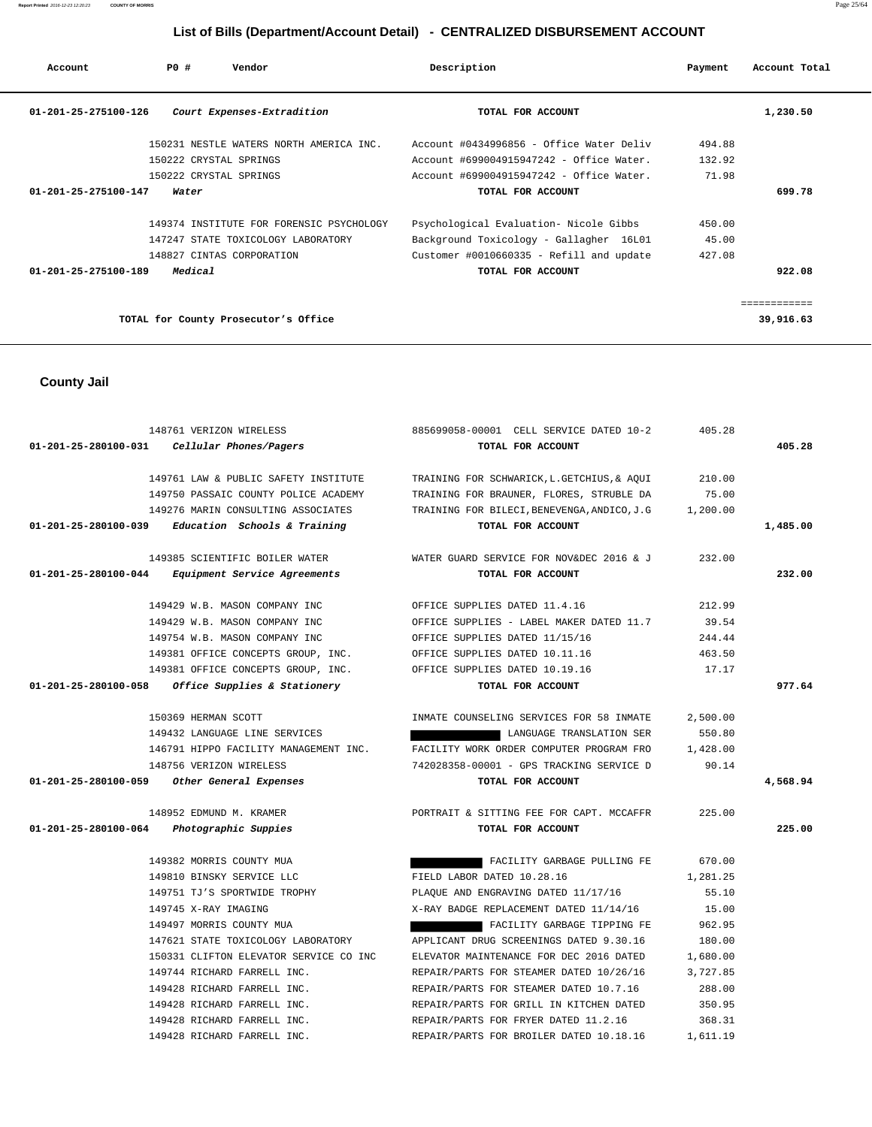| Account              | PO#                    | Vendor                                   | Description                              | Payment | Account Total |
|----------------------|------------------------|------------------------------------------|------------------------------------------|---------|---------------|
| 01-201-25-275100-126 |                        | Court Expenses-Extradition               | TOTAL FOR ACCOUNT                        |         | 1,230.50      |
|                      |                        | 150231 NESTLE WATERS NORTH AMERICA INC.  | Account #0434996856 - Office Water Deliv | 494.88  |               |
|                      | 150222 CRYSTAL SPRINGS |                                          | Account #699004915947242 - Office Water. | 132.92  |               |
|                      | 150222 CRYSTAL SPRINGS |                                          | Account #699004915947242 - Office Water. | 71.98   |               |
| 01-201-25-275100-147 | Water                  |                                          | TOTAL FOR ACCOUNT                        |         | 699.78        |
|                      |                        | 149374 INSTITUTE FOR FORENSIC PSYCHOLOGY | Psychological Evaluation- Nicole Gibbs   | 450.00  |               |
|                      |                        | 147247 STATE TOXICOLOGY LABORATORY       | Background Toxicology - Gallagher 16L01  | 45.00   |               |
|                      |                        | 148827 CINTAS CORPORATION                | Customer #0010660335 - Refill and update | 427.08  |               |
| 01-201-25-275100-189 | Medical                |                                          | TOTAL FOR ACCOUNT                        |         | 922.08        |
|                      |                        |                                          |                                          |         |               |
|                      |                        | TOTAL for County Prosecutor's Office     |                                          |         | 39,916.63     |

 **County Jail** 

 148761 VERIZON WIRELESS 885699058-00001 CELL SERVICE DATED 10-2 405.28  **01-201-25-280100-031 Cellular Phones/Pagers TOTAL FOR ACCOUNT 405.28** 149761 LAW & PUBLIC SAFETY INSTITUTE TRAINING FOR SCHWARICK,L.GETCHIUS,& AQUI 210.00 149750 PASSAIC COUNTY POLICE ACADEMY TRAINING FOR BRAUNER, FLORES, STRUBLE DA 75.00 149276 MARIN CONSULTING ASSOCIATES TRAINING FOR BILECI,BENEVENGA,ANDICO,J.G 1,200.00  **01-201-25-280100-039 Education Schools & Training TOTAL FOR ACCOUNT 1,485.00** 149385 SCIENTIFIC BOILER WATER WATER GUARD SERVICE FOR NOV&DEC 2016 & J 232.00  **01-201-25-280100-044 Equipment Service Agreements TOTAL FOR ACCOUNT 232.00** 149429 W.B. MASON COMPANY INC OFFICE SUPPLIES DATED 11.4.16 212.99 149429 W.B. MASON COMPANY INC OFFICE SUPPLIES - LABEL MAKER DATED 11.7 39.54 149754 W.B. MASON COMPANY INC OFFICE SUPPLIES DATED 11/15/16 244.44 149381 OFFICE CONCEPTS GROUP, INC. OFFICE SUPPLIES DATED 10.11.16 463.50 149381 OFFICE CONCEPTS GROUP, INC. OFFICE SUPPLIES DATED 10.19.16 17.17  **01-201-25-280100-058 Office Supplies & Stationery TOTAL FOR ACCOUNT 977.64** 150369 HERMAN SCOTT THE STRING SERVICES FOR 58 INMATE 2,500.00 149432 LANGUAGE LINE SERVICES LANGUAGE TRANSLATION SER 550.80 146791 HIPPO FACILITY MANAGEMENT INC. FACILITY WORK ORDER COMPUTER PROGRAM FRO 1,428.00 148756 VERIZON WIRELESS 742028358-00001 - GPS TRACKING SERVICE D 90.14  **01-201-25-280100-059 Other General Expenses TOTAL FOR ACCOUNT 4,568.94** 148952 EDMUND M. KRAMER PORTRAIT & SITTING FEE FOR CAPT. MCCAFFR 225.00  **01-201-25-280100-064 Photographic Suppies TOTAL FOR ACCOUNT 225.00** 149382 MORRIS COUNTY MUA FACILITY GARBAGE PULLING FE 670.00 149810 BINSKY SERVICE LLC FIELD LABOR DATED 10.28.16 1,281.25 149751 TJ'S SPORTWIDE TROPHY PLAQUE AND ENGRAVING DATED 11/17/16 55.10 149745 X-RAY IMAGING X-RAY BADGE REPLACEMENT DATED 11/14/16 15.00 149497 MORRIS COUNTY MUA FACILITY GARBAGE TIPPING FE 962.95 147621 STATE TOXICOLOGY LABORATORY APPLICANT DRUG SCREENINGS DATED 9.30.16 180.00 150331 CLIFTON ELEVATOR SERVICE CO INC ELEVATOR MAINTENANCE FOR DEC 2016 DATED 1,680.00 149744 RICHARD FARRELL INC. REPAIR/PARTS FOR STEAMER DATED 10/26/16 3,727.85 149428 RICHARD FARRELL INC. REPAIR/PARTS FOR STEAMER DATED 10.7.16 288.00 149428 RICHARD FARRELL INC. REPAIR/PARTS FOR GRILL IN KITCHEN DATED 350.95 149428 RICHARD FARRELL INC. REPAIR/PARTS FOR FRYER DATED 11.2.16 368.31

149428 RICHARD FARRELL INC. REPAIR/PARTS FOR BROILER DATED 10.18.16 1,611.19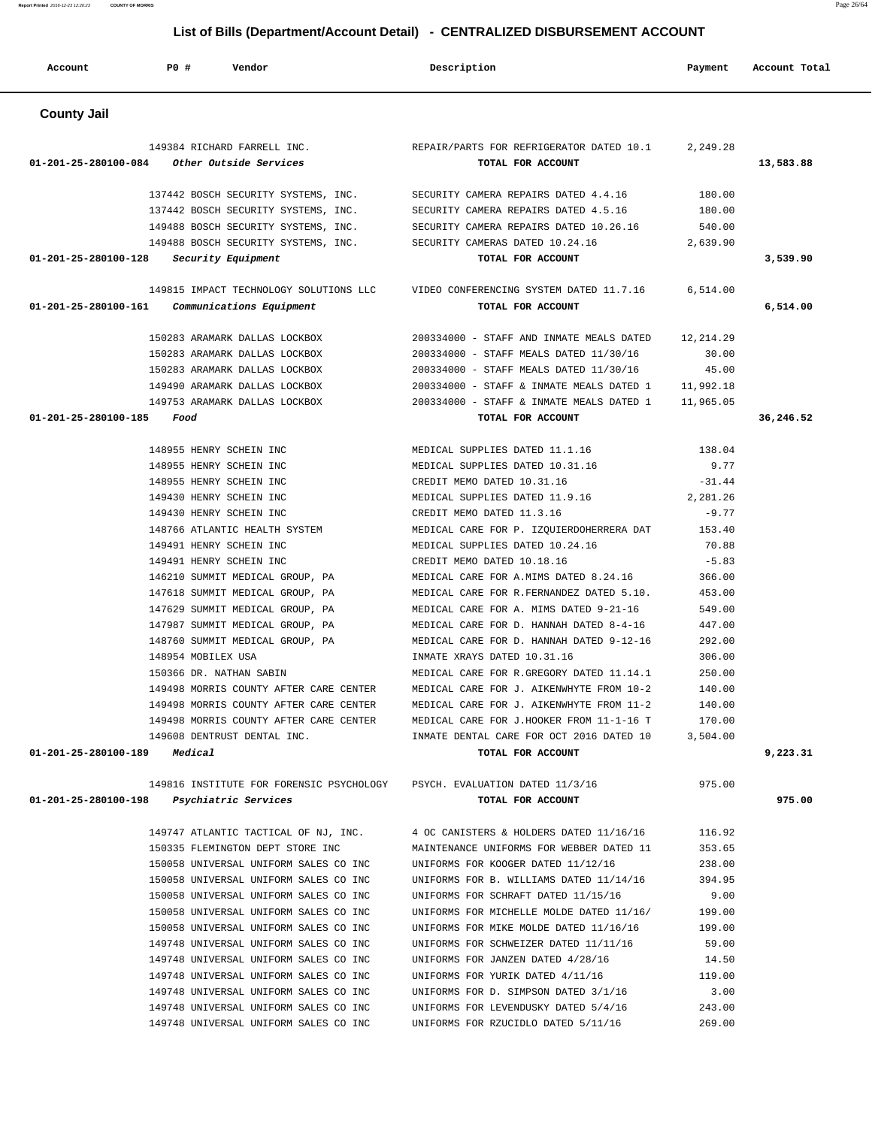| <b>County Jail</b>                                                       |                                                 |           |           |
|--------------------------------------------------------------------------|-------------------------------------------------|-----------|-----------|
| 149384 RICHARD FARRELL INC.                                              | REPAIR/PARTS FOR REFRIGERATOR DATED 10.1        | 2,249.28  |           |
| 01-201-25-280100-084<br>Other Outside Services                           | TOTAL FOR ACCOUNT                               |           | 13,583.88 |
| 137442 BOSCH SECURITY SYSTEMS, INC.                                      | SECURITY CAMERA REPAIRS DATED 4.4.16            | 180.00    |           |
| 137442 BOSCH SECURITY SYSTEMS, INC.                                      | SECURITY CAMERA REPAIRS DATED 4.5.16            | 180.00    |           |
| 149488 BOSCH SECURITY SYSTEMS, INC.                                      | SECURITY CAMERA REPAIRS DATED 10.26.16          | 540.00    |           |
| 149488 BOSCH SECURITY SYSTEMS, INC.                                      | SECURITY CAMERAS DATED 10.24.16                 | 2,639.90  |           |
| 01-201-25-280100-128 Security Equipment                                  | TOTAL FOR ACCOUNT                               |           | 3,539.90  |
| 149815 IMPACT TECHNOLOGY SOLUTIONS LLC                                   | VIDEO CONFERENCING SYSTEM DATED 11.7.16         | 6,514.00  |           |
| 01-201-25-280100-161<br>Communications Equipment                         | TOTAL FOR ACCOUNT                               |           | 6,514.00  |
| 150283 ARAMARK DALLAS LOCKBOX                                            | 200334000 - STAFF AND INMATE MEALS DATED        | 12,214.29 |           |
| 150283 ARAMARK DALLAS LOCKBOX                                            | 200334000 - STAFF MEALS DATED 11/30/16          | 30.00     |           |
| 150283 ARAMARK DALLAS LOCKBOX                                            | 200334000 - STAFF MEALS DATED 11/30/16          | 45.00     |           |
| 149490 ARAMARK DALLAS LOCKBOX                                            | 200334000 - STAFF & INMATE MEALS DATED 1        | 11,992.18 |           |
| 149753 ARAMARK DALLAS LOCKBOX                                            | 200334000 - STAFF & INMATE MEALS DATED 1        | 11,965.05 |           |
| 01-201-25-280100-185<br>Food                                             | TOTAL FOR ACCOUNT                               |           | 36,246.52 |
| 148955 HENRY SCHEIN INC                                                  | MEDICAL SUPPLIES DATED 11.1.16                  | 138.04    |           |
| 148955 HENRY SCHEIN INC                                                  | MEDICAL SUPPLIES DATED 10.31.16                 | 9.77      |           |
| 148955 HENRY SCHEIN INC                                                  | CREDIT MEMO DATED 10.31.16                      | $-31.44$  |           |
| 149430 HENRY SCHEIN INC                                                  | MEDICAL SUPPLIES DATED 11.9.16                  | 2,281.26  |           |
| 149430 HENRY SCHEIN INC                                                  | CREDIT MEMO DATED 11.3.16                       | $-9.77$   |           |
| 148766 ATLANTIC HEALTH SYSTEM                                            | MEDICAL CARE FOR P. IZQUIERDOHERRERA DAT 153.40 |           |           |
| 149491 HENRY SCHEIN INC                                                  | MEDICAL SUPPLIES DATED 10.24.16                 | 70.88     |           |
| 149491 HENRY SCHEIN INC                                                  | CREDIT MEMO DATED 10.18.16                      | $-5.83$   |           |
| 146210 SUMMIT MEDICAL GROUP, PA                                          | MEDICAL CARE FOR A.MIMS DATED 8.24.16           | 366.00    |           |
| 147618 SUMMIT MEDICAL GROUP, PA                                          | MEDICAL CARE FOR R. FERNANDEZ DATED 5.10.       | 453.00    |           |
| 147629 SUMMIT MEDICAL GROUP, PA                                          | MEDICAL CARE FOR A. MIMS DATED 9-21-16          | 549.00    |           |
| 147987 SUMMIT MEDICAL GROUP, PA                                          | MEDICAL CARE FOR D. HANNAH DATED 8-4-16         | 447.00    |           |
| 148760 SUMMIT MEDICAL GROUP, PA                                          | MEDICAL CARE FOR D. HANNAH DATED 9-12-16        | 292.00    |           |
| 148954 MOBILEX USA                                                       | INMATE XRAYS DATED 10.31.16                     | 306.00    |           |
| 150366 DR. NATHAN SABIN                                                  | MEDICAL CARE FOR R.GREGORY DATED 11.14.1        | 250.00    |           |
| 149498 MORRIS COUNTY AFTER CARE CENTER                                   | MEDICAL CARE FOR J. AIKENWHYTE FROM 10-2        | 140.00    |           |
| 149498 MORRIS COUNTY AFTER CARE CENTER                                   | MEDICAL CARE FOR J. AIKENWHYTE FROM 11-2        | 140.00    |           |
| 149498 MORRIS COUNTY AFTER CARE CENTER                                   | MEDICAL CARE FOR J.HOOKER FROM 11-1-16 T        | 170.00    |           |
| 149608 DENTRUST DENTAL INC.                                              | INMATE DENTAL CARE FOR OCT 2016 DATED 10        | 3,504.00  |           |
| $01 - 201 - 25 - 280100 - 189$ Medical                                   | TOTAL FOR ACCOUNT                               |           | 9,223.31  |
| 149816 INSTITUTE FOR FORENSIC PSYCHOLOGY PSYCH. EVALUATION DATED 11/3/16 |                                                 | 975.00    |           |
| 01-201-25-280100-198 Psychiatric Services                                | TOTAL FOR ACCOUNT                               |           | 975.00    |
| 149747 ATLANTIC TACTICAL OF NJ, INC.                                     | 4 OC CANISTERS & HOLDERS DATED 11/16/16         | 116.92    |           |
| 150335 FLEMINGTON DEPT STORE INC                                         | MAINTENANCE UNIFORMS FOR WEBBER DATED 11        | 353.65    |           |
| 150058 UNIVERSAL UNIFORM SALES CO INC                                    | UNIFORMS FOR KOOGER DATED 11/12/16              | 238.00    |           |
| 150058 UNIVERSAL UNIFORM SALES CO INC                                    | UNIFORMS FOR B. WILLIAMS DATED 11/14/16         | 394.95    |           |
| 150058 UNIVERSAL UNIFORM SALES CO INC                                    | UNIFORMS FOR SCHRAFT DATED 11/15/16             | 9.00      |           |
| 150058 UNIVERSAL UNIFORM SALES CO INC                                    | UNIFORMS FOR MICHELLE MOLDE DATED 11/16/        | 199.00    |           |
| 150058 UNIVERSAL UNIFORM SALES CO INC                                    | UNIFORMS FOR MIKE MOLDE DATED 11/16/16          | 199.00    |           |
| 149748 UNIVERSAL UNIFORM SALES CO INC                                    | UNIFORMS FOR SCHWEIZER DATED 11/11/16           | 59.00     |           |
| 149748 UNIVERSAL UNIFORM SALES CO INC                                    | UNIFORMS FOR JANZEN DATED 4/28/16               | 14.50     |           |
| 149748 UNIVERSAL UNIFORM SALES CO INC                                    | UNIFORMS FOR YURIK DATED 4/11/16                | 119.00    |           |
| 149748 UNIVERSAL UNIFORM SALES CO INC                                    | UNIFORMS FOR D. SIMPSON DATED 3/1/16            | 3.00      |           |
| 149748 UNIVERSAL UNIFORM SALES CO INC                                    | UNIFORMS FOR LEVENDUSKY DATED 5/4/16            | 243.00    |           |
| 149748 UNIVERSAL UNIFORM SALES CO INC                                    | UNIFORMS FOR RZUCIDLO DATED 5/11/16             | 269.00    |           |

Account **PO #** Vendor **Description Description Payment** Account Total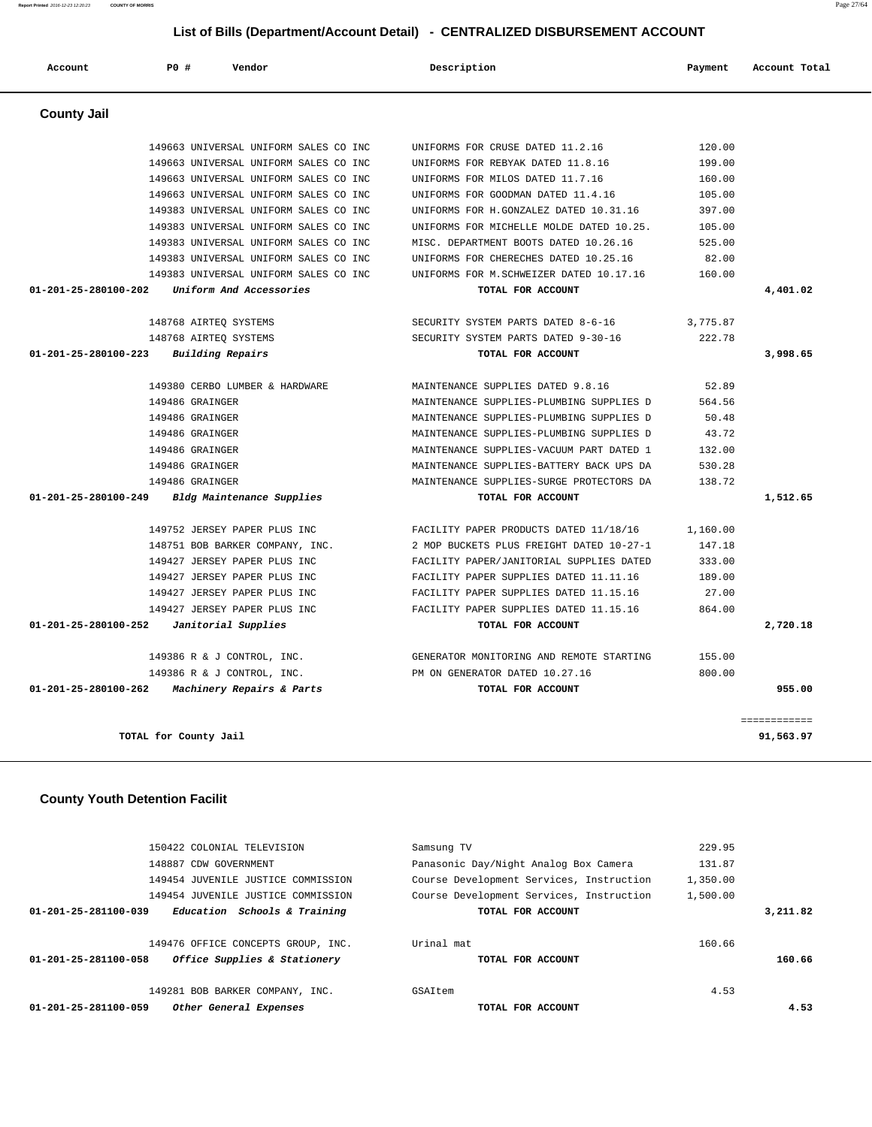|                      | 149454 JUVENILE JUSTICE COMMISSION<br>149454 JUVENILE JUSTICE COMMISSION | Course Development Services, Instruction<br>Course Development Services, Instruction | 1,350.00<br>1,500.00 |          |
|----------------------|--------------------------------------------------------------------------|--------------------------------------------------------------------------------------|----------------------|----------|
| 01-201-25-281100-039 | Education Schools & Training                                             | TOTAL FOR ACCOUNT                                                                    |                      | 3,211.82 |
| 01-201-25-281100-058 | 149476 OFFICE CONCEPTS GROUP, INC.<br>Office Supplies & Stationery       | Urinal mat<br>TOTAL FOR ACCOUNT                                                      | 160.66               | 160.66   |
|                      | 149281 BOB BARKER COMPANY, INC.                                          | GSAItem                                                                              | 4.53                 |          |
| 01-201-25-281100-059 | Other General Expenses                                                   | TOTAL FOR ACCOUNT                                                                    |                      | 4.53     |

 150422 COLONIAL TELEVISION Samsung TV 229.95 148887 CDW GOVERNMENT Panasonic Day/Night Analog Box Camera 131.87

============

**TOTAL for County Jail 91,563.97**

#### **County Youth Detention Facilit**

| 01-201-25-280100-262<br><i>Machinery Repairs &amp; Parts</i> | TOTAL FOR ACCOUNT                                                                |                 | 955.00   |
|--------------------------------------------------------------|----------------------------------------------------------------------------------|-----------------|----------|
| 149386 R & J CONTROL, INC.                                   | PM ON GENERATOR DATED 10.27.16                                                   | 800.00          |          |
| 149386 R & J CONTROL, INC.                                   | GENERATOR MONITORING AND REMOTE STARTING                                         | 155.00          |          |
|                                                              |                                                                                  |                 |          |
| 01-201-25-280100-252<br>Janitorial Supplies                  | TOTAL FOR ACCOUNT                                                                |                 | 2,720.18 |
| 149427 JERSEY PAPER PLUS INC                                 | FACILITY PAPER SUPPLIES DATED 11.15.16<br>FACILITY PAPER SUPPLIES DATED 11.15.16 | 864.00          |          |
| 149427 JERSEY PAPER PLUS INC<br>149427 JERSEY PAPER PLUS INC | FACILITY PAPER SUPPLIES DATED 11.11.16                                           | 189.00<br>27.00 |          |
| 149427 JERSEY PAPER PLUS INC                                 | FACILITY PAPER/JANITORIAL SUPPLIES DATED                                         | 333.00          |          |
| 148751 BOB BARKER COMPANY, INC.                              | 2 MOP BUCKETS PLUS FREIGHT DATED 10-27-1                                         | 147.18          |          |
| 149752 JERSEY PAPER PLUS INC                                 | FACILITY PAPER PRODUCTS DATED 11/18/16                                           | 1,160.00        |          |
| 01-201-25-280100-249 Bldg Maintenance Supplies               | TOTAL FOR ACCOUNT                                                                |                 | 1,512.65 |
| 149486 GRAINGER                                              | MAINTENANCE SUPPLIES-SURGE PROTECTORS DA                                         | 138.72          |          |
| 149486 GRAINGER                                              | MAINTENANCE SUPPLIES-BATTERY BACK UPS DA                                         | 530.28          |          |
| 149486 GRAINGER                                              | MAINTENANCE SUPPLIES-VACUUM PART DATED 1                                         | 132.00          |          |
| 149486 GRAINGER                                              | MAINTENANCE SUPPLIES-PLUMBING SUPPLIES D                                         | 43.72           |          |
| 149486 GRAINGER                                              | MAINTENANCE SUPPLIES-PLUMBING SUPPLIES D                                         | 50.48           |          |
| 149486 GRAINGER                                              | MAINTENANCE SUPPLIES-PLUMBING SUPPLIES D                                         | 564.56          |          |
| 149380 CERBO LUMBER & HARDWARE                               | MAINTENANCE SUPPLIES DATED 9.8.16                                                | 52.89           |          |
| 01-201-25-280100-223 Building Repairs                        | TOTAL FOR ACCOUNT                                                                |                 | 3,998.65 |
| 148768 AIRTEO SYSTEMS                                        | SECURITY SYSTEM PARTS DATED 9-30-16                                              | 222.78          |          |
| 148768 AIRTEO SYSTEMS                                        | SECURITY SYSTEM PARTS DATED 8-6-16                                               | 3,775.87        |          |
| 01-201-25-280100-202<br>Uniform And Accessories              | TOTAL FOR ACCOUNT                                                                |                 | 4,401.02 |
| 149383 UNIVERSAL UNIFORM SALES CO INC                        | UNIFORMS FOR M.SCHWEIZER DATED 10.17.16                                          | 160.00          |          |
| 149383 UNIVERSAL UNIFORM SALES CO INC                        | UNIFORMS FOR CHERECHES DATED 10.25.16                                            | 82.00           |          |
| 149383 UNIVERSAL UNIFORM SALES CO INC                        | MISC. DEPARTMENT BOOTS DATED 10.26.16                                            | 525.00          |          |
| 149383 UNIVERSAL UNIFORM SALES CO INC                        | UNIFORMS FOR MICHELLE MOLDE DATED 10.25.                                         | 105.00          |          |
| 149383 UNIVERSAL UNIFORM SALES CO INC                        | UNIFORMS FOR H.GONZALEZ DATED 10.31.16                                           | 397.00          |          |
| 149663 UNIVERSAL UNIFORM SALES CO INC                        | UNIFORMS FOR GOODMAN DATED 11.4.16                                               | 105.00          |          |
| 149663 UNIVERSAL UNIFORM SALES CO INC                        | UNIFORMS FOR MILOS DATED 11.7.16                                                 | 160.00          |          |

|                    | List of Bills (Department/Account Detail) - CENTRALIZED DISBURSEMENT ACCOUNT |                                          |  |                                           |  |         |               |
|--------------------|------------------------------------------------------------------------------|------------------------------------------|--|-------------------------------------------|--|---------|---------------|
| Account            | PO#                                                                          | Vendor                                   |  | Description                               |  | Payment | Account Total |
| <b>County Jail</b> |                                                                              |                                          |  |                                           |  |         |               |
|                    |                                                                              | 149663 UNIVERSAL UNIFORM SALES CO INC.   |  | UNIFORMS FOR CRUSE DATED 11.2.16          |  | 120.00  |               |
|                    |                                                                              | 149663 UNIVERSAL UNIFORM SALES CO INC    |  | UNIFORMS FOR REBYAK DATED 11.8.16         |  | 199.00  |               |
|                    |                                                                              | 149663 UNIVERSAL UNIFORM SALES CO INC    |  | UNIFORMS FOR MILOS DATED 11.7.16          |  | 160.00  |               |
|                    |                                                                              | 149663 UNIVERSAL UNIFORM SALES CO INC    |  | UNIFORMS FOR GOODMAN DATED 11.4.16        |  | 105.00  |               |
|                    |                                                                              | 1/10202 INITUPDOAI INITEODM OAIRO CO INC |  | 10 11 16 חסידות לפונס מאס של סמס סמססדותו |  | 207 00  |               |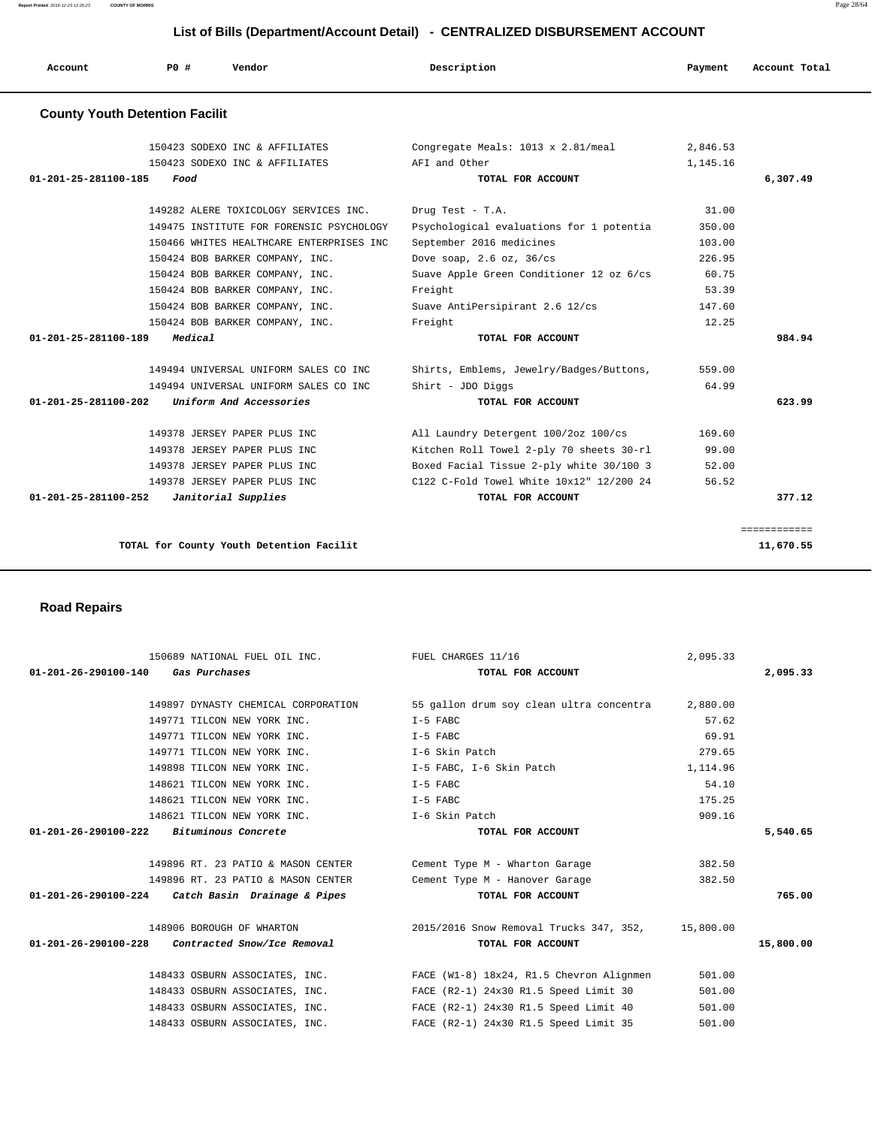| Account                               | PO#     | Vendor                                   | Description                              | Payment  | Account Total |
|---------------------------------------|---------|------------------------------------------|------------------------------------------|----------|---------------|
| <b>County Youth Detention Facilit</b> |         |                                          |                                          |          |               |
|                                       |         | 150423 SODEXO INC & AFFILIATES           | Congregate Meals: 1013 x 2.81/meal       | 2,846.53 |               |
|                                       |         | 150423 SODEXO INC & AFFILIATES           | AFI and Other                            | 1,145.16 |               |
| 01-201-25-281100-185                  | Food    |                                          | TOTAL FOR ACCOUNT                        |          | 6,307.49      |
|                                       |         | 149282 ALERE TOXICOLOGY SERVICES INC.    | Drug Test - T.A.                         | 31.00    |               |
|                                       |         | 149475 INSTITUTE FOR FORENSIC PSYCHOLOGY | Psychological evaluations for 1 potentia | 350.00   |               |
|                                       |         | 150466 WHITES HEALTHCARE ENTERPRISES INC | September 2016 medicines                 | 103.00   |               |
|                                       |         | 150424 BOB BARKER COMPANY, INC.          | Dove soap, $2.6$ oz, $36$ /cs            | 226.95   |               |
|                                       |         | 150424 BOB BARKER COMPANY, INC.          | Suave Apple Green Conditioner 12 oz 6/cs | 60.75    |               |
|                                       |         | 150424 BOB BARKER COMPANY, INC.          | Freight                                  | 53.39    |               |
|                                       |         | 150424 BOB BARKER COMPANY, INC.          | Suave AntiPersipirant 2.6 12/cs          | 147.60   |               |
|                                       |         | 150424 BOB BARKER COMPANY, INC.          | Freight                                  | 12.25    |               |
| $01 - 201 - 25 - 281100 - 189$        | Medical |                                          | TOTAL FOR ACCOUNT                        |          | 984.94        |
|                                       |         | 149494 UNIVERSAL UNIFORM SALES CO INC    | Shirts, Emblems, Jewelry/Badges/Buttons, | 559.00   |               |
|                                       |         | 149494 UNIVERSAL UNIFORM SALES CO INC    | Shirt - JDO Diggs                        | 64.99    |               |
| 01-201-25-281100-202                  |         | Uniform And Accessories                  | TOTAL FOR ACCOUNT                        |          | 623.99        |
|                                       |         | 149378 JERSEY PAPER PLUS INC             | All Laundry Detergent 100/2oz 100/cs     | 169.60   |               |
|                                       |         | 149378 JERSEY PAPER PLUS INC             | Kitchen Roll Towel 2-ply 70 sheets 30-rl | 99.00    |               |
|                                       |         | 149378 JERSEY PAPER PLUS INC             | Boxed Facial Tissue 2-ply white 30/100 3 | 52.00    |               |
|                                       |         | 149378 JERSEY PAPER PLUS INC             | C122 C-Fold Towel White 10x12" 12/200 24 | 56.52    |               |
| 01-201-25-281100-252                  |         | Janitorial Supplies                      | TOTAL FOR ACCOUNT                        |          | 377.12        |

TOTAL for County Youth Detention Facilit 11,670.55

 **Road Repairs** 

| 150689 NATIONAL FUEL OIL INC. TUEL CHARGES 11/16     |                                                                                                                                                                   | 2,095.33 |           |
|------------------------------------------------------|-------------------------------------------------------------------------------------------------------------------------------------------------------------------|----------|-----------|
| 01-201-26-290100-140 Gas Purchases                   | TOTAL FOR ACCOUNT                                                                                                                                                 |          | 2,095.33  |
|                                                      | 149897 DYNASTY CHEMICAL CORPORATION 55 gallon drum soy clean ultra concentra 2,880.00                                                                             |          |           |
| 149771 TILCON NEW YORK INC.                          | I-5 FABC                                                                                                                                                          | 57.62    |           |
| 149771 TILCON NEW YORK INC.                          | $I-5$ FABC                                                                                                                                                        | 69.91    |           |
| 149771 TILCON NEW YORK INC. The Skin Patch           |                                                                                                                                                                   | 279.65   |           |
| 149898 TILCON NEW YORK INC. T-5 FABC, I-6 Skin Patch |                                                                                                                                                                   | 1,114.96 |           |
| 148621 TILCON NEW YORK INC.                          | $I-5$ FABC                                                                                                                                                        | 54.10    |           |
| 148621 TILCON NEW YORK INC.                          | $I-5$ FABC                                                                                                                                                        | 175.25   |           |
| 148621 TILCON NEW YORK INC. I at the Skin Patch      |                                                                                                                                                                   | 909.16   |           |
| $01-201-26-290100-222$ Bituminous Concrete           | TOTAL FOR ACCOUNT                                                                                                                                                 |          | 5,540.65  |
|                                                      |                                                                                                                                                                   |          |           |
| 149896 RT. 23 PATIO & MASON CENTER                   | Cement Type M - Wharton Garage                                                                                                                                    | 382.50   |           |
| 149896 RT. 23 PATIO & MASON CENTER                   | Cement Type M - Hanover Garage                                                                                                                                    | 382.50   |           |
| $01-201-26-290100-224$ Catch Basin Drainage & Pipes  | TOTAL FOR ACCOUNT                                                                                                                                                 |          | 765.00    |
|                                                      | 148906 BOROUGH OF WHARTON 2015/2016 Snow Removal Trucks 347, 352, 15,800.00                                                                                       |          |           |
| $01-201-26-290100-228$ Contracted Snow/Ice Removal   | TOTAL FOR ACCOUNT                                                                                                                                                 |          | 15,800.00 |
|                                                      |                                                                                                                                                                   | 501.00   |           |
|                                                      | 148433 OSBURN ASSOCIATES, INC.                   FACE (W1-8) 18x24, R1.5 Chevron Alignmen<br>148433 OSBURN ASSOCIATES, INC. TACE (R2-1) 24x30 R1.5 Speed Limit 30 | 501.00   |           |
|                                                      |                                                                                                                                                                   |          |           |
|                                                      | 148433 OSBURN ASSOCIATES, INC. TACE (R2-1) 24x30 R1.5 Speed Limit 40                                                                                              | 501.00   |           |
| 148433 OSBURN ASSOCIATES, INC.                       | FACE (R2-1) 24x30 R1.5 Speed Limit 35                                                                                                                             | 501.00   |           |

**Report Printed** 2016-12-23 12:20:23 **COUNTY OF MORRIS** Page 28/64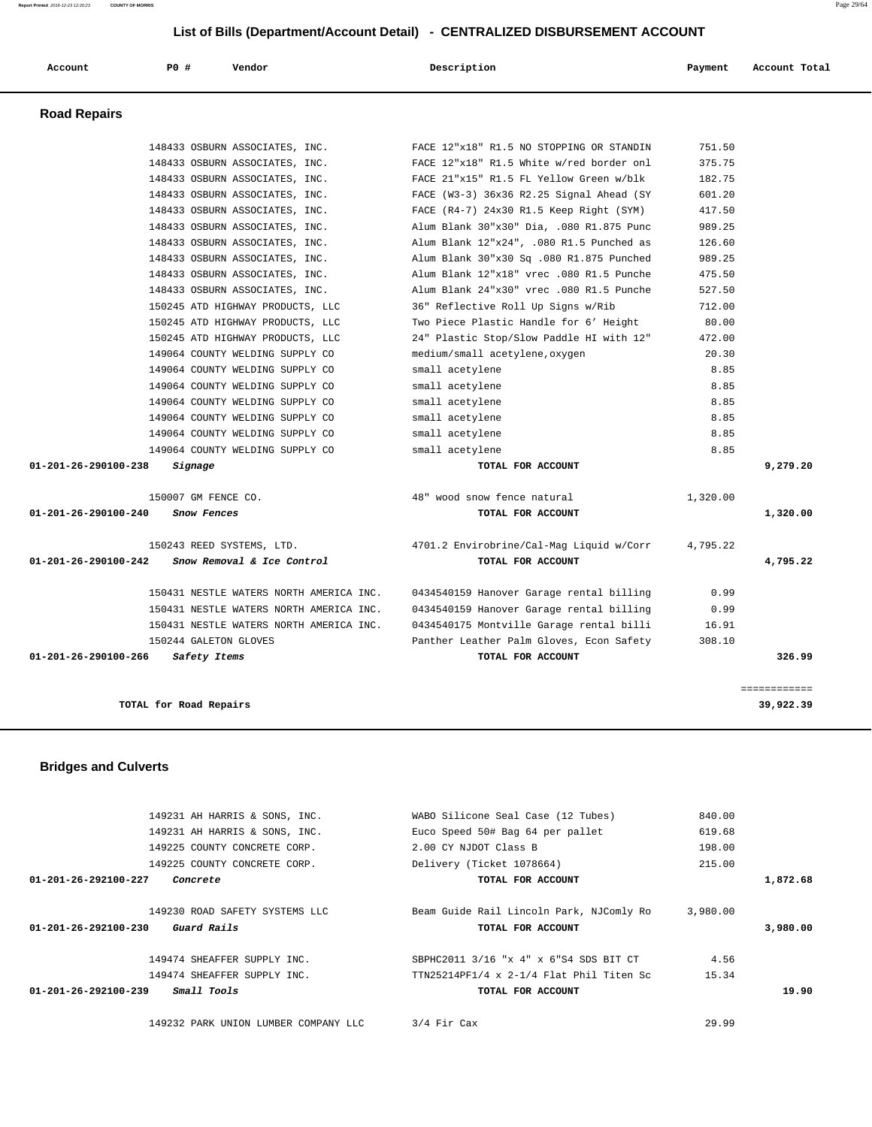**Report Printed** 2016-12-23 12:20:23 **COUNTY OF MORRIS** Page 29/64

## **List of Bills (Department/Account Detail) - CENTRALIZED DISBURSEMENT ACCOUNT**

|                     | LIST OF BIIIS (Department/Account Detail) - CENTRALIZED DISBORSEMENT ACCOUNT |                                |                                             |         |               |  |
|---------------------|------------------------------------------------------------------------------|--------------------------------|---------------------------------------------|---------|---------------|--|
| Account             | PO#                                                                          | Vendor                         | Description                                 | Payment | Account Total |  |
| <b>Road Repairs</b> |                                                                              |                                |                                             |         |               |  |
|                     |                                                                              | 148433 OSBURN ASSOCIATES, INC. | FACE 12"x18" R1.5 NO STOPPING OR STANDIN    | 751.50  |               |  |
|                     |                                                                              | 148433 OSBURN ASSOCIATES, INC. | FACE 12"x18" R1.5 White w/red border onl    | 375.75  |               |  |
|                     |                                                                              | 148433 OSBURN ASSOCIATES, INC. | FACE 21"x15" R1.5 FL Yellow Green w/blk     | 182.75  |               |  |
|                     |                                                                              | 148433 OSBURN ASSOCIATES, INC. | FACE $(W3-3)$ 36x36 R2.25 Signal Ahead (SY  | 601.20  |               |  |
|                     |                                                                              | 148433 OSBURN ASSOCIATES, INC. | FACE $(R4-7)$ 24x30 R1.5 Keep Right $(SYM)$ | 417.50  |               |  |
|                     |                                                                              | 148433 OSBURN ASSOCIATES, INC. | Alum Blank 30"x30" Dia, .080 R1.875 Punc    | 989.25  |               |  |
|                     |                                                                              | 148433 OSBURN ASSOCIATES, INC. | Alum Blank 12"x24", .080 R1.5 Punched as    | 126.60  |               |  |
|                     |                                                                              | 148433 OSBURN ASSOCIATES, INC. | Alum Blank 30"x30 Sq .080 R1.875 Punched    | 989.25  |               |  |
|                     |                                                                              | 148433 OSBURN ASSOCIATES, INC. | Alum Blank 12"x18" vrec .080 R1.5 Punche    | 475.50  |               |  |

|              | 182.75   | FACE ZI"XI5" RI.5 FL YEILOW Green W/DIK   | 148433 USBURN ASSOCIATES, INC.                     |
|--------------|----------|-------------------------------------------|----------------------------------------------------|
|              | 601.20   | FACE (W3-3) 36x36 R2.25 Signal Ahead (SY  | 148433 OSBURN ASSOCIATES, INC.                     |
|              | 417.50   | FACE $(R4-7)$ 24x30 R1.5 Keep Right (SYM) | 148433 OSBURN ASSOCIATES, INC.                     |
|              | 989.25   | Alum Blank 30"x30" Dia, .080 R1.875 Punc  | 148433 OSBURN ASSOCIATES, INC.                     |
|              | 126.60   | Alum Blank 12"x24", .080 R1.5 Punched as  | 148433 OSBURN ASSOCIATES, INC.                     |
|              | 989.25   | Alum Blank 30"x30 Sq .080 R1.875 Punched  | 148433 OSBURN ASSOCIATES, INC.                     |
|              | 475.50   | Alum Blank 12"x18" vrec .080 R1.5 Punche  | 148433 OSBURN ASSOCIATES, INC.                     |
|              | 527.50   | Alum Blank 24"x30" vrec .080 R1.5 Punche  | 148433 OSBURN ASSOCIATES, INC.                     |
|              | 712.00   | 36" Reflective Roll Up Signs w/Rib        | 150245 ATD HIGHWAY PRODUCTS, LLC                   |
|              | 80.00    | Two Piece Plastic Handle for 6' Height    | 150245 ATD HIGHWAY PRODUCTS, LLC                   |
|              | 472.00   | 24" Plastic Stop/Slow Paddle HI with 12"  | 150245 ATD HIGHWAY PRODUCTS, LLC                   |
|              | 20.30    | medium/small acetylene, oxygen            | 149064 COUNTY WELDING SUPPLY CO                    |
|              | 8.85     | small acetylene                           | 149064 COUNTY WELDING SUPPLY CO                    |
|              | 8.85     | small acetylene                           | 149064 COUNTY WELDING SUPPLY CO                    |
|              | 8.85     | small acetylene                           | 149064 COUNTY WELDING SUPPLY CO                    |
|              | 8.85     | small acetylene                           | 149064 COUNTY WELDING SUPPLY CO                    |
|              | 8.85     | small acetylene                           | 149064 COUNTY WELDING SUPPLY CO                    |
|              | 8.85     | small acetylene                           | 149064 COUNTY WELDING SUPPLY CO                    |
| 9,279.20     |          | TOTAL FOR ACCOUNT                         | 01-201-26-290100-238<br>Signage                    |
|              | 1,320.00 | 48" wood snow fence natural               | 150007 GM FENCE CO.                                |
| 1,320.00     |          | TOTAL FOR ACCOUNT                         | 01-201-26-290100-240<br>Snow Fences                |
|              | 4,795.22 | 4701.2 Envirobrine/Cal-Mag Liquid w/Corr  | 150243 REED SYSTEMS, LTD.                          |
| 4,795.22     |          | TOTAL FOR ACCOUNT                         | Snow Removal & Ice Control<br>01-201-26-290100-242 |
|              | 0.99     | 0434540159 Hanover Garage rental billing  | 150431 NESTLE WATERS NORTH AMERICA INC.            |
|              | 0.99     | 0434540159 Hanover Garage rental billing  | 150431 NESTLE WATERS NORTH AMERICA INC.            |
|              | 16.91    | 0434540175 Montville Garage rental billi  | 150431 NESTLE WATERS NORTH AMERICA INC.            |
|              | 308.10   | Panther Leather Palm Gloves, Econ Safety  | 150244 GALETON GLOVES                              |
|              |          |                                           | 01-201-26-290100-266<br>Safety Items               |
| 326.99       |          | TOTAL FOR ACCOUNT                         |                                                    |
| ============ |          |                                           |                                                    |

 **Bridges and Culverts** 

|                                | 149231 AH HARRIS & SONS, INC.        | WABO Silicone Seal Case (12 Tubes)              | 840.00   |          |
|--------------------------------|--------------------------------------|-------------------------------------------------|----------|----------|
|                                | 149231 AH HARRIS & SONS, INC.        | Euco Speed 50# Bag 64 per pallet                | 619.68   |          |
|                                | 149225 COUNTY CONCRETE CORP.         | 2.00 CY NJDOT Class B                           | 198.00   |          |
|                                | 149225 COUNTY CONCRETE CORP.         | Delivery (Ticket 1078664)                       | 215.00   |          |
| $01 - 201 - 26 - 292100 - 227$ | Concrete                             | TOTAL FOR ACCOUNT                               |          | 1,872.68 |
|                                | 149230 ROAD SAFETY SYSTEMS LLC       | Beam Guide Rail Lincoln Park, NJComly Ro        | 3,980.00 |          |
| $01 - 201 - 26 - 292100 - 230$ | Guard Rails                          | TOTAL FOR ACCOUNT                               |          | 3,980,00 |
|                                | 149474 SHEAFFER SUPPLY INC.          | SBPHC2011 3/16 "x 4" x 6"S4 SDS BIT CT          | 4.56     |          |
|                                | 149474 SHEAFFER SUPPLY INC.          | $TTN25214PF1/4 \times 2-1/4$ Flat Phil Titen Sc | 15.34    |          |
| $01 - 201 - 26 - 292100 - 239$ | <i>Small Tools</i>                   | TOTAL FOR ACCOUNT                               |          | 19.90    |
|                                | 149232 PARK UNION LUMBER COMPANY LLC | $3/4$ Fir Cax                                   | 29.99    |          |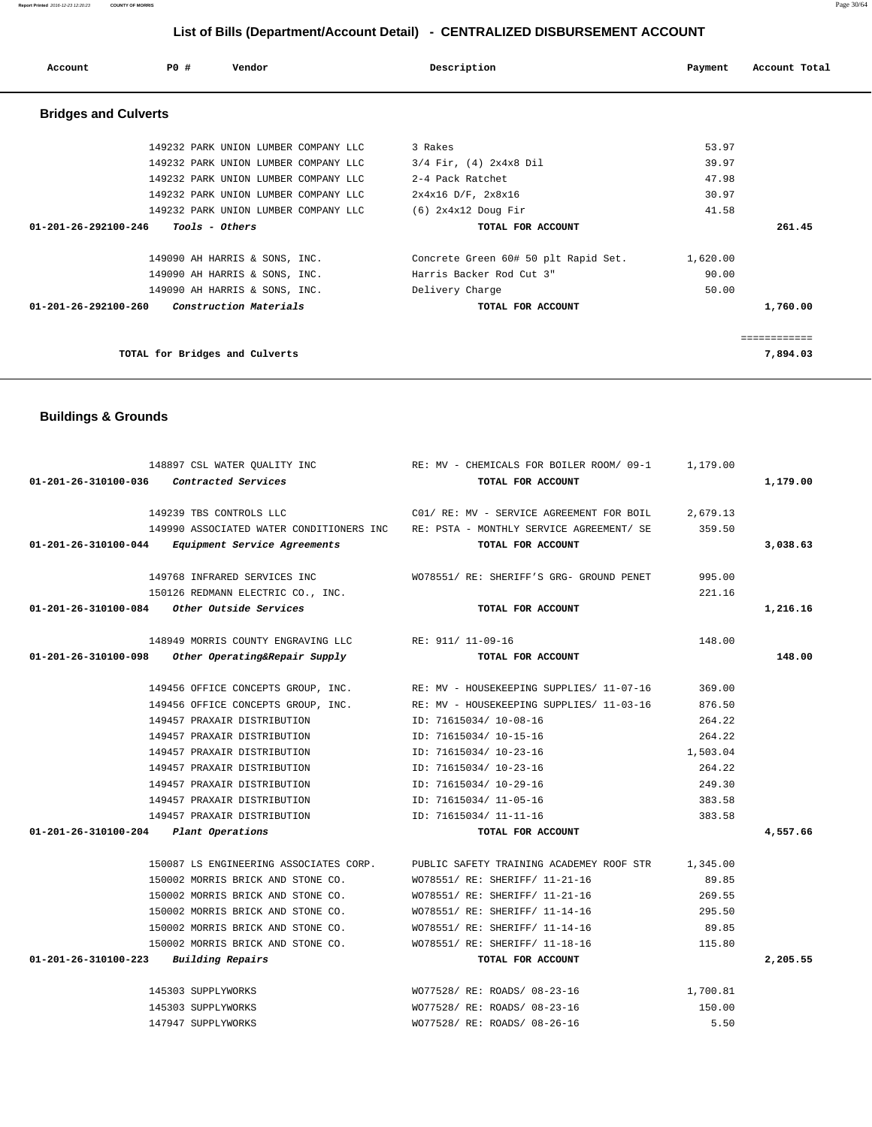| Account                        | PO#                            | Vendor                               | Description                          | Payment  | Account Total |
|--------------------------------|--------------------------------|--------------------------------------|--------------------------------------|----------|---------------|
| <b>Bridges and Culverts</b>    |                                |                                      |                                      |          |               |
|                                |                                | 149232 PARK UNION LUMBER COMPANY LLC | 3 Rakes                              | 53.97    |               |
|                                |                                | 149232 PARK UNION LUMBER COMPANY LLC | $3/4$ Fir, $(4)$ 2x4x8 Dil           | 39.97    |               |
|                                |                                | 149232 PARK UNION LUMBER COMPANY LLC | 2-4 Pack Ratchet                     | 47.98    |               |
|                                |                                | 149232 PARK UNION LUMBER COMPANY LLC | $2x4x16$ D/F, $2x8x16$               | 30.97    |               |
|                                |                                | 149232 PARK UNION LUMBER COMPANY LLC | $(6)$ 2x4x12 Doug Fir                | 41.58    |               |
| 01-201-26-292100-246           | <i>Tools - Others</i>          |                                      | TOTAL FOR ACCOUNT                    |          | 261.45        |
|                                |                                | 149090 AH HARRIS & SONS, INC.        | Concrete Green 60# 50 plt Rapid Set. | 1,620.00 |               |
|                                |                                | 149090 AH HARRIS & SONS, INC.        | Harris Backer Rod Cut 3"             | 90.00    |               |
|                                |                                | 149090 AH HARRIS & SONS, INC.        | Delivery Charge                      | 50.00    |               |
| 01-201-26-292100-260           |                                | Construction Materials               | TOTAL FOR ACCOUNT                    |          | 1,760.00      |
|                                |                                |                                      |                                      |          | ============  |
|                                | TOTAL for Bridges and Culverts |                                      |                                      |          | 7,894.03      |
|                                |                                |                                      |                                      |          |               |
| <b>Buildings &amp; Grounds</b> |                                |                                      |                                      |          |               |

|                                          |                                                      | 148897 CSL WATER QUALITY INC RE: MV - CHEMICALS FOR BOILER ROOM/ 09-1 1, 179.00          |          |          |
|------------------------------------------|------------------------------------------------------|------------------------------------------------------------------------------------------|----------|----------|
| 01-201-26-310100-036 Contracted Services |                                                      | TOTAL FOR ACCOUNT                                                                        |          | 1,179.00 |
|                                          | 149239 TBS CONTROLS LLC                              | C01/ RE: MV - SERVICE AGREEMENT FOR BOIL 2,679.13                                        |          |          |
|                                          |                                                      | 149990 ASSOCIATED WATER CONDITIONERS INC RE: PSTA - MONTHLY SERVICE AGREEMENT/ SE 359.50 |          |          |
|                                          |                                                      |                                                                                          |          |          |
|                                          | 01-201-26-310100-044 Equipment Service Agreements    | TOTAL FOR ACCOUNT                                                                        |          | 3,038.63 |
|                                          | 149768 INFRARED SERVICES INC                         | WO78551/ RE: SHERIFF'S GRG- GROUND PENET                                                 | 995.00   |          |
|                                          | 150126 REDMANN ELECTRIC CO., INC.                    |                                                                                          | 221.16   |          |
|                                          | 01-201-26-310100-084 Other Outside Services          | TOTAL FOR ACCOUNT                                                                        |          | 1,216.16 |
|                                          | 148949 MORRIS COUNTY ENGRAVING LLC RE: 911/ 11-09-16 |                                                                                          | 148.00   |          |
|                                          | 01-201-26-310100-098 Other Operating&Repair Supply   | TOTAL FOR ACCOUNT                                                                        |          | 148.00   |
|                                          |                                                      | 149456 OFFICE CONCEPTS GROUP, INC. RE: MV - HOUSEKEEPING SUPPLIES/ 11-07-16              | 369.00   |          |
|                                          |                                                      | 149456 OFFICE CONCEPTS GROUP, INC. RE: MV - HOUSEKEEPING SUPPLIES/ 11-03-16              | 876.50   |          |
|                                          | 149457 PRAXAIR DISTRIBUTION                          | ID: 71615034/ 10-08-16                                                                   | 264.22   |          |
|                                          | 149457 PRAXAIR DISTRIBUTION                          | ID: 71615034/ 10-15-16                                                                   | 264.22   |          |
|                                          | 149457 PRAXAIR DISTRIBUTION                          | ID: 71615034/ 10-23-16                                                                   | 1,503.04 |          |
|                                          | 149457 PRAXAIR DISTRIBUTION                          | ID: 71615034/ 10-23-16                                                                   | 264.22   |          |
|                                          | 149457 PRAXAIR DISTRIBUTION                          | ID: 71615034/ 10-29-16                                                                   | 249.30   |          |
|                                          | 149457 PRAXAIR DISTRIBUTION                          | ID: 71615034/ 11-05-16                                                                   | 383.58   |          |
|                                          |                                                      |                                                                                          | 383.58   |          |
|                                          | 149457 PRAXAIR DISTRIBUTION TD: 71615034/11-11-16    |                                                                                          |          | 4,557.66 |
| 01-201-26-310100-204 Plant Operations    |                                                      | TOTAL FOR ACCOUNT                                                                        |          |          |
|                                          |                                                      | 150087 LS ENGINEERING ASSOCIATES CORP. PUBLIC SAFETY TRAINING ACADEMEY ROOF STR 1.345.00 |          |          |
|                                          | 150002 MORRIS BRICK AND STONE CO.                    | WO78551/ RE: SHERIFF/ 11-21-16                                                           | 89.85    |          |
|                                          | 150002 MORRIS BRICK AND STONE CO.                    | WO78551/ RE: SHERIFF/ 11-21-16                                                           | 269.55   |          |
|                                          | 150002 MORRIS BRICK AND STONE CO.                    | WO78551/ RE: SHERIFF/ 11-14-16                                                           | 295.50   |          |
|                                          | 150002 MORRIS BRICK AND STONE CO.                    | WO78551/ RE: SHERIFF/ 11-14-16                                                           | 89.85    |          |
|                                          | 150002 MORRIS BRICK AND STONE CO.                    | WO78551/ RE: SHERIFF/ 11-18-16                                                           | 115.80   |          |
| 01-201-26-310100-223 Building Repairs    |                                                      | TOTAL FOR ACCOUNT                                                                        |          | 2,205.55 |
|                                          | 145303 SUPPLYWORKS                                   | WO77528/ RE: ROADS/ 08-23-16                                                             | 1,700.81 |          |
|                                          | 145303 SUPPLYWORKS                                   | WO77528/ RE: ROADS/ 08-23-16                                                             | 150.00   |          |
|                                          | 147947 SUPPLYWORKS                                   | WO77528/ RE: ROADS/ 08-26-16                                                             | 5.50     |          |

**Report Printed** 2016-12-23 12:20:23 **COUNTY OF MORRIS** Page 30/64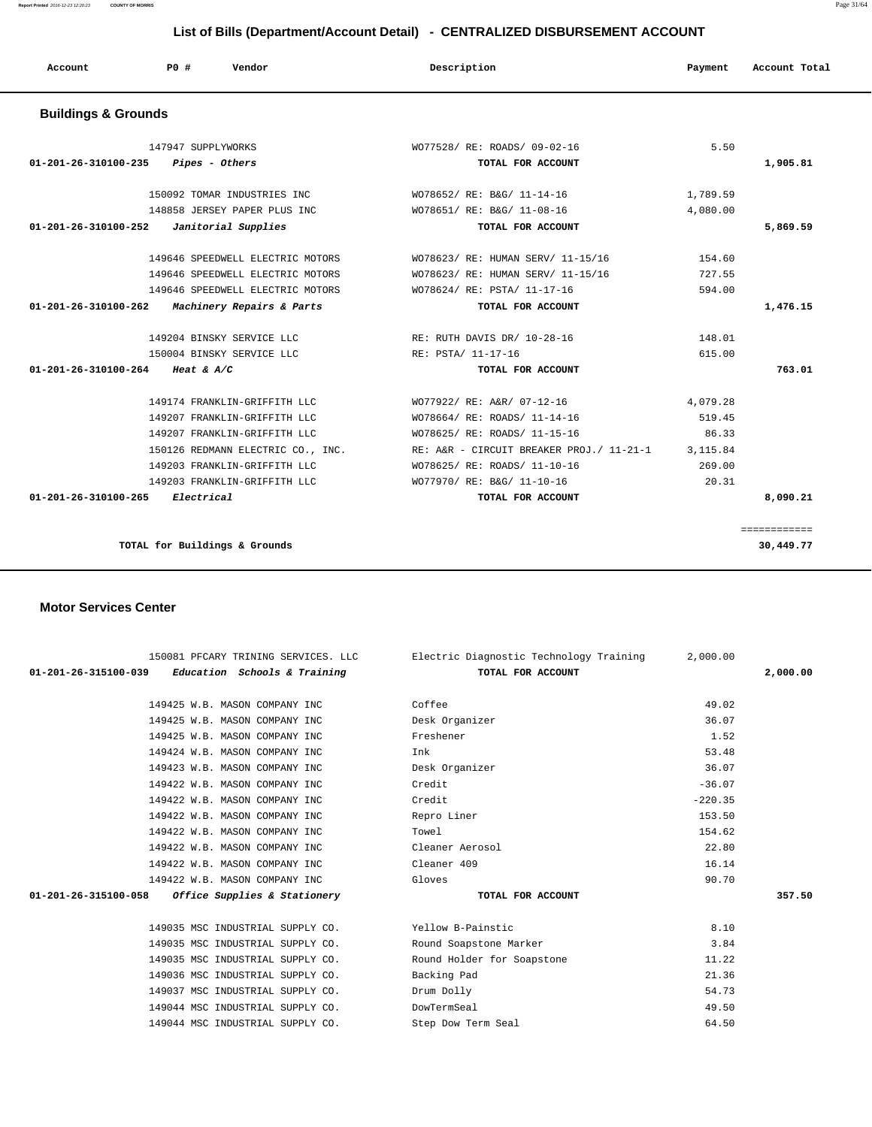**Report Printed** 2016-12-23 12:20:23 **COUNTY OF MORRIS** Page 31/64

#### **List of Bills (Department/Account Detail) - CENTRALIZED DISBURSEMENT ACCOUNT**

| Account                        | PO#<br>Vendor                     | Description                                       | Payment  | Account Total |
|--------------------------------|-----------------------------------|---------------------------------------------------|----------|---------------|
| <b>Buildings &amp; Grounds</b> |                                   |                                                   |          |               |
|                                | 147947 SUPPLYWORKS                | WO77528/ RE: ROADS/ 09-02-16                      | 5.50     |               |
| 01-201-26-310100-235           | Pipes - Others                    | TOTAL FOR ACCOUNT                                 |          | 1,905.81      |
|                                | 150092 TOMAR INDUSTRIES INC       | WO78652/ RE: B&G/ 11-14-16                        | 1,789.59 |               |
|                                | 148858 JERSEY PAPER PLUS INC      | WO78651/ RE: B&G/ 11-08-16                        | 4,080.00 |               |
| 01-201-26-310100-252           | Janitorial Supplies               | TOTAL FOR ACCOUNT                                 |          | 5,869.59      |
|                                | 149646 SPEEDWELL ELECTRIC MOTORS  | WO78623/ RE: HUMAN SERV/ 11-15/16                 | 154.60   |               |
|                                | 149646 SPEEDWELL ELECTRIC MOTORS  | WO78623/ RE: HUMAN SERV/ 11-15/16                 | 727.55   |               |
|                                | 149646 SPEEDWELL ELECTRIC MOTORS  | WO78624/ RE: PSTA/ 11-17-16                       | 594.00   |               |
| 01-201-26-310100-262           | Machinery Repairs & Parts         | TOTAL FOR ACCOUNT                                 |          | 1,476.15      |
|                                | 149204 BINSKY SERVICE LLC         | RE: RUTH DAVIS DR/ 10-28-16                       | 148.01   |               |
|                                | 150004 BINSKY SERVICE LLC         | RE: PSTA/ 11-17-16                                | 615.00   |               |
| 01-201-26-310100-264           | Heat & $A/C$                      | TOTAL FOR ACCOUNT                                 |          | 763.01        |
|                                | 149174 FRANKLIN-GRIFFITH LLC      | WO77922/ RE: A&R/ 07-12-16                        | 4,079.28 |               |
|                                | 149207 FRANKLIN-GRIFFITH LLC      | WO78664/ RE: ROADS/ 11-14-16                      | 519.45   |               |
|                                | 149207 FRANKLIN-GRIFFITH LLC      | WO78625/ RE: ROADS/ 11-15-16                      | 86.33    |               |
|                                | 150126 REDMANN ELECTRIC CO., INC. | RE: A&R - CIRCUIT BREAKER PROJ./ 11-21-1 3,115.84 |          |               |
|                                | 149203 FRANKLIN-GRIFFITH LLC      | WO78625/ RE: ROADS/ 11-10-16                      | 269.00   |               |
|                                | 149203 FRANKLIN-GRIFFITH LLC      | WO77970/ RE: B&G/ 11-10-16                        | 20.31    |               |
| $01 - 201 - 26 - 310100 - 265$ | Electrical                        | TOTAL FOR ACCOUNT                                 |          | 8,090.21      |

#### **Motor Services Center**

| 150081 PFCARY TRINING SERVICES. LLC<br>$01-201-26-315100-039$ Education Schools & Training |                 | Electric Diagnostic Technology Training<br>TOTAL FOR ACCOUNT | 2,000.00  | 2,000.00 |
|--------------------------------------------------------------------------------------------|-----------------|--------------------------------------------------------------|-----------|----------|
|                                                                                            |                 |                                                              |           |          |
| 149425 W.B. MASON COMPANY INC                                                              | Coffee          |                                                              | 49.02     |          |
| 149425 W.B. MASON COMPANY INC                                                              | Desk Organizer  |                                                              | 36.07     |          |
| 149425 W.B. MASON COMPANY INC                                                              | Freshener       |                                                              | 1.52      |          |
| 149424 W.B. MASON COMPANY INC                                                              | Ink             |                                                              | 53.48     |          |
| 149423 W.B. MASON COMPANY INC                                                              | Desk Organizer  |                                                              | 36.07     |          |
| 149422 W.B. MASON COMPANY INC                                                              | Credit          |                                                              | $-36.07$  |          |
| 149422 W.B. MASON COMPANY INC                                                              | Credit          |                                                              | $-220.35$ |          |
| 149422 W.B. MASON COMPANY INC                                                              | Repro Liner     |                                                              | 153.50    |          |
| 149422 W.B. MASON COMPANY INC                                                              | Towel           |                                                              | 154.62    |          |
| 149422 W.B. MASON COMPANY INC                                                              | Cleaner Aerosol |                                                              | 22.80     |          |
| 149422 W.B. MASON COMPANY INC                                                              | Cleaner 409     |                                                              | 16.14     |          |
| 149422 W.B. MASON COMPANY INC                                                              | Gloves          |                                                              | 90.70     |          |
| 01-201-26-315100-058 Office Supplies & Stationery                                          |                 | TOTAL FOR ACCOUNT                                            |           | 357.50   |
|                                                                                            |                 |                                                              |           |          |
| 149035 MSC INDUSTRIAL SUPPLY CO.                                                           |                 | Yellow B-Painstic                                            | 8.10      |          |
| 149035 MSC INDUSTRIAL SUPPLY CO.                                                           |                 | Round Soapstone Marker                                       | 3.84      |          |
| 149035 MSC INDUSTRIAL SUPPLY CO.                                                           |                 | Round Holder for Soapstone                                   | 11.22     |          |
| 149036 MSC INDUSTRIAL SUPPLY CO.                                                           | Backing Pad     |                                                              | 21.36     |          |
| 149037 MSC INDUSTRIAL SUPPLY CO.                                                           | Drum Dolly      |                                                              | 54.73     |          |
| 149044 MSC INDUSTRIAL SUPPLY CO.                                                           | DowTermSeal     |                                                              | 49.50     |          |
| 149044 MSC INDUSTRIAL SUPPLY CO.                                                           |                 | Step Dow Term Seal                                           | 64.50     |          |
|                                                                                            |                 |                                                              |           |          |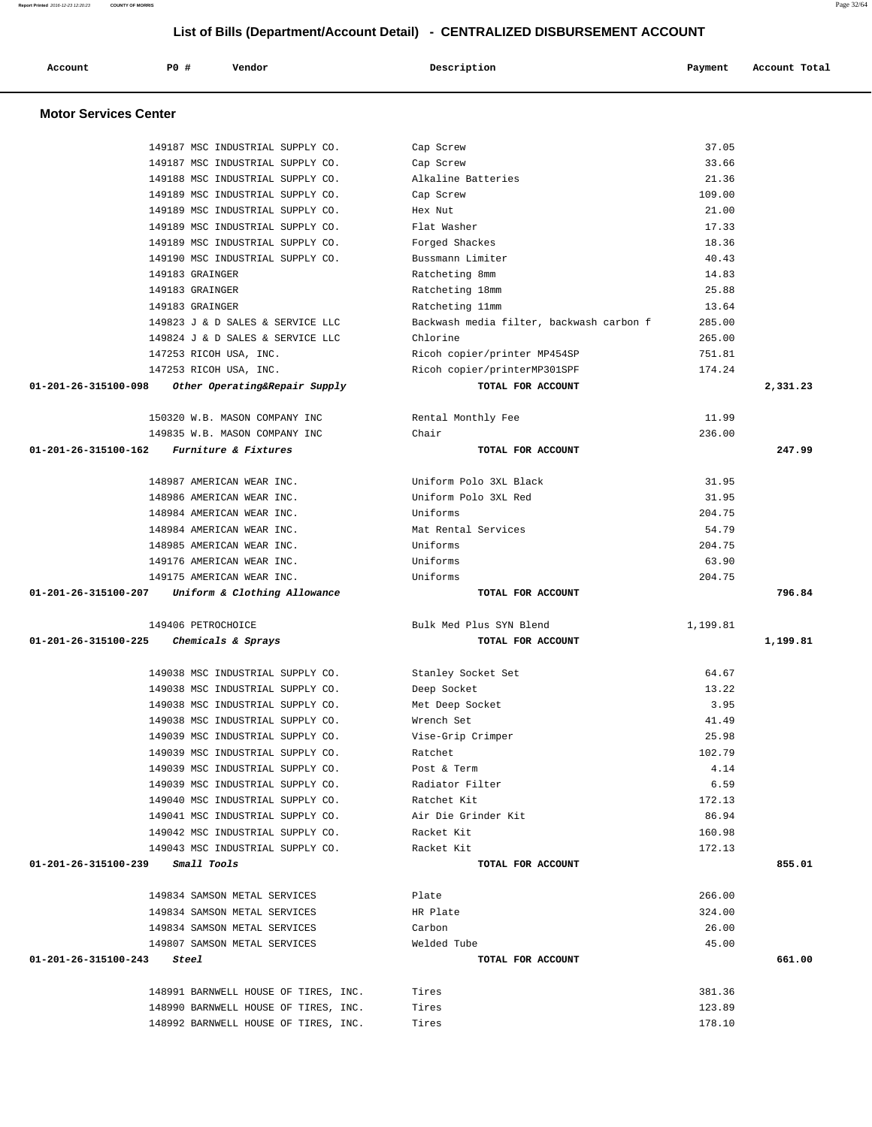| Report Printed 2016-12-23 12:20:23 | <b>COUNTY OF MORRIS</b>          |                                                                              |          | Page 32/64    |
|------------------------------------|----------------------------------|------------------------------------------------------------------------------|----------|---------------|
|                                    |                                  | List of Bills (Department/Account Detail) - CENTRALIZED DISBURSEMENT ACCOUNT |          |               |
| Account                            | <b>PO #</b><br>Vendor            | Description                                                                  | Payment  | Account Total |
| <b>Motor Services Center</b>       |                                  |                                                                              |          |               |
|                                    | 149187 MSC INDUSTRIAL SUPPLY CO. | Cap Screw                                                                    | 37.05    |               |
|                                    | 149187 MSC INDUSTRIAL SUPPLY CO. | Cap Screw                                                                    | 33.66    |               |
|                                    | 149188 MSC INDUSTRIAL SUPPLY CO. | Alkaline Batteries                                                           | 21.36    |               |
|                                    | 149189 MSC INDUSTRIAL SUPPLY CO. | Cap Screw                                                                    | 109.00   |               |
|                                    | 149189 MSC INDUSTRIAL SUPPLY CO. | Hex Nut                                                                      | 21.00    |               |
|                                    | 149189 MSC INDUSTRIAL SUPPLY CO. | Flat Washer                                                                  | 17.33    |               |
|                                    | 149189 MSC INDUSTRIAL SUPPLY CO. | Forged Shackes                                                               | 18.36    |               |
|                                    | 149190 MSC INDUSTRIAL SUPPLY CO. | Bussmann Limiter                                                             | 40.43    |               |
|                                    | 149183 GRAINGER                  | Ratcheting 8mm                                                               | 14.83    |               |
|                                    | 149183 GRAINGER                  | Ratcheting 18mm                                                              | 25.88    |               |
|                                    | 149183 GRAINGER                  | Ratcheting 11mm                                                              | 13.64    |               |
|                                    | 149823 J & D SALES & SERVICE LLC | Backwash media filter, backwash carbon f                                     | 285.00   |               |
|                                    | 149824 J & D SALES & SERVICE LLC | Chlorine                                                                     | 265.00   |               |
|                                    | 147253 RICOH USA, INC.           | Ricoh copier/printer MP454SP                                                 | 751.81   |               |
|                                    | 147253 RICOH USA, INC.           | Ricoh copier/printerMP301SPF                                                 | 174.24   |               |
| 01-201-26-315100-098               | Other Operating&Repair Supply    | TOTAL FOR ACCOUNT                                                            |          | 2,331.23      |
|                                    | 150320 W.B. MASON COMPANY INC    | Rental Monthly Fee                                                           | 11.99    |               |
|                                    | 149835 W.B. MASON COMPANY INC    | Chair                                                                        | 236.00   |               |
| 01-201-26-315100-162               | Furniture & Fixtures             | TOTAL FOR ACCOUNT                                                            |          | 247.99        |
|                                    | 148987 AMERICAN WEAR INC.        | Uniform Polo 3XL Black                                                       | 31.95    |               |
|                                    | 148986 AMERICAN WEAR INC.        | Uniform Polo 3XL Red                                                         | 31.95    |               |
|                                    | 148984 AMERICAN WEAR INC.        | Uniforms                                                                     | 204.75   |               |
|                                    | 148984 AMERICAN WEAR INC.        | Mat Rental Services                                                          | 54.79    |               |
|                                    | 148985 AMERICAN WEAR INC.        | Uniforms                                                                     | 204.75   |               |
|                                    | 149176 AMERICAN WEAR INC.        | Uniforms                                                                     | 63.90    |               |
|                                    | 149175 AMERICAN WEAR INC.        | Uniforms                                                                     | 204.75   |               |
| 01-201-26-315100-207               | Uniform & Clothing Allowance     | TOTAL FOR ACCOUNT                                                            |          | 796.84        |
|                                    | 149406 PETROCHOICE               | Bulk Med Plus SYN Blend                                                      | 1,199.81 |               |
| 01-201-26-315100-225               | Chemicals & Sprays               | TOTAL FOR ACCOUNT                                                            |          | 1,199.81      |
|                                    | 149038 MSC INDUSTRIAL SUPPLY CO. | Stanley Socket Set                                                           | 64.67    |               |
|                                    | 149038 MSC INDUSTRIAL SUPPLY CO. | Deep Socket                                                                  | 13.22    |               |
|                                    | 149038 MSC INDUSTRIAL SUPPLY CO. | Met Deep Socket                                                              | 3.95     |               |
|                                    | 149038 MSC INDUSTRIAL SUPPLY CO. | Wrench Set                                                                   | 41.49    |               |
|                                    | 149039 MSC INDUSTRIAL SUPPLY CO. | Vise-Grip Crimper                                                            | 25.98    |               |
|                                    | 149039 MSC INDUSTRIAL SUPPLY CO. | Ratchet                                                                      | 102.79   |               |
|                                    | 149039 MSC INDUSTRIAL SUPPLY CO. | Post & Term                                                                  | 4.14     |               |
|                                    | 149039 MSC INDUSTRIAL SUPPLY CO. | Radiator Filter                                                              | 6.59     |               |

 149040 MSC INDUSTRIAL SUPPLY CO. Ratchet Kit 172.13 149041 MSC INDUSTRIAL SUPPLY CO. Air Die Grinder Kit 86.94 149042 MSC INDUSTRIAL SUPPLY CO. Racket Kit 160.98 149043 MSC INDUSTRIAL SUPPLY CO. Racket Kit 172.13  **01-201-26-315100-239 Small Tools TOTAL FOR ACCOUNT 855.01**

 149834 SAMSON METAL SERVICES Plate 266.00 149834 SAMSON METAL SERVICES HR Plate 324.00 149834 SAMSON METAL SERVICES Carbon 26.00 149807 SAMSON METAL SERVICES Welded Tube 45.00  **01-201-26-315100-243 Steel TOTAL FOR ACCOUNT 661.00**

> 148991 BARNWELL HOUSE OF TIRES, INC. Tires 381.36 148990 BARNWELL HOUSE OF TIRES, INC. Tires 123.89 148992 BARNWELL HOUSE OF TIRES, INC. Tires 178.10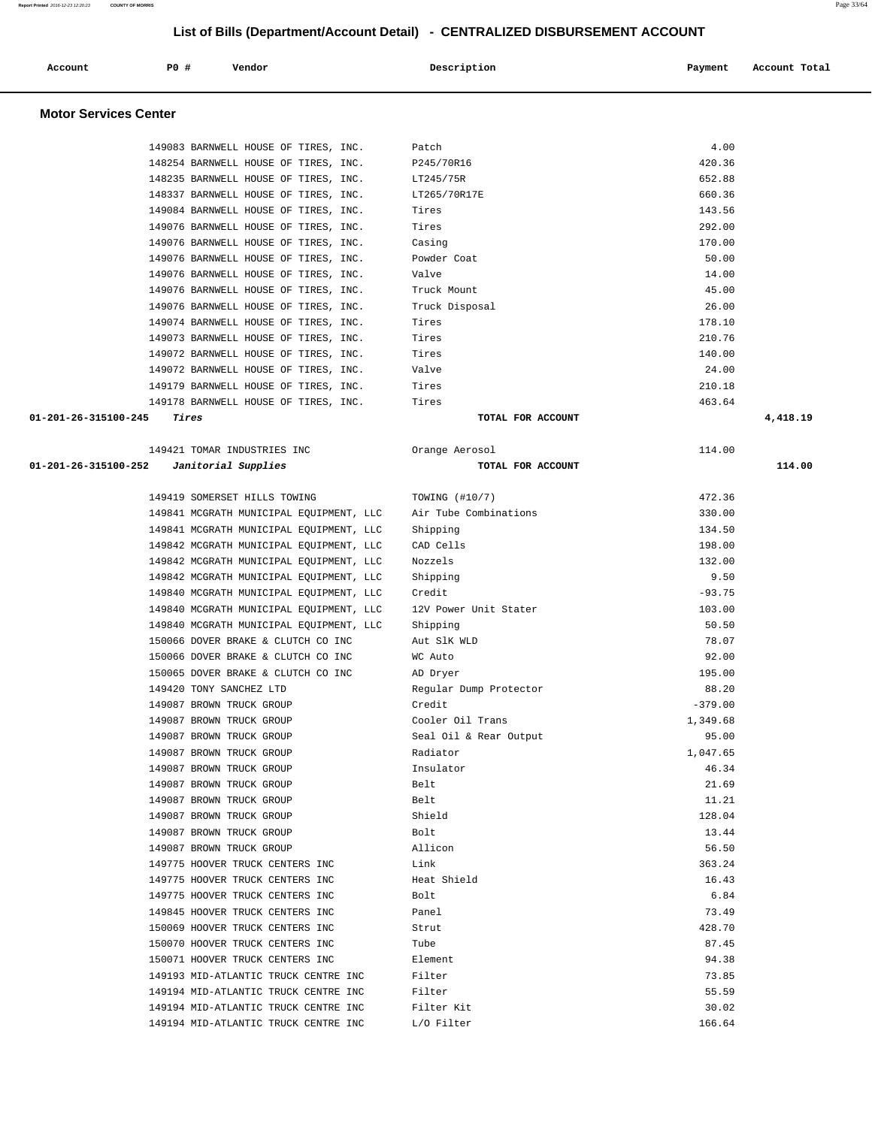| Account                      | PO# | Vendor                               |  | Description  | Payment | Account Total |
|------------------------------|-----|--------------------------------------|--|--------------|---------|---------------|
| <b>Motor Services Center</b> |     |                                      |  |              |         |               |
|                              |     | 149083 BARNWELL HOUSE OF TIRES, INC. |  | Patch        | 4.00    |               |
|                              |     | 148254 BARNWELL HOUSE OF TIRES, INC. |  | P245/70R16   | 420.36  |               |
|                              |     | 148235 BARNWELL HOUSE OF TIRES, INC. |  | LT245/75R    | 652.88  |               |
|                              |     | 148337 BARNWELL HOUSE OF TIRES, INC. |  | LT265/70R17E | 660.36  |               |
|                              |     | 149084 BARNWELL HOUSE OF TIRES, INC. |  | Tires        | 143.56  |               |
|                              |     | 149076 BARNWELL HOUSE OF TIRES, INC. |  | Tires        | 292.00  |               |
|                              |     | 149076 BARNWELL HOUSE OF TIRES, INC. |  | Casing       | 170.00  |               |

 149076 BARNWELL HOUSE OF TIRES, INC. Powder Coat 50.00 149076 BARNWELL HOUSE OF TIRES, INC. Valve 14.00 149076 BARNWELL HOUSE OF TIRES, INC. Truck Mount 45.00 149076 BARNWELL HOUSE OF TIRES, INC. Truck Disposal 26.00<br>149074 BARNWELL HOUSE OF TIRES, INC. Tires 178.10 149074 BARNWELL HOUSE OF TIRES, INC. Tires 178.10 149073 BARNWELL HOUSE OF TIRES, INC. Tires 210.76 149072 BARNWELL HOUSE OF TIRES, INC. Tires 140.00 149072 BARNWELL HOUSE OF TIRES, INC. Valve 24.00 149179 BARNWELL HOUSE OF TIRES, INC. Tires 210.18 149178 BARNWELL HOUSE OF TIRES, INC. Tires 463.64  **01-201-26-315100-245 Tires TOTAL FOR ACCOUNT 4,418.19**

|                                          | 149421 TOMAR INDUSTRIES INC                                   | Orange Aerosol         | 114.00    |        |
|------------------------------------------|---------------------------------------------------------------|------------------------|-----------|--------|
| 01-201-26-315100-252 Janitorial Supplies |                                                               | TOTAL FOR ACCOUNT      |           | 114.00 |
|                                          |                                                               |                        |           |        |
|                                          | 149419 SOMERSET HILLS TOWING                                  | TOWING (#10/7)         | 472.36    |        |
|                                          | 149841 MCGRATH MUNICIPAL EQUIPMENT, LLC Air Tube Combinations |                        | 330.00    |        |
|                                          | 149841 MCGRATH MUNICIPAL EQUIPMENT, LLC                       | Shipping               | 134.50    |        |
|                                          | 149842 MCGRATH MUNICIPAL EQUIPMENT, LLC                       | CAD Cells              | 198.00    |        |
|                                          | 149842 MCGRATH MUNICIPAL EQUIPMENT, LLC                       | Nozzels                | 132.00    |        |
|                                          | 149842 MCGRATH MUNICIPAL EQUIPMENT, LLC                       | Shipping               | 9.50      |        |
|                                          | 149840 MCGRATH MUNICIPAL EQUIPMENT, LLC                       | Credit                 | $-93.75$  |        |
|                                          | 149840 MCGRATH MUNICIPAL EQUIPMENT, LLC                       | 12V Power Unit Stater  | 103.00    |        |
|                                          | 149840 MCGRATH MUNICIPAL EQUIPMENT, LLC                       | Shipping               | 50.50     |        |
|                                          | 150066 DOVER BRAKE & CLUTCH CO INC                            | Aut S1K WLD            | 78.07     |        |
|                                          | 150066 DOVER BRAKE & CLUTCH CO INC                            | WC Auto                | 92.00     |        |
|                                          | 150065 DOVER BRAKE & CLUTCH CO INC                            | AD Dryer               | 195.00    |        |
|                                          | 149420 TONY SANCHEZ LTD                                       | Regular Dump Protector | 88.20     |        |
|                                          | 149087 BROWN TRUCK GROUP                                      | Credit                 | $-379.00$ |        |
|                                          | 149087 BROWN TRUCK GROUP                                      | Cooler Oil Trans       | 1,349.68  |        |
|                                          | 149087 BROWN TRUCK GROUP                                      | Seal Oil & Rear Output | 95.00     |        |
|                                          | 149087 BROWN TRUCK GROUP                                      | Radiator               | 1,047.65  |        |
|                                          | 149087 BROWN TRUCK GROUP                                      | Insulator              | 46.34     |        |
|                                          | 149087 BROWN TRUCK GROUP                                      | Belt                   | 21.69     |        |
|                                          | 149087 BROWN TRUCK GROUP                                      | Belt.                  | 11.21     |        |
|                                          | 149087 BROWN TRUCK GROUP                                      | Shield                 | 128.04    |        |
|                                          | 149087 BROWN TRUCK GROUP                                      | Bolt.                  | 13.44     |        |
|                                          | 149087 BROWN TRUCK GROUP                                      | Allicon                | 56.50     |        |
|                                          | 149775 HOOVER TRUCK CENTERS INC                               | Link                   | 363.24    |        |
|                                          | 149775 HOOVER TRUCK CENTERS INC                               | Heat Shield            | 16.43     |        |
|                                          | 149775 HOOVER TRUCK CENTERS INC                               | Bolt                   | 6.84      |        |
|                                          | 149845 HOOVER TRUCK CENTERS INC                               | Panel                  | 73.49     |        |
|                                          | 150069 HOOVER TRUCK CENTERS INC                               | Strut                  | 428.70    |        |
|                                          | 150070 HOOVER TRUCK CENTERS INC                               | Tube                   | 87.45     |        |
|                                          | 150071 HOOVER TRUCK CENTERS INC                               | Element.               | 94.38     |        |
|                                          | 149193 MID-ATLANTIC TRUCK CENTRE INC                          | Filter                 | 73.85     |        |
|                                          | 149194 MID-ATLANTIC TRUCK CENTRE INC                          | Filter                 | 55.59     |        |
|                                          | 149194 MID-ATLANTIC TRUCK CENTRE INC                          | Filter Kit             | 30.02     |        |
|                                          | 149194 MID-ATLANTIC TRUCK CENTRE INC                          | L/O Filter             | 166.64    |        |
|                                          |                                                               |                        |           |        |

| TOWING (#10/7)         | 472.36          |
|------------------------|-----------------|
| Air Tube Combinations  | 330.00          |
| Shipping               | 134.50          |
| CAD Cells              | 198.00          |
| Nozzels                | 132.00          |
| Shipping               | 9.50            |
| Credit                 | $-93.75$        |
| 12V Power Unit Stater  | 103.00          |
| Shipping               | 50.50           |
| Aut SlK WLD            | 78.07           |
| WC Auto                | 92.00           |
| AD Dryer               | 195.00          |
| Regular Dump Protector | 88.20           |
| Credit                 | $-379.00$       |
| Cooler Oil Trans       | 1,349.68        |
| Seal Oil & Rear Output | 95.00           |
| Radiator               | 1,047.65        |
| Insulator              | 46.34           |
| Belt                   | 21.69           |
| Belt                   | 11.21           |
| Shield                 | 128.04          |
| Bolt                   | 13.44           |
| Allicon                | 56.50           |
| Link                   | 363.24          |
| Heat Shield            | 16.43           |
| Bolt                   | 6.84            |
| Panel                  | 73.49           |
| Strut                  | 428.70          |
| Tube                   | 87.45           |
| Element                | 94.38           |
| Filter                 | 73.85           |
| Filter                 | 55.59           |
| Filter Kit             | 30.02           |
| T / 0.7111             | $T_{C}$ $C_{A}$ |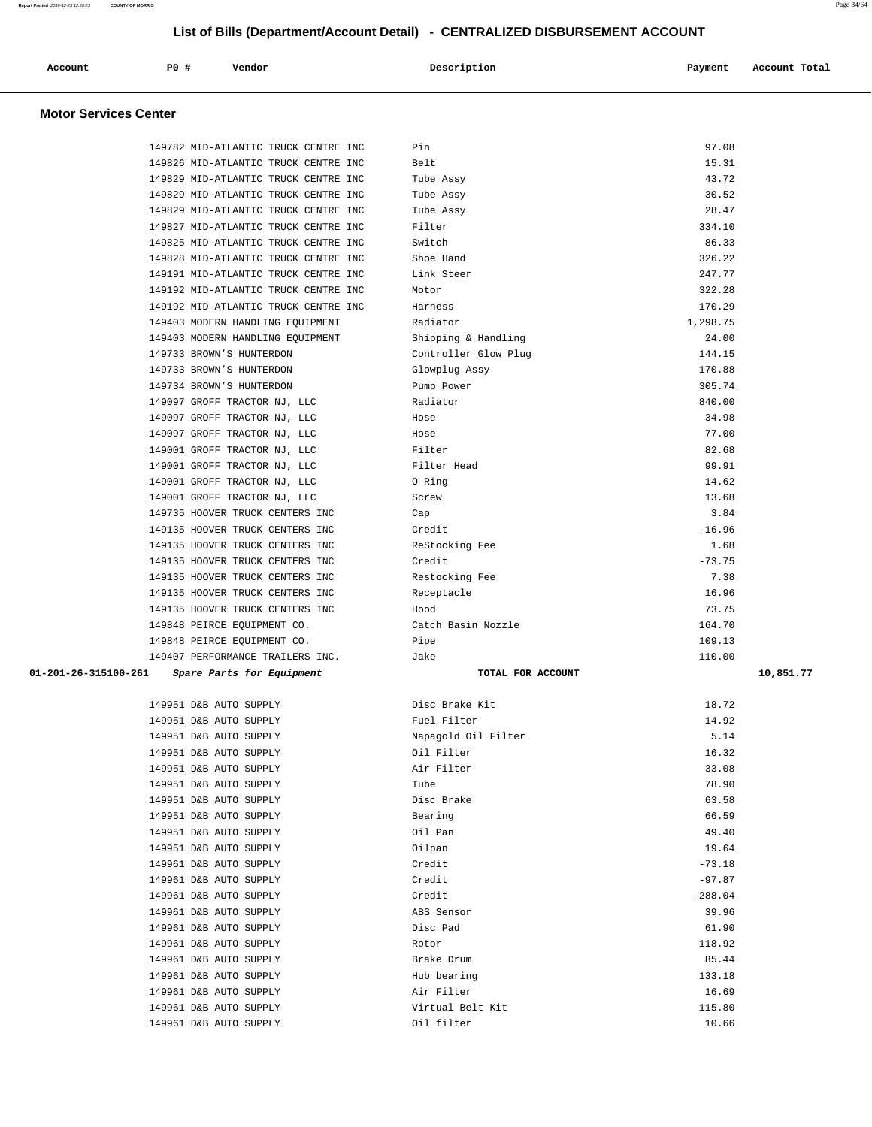| Report Printed 2016-12-23 12:20:23 | <b>COUNTY OF MORRIS</b>              | List of Bills (Department/Account Detail) - CENTRALIZED DISBURSEMENT ACCOUNT |           | Page 34/64    |
|------------------------------------|--------------------------------------|------------------------------------------------------------------------------|-----------|---------------|
| Account                            | <b>PO #</b><br>Vendor                | Description                                                                  | Payment   | Account Total |
| <b>Motor Services Center</b>       |                                      |                                                                              |           |               |
|                                    | 149782 MID-ATLANTIC TRUCK CENTRE INC | Pin                                                                          | 97.08     |               |
|                                    | 149826 MID-ATLANTIC TRUCK CENTRE INC | Belt                                                                         | 15.31     |               |
|                                    | 149829 MID-ATLANTIC TRUCK CENTRE INC | Tube Assy                                                                    | 43.72     |               |
|                                    | 149829 MID-ATLANTIC TRUCK CENTRE INC | Tube Assy                                                                    | 30.52     |               |
|                                    | 149829 MID-ATLANTIC TRUCK CENTRE INC | Tube Assy                                                                    | 28.47     |               |
|                                    | 149827 MID-ATLANTIC TRUCK CENTRE INC | Filter                                                                       | 334.10    |               |
|                                    | 149825 MID-ATLANTIC TRUCK CENTRE INC | Switch                                                                       | 86.33     |               |
|                                    | 149828 MID-ATLANTIC TRUCK CENTRE INC | Shoe Hand                                                                    | 326.22    |               |
|                                    | 149191 MID-ATLANTIC TRUCK CENTRE INC | Link Steer                                                                   | 247.77    |               |
|                                    | 149192 MID-ATLANTIC TRUCK CENTRE INC | Motor                                                                        | 322.28    |               |
|                                    | 149192 MID-ATLANTIC TRUCK CENTRE INC | Harness                                                                      | 170.29    |               |
|                                    | 149403 MODERN HANDLING EQUIPMENT     | Radiator                                                                     | 1,298.75  |               |
|                                    | 149403 MODERN HANDLING EQUIPMENT     | Shipping & Handling                                                          | 24.00     |               |
|                                    | 149733 BROWN'S HUNTERDON             | Controller Glow Plug                                                         | 144.15    |               |
|                                    | 149733 BROWN'S HUNTERDON             | Glowplug Assy                                                                | 170.88    |               |
|                                    | 149734 BROWN'S HUNTERDON             | Pump Power                                                                   | 305.74    |               |
|                                    | 149097 GROFF TRACTOR NJ, LLC         | Radiator                                                                     | 840.00    |               |
|                                    | 149097 GROFF TRACTOR NJ, LLC         | Hose                                                                         | 34.98     |               |
|                                    | 149097 GROFF TRACTOR NJ, LLC         | Hose                                                                         | 77.00     |               |
|                                    | 149001 GROFF TRACTOR NJ, LLC         | Filter                                                                       | 82.68     |               |
|                                    | 149001 GROFF TRACTOR NJ, LLC         | Filter Head                                                                  | 99.91     |               |
|                                    | 149001 GROFF TRACTOR NJ, LLC         | 0-Ring                                                                       | 14.62     |               |
|                                    | 149001 GROFF TRACTOR NJ, LLC         | Screw                                                                        | 13.68     |               |
|                                    | 149735 HOOVER TRUCK CENTERS INC      | Cap                                                                          | 3.84      |               |
|                                    | 149135 HOOVER TRUCK CENTERS INC      | Credit                                                                       | $-16.96$  |               |
|                                    | 149135 HOOVER TRUCK CENTERS INC      | ReStocking Fee                                                               | 1.68      |               |
|                                    | 149135 HOOVER TRUCK CENTERS INC      | Credit                                                                       | $-73.75$  |               |
|                                    | 149135 HOOVER TRUCK CENTERS INC      | Restocking Fee                                                               | 7.38      |               |
|                                    | 149135 HOOVER TRUCK CENTERS INC      | Receptacle                                                                   | 16.96     |               |
|                                    | 149135 HOOVER TRUCK CENTERS INC      | Hood                                                                         | 73.75     |               |
|                                    | 149848 PEIRCE EQUIPMENT CO.          | Catch Basin Nozzle                                                           | 164.70    |               |
|                                    | 149848 PEIRCE EQUIPMENT CO.          | Pipe                                                                         | 109.13    |               |
|                                    | 149407 PERFORMANCE TRAILERS INC.     | Jake                                                                         | 110.00    |               |
| 01-201-26-315100-261               | Spare Parts for Equipment            | TOTAL FOR ACCOUNT                                                            |           | 10,851.77     |
|                                    | 149951 D&B AUTO SUPPLY               | Disc Brake Kit                                                               | 18.72     |               |
|                                    | 149951 D&B AUTO SUPPLY               | Fuel Filter                                                                  | 14.92     |               |
|                                    | 149951 D&B AUTO SUPPLY               | Napagold Oil Filter                                                          | 5.14      |               |
|                                    | 149951 D&B AUTO SUPPLY               | Oil Filter                                                                   | 16.32     |               |
|                                    | 149951 D&B AUTO SUPPLY               | Air Filter                                                                   | 33.08     |               |
|                                    | 149951 D&B AUTO SUPPLY               | Tube                                                                         | 78.90     |               |
|                                    | 149951 D&B AUTO SUPPLY               | Disc Brake                                                                   | 63.58     |               |
|                                    | 149951 D&B AUTO SUPPLY               | Bearing                                                                      | 66.59     |               |
|                                    | 149951 D&B AUTO SUPPLY               | Oil Pan                                                                      | 49.40     |               |
|                                    | 149951 D&B AUTO SUPPLY               | Oilpan                                                                       | 19.64     |               |
|                                    | 149961 D&B AUTO SUPPLY               | Credit                                                                       | $-73.18$  |               |
|                                    | 149961 D&B AUTO SUPPLY               | Credit                                                                       | $-97.87$  |               |
|                                    | 149961 D&B AUTO SUPPLY               | Credit                                                                       | $-288.04$ |               |
|                                    | 149961 D&B AUTO SUPPLY               | ABS Sensor                                                                   | 39.96     |               |
|                                    | 149961 D&B AUTO SUPPLY               | Disc Pad                                                                     | 61.90     |               |
|                                    | 149961 D&B AUTO SUPPLY               | Rotor                                                                        | 118.92    |               |
|                                    | 149961 D&B AUTO SUPPLY               | Brake Drum                                                                   | 85.44     |               |
|                                    | 149961 D&B AUTO SUPPLY               | Hub bearing                                                                  | 133.18    |               |
|                                    | 149961 D&B AUTO SUPPLY               | Air Filter                                                                   | 16.69     |               |

 149961 D&B AUTO SUPPLY Virtual Belt Kit 115.80 149961 D&B AUTO SUPPLY Oil filter 10.66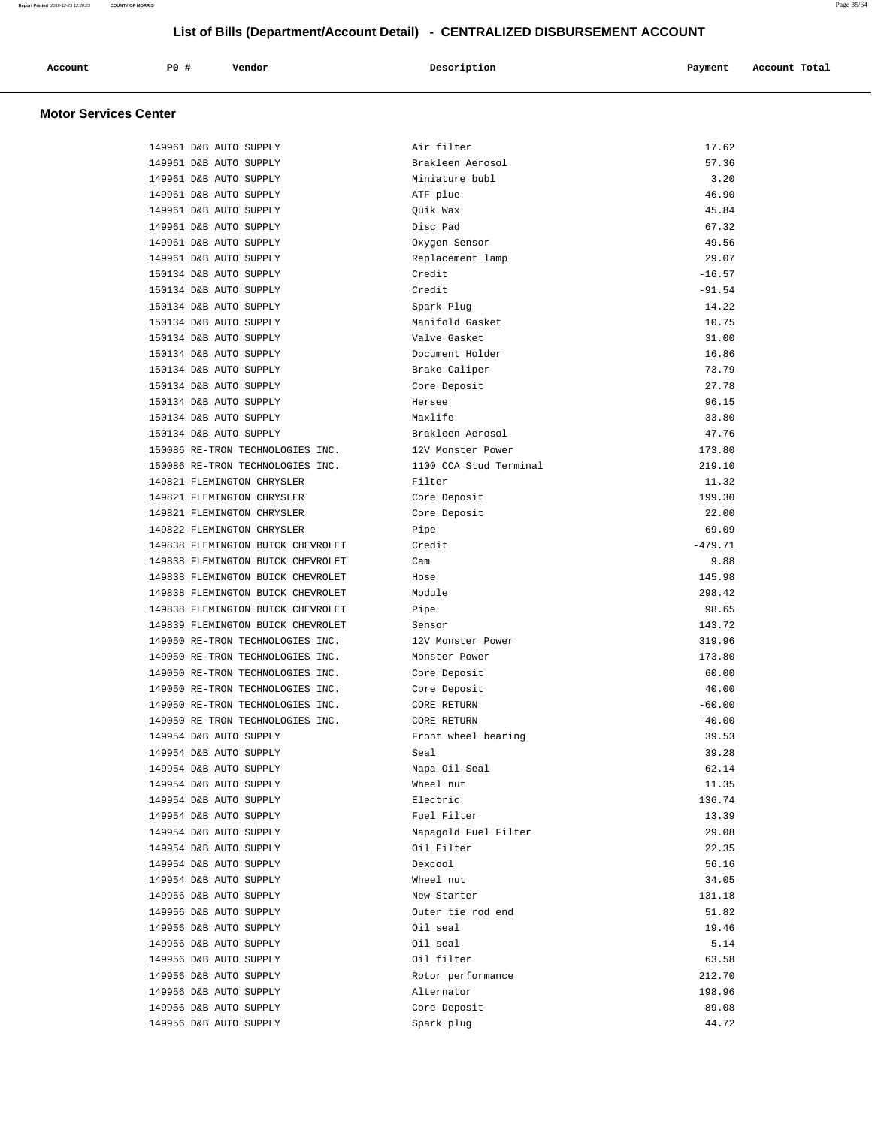| Account | PO# | Vendor | Description | Payment | Account Total |
|---------|-----|--------|-------------|---------|---------------|
|         |     |        |             |         |               |

#### **Motor Services Center**

| 149961 D&B AUTO SUPPLY            | Air filter             | 17.62     |
|-----------------------------------|------------------------|-----------|
| 149961 D&B AUTO SUPPLY            | Brakleen Aerosol       | 57.36     |
| 149961 D&B AUTO SUPPLY            | Miniature bubl         | 3.20      |
| 149961 D&B AUTO SUPPLY            | ATF plue               | 46.90     |
| 149961 D&B AUTO SUPPLY            | Quik Wax               | 45.84     |
| 149961 D&B AUTO SUPPLY            | Disc Pad               | 67.32     |
| 149961 D&B AUTO SUPPLY            | Oxygen Sensor          | 49.56     |
| 149961 D&B AUTO SUPPLY            | Replacement lamp       | 29.07     |
| 150134 D&B AUTO SUPPLY            | Credit                 | $-16.57$  |
| 150134 D&B AUTO SUPPLY            | Credit                 | $-91.54$  |
| 150134 D&B AUTO SUPPLY            | Spark Plug             | 14.22     |
| 150134 D&B AUTO SUPPLY            | Manifold Gasket        | 10.75     |
| 150134 D&B AUTO SUPPLY            | Valve Gasket           | 31.00     |
| 150134 D&B AUTO SUPPLY            | Document Holder        | 16.86     |
| 150134 D&B AUTO SUPPLY            | Brake Caliper          | 73.79     |
| 150134 D&B AUTO SUPPLY            | Core Deposit           | 27.78     |
| 150134 D&B AUTO SUPPLY            | Hersee                 | 96.15     |
| 150134 D&B AUTO SUPPLY            | Maxlife                | 33.80     |
| 150134 D&B AUTO SUPPLY            | Brakleen Aerosol       | 47.76     |
| 150086 RE-TRON TECHNOLOGIES INC.  | 12V Monster Power      | 173.80    |
| 150086 RE-TRON TECHNOLOGIES INC.  | 1100 CCA Stud Terminal | 219.10    |
| 149821 FLEMINGTON CHRYSLER        | Filter                 | 11.32     |
| 149821 FLEMINGTON CHRYSLER        | Core Deposit           | 199.30    |
| 149821 FLEMINGTON CHRYSLER        | Core Deposit           | 22.00     |
| 149822 FLEMINGTON CHRYSLER        | Pipe                   | 69.09     |
| 149838 FLEMINGTON BUICK CHEVROLET | Credit                 | $-479.71$ |
| 149838 FLEMINGTON BUICK CHEVROLET | Cam                    | 9.88      |
| 149838 FLEMINGTON BUICK CHEVROLET | Hose                   | 145.98    |
| 149838 FLEMINGTON BUICK CHEVROLET | Module                 | 298.42    |
| 149838 FLEMINGTON BUICK CHEVROLET | Pipe                   | 98.65     |
| 149839 FLEMINGTON BUICK CHEVROLET | Sensor                 | 143.72    |
| 149050 RE-TRON TECHNOLOGIES INC.  | 12V Monster Power      | 319.96    |
| 149050 RE-TRON TECHNOLOGIES INC.  | Monster Power          | 173.80    |
| 149050 RE-TRON TECHNOLOGIES INC.  | Core Deposit           | 60.00     |
| 149050 RE-TRON TECHNOLOGIES INC.  | Core Deposit           | 40.00     |
| 149050 RE-TRON TECHNOLOGIES INC.  | CORE RETURN            | $-60.00$  |
| 149050 RE-TRON TECHNOLOGIES INC.  | CORE RETURN            | $-40.00$  |
| 149954 D&B AUTO SUPPLY            | Front wheel bearing    | 39.53     |
| 149954 D&B AUTO SUPPLY            | Seal                   | 39.28     |
| 149954 D&B AUTO SUPPLY            | Napa Oil Seal          | 62.14     |
| 149954 D&B AUTO SUPPLY            | Wheel nut              | 11.35     |
| 149954 D&B AUTO SUPPLY            | Electric               | 136.74    |
| 149954 D&B AUTO SUPPLY            | Fuel Filter            | 13.39     |
| 149954 D&B AUTO SUPPLY            | Napagold Fuel Filter   | 29.08     |
| 149954 D&B AUTO SUPPLY            | Oil Filter             | 22.35     |
| 149954 D&B AUTO SUPPLY            | Dexcool                | 56.16     |
| 149954 D&B AUTO SUPPLY            | Wheel nut              | 34.05     |
| 149956 D&B AUTO SUPPLY            | New Starter            | 131.18    |
| 149956 D&B AUTO SUPPLY            | Outer tie rod end      | 51.82     |
| 149956 D&B AUTO SUPPLY            | Oil seal               | 19.46     |
| 149956 D&B AUTO SUPPLY            | Oil seal               | 5.14      |
| 149956 D&B AUTO SUPPLY            | Oil filter             | 63.58     |
| 149956 D&B AUTO SUPPLY            | Rotor performance      | 212.70    |
| 149956 D&B AUTO SUPPLY            | Alternator             | 198.96    |
| 149956 D&B AUTO SUPPLY            | Core Deposit           | 89.08     |
| 149956 D&B AUTO SUPPLY            | Spark plug             | 44.72     |
|                                   |                        |           |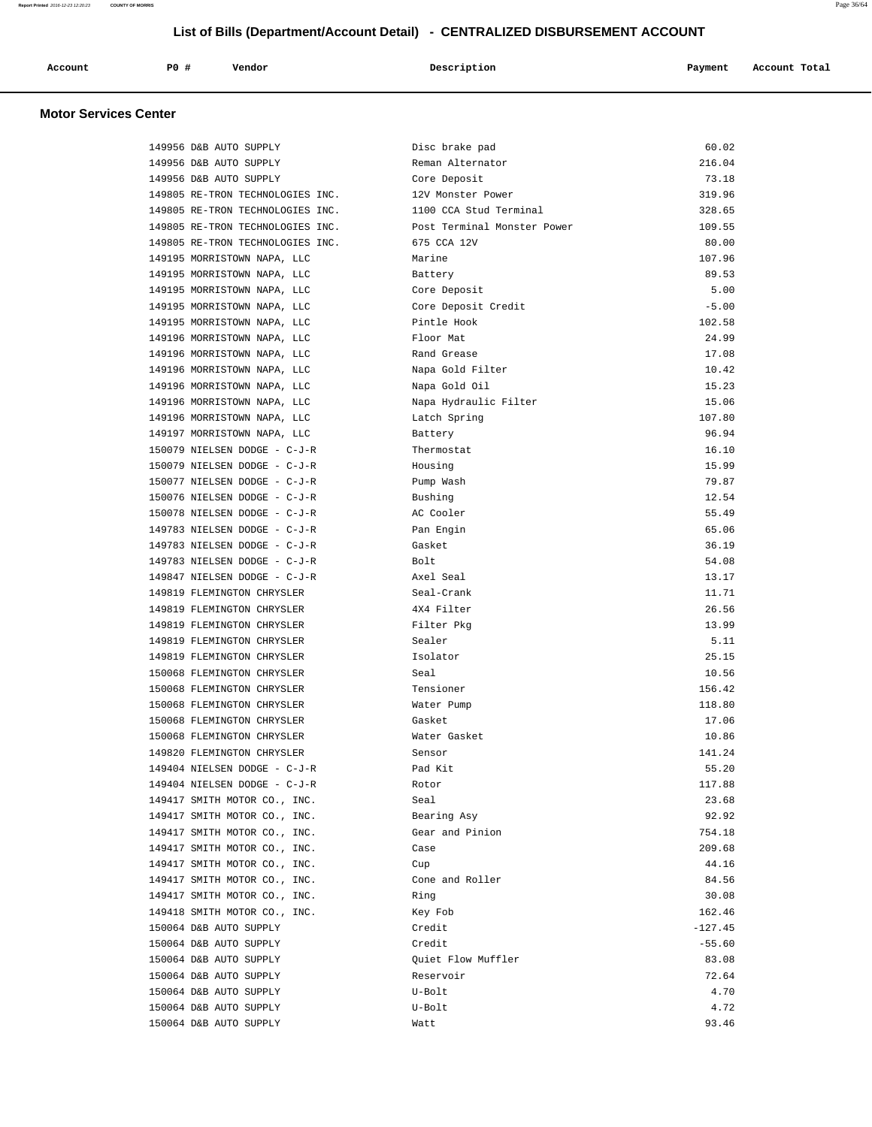| $P0$ $\overline{r}$<br>Description<br>Vendor<br>Account<br>Account Total<br>Payment |  |  |  |  |  |  |  |
|-------------------------------------------------------------------------------------|--|--|--|--|--|--|--|
|-------------------------------------------------------------------------------------|--|--|--|--|--|--|--|

## **Motor Services Center**

| 149956 D&B AUTO SUPPLY           | Disc brake pad              | 60.02     |
|----------------------------------|-----------------------------|-----------|
| 149956 D&B AUTO SUPPLY           | Reman Alternator            | 216.04    |
| 149956 D&B AUTO SUPPLY           | Core Deposit                | 73.18     |
| 149805 RE-TRON TECHNOLOGIES INC. | 12V Monster Power           | 319.96    |
| 149805 RE-TRON TECHNOLOGIES INC. | 1100 CCA Stud Terminal      | 328.65    |
| 149805 RE-TRON TECHNOLOGIES INC. | Post Terminal Monster Power | 109.55    |
| 149805 RE-TRON TECHNOLOGIES INC. | 675 CCA 12V                 | 80.00     |
| 149195 MORRISTOWN NAPA, LLC      | Marine                      | 107.96    |
| 149195 MORRISTOWN NAPA, LLC      | Battery                     | 89.53     |
| 149195 MORRISTOWN NAPA, LLC      | Core Deposit                | 5.00      |
| 149195 MORRISTOWN NAPA, LLC      | Core Deposit Credit         | $-5.00$   |
| 149195 MORRISTOWN NAPA, LLC      | Pintle Hook                 | 102.58    |
| 149196 MORRISTOWN NAPA, LLC      | Floor Mat                   | 24.99     |
| 149196 MORRISTOWN NAPA, LLC      | Rand Grease                 | 17.08     |
| 149196 MORRISTOWN NAPA, LLC      | Napa Gold Filter            | 10.42     |
| 149196 MORRISTOWN NAPA, LLC      | Napa Gold Oil               | 15.23     |
| 149196 MORRISTOWN NAPA, LLC      | Napa Hydraulic Filter       | 15.06     |
| 149196 MORRISTOWN NAPA, LLC      | Latch Spring                | 107.80    |
| 149197 MORRISTOWN NAPA, LLC      | Battery                     | 96.94     |
| 150079 NIELSEN DODGE - C-J-R     | Thermostat                  | 16.10     |
| 150079 NIELSEN DODGE - C-J-R     | Housing                     | 15.99     |
| 150077 NIELSEN DODGE - C-J-R     | Pump Wash                   | 79.87     |
| 150076 NIELSEN DODGE - C-J-R     | Bushing                     | 12.54     |
| 150078 NIELSEN DODGE - C-J-R     | AC Cooler                   | 55.49     |
| 149783 NIELSEN DODGE - C-J-R     | Pan Engin                   | 65.06     |
| 149783 NIELSEN DODGE - C-J-R     | Gasket                      | 36.19     |
| 149783 NIELSEN DODGE - C-J-R     | Bolt                        | 54.08     |
| 149847 NIELSEN DODGE - C-J-R     | Axel Seal                   | 13.17     |
| 149819 FLEMINGTON CHRYSLER       | Seal-Crank                  | 11.71     |
| 149819 FLEMINGTON CHRYSLER       | 4X4 Filter                  | 26.56     |
| 149819 FLEMINGTON CHRYSLER       | Filter Pkg                  | 13.99     |
| 149819 FLEMINGTON CHRYSLER       | Sealer                      | 5.11      |
| 149819 FLEMINGTON CHRYSLER       | Isolator                    | 25.15     |
| 150068 FLEMINGTON CHRYSLER       | Seal                        | 10.56     |
| 150068 FLEMINGTON CHRYSLER       | Tensioner                   | 156.42    |
| 150068 FLEMINGTON CHRYSLER       | Water Pump                  | 118.80    |
| 150068 FLEMINGTON CHRYSLER       | Gasket                      | 17.06     |
| 150068 FLEMINGTON CHRYSLER       | Water Gasket                | 10.86     |
| 149820 FLEMINGTON CHRYSLER       | Sensor                      | 141.24    |
| 149404 NIELSEN DODGE - C-J-R     | Pad Kit                     | 55.20     |
| 149404 NIELSEN DODGE - C-J-R     | Rotor                       | 117.88    |
| 149417 SMITH MOTOR CO., INC.     | Seal                        | 23.68     |
| 149417 SMITH MOTOR CO., INC.     | Bearing Asy                 | 92.92     |
| 149417 SMITH MOTOR CO., INC.     | Gear and Pinion             | 754.18    |
| 149417 SMITH MOTOR CO., INC.     | Case                        | 209.68    |
| 149417 SMITH MOTOR CO., INC.     | Cup                         | 44.16     |
| 149417 SMITH MOTOR CO., INC.     | Cone and Roller             | 84.56     |
| 149417 SMITH MOTOR CO., INC.     | Ring                        | 30.08     |
| 149418 SMITH MOTOR CO., INC.     | Key Fob                     | 162.46    |
| 150064 D&B AUTO SUPPLY           | Credit                      | $-127.45$ |
| 150064 D&B AUTO SUPPLY           | Credit                      | $-55.60$  |
| 150064 D&B AUTO SUPPLY           | Quiet Flow Muffler          | 83.08     |
| 150064 D&B AUTO SUPPLY           | Reservoir                   | 72.64     |
| 150064 D&B AUTO SUPPLY           | U-Bolt                      | 4.70      |
| 150064 D&B AUTO SUPPLY           | U-Bolt                      | 4.72      |
| 150064 D&B AUTO SUPPLY           | Watt                        | 93.46     |
|                                  |                             |           |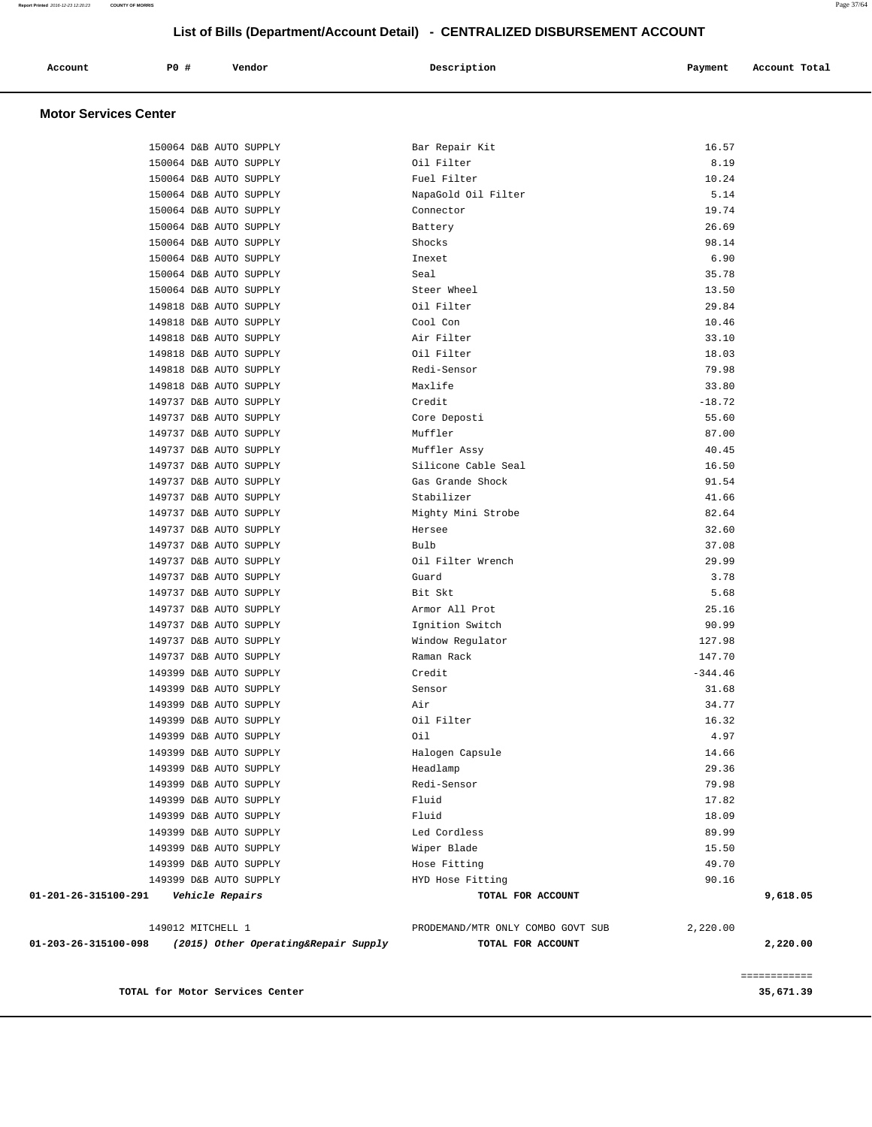#### 149737 D&B AUTO SUPPLY Bulb 37.08 149737 D&B AUTO SUPPLY Oil Filter Wrench 29.99 149737 D&B AUTO SUPPLY Guard 3.78 149737 D&B AUTO SUPPLY Bit Skt 5.68 149737 D&B AUTO SUPPLY Armor All Prot 25.16 149737 D&B AUTO SUPPLY Ignition Switch 90.99 149737 D&B AUTO SUPPLY Window Regulator 127.98 149737 D&B AUTO SUPPLY Raman Rack 147.70 149399 D&B AUTO SUPPLY Credit Credit Credit -344.46 149399 D&B AUTO SUPPLY Sensor 31.68 149399 D&B AUTO SUPPLY Air 34.77 149399 D&B AUTO SUPPLY Oil Filter 16.32 149399 D&B AUTO SUPPLY Oil 4.97 149399 D&B AUTO SUPPLY Halogen Capsule 14.66 149399 D&B AUTO SUPPLY Headlamp 29.36 149399 D&B AUTO SUPPLY Redi-Sensor 79.98 149399 D&B AUTO SUPPLY Fluid 17.82 149399 D&B AUTO SUPPLY Fluid 18.09 149399 D&B AUTO SUPPLY Led Cordless 89.99 149399 D&B AUTO SUPPLY Wiper Blade 15.50 149399 D&B AUTO SUPPLY Hose Fitting 49.70 149399 D&B AUTO SUPPLY HYD Hose Fitting 90.16  **01-201-26-315100-291 Vehicle Repairs TOTAL FOR ACCOUNT 9,618.05** 149012 MITCHELL 1 PRODEMAND/MTR ONLY COMBO GOVT SUB 2,220.00  **01-203-26-315100-098 (2015) Other Operating&Repair Supply TOTAL FOR ACCOUNT 2,220.00** ============ **TOTAL for Motor Services Center 35,671.39**

| Account<br>. | P <sub>0</sub> | Vendor | Description<br>. | Payment | Account<br>. | Total |
|--------------|----------------|--------|------------------|---------|--------------|-------|
|              |                |        |                  |         |              |       |
|              |                |        |                  |         |              |       |

 150064 D&B AUTO SUPPLY Bar Repair Kit 16.57 150064 D&B AUTO SUPPLY Oil Filter 8.19 150064 D&B AUTO SUPPLY Fuel Filter 10.24 150064 D&B AUTO SUPPLY NapaGold Oil Filter 5.14 150064 D&B AUTO SUPPLY Connector 19.74 150064 D&B AUTO SUPPLY Battery 26.69 150064 D&B AUTO SUPPLY Shocks 98.14 150064 D&B AUTO SUPPLY Inexet 6.90 150064 D&B AUTO SUPPLY Seal 35.78 150064 D&B AUTO SUPPLY Steer Wheel 13.50 149818 D&B AUTO SUPPLY Oil Filter 29.84 149818 D&B AUTO SUPPLY Cool Con 10.46 149818 D&B AUTO SUPPLY Air Filter 33.10 149818 D&B AUTO SUPPLY Oil Filter 18.03 149818 D&B AUTO SUPPLY Redi-Sensor 79.98 149818 D&B AUTO SUPPLY Maxlife 33.80 149737 D&B AUTO SUPPLY Credit Credit Credit -18.72 149737 D&B AUTO SUPPLY Core Deposti 55.60 149737 D&B AUTO SUPPLY Muffler 87.00 149737 D&B AUTO SUPPLY Muffler Assy 40.45 149737 D&B AUTO SUPPLY Silicone Cable Seal 16.50 149737 D&B AUTO SUPPLY Gas Grande Shock 91.54 149737 D&B AUTO SUPPLY Stabilizer 41.66 149737 D&B AUTO SUPPLY Mighty Mini Strobe 82.64 149737 D&B AUTO SUPPLY Hersee 32.60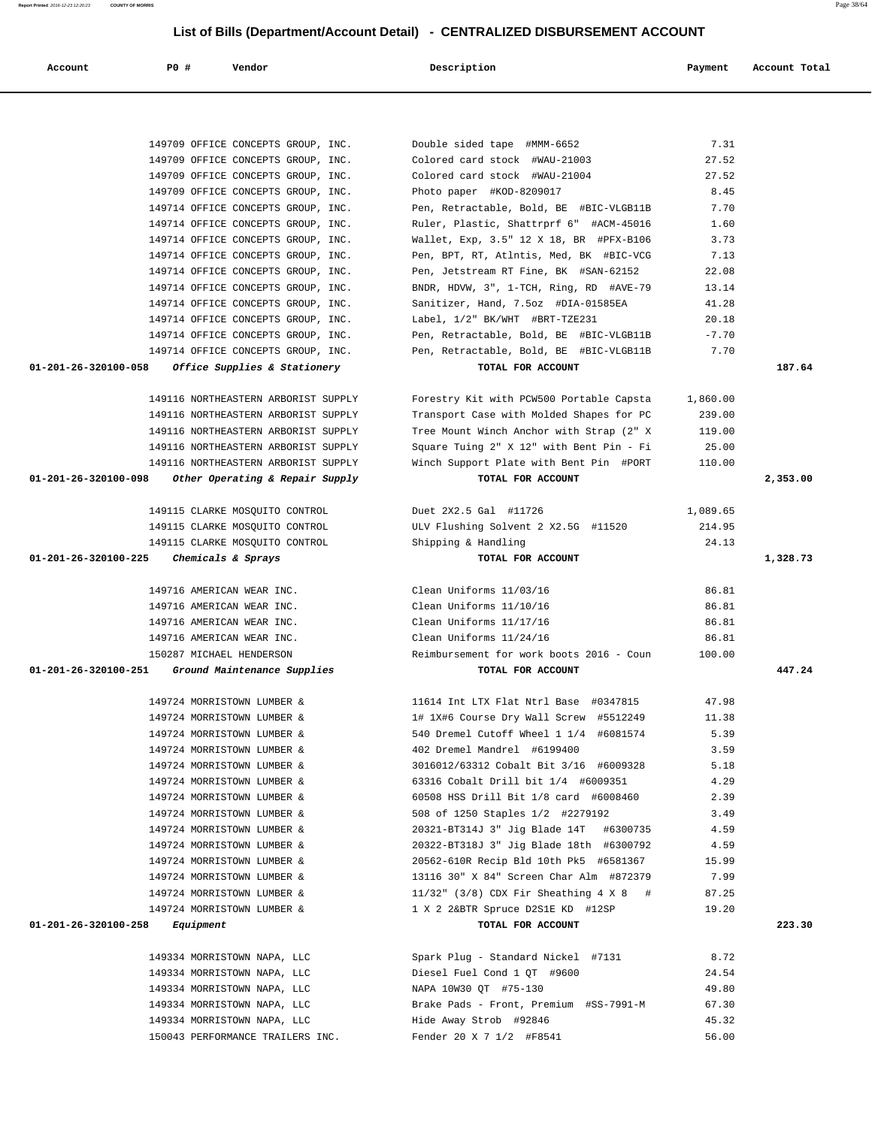| Account                                  | <b>PO #</b>               | Vendor                              | Description                               | Payment  | Account Total |
|------------------------------------------|---------------------------|-------------------------------------|-------------------------------------------|----------|---------------|
|                                          |                           |                                     |                                           |          |               |
|                                          |                           |                                     |                                           |          |               |
|                                          |                           | 149709 OFFICE CONCEPTS GROUP, INC.  | Double sided tape #MMM-6652               | 7.31     |               |
|                                          |                           | 149709 OFFICE CONCEPTS GROUP, INC.  | Colored card stock #WAU-21003             | 27.52    |               |
|                                          |                           | 149709 OFFICE CONCEPTS GROUP, INC.  | Colored card stock #WAU-21004             | 27.52    |               |
|                                          |                           | 149709 OFFICE CONCEPTS GROUP, INC.  | Photo paper #KOD-8209017                  | 8.45     |               |
|                                          |                           | 149714 OFFICE CONCEPTS GROUP, INC.  | Pen, Retractable, Bold, BE #BIC-VLGB11B   | 7.70     |               |
|                                          |                           | 149714 OFFICE CONCEPTS GROUP, INC.  | Ruler, Plastic, Shattrprf 6" #ACM-45016   | 1.60     |               |
|                                          |                           | 149714 OFFICE CONCEPTS GROUP, INC.  | Wallet, Exp, 3.5" 12 X 18, BR #PFX-B106   | 3.73     |               |
|                                          |                           | 149714 OFFICE CONCEPTS GROUP, INC.  | Pen, BPT, RT, Atlntis, Med, BK #BIC-VCG   | 7.13     |               |
|                                          |                           | 149714 OFFICE CONCEPTS GROUP, INC.  | Pen, Jetstream RT Fine, BK #SAN-62152     | 22.08    |               |
|                                          |                           | 149714 OFFICE CONCEPTS GROUP, INC.  | BNDR, HDVW, 3", 1-TCH, Ring, RD #AVE-79   | 13.14    |               |
|                                          |                           | 149714 OFFICE CONCEPTS GROUP, INC.  | Sanitizer, Hand, 7.5oz #DIA-01585EA       | 41.28    |               |
|                                          |                           | 149714 OFFICE CONCEPTS GROUP, INC.  | Label, 1/2" BK/WHT #BRT-TZE231            | 20.18    |               |
|                                          |                           | 149714 OFFICE CONCEPTS GROUP, INC.  | Pen, Retractable, Bold, BE #BIC-VLGB11B   | $-7.70$  |               |
|                                          |                           | 149714 OFFICE CONCEPTS GROUP, INC.  | Pen, Retractable, Bold, BE #BIC-VLGB11B   | 7.70     |               |
| 01-201-26-320100-058                     |                           | Office Supplies & Stationery        | TOTAL FOR ACCOUNT                         |          | 187.64        |
|                                          |                           |                                     |                                           |          |               |
|                                          |                           | 149116 NORTHEASTERN ARBORIST SUPPLY | Forestry Kit with PCW500 Portable Capsta  | 1,860.00 |               |
|                                          |                           | 149116 NORTHEASTERN ARBORIST SUPPLY | Transport Case with Molded Shapes for PC  | 239.00   |               |
|                                          |                           | 149116 NORTHEASTERN ARBORIST SUPPLY | Tree Mount Winch Anchor with Strap (2" X  | 119.00   |               |
|                                          |                           | 149116 NORTHEASTERN ARBORIST SUPPLY | Square Tuing 2" X 12" with Bent Pin - Fi  | 25.00    |               |
|                                          |                           | 149116 NORTHEASTERN ARBORIST SUPPLY | Winch Support Plate with Bent Pin #PORT   | 110.00   |               |
| 01-201-26-320100-098                     |                           | Other Operating & Repair Supply     | TOTAL FOR ACCOUNT                         |          | 2,353.00      |
|                                          |                           |                                     |                                           |          |               |
|                                          |                           | 149115 CLARKE MOSQUITO CONTROL      | Duet 2X2.5 Gal #11726                     | 1,089.65 |               |
|                                          |                           | 149115 CLARKE MOSQUITO CONTROL      | ULV Flushing Solvent 2 X2.5G #11520       | 214.95   |               |
|                                          |                           | 149115 CLARKE MOSQUITO CONTROL      | Shipping & Handling                       | 24.13    |               |
| 01-201-26-320100-225                     |                           | Chemicals & Sprays                  | TOTAL FOR ACCOUNT                         |          | 1,328.73      |
|                                          | 149716 AMERICAN WEAR INC. |                                     | Clean Uniforms 11/03/16                   | 86.81    |               |
|                                          | 149716 AMERICAN WEAR INC. |                                     | Clean Uniforms 11/10/16                   | 86.81    |               |
|                                          |                           | 149716 AMERICAN WEAR INC.           | Clean Uniforms 11/17/16                   | 86.81    |               |
|                                          | 149716 AMERICAN WEAR INC. |                                     | Clean Uniforms 11/24/16                   | 86.81    |               |
|                                          | 150287 MICHAEL HENDERSON  |                                     | Reimbursement for work boots 2016 - Coun  | 100.00   |               |
| 01-201-26-320100-251                     |                           | Ground Maintenance Supplies         | TOTAL FOR ACCOUNT                         |          | 447.24        |
|                                          |                           |                                     |                                           |          |               |
|                                          |                           | 149724 MORRISTOWN LUMBER &          | 11614 Int LTX Flat Ntrl Base #0347815     | 47.98    |               |
|                                          |                           | 149724 MORRISTOWN LUMBER &          | 1# 1X#6 Course Dry Wall Screw #5512249    | 11.38    |               |
|                                          |                           | 149724 MORRISTOWN LUMBER &          | 540 Dremel Cutoff Wheel 1 1/4 #6081574    | 5.39     |               |
|                                          |                           | 149724 MORRISTOWN LUMBER &          | 402 Dremel Mandrel #6199400               | 3.59     |               |
|                                          |                           | 149724 MORRISTOWN LUMBER &          | 3016012/63312 Cobalt Bit 3/16 #6009328    | 5.18     |               |
|                                          |                           | 149724 MORRISTOWN LUMBER &          | 63316 Cobalt Drill bit 1/4 #6009351       | 4.29     |               |
|                                          |                           | 149724 MORRISTOWN LUMBER &          | 60508 HSS Drill Bit 1/8 card #6008460     | 2.39     |               |
|                                          |                           | 149724 MORRISTOWN LUMBER &          | 508 of 1250 Staples 1/2 #2279192          | 3.49     |               |
|                                          |                           | 149724 MORRISTOWN LUMBER &          | 20321-BT314J 3" Jig Blade 14T #6300735    | 4.59     |               |
|                                          |                           | 149724 MORRISTOWN LUMBER &          | 20322-BT318J 3" Jig Blade 18th #6300792   | 4.59     |               |
|                                          |                           | 149724 MORRISTOWN LUMBER &          | 20562-610R Recip Bld 10th Pk5 #6581367    | 15.99    |               |
|                                          |                           | 149724 MORRISTOWN LUMBER &          | 13116 30" X 84" Screen Char Alm #872379   | 7.99     |               |
|                                          |                           | 149724 MORRISTOWN LUMBER &          | $11/32$ " (3/8) CDX Fir Sheathing 4 X 8 # | 87.25    |               |
|                                          |                           | 149724 MORRISTOWN LUMBER &          | 1 X 2 2&BTR Spruce D2S1E KD #12SP         | 19.20    |               |
| $01 - 201 - 26 - 320100 - 258$ Equipment |                           |                                     | TOTAL FOR ACCOUNT                         |          | 223.30        |
|                                          |                           | 149334 MORRISTOWN NAPA, LLC         | Spark Plug - Standard Nickel #7131 8.72   |          |               |
|                                          |                           | 149334 MORRISTOWN NAPA, LLC         | Diesel Fuel Cond 1 QT #9600               | 24.54    |               |
|                                          |                           | 149334 MORRISTOWN NAPA, LLC         | NAPA 10W30 QT #75-130                     | 49.80    |               |
|                                          |                           | 149334 MORRISTOWN NAPA, LLC         | Brake Pads - Front, Premium #SS-7991-M    | 67.30    |               |
|                                          |                           | 149334 MORRISTOWN NAPA, LLC         | Hide Away Strob #92846                    | 45.32    |               |
|                                          |                           | 150043 PERFORMANCE TRAILERS INC.    | Fender 20 X 7 1/2 #F8541                  | 56.00    |               |
|                                          |                           |                                     |                                           |          |               |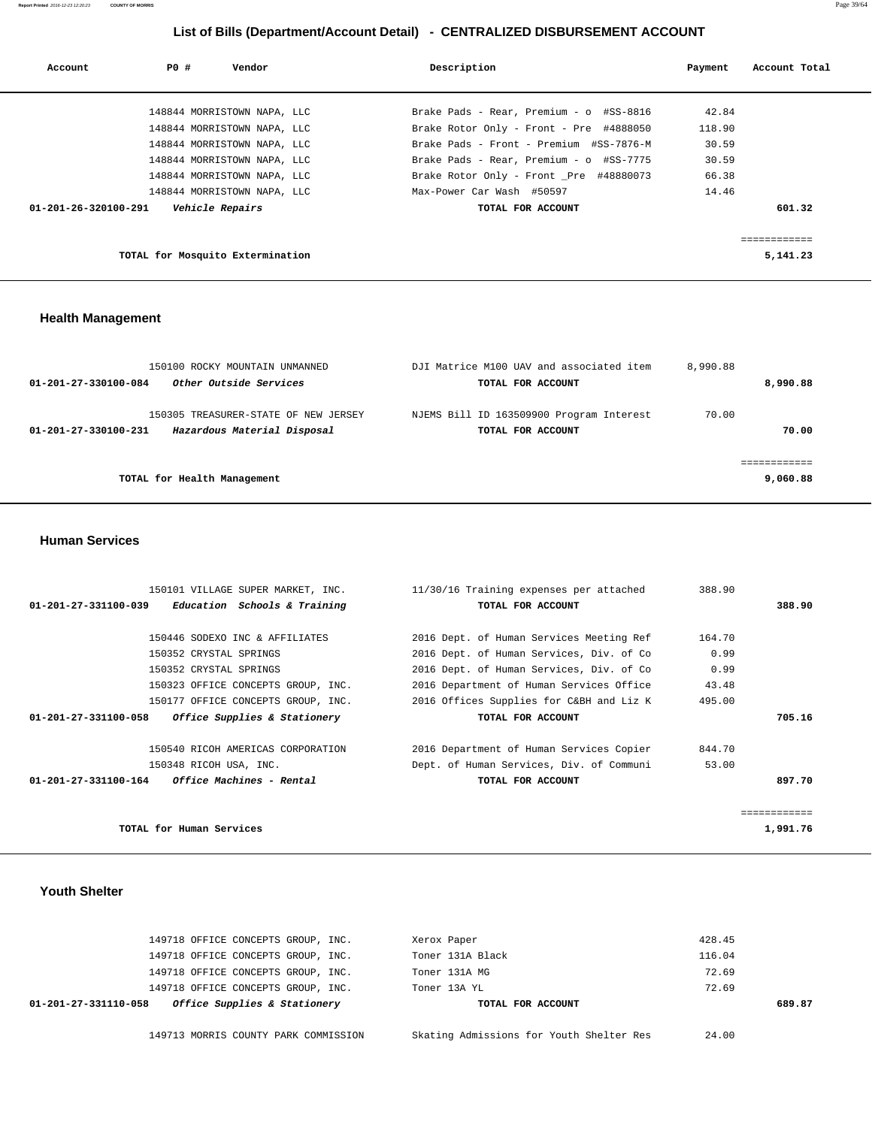| Account                        | PO# | Vendor                                                     | Description                                                                        | Payment         | Account Total |
|--------------------------------|-----|------------------------------------------------------------|------------------------------------------------------------------------------------|-----------------|---------------|
|                                |     |                                                            |                                                                                    |                 |               |
|                                |     | 148844 MORRISTOWN NAPA, LLC<br>148844 MORRISTOWN NAPA, LLC | Brake Pads - Rear, Premium - o #SS-8816<br>Brake Rotor Only - Front - Pre #4888050 | 42.84<br>118.90 |               |
|                                |     | 148844 MORRISTOWN NAPA, LLC                                | Brake Pads - Front - Premium #SS-7876-M                                            | 30.59           |               |
|                                |     | 148844 MORRISTOWN NAPA, LLC                                | Brake Pads - Rear, Premium - o #SS-7775                                            | 30.59           |               |
|                                |     | 148844 MORRISTOWN NAPA, LLC                                | Brake Rotor Only - Front Pre #48880073                                             | 66.38           |               |
|                                |     | 148844 MORRISTOWN NAPA, LLC                                | Max-Power Car Wash #50597                                                          | 14.46           |               |
| $01 - 201 - 26 - 320100 - 291$ |     | Vehicle Repairs                                            | TOTAL FOR ACCOUNT                                                                  |                 | 601.32        |
|                                |     |                                                            |                                                                                    |                 |               |
|                                |     |                                                            |                                                                                    |                 |               |
|                                |     | TOTAL for Mosquito Extermination                           |                                                                                    |                 | 5,141.23      |

#### **Health Management**

| 150100 ROCKY MOUNTAIN UNMANNED<br>Other Outside Services<br>01-201-27-330100-084            | DJI Matrice M100 UAV and associated item<br>TOTAL FOR ACCOUNT | 8,990.88<br>8,990.88 |
|---------------------------------------------------------------------------------------------|---------------------------------------------------------------|----------------------|
| 150305 TREASURER-STATE OF NEW JERSEY<br>Hazardous Material Disposal<br>01-201-27-330100-231 | NJEMS Bill ID 163509900 Program Interest<br>TOTAL FOR ACCOUNT | 70.00<br>70.00       |
| TOTAL for Health Management                                                                 |                                                               | 9,060.88             |

#### **Human Services**

| 150101 VILLAGE SUPER MARKET, INC.                    | 11/30/16 Training expenses per attached  | 388.90 |                         |
|------------------------------------------------------|------------------------------------------|--------|-------------------------|
| Education Schools & Training<br>01-201-27-331100-039 | TOTAL FOR ACCOUNT                        |        | 388.90                  |
|                                                      |                                          |        |                         |
| 150446 SODEXO INC & AFFILIATES                       | 2016 Dept. of Human Services Meeting Ref | 164.70 |                         |
| 150352 CRYSTAL SPRINGS                               | 2016 Dept. of Human Services, Div. of Co | 0.99   |                         |
| 150352 CRYSTAL SPRINGS                               | 2016 Dept. of Human Services, Div. of Co | 0.99   |                         |
| 150323 OFFICE CONCEPTS GROUP, INC.                   | 2016 Department of Human Services Office | 43.48  |                         |
| 150177 OFFICE CONCEPTS GROUP, INC.                   | 2016 Offices Supplies for C&BH and Liz K | 495.00 |                         |
| Office Supplies & Stationery<br>01-201-27-331100-058 | TOTAL FOR ACCOUNT                        |        | 705.16                  |
| 150540 RICOH AMERICAS CORPORATION                    | 2016 Department of Human Services Copier | 844.70 |                         |
| 150348 RICOH USA, INC.                               | Dept. of Human Services, Div. of Communi | 53.00  |                         |
| $01-201-27-331100-164$ Office Machines - Rental      | TOTAL FOR ACCOUNT                        |        | 897.70                  |
|                                                      |                                          |        | . = = = = = = = = = = = |
|                                                      |                                          |        |                         |
| TOTAL for Human Services                             |                                          |        | 1,991.76                |

#### **Youth Shelter**

|                      | 149713 MORRIS COUNTY PARK COMMISSION |  | Skating Admissions for Youth Shelter Res | 24.00  |        |
|----------------------|--------------------------------------|--|------------------------------------------|--------|--------|
| 01-201-27-331110-058 | Office Supplies & Stationery         |  | TOTAL FOR ACCOUNT                        |        | 689.87 |
|                      | 149718 OFFICE CONCEPTS GROUP, INC.   |  | Toner 13A YL                             | 72.69  |        |
|                      | 149718 OFFICE CONCEPTS GROUP, INC.   |  | Toner 131A MG                            | 72.69  |        |
|                      | 149718 OFFICE CONCEPTS GROUP, INC.   |  | Toner 131A Black                         | 116.04 |        |
|                      | 149718 OFFICE CONCEPTS GROUP, INC.   |  | Xerox Paper                              | 428.45 |        |
|                      |                                      |  |                                          |        |        |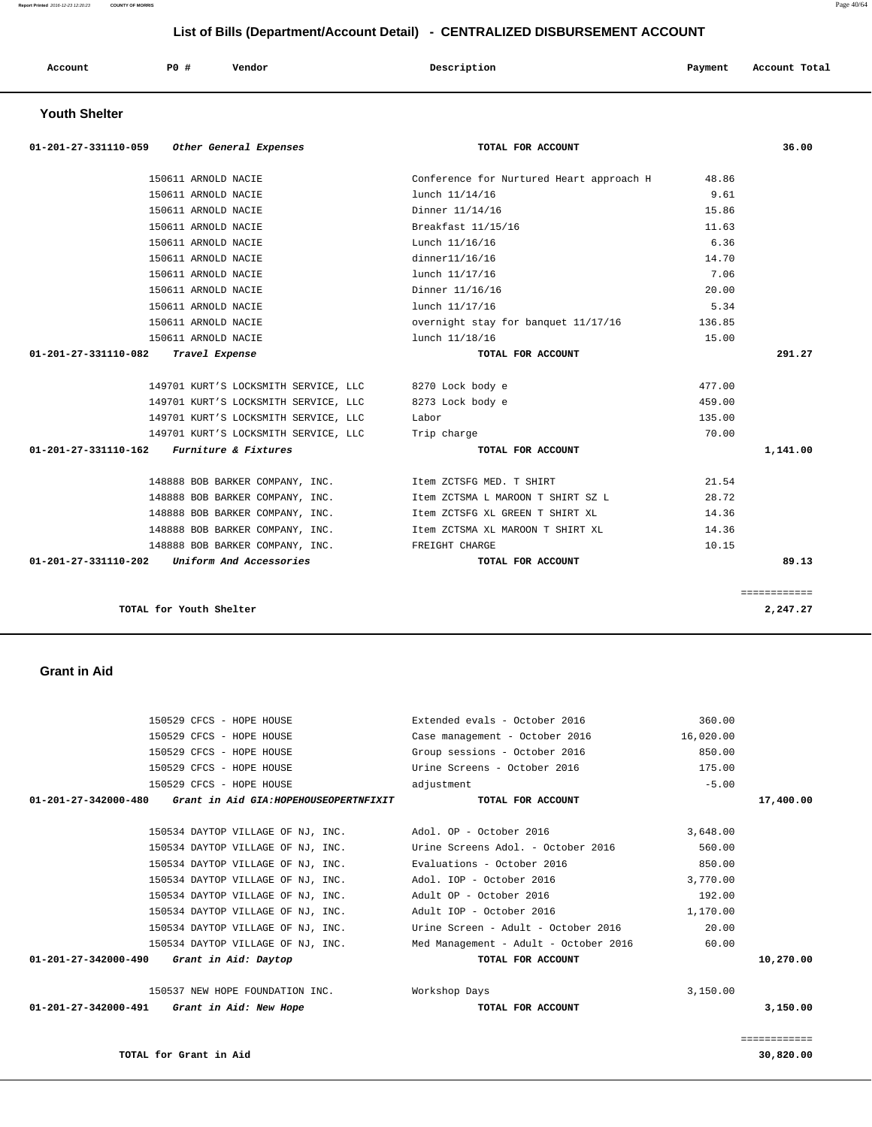**TOTAL for Grant in Aid 30,820.00**

============

| 150529 CFCS - HOPE HOUSE                                      | Case management - October 2016        | 16,020.00 |           |
|---------------------------------------------------------------|---------------------------------------|-----------|-----------|
| 150529 CFCS - HOPE HOUSE                                      | Group sessions - October 2016         | 850.00    |           |
| 150529 CFCS - HOPE HOUSE                                      | Urine Screens - October 2016          | 175.00    |           |
| 150529 CFCS - HOPE HOUSE                                      | adjustment                            | $-5.00$   |           |
| 01-201-27-342000-480<br>Grant in Aid GIA:HOPEHOUSEOPERTNFIXIT | TOTAL FOR ACCOUNT                     |           | 17,400.00 |
| 150534 DAYTOP VILLAGE OF NJ, INC.                             | Adol. OP - October 2016               | 3,648.00  |           |
| 150534 DAYTOP VILLAGE OF NJ, INC.                             | Urine Screens Adol. - October 2016    | 560.00    |           |
| 150534 DAYTOP VILLAGE OF NJ, INC.                             | Evaluations - October 2016            | 850.00    |           |
| 150534 DAYTOP VILLAGE OF NJ, INC.                             | Adol. IOP - October 2016              | 3,770.00  |           |
| 150534 DAYTOP VILLAGE OF NJ, INC.                             | Adult OP - October 2016               | 192.00    |           |
| 150534 DAYTOP VILLAGE OF NJ, INC.                             | Adult IOP - October 2016              | 1,170.00  |           |
| 150534 DAYTOP VILLAGE OF NJ, INC.                             | Urine Screen - Adult - October 2016   | 20.00     |           |
| 150534 DAYTOP VILLAGE OF NJ, INC.                             | Med Management - Adult - October 2016 | 60.00     |           |
| 01-201-27-342000-490 Grant in Aid: Daytop                     | TOTAL FOR ACCOUNT                     |           | 10,270.00 |
| 150537 NEW HOPE FOUNDATION INC.                               | Workshop Days                         | 3,150.00  |           |
| 01-201-27-342000-491<br>Grant in Aid: New Hope                | TOTAL FOR ACCOUNT                     |           | 3,150.00  |

150529 CFCS - HOPE HOUSE Extended evals - October 2016 360.00

#### **Grant in Aid**

| Account              | PO#<br>Vendor                        | Description                              | Payment | Account Total |
|----------------------|--------------------------------------|------------------------------------------|---------|---------------|
| <b>Youth Shelter</b> |                                      |                                          |         |               |
| 01-201-27-331110-059 | Other General Expenses               | TOTAL FOR ACCOUNT                        |         | 36.00         |
|                      | 150611 ARNOLD NACIE                  | Conference for Nurtured Heart approach H | 48.86   |               |
|                      | 150611 ARNOLD NACIE                  | lunch 11/14/16                           | 9.61    |               |
|                      | 150611 ARNOLD NACIE                  | Dinner 11/14/16                          | 15.86   |               |
|                      | 150611 ARNOLD NACIE                  | Breakfast 11/15/16                       | 11.63   |               |
|                      | 150611 ARNOLD NACIE                  | Lunch 11/16/16                           | 6.36    |               |
|                      | 150611 ARNOLD NACIE                  | dinner11/16/16                           | 14.70   |               |
|                      | 150611 ARNOLD NACIE                  | lunch 11/17/16                           | 7.06    |               |
|                      | 150611 ARNOLD NACIE                  | Dinner 11/16/16                          | 20.00   |               |
|                      | 150611 ARNOLD NACIE                  | lunch 11/17/16                           | 5.34    |               |
|                      | 150611 ARNOLD NACIE                  | overnight stay for banquet 11/17/16      | 136.85  |               |
|                      | 150611 ARNOLD NACIE                  | lunch 11/18/16                           | 15.00   |               |
| 01-201-27-331110-082 | Travel Expense                       | TOTAL FOR ACCOUNT                        |         | 291.27        |
|                      | 149701 KURT'S LOCKSMITH SERVICE, LLC | 8270 Lock body e                         | 477.00  |               |
|                      | 149701 KURT'S LOCKSMITH SERVICE, LLC | 8273 Lock body e                         | 459.00  |               |
|                      | 149701 KURT'S LOCKSMITH SERVICE, LLC | Labor                                    | 135.00  |               |
|                      | 149701 KURT'S LOCKSMITH SERVICE, LLC | Trip charge                              | 70.00   |               |
| 01-201-27-331110-162 | Furniture & Fixtures                 | TOTAL FOR ACCOUNT                        |         | 1,141.00      |
|                      | 148888 BOB BARKER COMPANY, INC.      | Item ZCTSFG MED. T SHIRT                 | 21.54   |               |
|                      | 148888 BOB BARKER COMPANY, INC.      | Item ZCTSMA L MAROON T SHIRT SZ L        | 28.72   |               |
|                      | 148888 BOB BARKER COMPANY, INC.      | Item ZCTSFG XL GREEN T SHIRT XL          | 14.36   |               |
|                      | 148888 BOB BARKER COMPANY, INC.      | Item ZCTSMA XL MAROON T SHIRT XL         | 14.36   |               |
|                      | 148888 BOB BARKER COMPANY, INC.      | FREIGHT CHARGE                           | 10.15   |               |
| 01-201-27-331110-202 | Uniform And Accessories              | TOTAL FOR ACCOUNT                        |         | 89.13         |
|                      |                                      |                                          |         | ============  |
|                      | TOTAL for Youth Shelter              |                                          |         | 2,247.27      |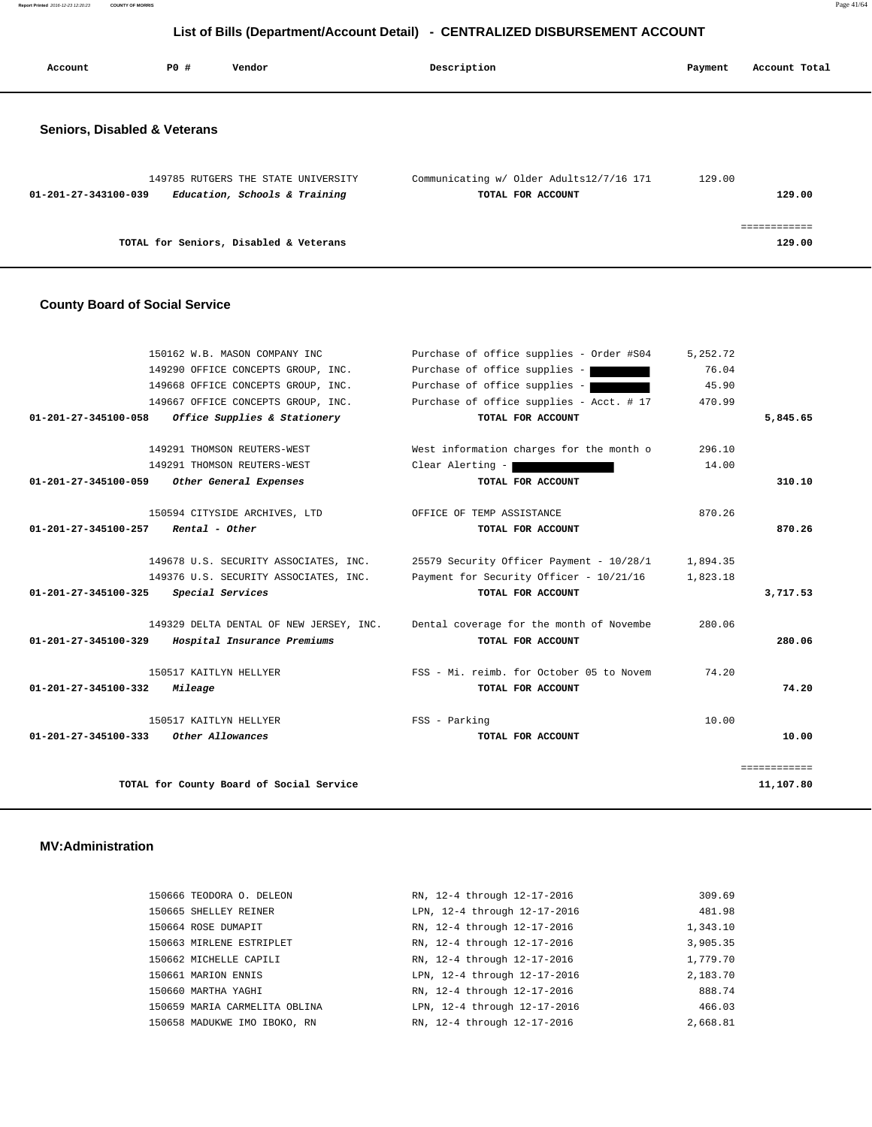**Report Printed** 2016-12-23 12:20:23 **COUNTY OF MORRIS** Page 41/64

## **List of Bills (Department/Account Detail) - CENTRALIZED DISBURSEMENT ACCOUNT**

| Account                      | PO# | Vendor                                                               | Description                                                   | Payment | Account Total |
|------------------------------|-----|----------------------------------------------------------------------|---------------------------------------------------------------|---------|---------------|
| Seniors, Disabled & Veterans |     |                                                                      |                                                               |         |               |
| 01-201-27-343100-039         |     | 149785 RUTGERS THE STATE UNIVERSITY<br>Education, Schools & Training | Communicating w/ Older Adults12/7/16 171<br>TOTAL FOR ACCOUNT | 129.00  | 129.00        |
|                              |     | TOTAL for Seniors, Disabled & Veterans                               |                                                               |         | .<br>129.00   |

#### **County Board of Social Service**

|                                | 150162 W.B. MASON COMPANY INC            | Purchase of office supplies - Order #S04 | 5,252.72 |              |
|--------------------------------|------------------------------------------|------------------------------------------|----------|--------------|
|                                | 149290 OFFICE CONCEPTS GROUP, INC.       | Purchase of office supplies -            | 76.04    |              |
|                                | 149668 OFFICE CONCEPTS GROUP, INC.       | Purchase of office supplies -            | 45.90    |              |
|                                | 149667 OFFICE CONCEPTS GROUP, INC.       | Purchase of office supplies - Acct. # 17 | 470.99   |              |
| 01-201-27-345100-058           | Office Supplies & Stationery             | TOTAL FOR ACCOUNT                        |          | 5,845.65     |
|                                | 149291 THOMSON REUTERS-WEST              | West information charges for the month o | 296.10   |              |
|                                | 149291 THOMSON REUTERS-WEST              | Clear Alerting -                         | 14.00    |              |
| 01-201-27-345100-059           | Other General Expenses                   | TOTAL FOR ACCOUNT                        |          | 310.10       |
|                                | 150594 CITYSIDE ARCHIVES, LTD            | OFFICE OF TEMP ASSISTANCE                | 870.26   |              |
| $01 - 201 - 27 - 345100 - 257$ | Rental - Other                           | TOTAL FOR ACCOUNT                        |          | 870.26       |
|                                | 149678 U.S. SECURITY ASSOCIATES, INC.    | 25579 Security Officer Payment - 10/28/1 | 1,894.35 |              |
|                                | 149376 U.S. SECURITY ASSOCIATES, INC.    | Payment for Security Officer - 10/21/16  | 1,823.18 |              |
| 01-201-27-345100-325           | Special Services                         | TOTAL FOR ACCOUNT                        |          | 3,717.53     |
|                                | 149329 DELTA DENTAL OF NEW JERSEY, INC.  | Dental coverage for the month of Novembe | 280.06   |              |
| 01-201-27-345100-329           | Hospital Insurance Premiums              | TOTAL FOR ACCOUNT                        |          | 280.06       |
|                                | 150517 KAITLYN HELLYER                   | FSS - Mi. reimb. for October 05 to Novem | 74.20    |              |
| 01-201-27-345100-332           | Mileage                                  | TOTAL FOR ACCOUNT                        |          | 74.20        |
|                                | 150517 KAITLYN HELLYER                   | FSS - Parking                            | 10.00    |              |
| 01-201-27-345100-333           | Other Allowances                         | TOTAL FOR ACCOUNT                        |          | 10.00        |
|                                |                                          |                                          |          | ============ |
|                                | TOTAL for County Board of Social Service |                                          |          | 11,107.80    |

#### **MV:Administration**

| 150666 TEODORA O. DELEON      | RN, 12-4 through 12-17-2016  | 309.69   |
|-------------------------------|------------------------------|----------|
| 150665 SHELLEY REINER         | LPN, 12-4 through 12-17-2016 | 481.98   |
| 150664 ROSE DUMAPIT           | RN, 12-4 through 12-17-2016  | 1,343.10 |
| 150663 MIRLENE ESTRIPLET      | RN, 12-4 through 12-17-2016  | 3,905.35 |
| 150662 MICHELLE CAPILI        | RN, 12-4 through 12-17-2016  | 1,779.70 |
| 150661 MARION ENNIS           | LPN, 12-4 through 12-17-2016 | 2,183.70 |
| 150660 MARTHA YAGHI           | RN, 12-4 through 12-17-2016  | 888.74   |
| 150659 MARIA CARMELITA OBLINA | LPN, 12-4 through 12-17-2016 | 466.03   |
| 150658 MADUKWE IMO IBOKO, RN  | RN, 12-4 through 12-17-2016  | 2,668.81 |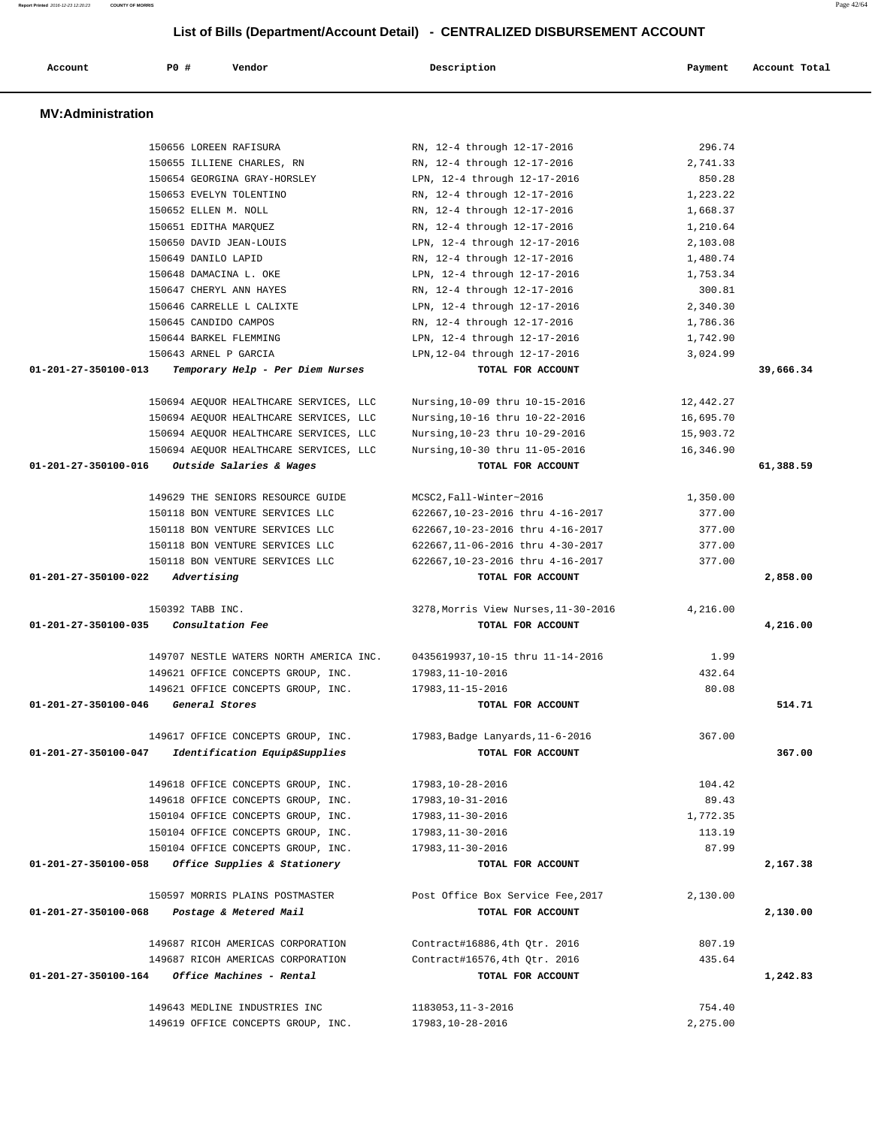| Account                  | P0 #                    | Vendor                                  | Description                                           | Payment            | Account Total |
|--------------------------|-------------------------|-----------------------------------------|-------------------------------------------------------|--------------------|---------------|
| <b>MV:Administration</b> |                         |                                         |                                                       |                    |               |
|                          |                         |                                         |                                                       |                    |               |
|                          | 150656 LOREEN RAFISURA  |                                         | RN, 12-4 through 12-17-2016                           | 296.74             |               |
|                          |                         | 150655 ILLIENE CHARLES, RN              | RN, 12-4 through 12-17-2016                           | 2,741.33<br>850.28 |               |
|                          |                         | 150654 GEORGINA GRAY-HORSLEY            | LPN, 12-4 through 12-17-2016                          |                    |               |
|                          | 150653 EVELYN TOLENTINO |                                         | RN, 12-4 through 12-17-2016                           | 1,223.22           |               |
|                          | 150652 ELLEN M. NOLL    |                                         | RN, 12-4 through 12-17-2016                           | 1,668.37           |               |
|                          | 150651 EDITHA MARQUEZ   |                                         | RN, 12-4 through 12-17-2016                           | 1,210.64           |               |
|                          | 150650 DAVID JEAN-LOUIS |                                         | LPN, 12-4 through 12-17-2016                          | 2,103.08           |               |
|                          | 150649 DANILO LAPID     |                                         | RN, 12-4 through 12-17-2016                           | 1,480.74           |               |
|                          | 150648 DAMACINA L. OKE  |                                         | LPN, 12-4 through 12-17-2016                          | 1,753.34           |               |
|                          | 150647 CHERYL ANN HAYES |                                         | RN, 12-4 through 12-17-2016                           | 300.81             |               |
|                          |                         | 150646 CARRELLE L CALIXTE               | LPN, 12-4 through 12-17-2016                          | 2,340.30           |               |
|                          | 150645 CANDIDO CAMPOS   |                                         | RN, 12-4 through 12-17-2016                           | 1,786.36           |               |
|                          | 150644 BARKEL FLEMMING  |                                         | LPN, 12-4 through 12-17-2016                          | 1,742.90           |               |
|                          | 150643 ARNEL P GARCIA   |                                         | LPN, 12-04 through 12-17-2016                         | 3,024.99           |               |
| 01-201-27-350100-013     |                         | Temporary Help - Per Diem Nurses        | TOTAL FOR ACCOUNT                                     |                    | 39,666.34     |
|                          |                         | 150694 AEQUOR HEALTHCARE SERVICES, LLC  | Nursing, 10-09 thru 10-15-2016                        | 12,442.27          |               |
|                          |                         | 150694 AEQUOR HEALTHCARE SERVICES, LLC  | Nursing, 10-16 thru 10-22-2016                        | 16,695.70          |               |
|                          |                         | 150694 AEQUOR HEALTHCARE SERVICES, LLC  | Nursing, 10-23 thru 10-29-2016                        | 15,903.72          |               |
|                          |                         | 150694 AEQUOR HEALTHCARE SERVICES, LLC  | Nursing, 10-30 thru 11-05-2016                        | 16,346.90          |               |
| 01-201-27-350100-016     |                         | Outside Salaries & Wages                | TOTAL FOR ACCOUNT                                     |                    | 61,388.59     |
|                          |                         |                                         |                                                       |                    |               |
|                          |                         | 149629 THE SENIORS RESOURCE GUIDE       | MCSC2, Fall-Winter~2016                               | 1,350.00           |               |
|                          |                         | 150118 BON VENTURE SERVICES LLC         | 622667, 10-23-2016 thru 4-16-2017                     | 377.00             |               |
|                          |                         | 150118 BON VENTURE SERVICES LLC         | 622667,10-23-2016 thru 4-16-2017                      | 377.00             |               |
|                          |                         | 150118 BON VENTURE SERVICES LLC         | 622667, 11-06-2016 thru 4-30-2017                     | 377.00             |               |
|                          |                         | 150118 BON VENTURE SERVICES LLC         | 622667,10-23-2016 thru 4-16-2017                      | 377.00             |               |
| 01-201-27-350100-022     | Advertising             |                                         | TOTAL FOR ACCOUNT                                     |                    | 2,858.00      |
|                          | 150392 TABB INC.        |                                         | 3278, Morris View Nurses, 11-30-2016                  | 4,216.00           |               |
| 01-201-27-350100-035     | Consultation Fee        |                                         | TOTAL FOR ACCOUNT                                     |                    | 4,216.00      |
|                          |                         |                                         |                                                       |                    |               |
|                          |                         | 149707 NESTLE WATERS NORTH AMERICA INC. | 0435619937,10-15 thru 11-14-2016                      | 1.99               |               |
|                          |                         | 149621 OFFICE CONCEPTS GROUP, INC.      | 17983,11-10-2016                                      | 432.64             |               |
|                          |                         | 149621 OFFICE CONCEPTS GROUP, INC.      | 17983, 11-15-2016                                     | 80.08              |               |
| 01-201-27-350100-046     | General Stores          |                                         | TOTAL FOR ACCOUNT                                     |                    | 514.71        |
|                          |                         | 149617 OFFICE CONCEPTS GROUP, INC.      |                                                       | 367.00             |               |
| 01-201-27-350100-047     |                         | Identification Equip&Supplies           | 17983, Badge Lanyards, 11-6-2016<br>TOTAL FOR ACCOUNT |                    | 367.00        |
|                          |                         |                                         |                                                       |                    |               |
|                          |                         | 149618 OFFICE CONCEPTS GROUP, INC.      | 17983,10-28-2016                                      | 104.42             |               |
|                          |                         | 149618 OFFICE CONCEPTS GROUP, INC.      | 17983,10-31-2016                                      | 89.43              |               |
|                          |                         | 150104 OFFICE CONCEPTS GROUP, INC.      | 17983,11-30-2016                                      | 1,772.35           |               |
|                          |                         | 150104 OFFICE CONCEPTS GROUP, INC.      | 17983,11-30-2016                                      | 113.19             |               |
|                          |                         | 150104 OFFICE CONCEPTS GROUP, INC.      | 17983,11-30-2016                                      | 87.99              |               |
| 01-201-27-350100-058     |                         | Office Supplies & Stationery            | TOTAL FOR ACCOUNT                                     |                    | 2,167.38      |
|                          |                         |                                         |                                                       |                    |               |
|                          |                         | 150597 MORRIS PLAINS POSTMASTER         | Post Office Box Service Fee, 2017                     | 2,130.00           |               |
| 01-201-27-350100-068     |                         | Postage & Metered Mail                  | TOTAL FOR ACCOUNT                                     |                    | 2,130.00      |
|                          |                         | 149687 RICOH AMERICAS CORPORATION       | Contract#16886, 4th Qtr. 2016                         | 807.19             |               |
|                          |                         | 149687 RICOH AMERICAS CORPORATION       | Contract#16576, 4th Qtr. 2016                         | 435.64             |               |
|                          |                         | Office Machines - Rental                |                                                       |                    |               |
| 01-201-27-350100-164     |                         |                                         | TOTAL FOR ACCOUNT                                     |                    | 1,242.83      |
|                          |                         | 149643 MEDLINE INDUSTRIES INC           | 1183053, 11-3-2016                                    | 754.40             |               |
|                          |                         | 149619 OFFICE CONCEPTS GROUP, INC.      | 17983,10-28-2016                                      | 2,275.00           |               |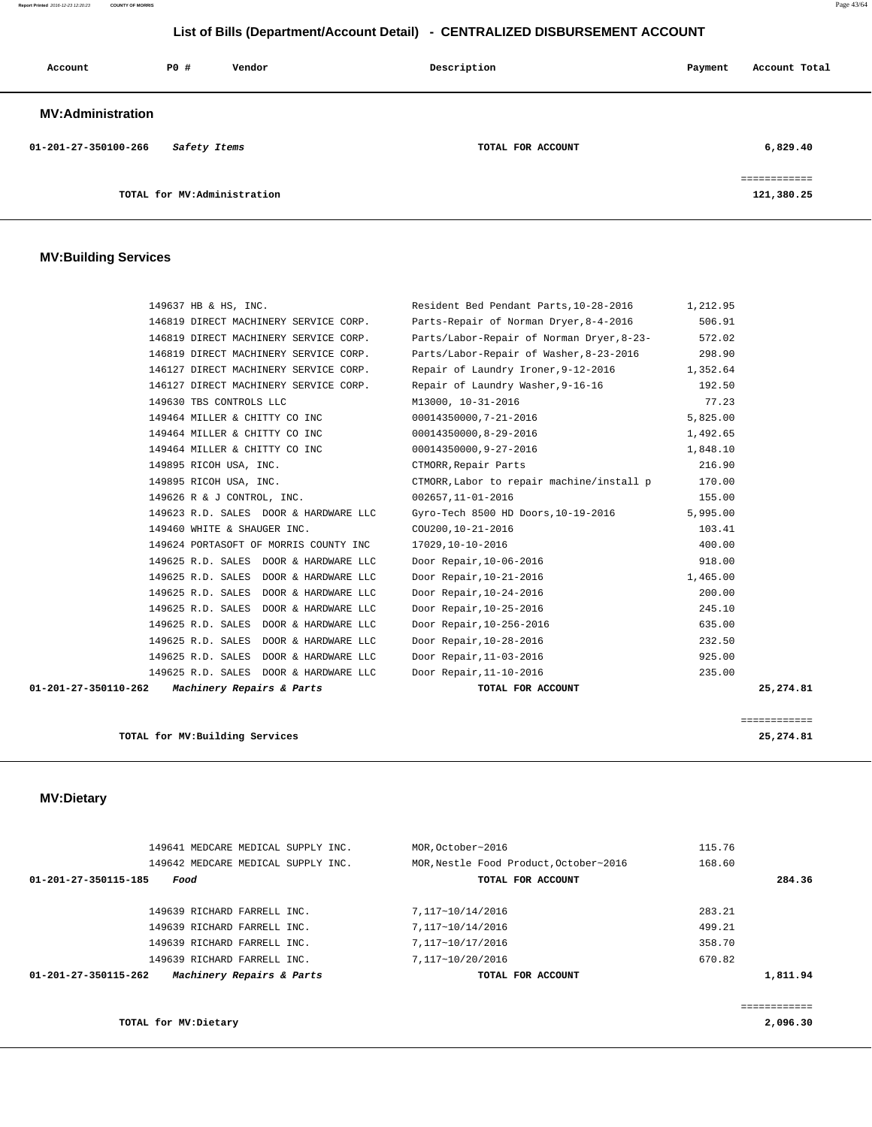#### **Report Printed** 2016-12-23 12:20:23 **COUNTY OF MORRIS** Page 43/64

## **List of Bills (Department/Account Detail) - CENTRALIZED DISBURSEMENT ACCOUNT**

| Account                  | PO#                         | Vendor | Description       | Payment | Account Total                           |
|--------------------------|-----------------------------|--------|-------------------|---------|-----------------------------------------|
| <b>MV:Administration</b> |                             |        |                   |         |                                         |
| 01-201-27-350100-266     | Safety Items                |        | TOTAL FOR ACCOUNT |         | 6,829.40                                |
|                          | TOTAL for MV:Administration |        |                   |         | -----------<br>__________<br>121,380.25 |

#### **MV:Building Services**

| 01-201-27-350110-262 | Machinery Repairs & Parts                                                      | TOTAL FOR ACCOUNT                                  | 25,274.81          |
|----------------------|--------------------------------------------------------------------------------|----------------------------------------------------|--------------------|
|                      | 149625 R.D. SALES DOOR & HARDWARE LLC                                          | Door Repair, 11-10-2016                            | 235.00             |
|                      | 149625 R.D. SALES DOOR & HARDWARE LLC                                          | Door Repair, 11-03-2016                            | 925.00             |
|                      | 149625 R.D. SALES DOOR & HARDWARE LLC                                          | Door Repair, 10-28-2016                            | 232.50             |
|                      | 149625 R.D. SALES DOOR & HARDWARE LLC                                          | Door Repair, 10-256-2016                           | 635.00             |
|                      | 149625 R.D. SALES DOOR & HARDWARE LLC                                          | Door Repair, 10-25-2016                            | 245.10             |
|                      | 149625 R.D. SALES DOOR & HARDWARE LLC<br>149625 R.D. SALES DOOR & HARDWARE LLC | Door Repair, 10-21-2016<br>Door Repair, 10-24-2016 | 1,465.00<br>200.00 |
|                      | 149625 R.D. SALES DOOR & HARDWARE LLC                                          | Door Repair, 10-06-2016                            | 918.00             |
|                      | 149624 PORTASOFT OF MORRIS COUNTY INC                                          | 17029,10-10-2016                                   | 400.00             |
|                      | 149460 WHITE & SHAUGER INC.                                                    | COU200, 10-21-2016                                 | 103.41             |
|                      | 149623 R.D. SALES DOOR & HARDWARE LLC                                          | Gyro-Tech 8500 HD Doors, 10-19-2016                | 5,995.00           |
|                      | 149626 R & J CONTROL, INC.                                                     | 002657,11-01-2016                                  | 155.00             |
|                      | 149895 RICOH USA, INC.                                                         | CTMORR, Labor to repair machine/install p          | 170.00             |
|                      | 149895 RICOH USA, INC.                                                         | CTMORR, Repair Parts                               | 216.90             |
|                      | 149464 MILLER & CHITTY CO INC                                                  | 00014350000,9-27-2016                              | 1,848.10           |
|                      | 149464 MILLER & CHITTY CO INC                                                  | 00014350000, 8-29-2016                             | 1,492.65           |
|                      | 149464 MILLER & CHITTY CO INC                                                  | 00014350000,7-21-2016                              | 5,825.00           |
|                      | 149630 TBS CONTROLS LLC                                                        | M13000, 10-31-2016                                 | 77.23              |
|                      | 146127 DIRECT MACHINERY SERVICE CORP.                                          | Repair of Laundry Washer, 9-16-16                  | 192.50             |
|                      | 146127 DIRECT MACHINERY SERVICE CORP.                                          | Repair of Laundry Ironer, 9-12-2016                | 1,352.64           |
|                      | 146819 DIRECT MACHINERY SERVICE CORP.                                          | Parts/Labor-Repair of Washer, 8-23-2016            | 298.90             |
|                      | 146819 DIRECT MACHINERY SERVICE CORP.                                          | Parts/Labor-Repair of Norman Dryer, 8-23-          | 572.02             |
|                      | 146819 DIRECT MACHINERY SERVICE CORP.                                          | Parts-Repair of Norman Dryer, 8-4-2016             | 506.91             |
|                      | 149637 HB & HS, INC.                                                           | Resident Bed Pendant Parts, 10-28-2016             | 1,212.95           |

**TOTAL for MV:Building Services 25,274.81**

## **MV:Dietary**

|                      | 149641 MEDCARE MEDICAL SUPPLY INC. |                           | MOR.October~2016 |                                        | 115.76 |          |
|----------------------|------------------------------------|---------------------------|------------------|----------------------------------------|--------|----------|
|                      |                                    |                           |                  |                                        |        |          |
|                      | 149642 MEDCARE MEDICAL SUPPLY INC. |                           |                  | MOR, Nestle Food Product, October~2016 | 168.60 |          |
| 01-201-27-350115-185 | Food                               |                           |                  | TOTAL FOR ACCOUNT                      |        | 284.36   |
|                      |                                    |                           |                  |                                        |        |          |
|                      | 149639 RICHARD FARRELL INC.        |                           | 7,117~10/14/2016 |                                        | 283.21 |          |
|                      | 149639 RICHARD FARRELL INC.        |                           | 7,117~10/14/2016 |                                        | 499.21 |          |
|                      | 149639 RICHARD FARRELL INC.        |                           | 7,117~10/17/2016 |                                        | 358.70 |          |
|                      | 149639 RICHARD FARRELL INC.        |                           | 7.117~10/20/2016 |                                        | 670.82 |          |
| 01-201-27-350115-262 |                                    | Machinery Repairs & Parts |                  | TOTAL FOR ACCOUNT                      |        | 1,811.94 |
|                      |                                    |                           |                  |                                        |        |          |
|                      |                                    |                           |                  |                                        |        |          |

**TOTAL for MV:Dietary 2,096.30**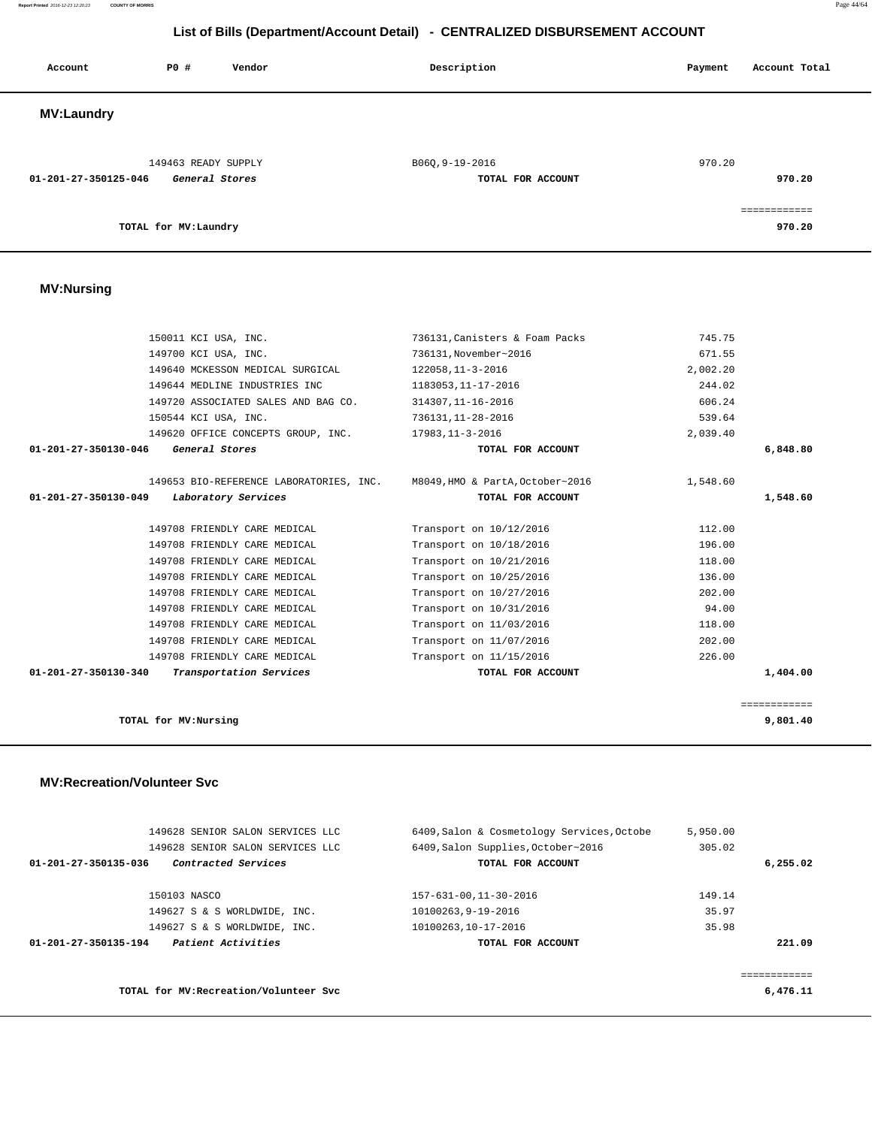**Report Printed** 2016-12-23 12:20:23 **COUNTY OF MORRIS** Page 44/64

## **List of Bills (Department/Account Detail) - CENTRALIZED DISBURSEMENT ACCOUNT**

| Account              | P0 #                  | Vendor         | Description                          | Payment | Account Total          |
|----------------------|-----------------------|----------------|--------------------------------------|---------|------------------------|
| <b>MV:Laundry</b>    |                       |                |                                      |         |                        |
| 01-201-27-350125-046 | 149463 READY SUPPLY   | General Stores | B06Q, 9-19-2016<br>TOTAL FOR ACCOUNT | 970.20  | 970.20                 |
|                      | TOTAL for MV: Laundry |                |                                      |         | eessessesses<br>970.20 |

## **MV:Nursing**

| 150011 KCI USA, INC.                            | 736131, Canisters & Foam Packs | 745.75   |              |
|-------------------------------------------------|--------------------------------|----------|--------------|
| 149700 KCI USA, INC.                            | 736131, November~2016          | 671.55   |              |
| 149640 MCKESSON MEDICAL SURGICAL                | 122058, 11-3-2016              | 2,002.20 |              |
| 149644 MEDLINE INDUSTRIES INC                   | 1183053, 11-17-2016            | 244.02   |              |
| 149720 ASSOCIATED SALES AND BAG CO.             | 314307, 11-16-2016             | 606.24   |              |
| 150544 KCI USA, INC.                            | 736131, 11-28-2016             | 539.64   |              |
| 149620 OFFICE CONCEPTS GROUP, INC.              | 17983,11-3-2016                | 2,039.40 |              |
| 01-201-27-350130-046<br>General Stores          | TOTAL FOR ACCOUNT              |          | 6,848.80     |
| 149653 BIO-REFERENCE LABORATORIES, INC.         | M8049,HMO & PartA,October~2016 | 1,548.60 |              |
| 01-201-27-350130-049<br>Laboratory Services     | TOTAL FOR ACCOUNT              |          | 1,548.60     |
| 149708 FRIENDLY CARE MEDICAL                    | Transport on 10/12/2016        | 112.00   |              |
| 149708 FRIENDLY CARE MEDICAL                    | Transport on 10/18/2016        | 196.00   |              |
| 149708 FRIENDLY CARE MEDICAL                    | Transport on 10/21/2016        | 118.00   |              |
| 149708 FRIENDLY CARE MEDICAL                    | Transport on 10/25/2016        | 136.00   |              |
| 149708 FRIENDLY CARE MEDICAL                    | Transport on 10/27/2016        | 202.00   |              |
| 149708 FRIENDLY CARE MEDICAL                    | Transport on 10/31/2016        | 94.00    |              |
| 149708 FRIENDLY CARE MEDICAL                    | Transport on 11/03/2016        | 118.00   |              |
| 149708 FRIENDLY CARE MEDICAL                    | Transport on 11/07/2016        | 202.00   |              |
| 149708 FRIENDLY CARE MEDICAL                    | Transport on 11/15/2016        | 226.00   |              |
| 01-201-27-350130-340<br>Transportation Services | TOTAL FOR ACCOUNT              |          | 1,404.00     |
|                                                 |                                |          | ============ |
| TOTAL for MV:Nursing                            |                                |          | 9,801.40     |

# **MV:Recreation/Volunteer Svc**

|                      | 149628 SENIOR SALON SERVICES LLC       | 6409, Salon & Cosmetology Services, Octobe | 5,950.00   |
|----------------------|----------------------------------------|--------------------------------------------|------------|
|                      | 149628 SENIOR SALON SERVICES LLC       | 6409, Salon Supplies, October~2016         | 305.02     |
| 01-201-27-350135-036 | Contracted Services                    | TOTAL FOR ACCOUNT                          | 6, 255, 02 |
|                      |                                        |                                            |            |
|                      | 150103 NASCO                           | 157-631-00.11-30-2016                      | 149.14     |
|                      | 149627 S & S WORLDWIDE, INC.           | 10100263,9-19-2016                         | 35.97      |
|                      | 149627 S & S WORLDWIDE, INC.           | 10100263,10-17-2016                        | 35.98      |
| 01-201-27-350135-194 | Patient Activities                     | TOTAL FOR ACCOUNT                          | 221.09     |
|                      |                                        |                                            |            |
|                      |                                        |                                            |            |
|                      | TOTAL for MV: Recreation/Volunteer Svc |                                            | 6,476.11   |
|                      |                                        |                                            |            |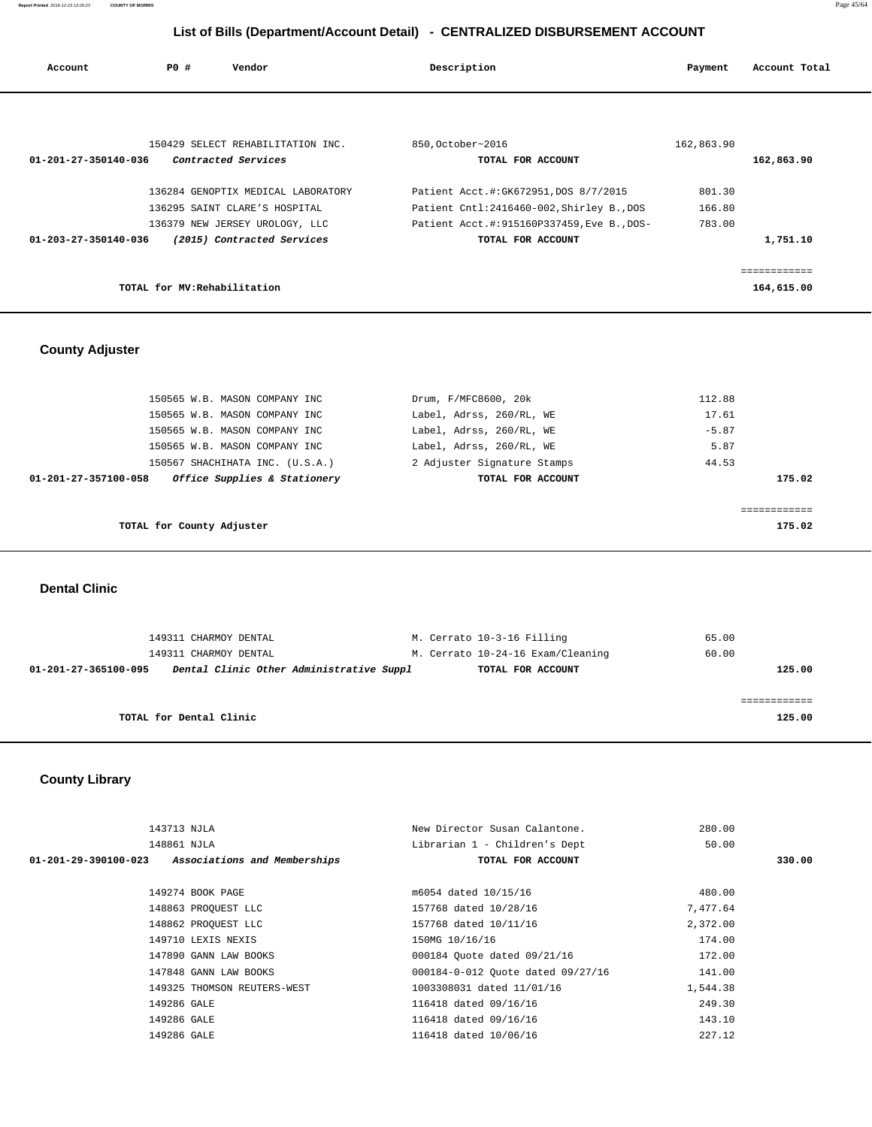| Account                        | PO# | Vendor                             | Description       |                                            | Payment    | Account Total |
|--------------------------------|-----|------------------------------------|-------------------|--------------------------------------------|------------|---------------|
|                                |     |                                    |                   |                                            |            |               |
|                                |     | 150429 SELECT REHABILITATION INC.  | 850, October~2016 |                                            | 162,863.90 |               |
| 01-201-27-350140-036           |     | Contracted Services                |                   | TOTAL FOR ACCOUNT                          |            | 162,863.90    |
|                                |     | 136284 GENOPTIX MEDICAL LABORATORY |                   | Patient Acct.#:GK672951,DOS 8/7/2015       | 801.30     |               |
|                                |     | 136295 SAINT CLARE'S HOSPITAL      |                   | Patient Cntl:2416460-002, Shirley B., DOS  | 166.80     |               |
|                                |     | 136379 NEW JERSEY UROLOGY, LLC     |                   | Patient Acct.#:915160P337459, Eve B., DOS- | 783.00     |               |
| $01 - 203 - 27 - 350140 - 036$ |     | (2015) Contracted Services         |                   | TOTAL FOR ACCOUNT                          |            | 1,751.10      |
|                                |     |                                    |                   |                                            |            |               |
|                                |     |                                    |                   |                                            |            | ============  |
|                                |     | TOTAL for MV: Rehabilitation       |                   |                                            |            | 164,615.00    |

## **County Adjuster**

| 150565 W.B. MASON COMPANY INC                        | Drum, F/MFC8600, 20k        | 112.88  |
|------------------------------------------------------|-----------------------------|---------|
| 150565 W.B. MASON COMPANY INC                        | Label, Adrss, 260/RL, WE    | 17.61   |
| 150565 W.B. MASON COMPANY INC                        | Label, Adrss, 260/RL, WE    | $-5.87$ |
| 150565 W.B. MASON COMPANY INC                        | Label, Adrss, 260/RL, WE    | 5.87    |
| 150567 SHACHIHATA INC. (U.S.A.)                      | 2 Adjuster Signature Stamps | 44.53   |
| Office Supplies & Stationery<br>01-201-27-357100-058 | TOTAL FOR ACCOUNT           | 175.02  |
|                                                      |                             |         |
|                                                      |                             |         |
| TOTAL for County Adjuster                            |                             | 175.02  |

 **Dental Clinic** 

| 149311 CHARMOY DENTAL                                            | M. Cerrato 10-3-16 Filling        | 65.00  |
|------------------------------------------------------------------|-----------------------------------|--------|
| 149311 CHARMOY DENTAL                                            | M. Cerrato 10-24-16 Exam/Cleaning | 60.00  |
| Dental Clinic Other Administrative Suppl<br>01-201-27-365100-095 | TOTAL FOR ACCOUNT                 | 125.00 |
|                                                                  |                                   |        |
|                                                                  |                                   |        |
| TOTAL for Dental Clinic                                          |                                   | 125.00 |
|                                                                  |                                   |        |

## **County Library**

| 143713 NJLA          |                              | New Director Susan Calantone.     | 280.00   |        |
|----------------------|------------------------------|-----------------------------------|----------|--------|
| 148861 NJLA          |                              | Librarian 1 - Children's Dept     | 50.00    |        |
| 01-201-29-390100-023 | Associations and Memberships | TOTAL FOR ACCOUNT                 |          | 330.00 |
|                      |                              |                                   |          |        |
|                      | 149274 BOOK PAGE             | m6054 dated 10/15/16              | 480.00   |        |
|                      | 148863 PROOUEST LLC          | 157768 dated 10/28/16             | 7.477.64 |        |
|                      | 148862 PROOUEST LLC          | 157768 dated 10/11/16             | 2,372.00 |        |
|                      | 149710 LEXIS NEXIS           | 150MG 10/16/16                    | 174.00   |        |
|                      | 147890 GANN LAW BOOKS        | 000184 Quote dated 09/21/16       | 172.00   |        |
|                      | 147848 GANN LAW BOOKS        | 000184-0-012 Ouote dated 09/27/16 | 141.00   |        |
|                      | 149325 THOMSON REUTERS-WEST  | 1003308031 dated 11/01/16         | 1,544.38 |        |
| 149286 GALE          |                              | 116418 dated 09/16/16             | 249.30   |        |
| 149286 GALE          |                              | 116418 dated 09/16/16             | 143.10   |        |
| 149286 GALE          |                              | 116418 dated 10/06/16             | 227.12   |        |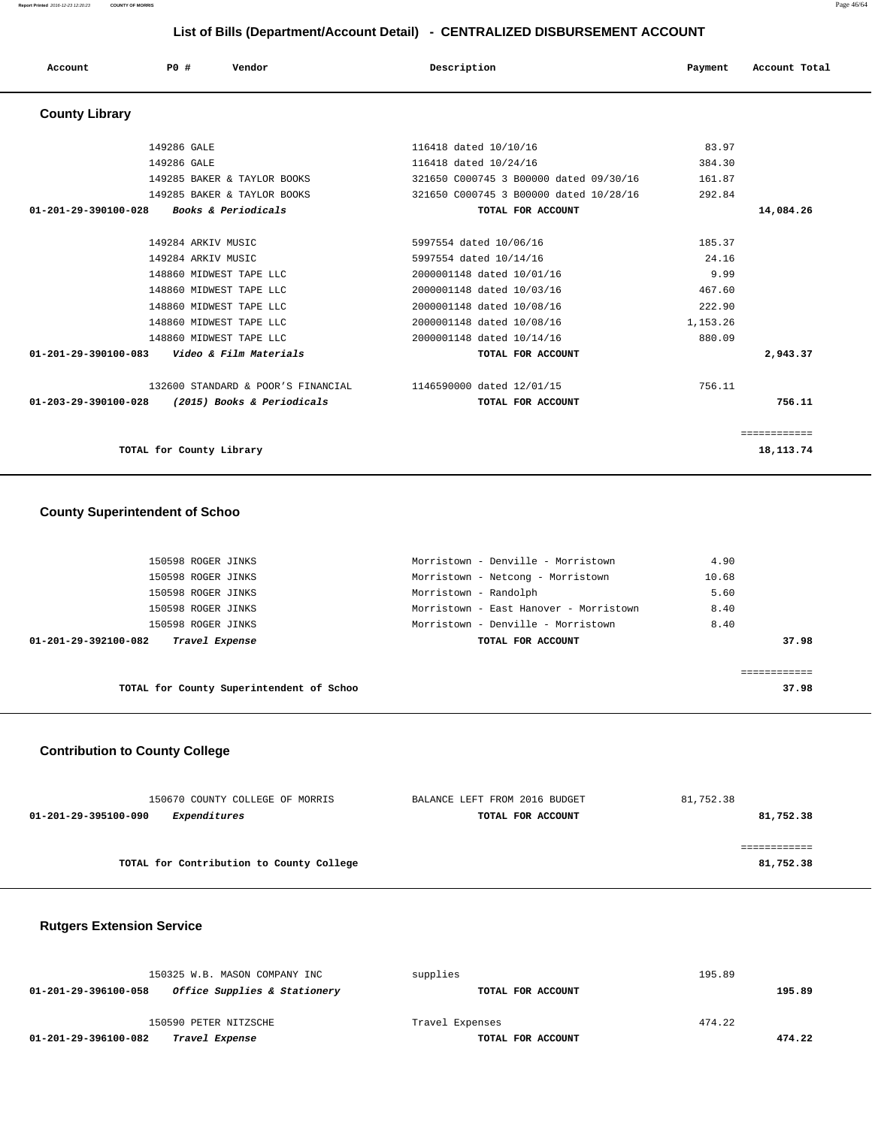**Report Printed** 2016-12-23 12:20:23 **COUNTY OF MORRIS** Page 46/64

#### **List of Bills (Department/Account Detail) - CENTRALIZED DISBURSEMENT ACCOUNT**

| Account               | <b>PO #</b><br>Vendor                          | Description                            | Payment  | Account Total |
|-----------------------|------------------------------------------------|----------------------------------------|----------|---------------|
| <b>County Library</b> |                                                |                                        |          |               |
|                       | 149286 GALE                                    | 116418 dated 10/10/16                  | 83.97    |               |
|                       | 149286 GALE                                    | 116418 dated 10/24/16                  | 384.30   |               |
|                       | 149285 BAKER & TAYLOR BOOKS                    | 321650 C000745 3 B00000 dated 09/30/16 | 161.87   |               |
|                       | 149285 BAKER & TAYLOR BOOKS                    | 321650 C000745 3 B00000 dated 10/28/16 | 292.84   |               |
|                       | 01-201-29-390100-028 Books & Periodicals       | TOTAL FOR ACCOUNT                      |          | 14,084.26     |
|                       |                                                |                                        |          |               |
|                       | 149284 ARKIV MUSIC                             | 5997554 dated 10/06/16                 | 185.37   |               |
|                       | 149284 ARKIV MUSIC                             | 5997554 dated 10/14/16                 | 24.16    |               |
|                       | 148860 MIDWEST TAPE LLC                        | 2000001148 dated 10/01/16              | 9.99     |               |
|                       | 148860 MIDWEST TAPE LLC                        | 2000001148 dated 10/03/16              | 467.60   |               |
|                       | 148860 MIDWEST TAPE LLC                        | 2000001148 dated 10/08/16              | 222.90   |               |
|                       | 148860 MIDWEST TAPE LLC                        | 2000001148 dated 10/08/16              | 1,153.26 |               |
|                       | 148860 MIDWEST TAPE LLC                        | 2000001148 dated 10/14/16              | 880.09   |               |
|                       | 01-201-29-390100-083    Video & Film Materials | TOTAL FOR ACCOUNT                      |          | 2,943.37      |
|                       | 132600 STANDARD & POOR'S FINANCIAL             | 1146590000 dated 12/01/15              | 756.11   |               |
| 01-203-29-390100-028  | (2015) Books & Periodicals                     | TOTAL FOR ACCOUNT                      |          | 756.11        |
|                       |                                                |                                        |          | ============  |
|                       | TOTAL for County Library                       |                                        |          | 18, 113. 74   |

#### **County Superintendent of Schoo**

| 150598 ROGER JINKS                       | Morristown - Denville - Morristown     | 4.90  |
|------------------------------------------|----------------------------------------|-------|
| 150598 ROGER JINKS                       | Morristown - Netcong - Morristown      | 10.68 |
| 150598 ROGER JINKS                       | Morristown - Randolph                  | 5.60  |
| 150598 ROGER JINKS                       | Morristown - East Hanover - Morristown | 8.40  |
| 150598 ROGER JINKS                       | Morristown - Denville - Morristown     | 8.40  |
| Travel Expense<br>01-201-29-392100-082   | TOTAL FOR ACCOUNT                      | 37.98 |
|                                          |                                        |       |
|                                          |                                        |       |
| TOTAL for County Superintendent of Schoo |                                        | 37.98 |

#### **Contribution to County College**

| 150670 COUNTY COLLEGE OF MORRIS             | BALANCE LEFT FROM 2016 BUDGET | 81,752.38 |
|---------------------------------------------|-------------------------------|-----------|
| <i>Expenditures</i><br>01-201-29-395100-090 | TOTAL FOR ACCOUNT             | 81,752.38 |
|                                             |                               |           |
|                                             |                               |           |
| TOTAL for Contribution to County College    |                               | 81,752.38 |

#### **Rutgers Extension Service**

| 150325 W.B. MASON COMPANY INC                        | supplies          | 195.89 |
|------------------------------------------------------|-------------------|--------|
| Office Supplies & Stationery<br>01-201-29-396100-058 | TOTAL FOR ACCOUNT | 195.89 |
|                                                      |                   |        |
| 150590 PETER NITZSCHE                                | Travel Expenses   | 474.22 |
| 01-201-29-396100-082<br>Travel Expense               | TOTAL FOR ACCOUNT | 474.22 |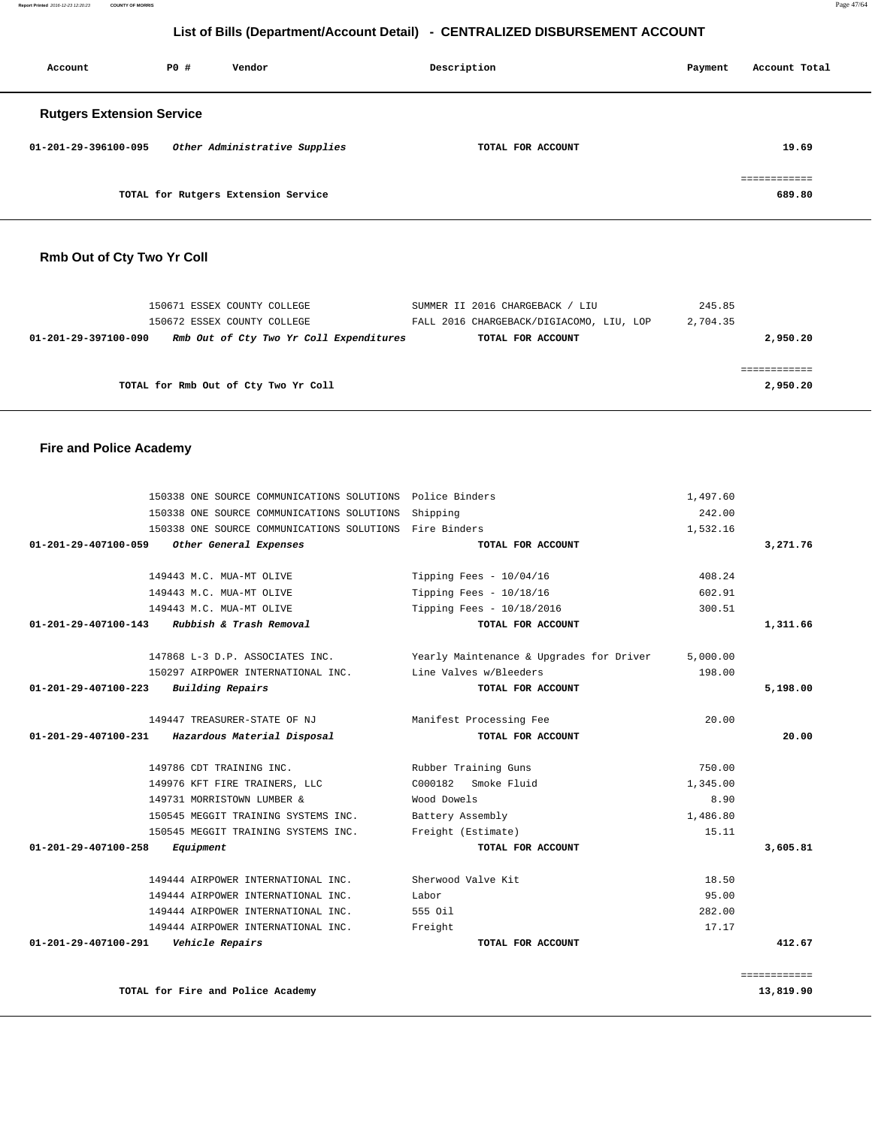|                                  |                          |                                                                      | List of Bills (Department/Account Detail) - CENTRALIZED DISBURSEMENT ACCOUNT |                    |                          |
|----------------------------------|--------------------------|----------------------------------------------------------------------|------------------------------------------------------------------------------|--------------------|--------------------------|
| Account                          | <b>PO #</b>              | Vendor                                                               | Description                                                                  | Payment            | Account Total            |
| <b>Rutgers Extension Service</b> |                          |                                                                      |                                                                              |                    |                          |
| 01-201-29-396100-095             |                          | Other Administrative Supplies                                        | TOTAL FOR ACCOUNT                                                            |                    | 19.69                    |
|                                  |                          |                                                                      |                                                                              |                    | ============             |
|                                  |                          | TOTAL for Rutgers Extension Service                                  |                                                                              |                    | 689.80                   |
| Rmb Out of Cty Two Yr Coll       |                          |                                                                      |                                                                              |                    |                          |
|                                  |                          | 150671 ESSEX COUNTY COLLEGE<br>150672 ESSEX COUNTY COLLEGE           | SUMMER II 2016 CHARGEBACK / LIU<br>FALL 2016 CHARGEBACK/DIGIACOMO, LIU, LOP  | 245.85<br>2,704.35 |                          |
| 01-201-29-397100-090             |                          | Rmb Out of Cty Two Yr Coll Expenditures                              | TOTAL FOR ACCOUNT                                                            |                    | 2,950.20                 |
|                                  |                          | TOTAL for Rmb Out of Cty Two Yr Coll                                 |                                                                              |                    | ============<br>2,950.20 |
| <b>Fire and Police Academy</b>   |                          |                                                                      |                                                                              |                    |                          |
|                                  |                          | 150338 ONE SOURCE COMMUNICATIONS SOLUTIONS Police Binders            |                                                                              | 1,497.60           |                          |
|                                  |                          | 150338 ONE SOURCE COMMUNICATIONS SOLUTIONS                           | Shipping                                                                     | 242.00             |                          |
| 01-201-29-407100-059             |                          | 150338 ONE SOURCE COMMUNICATIONS SOLUTIONS<br>Other General Expenses | Fire Binders<br>TOTAL FOR ACCOUNT                                            | 1,532.16           | 3,271.76                 |
|                                  | 149443 M.C. MUA-MT OLIVE |                                                                      | Tipping Fees - $10/04/16$                                                    | 408.24             |                          |
|                                  | 149443 M.C. MUA-MT OLIVE |                                                                      | Tipping Fees - $10/18/16$                                                    | 602.91             |                          |
|                                  | 149443 M.C. MUA-MT OLIVE |                                                                      | Tipping Fees - 10/18/2016                                                    | 300.51             |                          |
| 01-201-29-407100-143             |                          | Rubbish & Trash Removal                                              | TOTAL FOR ACCOUNT                                                            |                    | 1,311.66                 |
|                                  |                          | 147868 L-3 D.P. ASSOCIATES INC.                                      | Yearly Maintenance & Upgrades for Driver                                     | 5,000.00           |                          |
| 01-201-29-407100-223             | <b>Building Repairs</b>  | 150297 AIRPOWER INTERNATIONAL INC.                                   | Line Valves w/Bleeders<br>TOTAL FOR ACCOUNT                                  | 198.00             | 5,198.00                 |
|                                  |                          |                                                                      |                                                                              |                    |                          |
|                                  |                          | 149447 TREASURER-STATE OF NJ                                         | Manifest Processing Fee                                                      | 20.00              |                          |
| $01 - 201 - 29 - 407100 - 231$   |                          | Hazardous Material Disposal                                          | TOTAL FOR ACCOUNT                                                            |                    | 20.00                    |
|                                  | 149786 CDT TRAINING INC. |                                                                      | Rubber Training Guns                                                         | 750.00             |                          |
|                                  |                          | 149976 KFT FIRE TRAINERS, LLC                                        | C000182 Smoke Fluid                                                          | 1,345.00           |                          |
|                                  |                          | 149731 MORRISTOWN LUMBER &                                           | Wood Dowels                                                                  | 8.90               |                          |
|                                  |                          | 150545 MEGGIT TRAINING SYSTEMS INC.                                  | Battery Assembly                                                             | 1,486.80           |                          |
|                                  |                          | 150545 MEGGIT TRAINING SYSTEMS INC.                                  | Freight (Estimate)                                                           | 15.11              |                          |
| 01-201-29-407100-258             | Equipment                |                                                                      | TOTAL FOR ACCOUNT                                                            |                    | 3,605.81                 |
|                                  |                          | 149444 AIRPOWER INTERNATIONAL INC.                                   | Sherwood Valve Kit                                                           | 18.50              |                          |
|                                  |                          | 149444 AIRPOWER INTERNATIONAL INC.                                   | Labor                                                                        | 95.00              |                          |
|                                  |                          | 149444 AIRPOWER INTERNATIONAL INC.                                   | 555 Oil                                                                      | 282.00             |                          |
|                                  |                          | 149444 AIRPOWER INTERNATIONAL INC.                                   | Freight                                                                      | 17.17              |                          |
| 01-201-29-407100-291             | Vehicle Repairs          |                                                                      | TOTAL FOR ACCOUNT                                                            |                    | 412.67                   |
|                                  |                          |                                                                      |                                                                              |                    | ============             |
|                                  |                          | TOTAL for Fire and Police Academy                                    |                                                                              |                    | 13,819.90                |

**Report Printed** 2016-12-23 12:20:23 **COUNTY OF MORRIS** Page 47/64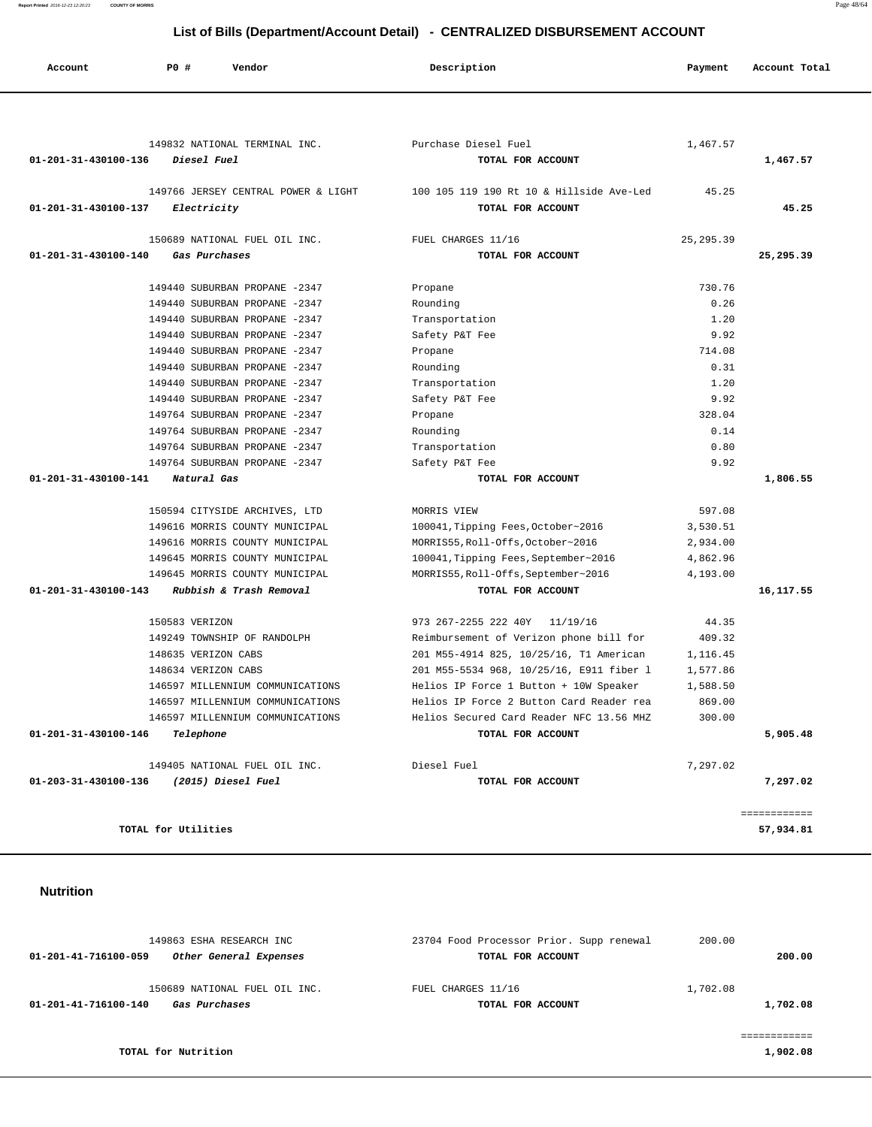#### **Report Printed** 2016-12-23 12:20:23 **COUNTY OF MORRIS** Page 48/64

## **List of Bills (Department/Account Detail) - CENTRALIZED DISBURSEMENT ACCOUNT**

| Account              | PO#<br>Vendor                                                        | Description                                                                          | Payment          | Account Total             |
|----------------------|----------------------------------------------------------------------|--------------------------------------------------------------------------------------|------------------|---------------------------|
|                      |                                                                      |                                                                                      |                  |                           |
|                      | 149832 NATIONAL TERMINAL INC.                                        | Purchase Diesel Fuel                                                                 | 1,467.57         |                           |
| 01-201-31-430100-136 | Diesel Fuel                                                          | TOTAL FOR ACCOUNT                                                                    |                  | 1,467.57                  |
|                      |                                                                      |                                                                                      |                  |                           |
| 01-201-31-430100-137 | 149766 JERSEY CENTRAL POWER & LIGHT<br>Electricity                   | 100 105 119 190 Rt 10 & Hillside Ave-Led<br>TOTAL FOR ACCOUNT                        | 45.25            | 45.25                     |
|                      |                                                                      |                                                                                      |                  |                           |
|                      | 150689 NATIONAL FUEL OIL INC.                                        | FUEL CHARGES 11/16                                                                   | 25, 295.39       |                           |
| 01-201-31-430100-140 | Gas Purchases                                                        | TOTAL FOR ACCOUNT                                                                    |                  | 25,295.39                 |
|                      | 149440 SUBURBAN PROPANE -2347                                        | Propane                                                                              | 730.76           |                           |
|                      | 149440 SUBURBAN PROPANE -2347                                        | Rounding                                                                             | 0.26             |                           |
|                      | 149440 SUBURBAN PROPANE -2347                                        | Transportation                                                                       | 1.20             |                           |
|                      | 149440 SUBURBAN PROPANE -2347                                        | Safety P&T Fee                                                                       | 9.92             |                           |
|                      | 149440 SUBURBAN PROPANE -2347                                        | Propane                                                                              | 714.08           |                           |
|                      | 149440 SUBURBAN PROPANE -2347                                        | Rounding                                                                             | 0.31             |                           |
|                      | 149440 SUBURBAN PROPANE -2347                                        | Transportation                                                                       | 1.20             |                           |
|                      | 149440 SUBURBAN PROPANE -2347                                        | Safety P&T Fee                                                                       | 9.92             |                           |
|                      | 149764 SUBURBAN PROPANE -2347                                        | Propane                                                                              | 328.04           |                           |
|                      | 149764 SUBURBAN PROPANE -2347<br>149764 SUBURBAN PROPANE -2347       | Rounding<br>Transportation                                                           | 0.14<br>0.80     |                           |
|                      | 149764 SUBURBAN PROPANE -2347                                        | Safety P&T Fee                                                                       | 9.92             |                           |
| 01-201-31-430100-141 | Natural Gas                                                          | TOTAL FOR ACCOUNT                                                                    |                  | 1,806.55                  |
|                      |                                                                      |                                                                                      |                  |                           |
|                      | 150594 CITYSIDE ARCHIVES, LTD                                        | MORRIS VIEW                                                                          | 597.08           |                           |
|                      | 149616 MORRIS COUNTY MUNICIPAL                                       | 100041, Tipping Fees, October~2016                                                   | 3,530.51         |                           |
|                      | 149616 MORRIS COUNTY MUNICIPAL                                       | MORRIS55, Roll-Offs, October~2016                                                    | 2,934.00         |                           |
|                      | 149645 MORRIS COUNTY MUNICIPAL                                       | 100041, Tipping Fees, September~2016                                                 | 4,862.96         |                           |
| 01-201-31-430100-143 | 149645 MORRIS COUNTY MUNICIPAL<br>Rubbish & Trash Removal            | MORRIS55, Roll-Offs, September~2016<br>TOTAL FOR ACCOUNT                             | 4,193.00         | 16,117.55                 |
|                      |                                                                      |                                                                                      |                  |                           |
|                      | 150583 VERIZON                                                       | 973 267-2255 222 40Y<br>11/19/16                                                     | 44.35            |                           |
|                      | 149249 TOWNSHIP OF RANDOLPH                                          | Reimbursement of Verizon phone bill for                                              | 409.32           |                           |
|                      | 148635 VERIZON CABS                                                  | 201 M55-4914 825, 10/25/16, T1 American                                              | 1,116.45         |                           |
|                      | 148634 VERIZON CABS                                                  | 201 M55-5534 968, 10/25/16, E911 fiber 1                                             | 1,577.86         |                           |
|                      | 146597 MILLENNIUM COMMUNICATIONS                                     | Helios IP Force 1 Button + 10W Speaker                                               | 1,588.50         |                           |
|                      | 146597 MILLENNIUM COMMUNICATIONS<br>146597 MILLENNIUM COMMUNICATIONS | Helios IP Force 2 Button Card Reader rea<br>Helios Secured Card Reader NFC 13.56 MHZ | 869.00<br>300.00 |                           |
| 01-201-31-430100-146 | Telephone                                                            | TOTAL FOR ACCOUNT                                                                    |                  | 5,905.48                  |
|                      |                                                                      |                                                                                      |                  |                           |
|                      | 149405 NATIONAL FUEL OIL INC.                                        | Diesel Fuel                                                                          | 7,297.02         |                           |
| 01-203-31-430100-136 | (2015) Diesel Fuel                                                   | TOTAL FOR ACCOUNT                                                                    |                  | 7,297.02                  |
|                      |                                                                      |                                                                                      |                  |                           |
|                      | TOTAL for Utilities                                                  |                                                                                      |                  | ============<br>57,934.81 |
|                      |                                                                      |                                                                                      |                  |                           |
|                      |                                                                      |                                                                                      |                  |                           |
|                      |                                                                      |                                                                                      |                  |                           |
| <b>Nutrition</b>     |                                                                      |                                                                                      |                  |                           |
|                      |                                                                      |                                                                                      |                  |                           |
|                      |                                                                      |                                                                                      |                  |                           |

| 149863 ESHA RESEARCH INC                                               | 23704 Food Processor Prior. Supp renewal | 200.00               |
|------------------------------------------------------------------------|------------------------------------------|----------------------|
| 01-201-41-716100-059<br>Other General Expenses                         | TOTAL FOR ACCOUNT                        | 200.00               |
| 150689 NATIONAL FUEL OIL INC.<br>01-201-41-716100-140<br>Gas Purchases | FUEL CHARGES 11/16<br>TOTAL FOR ACCOUNT  | 1,702.08<br>1,702.08 |
|                                                                        |                                          |                      |
| TOTAL for Nutrition                                                    |                                          | 1,902.08             |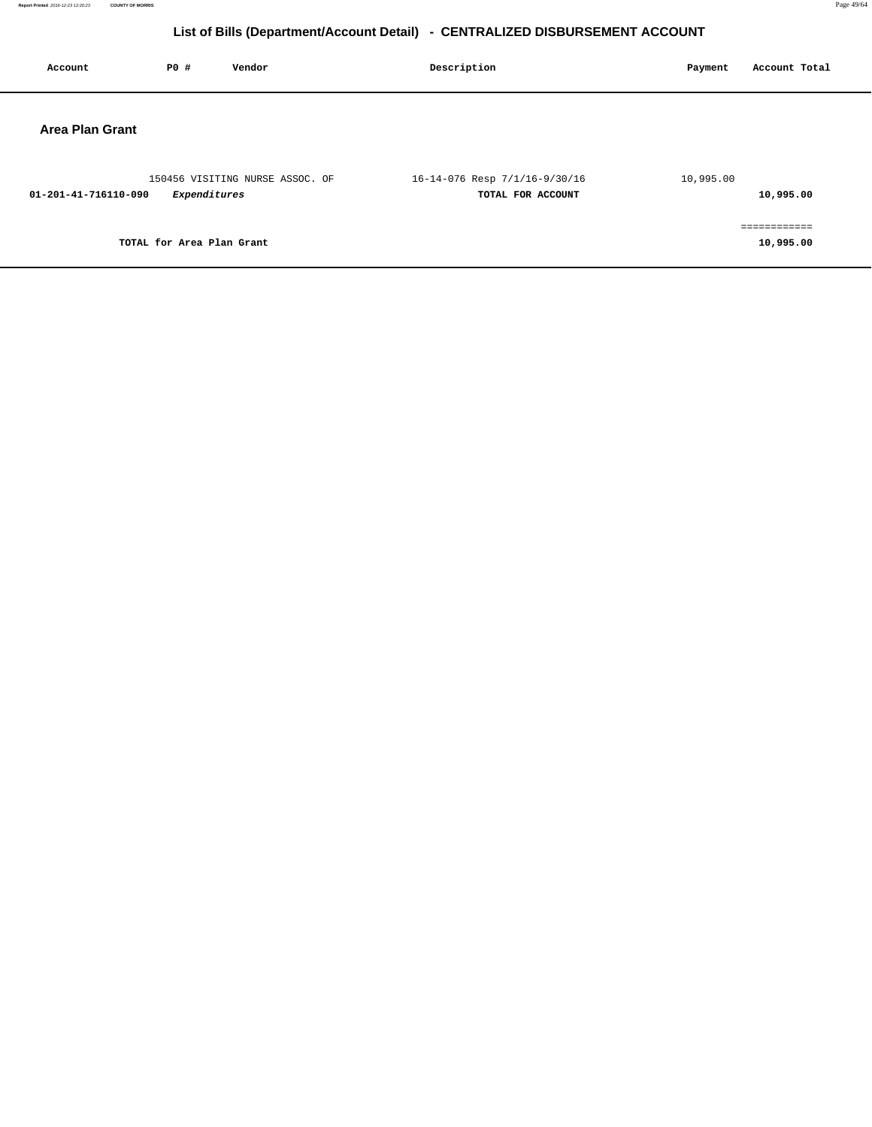| Account                | PO#                       | Vendor                          | Description                                        | Account Total<br>Payment  |
|------------------------|---------------------------|---------------------------------|----------------------------------------------------|---------------------------|
| <b>Area Plan Grant</b> |                           |                                 |                                                    |                           |
| 01-201-41-716110-090   | Expenditures              | 150456 VISITING NURSE ASSOC. OF | 16-14-076 Resp 7/1/16-9/30/16<br>TOTAL FOR ACCOUNT | 10,995.00<br>10,995.00    |
|                        | TOTAL for Area Plan Grant |                                 |                                                    | essessessess<br>10,995.00 |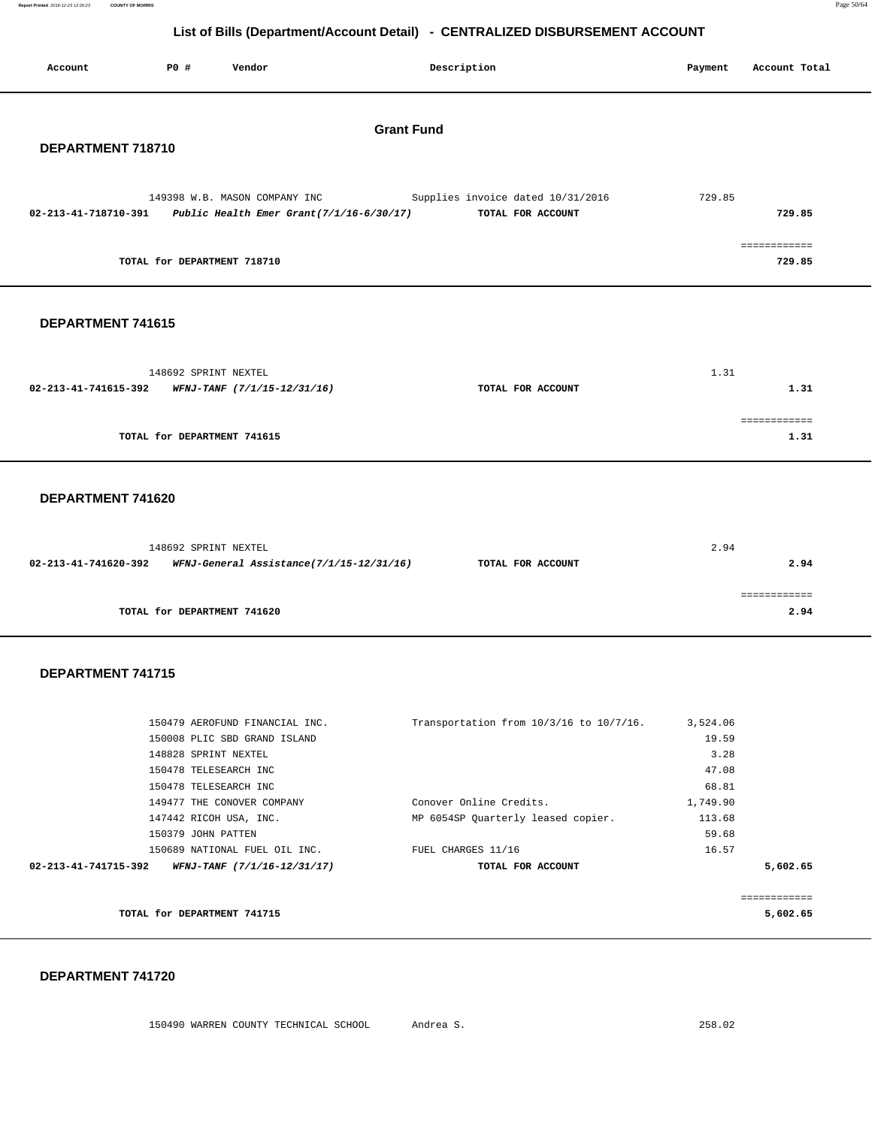| Report Printed 2016-12-23 12:20:23 COUNTY OF MORRIS | Page 50/64 |
|-----------------------------------------------------|------------|
|                                                     |            |

|                      |                      |                                                  |                   | List of Dilis (DepartmentAccount Detail) - CENTRALIZED DIODOROLMENT ACCOUNT                                          |         |                        |
|----------------------|----------------------|--------------------------------------------------|-------------------|----------------------------------------------------------------------------------------------------------------------|---------|------------------------|
| Account              | PO#                  | Vendor                                           |                   | Description                                                                                                          | Payment | Account Total          |
| DEPARTMENT 718710    |                      |                                                  | <b>Grant Fund</b> |                                                                                                                      |         |                        |
|                      |                      | 149398 W.B. MASON COMPANY INC                    |                   | Supplies invoice dated 10/31/2016<br>02-213-41-718710-391 Public Health Emer Grant(7/1/16-6/30/17) TOTAL FOR ACCOUNT | 729.85  | 729.85                 |
|                      |                      | TOTAL for DEPARTMENT 718710                      |                   |                                                                                                                      |         | ============<br>729.85 |
| DEPARTMENT 741615    |                      |                                                  |                   |                                                                                                                      |         |                        |
|                      | 148692 SPRINT NEXTEL | 02-213-41-741615-392 WFNJ-TANF (7/1/15-12/31/16) |                   | TOTAL FOR ACCOUNT                                                                                                    | 1.31    | 1.31                   |
|                      |                      | TOTAL for DEPARTMENT 741615                      |                   |                                                                                                                      |         | ============<br>1.31   |
| DEPARTMENT 741620    |                      |                                                  |                   |                                                                                                                      |         |                        |
| 02-213-41-741620-392 | 148692 SPRINT NEXTEL | WFNJ-General Assistance(7/1/15-12/31/16)         |                   | TOTAL FOR ACCOUNT                                                                                                    | 2.94    | 2.94                   |
|                      |                      | TOTAL for DEPARTMENT 741620                      |                   |                                                                                                                      |         | ============<br>2.94   |
|                      |                      |                                                  |                   |                                                                                                                      |         |                        |

#### **DEPARTMENT 741715**

| 150479 AEROFUND FINANCIAL INC. |                   | 3,524.06                                                                            |                                         |
|--------------------------------|-------------------|-------------------------------------------------------------------------------------|-----------------------------------------|
| 150008 PLIC SBD GRAND ISLAND   |                   | 19.59                                                                               |                                         |
| 148828 SPRINT NEXTEL           |                   | 3.28                                                                                |                                         |
| 150478 TELESEARCH INC          |                   | 47.08                                                                               |                                         |
| 150478 TELESEARCH INC          |                   | 68.81                                                                               |                                         |
| 149477 THE CONOVER COMPANY     |                   | 1,749.90                                                                            |                                         |
| 147442 RICOH USA, INC.         |                   | 113.68                                                                              |                                         |
| 150379 JOHN PATTEN             |                   | 59.68                                                                               |                                         |
| 150689 NATIONAL FUEL OIL INC.  |                   | 16.57                                                                               |                                         |
| WFNJ-TANF (7/1/16-12/31/17)    | TOTAL FOR ACCOUNT |                                                                                     | 5,602.65                                |
|                                |                   |                                                                                     |                                         |
|                                |                   |                                                                                     | :===========                            |
| TOTAL for DEPARTMENT 741715    |                   |                                                                                     | 5,602.65                                |
|                                |                   | Conover Online Credits.<br>MP 6054SP Quarterly leased copier.<br>FUEL CHARGES 11/16 | Transportation from 10/3/16 to 10/7/16. |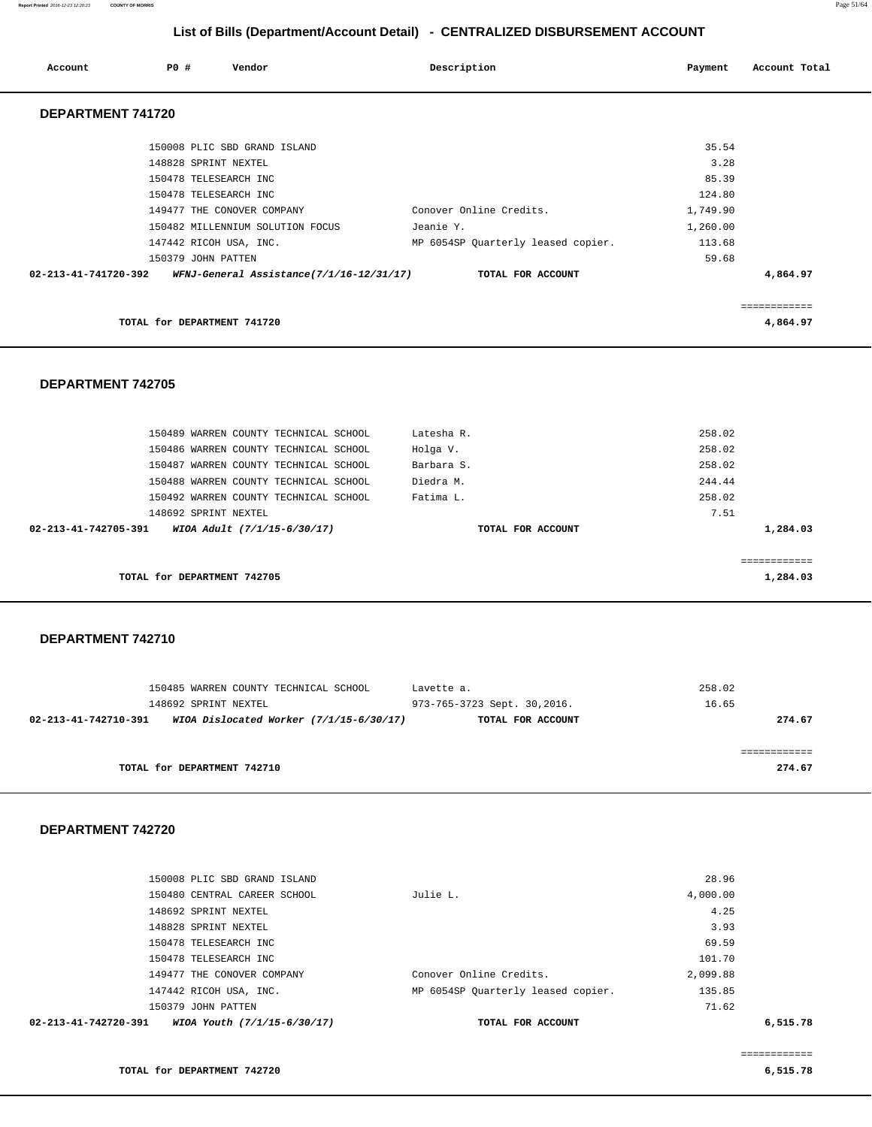| Account              | PO#                         | Vendor                                          | Description                        | Payment  | Account Total |
|----------------------|-----------------------------|-------------------------------------------------|------------------------------------|----------|---------------|
| DEPARTMENT 741720    |                             |                                                 |                                    |          |               |
|                      |                             | 150008 PLIC SBD GRAND ISLAND                    |                                    | 35.54    |               |
|                      | 148828 SPRINT NEXTEL        |                                                 |                                    | 3.28     |               |
|                      |                             | 150478 TELESEARCH INC                           |                                    | 85.39    |               |
|                      |                             | 150478 TELESEARCH INC                           |                                    | 124.80   |               |
|                      |                             | 149477 THE CONOVER COMPANY                      | Conover Online Credits.            | 1,749.90 |               |
|                      |                             | 150482 MILLENNIUM SOLUTION FOCUS                | Jeanie Y.                          | 1,260.00 |               |
|                      |                             | 147442 RICOH USA, INC.                          | MP 6054SP Quarterly leased copier. | 113.68   |               |
|                      | 150379 JOHN PATTEN          |                                                 |                                    | 59.68    |               |
| 02-213-41-741720-392 |                             | <i>WFNJ-General Assistance(7/1/16-12/31/17)</i> | TOTAL FOR ACCOUNT                  |          | 4,864.97      |
|                      |                             |                                                 |                                    |          |               |
|                      |                             |                                                 |                                    |          | ------------  |
|                      | TOTAL for DEPARTMENT 741720 |                                                 |                                    |          | 4,864.97      |

 **DEPARTMENT 742705** 

| 150489 WARREN COUNTY TECHNICAL SCHOOL               | Latesha R.        | 258.02      |
|-----------------------------------------------------|-------------------|-------------|
| 150486 WARREN COUNTY TECHNICAL SCHOOL               | Holga V.          | 258.02      |
| 150487 WARREN COUNTY TECHNICAL SCHOOL               | Barbara S.        | 258.02      |
| 150488 WARREN COUNTY TECHNICAL SCHOOL               | Diedra M.         | 244.44      |
| 150492 WARREN COUNTY TECHNICAL SCHOOL               | Fatima L.         | 258.02      |
| 148692 SPRINT NEXTEL                                |                   | 7.51        |
| 02-213-41-742705-391<br>WIOA Adult (7/1/15-6/30/17) | TOTAL FOR ACCOUNT | 1,284.03    |
|                                                     |                   |             |
|                                                     |                   | ----------- |
| TOTAL for DEPARTMENT 742705                         |                   | 1,284.03    |
|                                                     |                   |             |

 **DEPARTMENT 742710** 

| 150485 WARREN COUNTY TECHNICAL SCHOOL                             | Lavette a.                  | 258.02 |
|-------------------------------------------------------------------|-----------------------------|--------|
| 148692 SPRINT NEXTEL                                              | 973-765-3723 Sept. 30,2016. | 16.65  |
| WIOA Dislocated Worker $(7/1/15-6/30/17)$<br>02-213-41-742710-391 | TOTAL FOR ACCOUNT           | 274.67 |
|                                                                   |                             |        |
|                                                                   |                             |        |
| TOTAL for DEPARTMENT 742710                                       |                             | 274.67 |
|                                                                   |                             |        |

#### **DEPARTMENT 742720**

| 02-213-41-742720-391<br>WIOA Youth (7/1/15-6/30/17) | TOTAL FOR ACCOUNT                  |          | 6,515.78 |
|-----------------------------------------------------|------------------------------------|----------|----------|
| 150379 JOHN PATTEN                                  |                                    | 71.62    |          |
| 147442 RICOH USA, INC.                              | MP 6054SP Quarterly leased copier. | 135.85   |          |
| 149477 THE CONOVER COMPANY                          | Conover Online Credits.            | 2,099.88 |          |
| 150478 TELESEARCH INC                               |                                    | 101.70   |          |
| 150478 TELESEARCH INC                               |                                    | 69.59    |          |
| 148828 SPRINT NEXTEL                                |                                    | 3.93     |          |
| 148692 SPRINT NEXTEL                                |                                    | 4.25     |          |
| 150480 CENTRAL CAREER SCHOOL                        | Julie L.                           | 4,000.00 |          |
| 150008 PLIC SBD GRAND ISLAND                        |                                    | 28.96    |          |
|                                                     |                                    |          |          |

============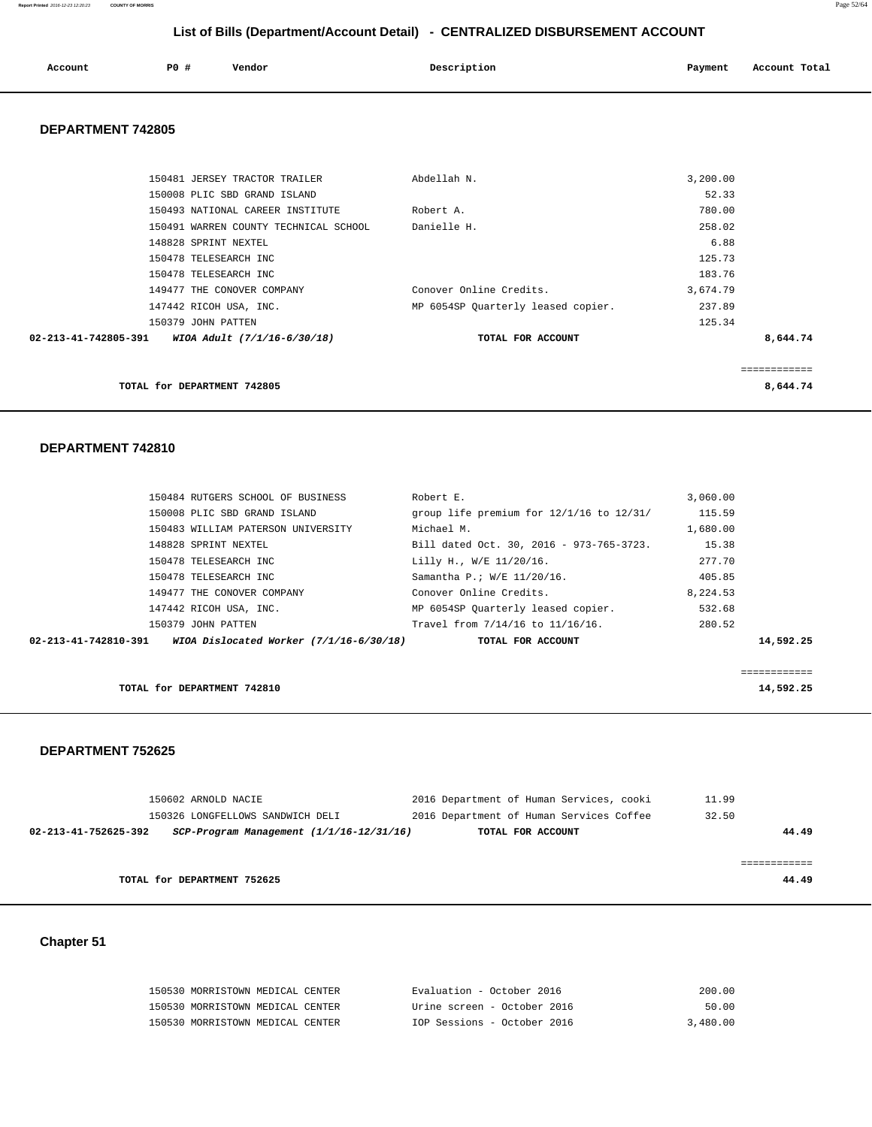| Account | P0 # | Vendor | Description<br>. | Payment<br>$\sim$ $\sim$ | Account Total |
|---------|------|--------|------------------|--------------------------|---------------|
|         |      |        |                  |                          |               |

#### **DEPARTMENT 742805**

| 150481 JERSEY TRACTOR TRAILER                       | Abdellah N.                        | 3,200.00 |              |
|-----------------------------------------------------|------------------------------------|----------|--------------|
| 150008 PLIC SBD GRAND ISLAND                        |                                    | 52.33    |              |
| 150493 NATIONAL CAREER INSTITUTE                    | Robert A.                          | 780.00   |              |
| 150491 WARREN COUNTY TECHNICAL SCHOOL               | Danielle H.                        | 258.02   |              |
| 148828 SPRINT NEXTEL                                |                                    | 6.88     |              |
| 150478 TELESEARCH INC                               |                                    | 125.73   |              |
| 150478 TELESEARCH INC                               |                                    | 183.76   |              |
| 149477 THE CONOVER COMPANY                          | Conover Online Credits.            | 3,674.79 |              |
| 147442 RICOH USA, INC.                              | MP 6054SP Quarterly leased copier. | 237.89   |              |
| 150379 JOHN PATTEN                                  |                                    | 125.34   |              |
| 02-213-41-742805-391<br>WIOA Adult (7/1/16-6/30/18) | TOTAL FOR ACCOUNT                  |          | 8,644.74     |
|                                                     |                                    |          |              |
|                                                     |                                    |          | ============ |
| TOTAL for DEPARTMENT 742805                         |                                    |          | 8,644.74     |

#### **DEPARTMENT 742810**

| 150484 RUTGERS SCHOOL OF BUSINESS  | Robert E.                               |                                          | 3,060.00 |           |
|------------------------------------|-----------------------------------------|------------------------------------------|----------|-----------|
| 150008 PLIC SBD GRAND ISLAND       |                                         | group life premium for 12/1/16 to 12/31/ | 115.59   |           |
| 150483 WILLIAM PATERSON UNIVERSITY | Michael M.                              |                                          | 1,680.00 |           |
| 148828 SPRINT NEXTEL               |                                         | Bill dated Oct. 30, 2016 - 973-765-3723. | 15.38    |           |
| 150478 TELESEARCH INC              |                                         | Lilly H., W/E 11/20/16.                  | 277.70   |           |
| 150478 TELESEARCH INC              |                                         | Samantha P.; W/E 11/20/16.               | 405.85   |           |
| 149477 THE CONOVER COMPANY         |                                         | Conover Online Credits.                  | 8,224.53 |           |
| 147442 RICOH USA, INC.             |                                         | MP 6054SP Quarterly leased copier.       | 532.68   |           |
| 150379 JOHN PATTEN                 |                                         | Travel from 7/14/16 to 11/16/16.         | 280.52   |           |
| 02-213-41-742810-391               | WIOA Dislocated Worker (7/1/16-6/30/18) | TOTAL FOR ACCOUNT                        |          | 14,592.25 |
|                                    |                                         |                                          |          |           |
|                                    |                                         |                                          |          |           |

**TOTAL for DEPARTMENT 742810 14,592.25** 

#### **DEPARTMENT 752625**

| 150602 ARNOLD NACIE                                              | 2016 Department of Human Services, cooki | 11.99 |
|------------------------------------------------------------------|------------------------------------------|-------|
| 150326 LONGFELLOWS SANDWICH DELI                                 | 2016 Department of Human Services Coffee | 32.50 |
| 02-213-41-752625-392<br>SCP-Program Management (1/1/16-12/31/16) | TOTAL FOR ACCOUNT                        | 44.49 |
|                                                                  |                                          |       |
|                                                                  |                                          |       |
| TOTAL for DEPARTMENT 752625                                      |                                          | 44.49 |
|                                                                  |                                          |       |

## **Chapter 51**

| 150530 MORRISTOWN MEDICAL CENTER | Evaluation - October 2016   | 200.00   |
|----------------------------------|-----------------------------|----------|
| 150530 MORRISTOWN MEDICAL CENTER | Urine screen - October 2016 | 50.00    |
| 150530 MORRISTOWN MEDICAL CENTER | IOP Sessions - October 2016 | 3,480.00 |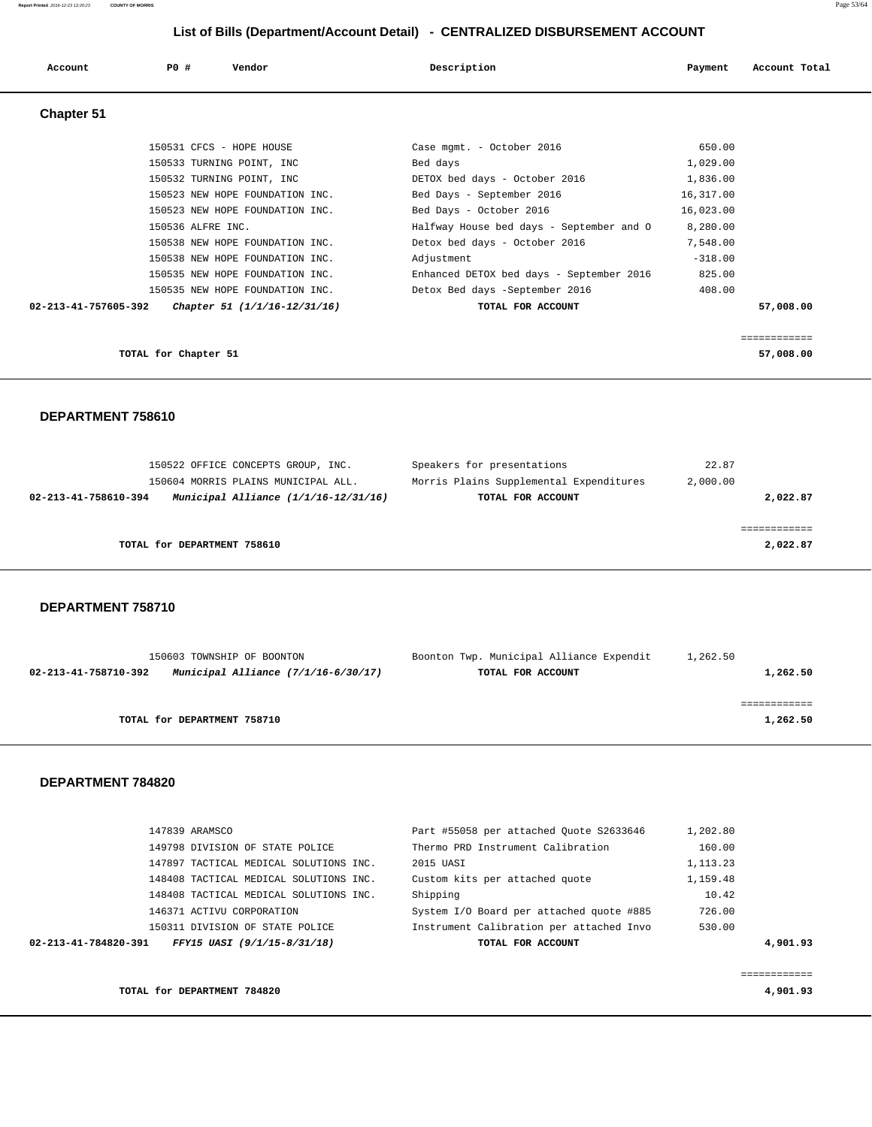| Account              | PO#<br>Vendor                   | Description                              | Payment   | Account Total |
|----------------------|---------------------------------|------------------------------------------|-----------|---------------|
| <b>Chapter 51</b>    |                                 |                                          |           |               |
|                      | 150531 CFCS - HOPE HOUSE        | Case mgmt. - October 2016                | 650.00    |               |
|                      | 150533 TURNING POINT, INC       | Bed days                                 | 1,029.00  |               |
|                      | 150532 TURNING POINT, INC       | DETOX bed days - October 2016            | 1,836.00  |               |
|                      | 150523 NEW HOPE FOUNDATION INC. | Bed Days - September 2016                | 16,317.00 |               |
|                      | 150523 NEW HOPE FOUNDATION INC. | Bed Days - October 2016                  | 16,023.00 |               |
|                      | 150536 ALFRE INC.               | Halfway House bed days - September and O | 8,280.00  |               |
|                      | 150538 NEW HOPE FOUNDATION INC. | Detox bed days - October 2016            | 7,548.00  |               |
|                      | 150538 NEW HOPE FOUNDATION INC. | Adjustment                               | $-318.00$ |               |
|                      | 150535 NEW HOPE FOUNDATION INC. | Enhanced DETOX bed days - September 2016 | 825.00    |               |
|                      | 150535 NEW HOPE FOUNDATION INC. | Detox Bed days -September 2016           | 408.00    |               |
| 02-213-41-757605-392 | Chapter 51 (1/1/16-12/31/16)    | TOTAL FOR ACCOUNT                        |           | 57,008.00     |

**TOTAL for Chapter 51** 57,008.00

============

### **DEPARTMENT 758610**

|                             | 150522 OFFICE CONCEPTS GROUP, INC.       | Speakers for presentations              | 22.87    |          |
|-----------------------------|------------------------------------------|-----------------------------------------|----------|----------|
|                             | 150604 MORRIS PLAINS MUNICIPAL ALL.      | Morris Plains Supplemental Expenditures | 2,000.00 |          |
| 02-213-41-758610-394        | Municipal Alliance $(1/1/16 - 12/31/16)$ | TOTAL FOR ACCOUNT                       |          | 2,022.87 |
|                             |                                          |                                         |          |          |
|                             |                                          |                                         |          |          |
| TOTAL for DEPARTMENT 758610 |                                          |                                         |          | 2,022.87 |
|                             |                                          |                                         |          |          |

#### **DEPARTMENT 758710**

| 150603 TOWNSHIP OF BOONTON                                    | Boonton Twp. Municipal Alliance Expendit | 1,262.50 |
|---------------------------------------------------------------|------------------------------------------|----------|
| Municipal Alliance $(7/1/16-6/30/17)$<br>02-213-41-758710-392 | TOTAL FOR ACCOUNT                        | 1,262.50 |
|                                                               |                                          |          |
|                                                               |                                          |          |
| TOTAL for DEPARTMENT 758710                                   |                                          | 1,262.50 |
|                                                               |                                          |          |

| 147839 ARAMSCO                                      | Part #55058 per attached Ouote S2633646  | 1,202.80   |
|-----------------------------------------------------|------------------------------------------|------------|
| 149798 DIVISION OF STATE POLICE                     | Thermo PRD Instrument Calibration        | 160.00     |
| 147897 TACTICAL MEDICAL SOLUTIONS INC.              | 2015 UASI                                | 1, 113. 23 |
| 148408 TACTICAL MEDICAL SOLUTIONS INC.              | Custom kits per attached quote           | 1,159.48   |
| 148408 TACTICAL MEDICAL SOLUTIONS INC.              | Shipping                                 | 10.42      |
| 146371 ACTIVU CORPORATION                           | System I/O Board per attached quote #885 | 726.00     |
| 150311 DIVISION OF STATE POLICE                     | Instrument Calibration per attached Invo | 530.00     |
| FFY15 UASI (9/1/15-8/31/18)<br>02-213-41-784820-391 | TOTAL FOR ACCOUNT                        | 4,901.93   |
|                                                     |                                          |            |
|                                                     |                                          | .          |
| TOTAL for DEPARTMENT 784820                         |                                          | 4,901.93   |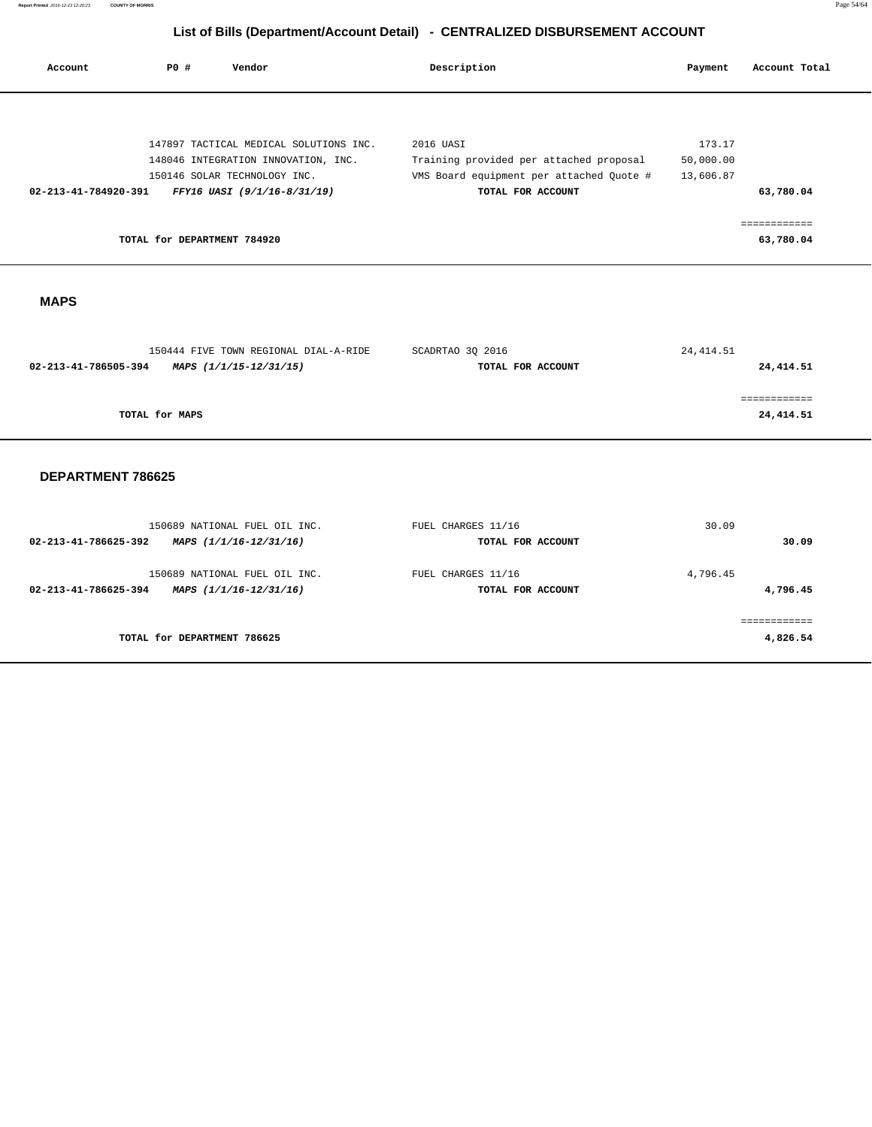| Account              | PO#                         | Vendor                                                  | Description        |                                          | Payment    | Account Total            |
|----------------------|-----------------------------|---------------------------------------------------------|--------------------|------------------------------------------|------------|--------------------------|
|                      |                             |                                                         |                    |                                          |            |                          |
|                      |                             | 147897 TACTICAL MEDICAL SOLUTIONS INC.                  | 2016 UASI          |                                          | 173.17     |                          |
|                      |                             | 148046 INTEGRATION INNOVATION, INC.                     |                    | Training provided per attached proposal  | 50,000.00  |                          |
|                      |                             | 150146 SOLAR TECHNOLOGY INC.                            |                    | VMS Board equipment per attached Quote # | 13,606.87  |                          |
| 02-213-41-784920-391 |                             | FFY16 UASI (9/1/16-8/31/19)                             |                    | TOTAL FOR ACCOUNT                        |            | 63,780.04                |
|                      |                             |                                                         |                    |                                          |            | ============             |
|                      | TOTAL for DEPARTMENT 784920 |                                                         |                    |                                          |            | 63,780.04                |
|                      |                             |                                                         |                    |                                          |            |                          |
|                      |                             |                                                         |                    |                                          |            |                          |
| <b>MAPS</b>          |                             |                                                         |                    |                                          |            |                          |
|                      |                             |                                                         |                    |                                          |            |                          |
|                      |                             |                                                         |                    |                                          |            |                          |
|                      |                             | 150444 FIVE TOWN REGIONAL DIAL-A-RIDE                   | SCADRTAO 3Q 2016   |                                          | 24, 414.51 |                          |
| 02-213-41-786505-394 |                             | MAPS (1/1/15-12/31/15)                                  |                    | TOTAL FOR ACCOUNT                        |            | 24, 414.51               |
|                      |                             |                                                         |                    |                                          |            | ============             |
|                      | TOTAL for MAPS              |                                                         |                    |                                          |            | 24,414.51                |
|                      |                             |                                                         |                    |                                          |            |                          |
|                      |                             |                                                         |                    |                                          |            |                          |
| DEPARTMENT 786625    |                             |                                                         |                    |                                          |            |                          |
|                      |                             |                                                         |                    |                                          |            |                          |
|                      |                             |                                                         |                    |                                          |            |                          |
| 02-213-41-786625-392 |                             | 150689 NATIONAL FUEL OIL INC.<br>MAPS (1/1/16-12/31/16) | FUEL CHARGES 11/16 | TOTAL FOR ACCOUNT                        | 30.09      | 30.09                    |
|                      |                             |                                                         |                    |                                          |            |                          |
|                      |                             | 150689 NATIONAL FUEL OIL INC.                           | FUEL CHARGES 11/16 |                                          | 4,796.45   |                          |
| 02-213-41-786625-394 |                             | MAPS (1/1/16-12/31/16)                                  |                    | TOTAL FOR ACCOUNT                        |            | 4,796.45                 |
|                      |                             |                                                         |                    |                                          |            |                          |
|                      | TOTAL for DEPARTMENT 786625 |                                                         |                    |                                          |            | ============<br>4,826.54 |

÷

 $\overline{\phantom{0}}$ 

÷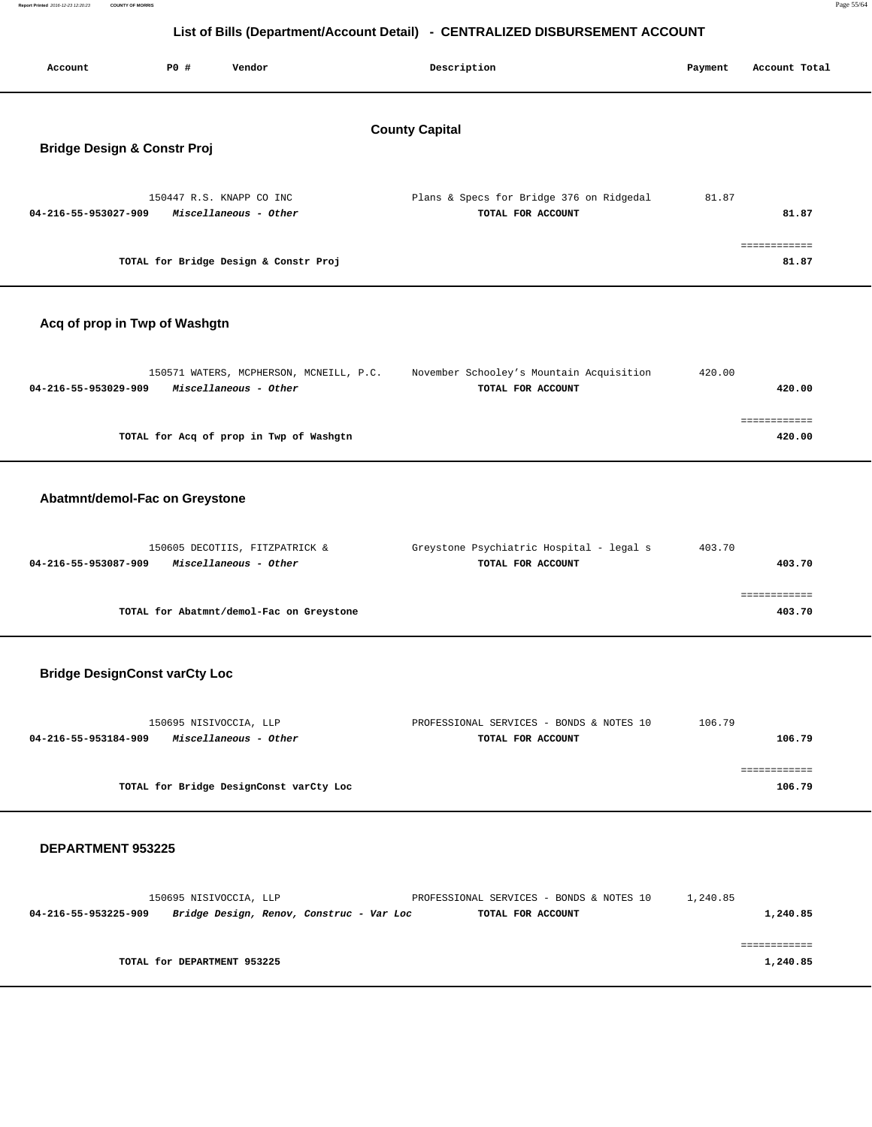|--|--|

**Report Printed 2016-12-23 12:20:23 COUNTY OF MORRIS** 

| Account                                                         | P0 # | Vendor                                                           | Description                                                   | Payment | Account Total          |  |
|-----------------------------------------------------------------|------|------------------------------------------------------------------|---------------------------------------------------------------|---------|------------------------|--|
| <b>County Capital</b><br><b>Bridge Design &amp; Constr Proj</b> |      |                                                                  |                                                               |         |                        |  |
| 04-216-55-953027-909                                            |      | 150447 R.S. KNAPP CO INC<br>Miscellaneous - Other                | Plans & Specs for Bridge 376 on Ridgedal<br>TOTAL FOR ACCOUNT | 81.87   | 81.87                  |  |
|                                                                 |      | TOTAL for Bridge Design & Constr Proj                            |                                                               |         | ============<br>81.87  |  |
| Acq of prop in Twp of Washgtn                                   |      |                                                                  |                                                               |         |                        |  |
| 04-216-55-953029-909                                            |      | 150571 WATERS, MCPHERSON, MCNEILL, P.C.<br>Miscellaneous - Other | November Schooley's Mountain Acquisition<br>TOTAL FOR ACCOUNT | 420.00  | 420.00                 |  |
|                                                                 |      | TOTAL for Acq of prop in Twp of Washgtn                          |                                                               |         | eeeeeeeeee<br>420.00   |  |
| Abatmnt/demol-Fac on Greystone                                  |      |                                                                  |                                                               |         |                        |  |
| 04-216-55-953087-909                                            |      | 150605 DECOTIIS, FITZPATRICK &<br>Miscellaneous - Other          | Greystone Psychiatric Hospital - legal s<br>TOTAL FOR ACCOUNT | 403.70  | 403.70                 |  |
|                                                                 |      | TOTAL for Abatmnt/demol-Fac on Greystone                         |                                                               |         | ============<br>403.70 |  |
| <b>Bridge DesignConst varCty Loc</b>                            |      |                                                                  |                                                               |         |                        |  |
| 04-216-55-953184-909                                            |      | 150695 NISIVOCCIA, LLP<br>Miscellaneous - Other                  | PROFESSIONAL SERVICES - BONDS & NOTES 10<br>TOTAL FOR ACCOUNT | 106.79  | 106.79                 |  |
|                                                                 |      | TOTAL for Bridge DesignConst varCty Loc                          |                                                               |         | ============<br>106.79 |  |
| <b>DEPARTMENT 953225</b>                                        |      |                                                                  |                                                               |         |                        |  |

150695 NISIVOCCIA, LLP PROFESSIONAL SERVICES - BONDS & NOTES 10 1,240.85  **04-216-55-953225-909 Bridge Design, Renov, Construc - Var Loc TOTAL FOR ACCOUNT 1,240.85** ============ **TOTAL for DEPARTMENT 953225** 1,240.85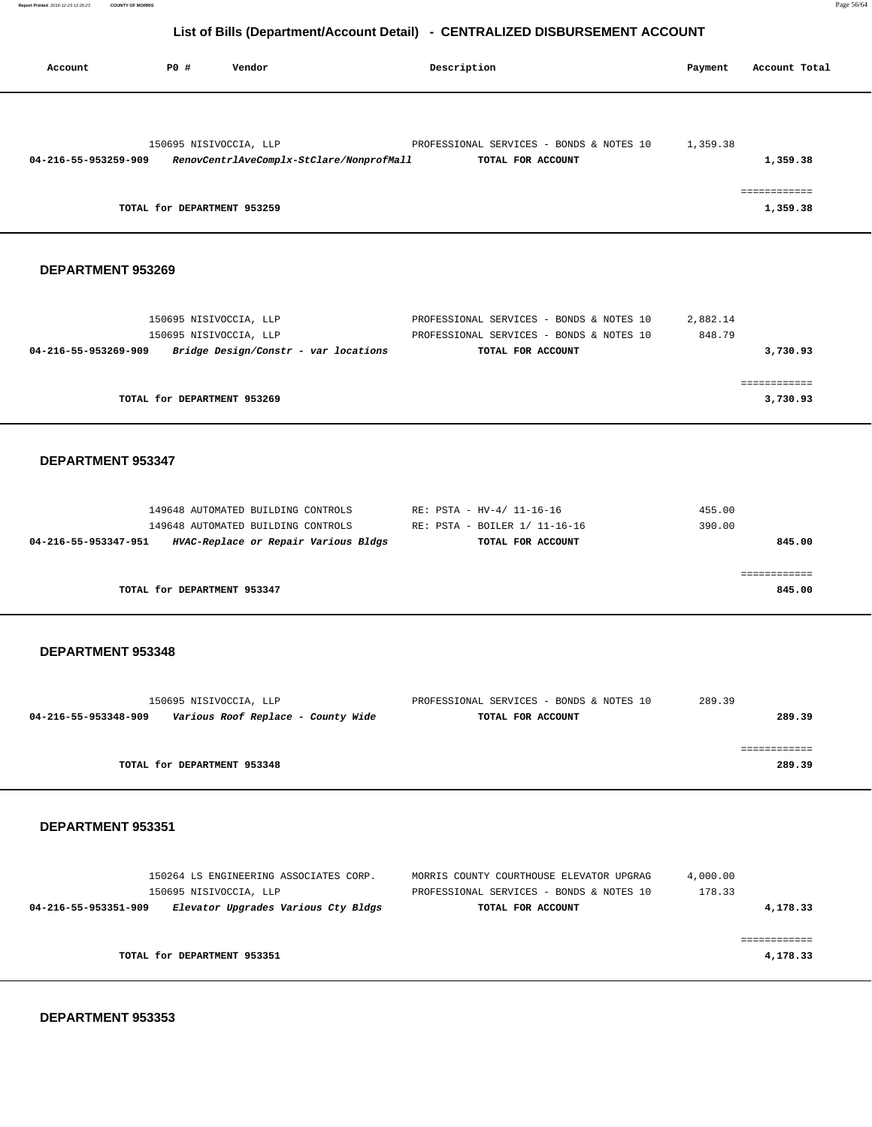**Report Printed** 2016-12-23 12:20:23 **COUNTY OF MORRIS** Page 56/64

## **List of Bills (Department/Account Detail) - CENTRALIZED DISBURSEMENT ACCOUNT**

| Account              | P0 #                                                  | Vendor                                                                                                           | Description                                                                                               | Payment            | Account Total                        |
|----------------------|-------------------------------------------------------|------------------------------------------------------------------------------------------------------------------|-----------------------------------------------------------------------------------------------------------|--------------------|--------------------------------------|
| 04-216-55-953259-909 | 150695 NISIVOCCIA, LLP<br>TOTAL for DEPARTMENT 953259 | RenovCentrlAveComplx-StClare/NonprofMall                                                                         | PROFESSIONAL SERVICES - BONDS & NOTES 10<br>TOTAL FOR ACCOUNT                                             | 1,359.38           | 1,359.38<br>============<br>1,359.38 |
| DEPARTMENT 953269    |                                                       |                                                                                                                  |                                                                                                           |                    |                                      |
| 04-216-55-953269-909 | 150695 NISIVOCCIA, LLP<br>150695 NISIVOCCIA, LLP      | Bridge Design/Constr - var locations                                                                             | PROFESSIONAL SERVICES - BONDS & NOTES 10<br>PROFESSIONAL SERVICES - BONDS & NOTES 10<br>TOTAL FOR ACCOUNT | 2,882.14<br>848.79 | 3,730.93<br>============             |
|                      | TOTAL for DEPARTMENT 953269                           |                                                                                                                  |                                                                                                           |                    | 3,730.93                             |
| DEPARTMENT 953347    |                                                       |                                                                                                                  |                                                                                                           |                    |                                      |
| 04-216-55-953347-951 |                                                       | 149648 AUTOMATED BUILDING CONTROLS<br>149648 AUTOMATED BUILDING CONTROLS<br>HVAC-Replace or Repair Various Bldgs | RE: PSTA - HV-4/ 11-16-16<br>RE: PSTA - BOILER 1/ 11-16-16<br>TOTAL FOR ACCOUNT                           | 455.00<br>390.00   | 845.00                               |
|                      | TOTAL for DEPARTMENT 953347                           |                                                                                                                  |                                                                                                           |                    | ============<br>845.00               |
| DEPARTMENT 953348    |                                                       |                                                                                                                  |                                                                                                           |                    |                                      |
| 04-216-55-953348-909 | 150695 NISIVOCCIA, LLP                                | Various Roof Replace - County Wide                                                                               | PROFESSIONAL SERVICES - BONDS & NOTES 10<br>TOTAL FOR ACCOUNT                                             | 289.39             | 289.39                               |
|                      | TOTAL for DEPARTMENT 953348                           |                                                                                                                  |                                                                                                           |                    | ============<br>289.39               |
| DEPARTMENT 953351    |                                                       |                                                                                                                  |                                                                                                           |                    |                                      |
| 04-216-55-953351-909 | 150695 NISIVOCCIA, LLP                                | 150264 LS ENGINEERING ASSOCIATES CORP.<br>Elevator Upgrades Various Cty Bldgs                                    | MORRIS COUNTY COURTHOUSE ELEVATOR UPGRAG<br>PROFESSIONAL SERVICES - BONDS & NOTES 10<br>TOTAL FOR ACCOUNT | 4,000.00<br>178.33 | 4,178.33                             |
|                      | TOTAL for DEPARTMENT 953351                           |                                                                                                                  |                                                                                                           |                    | ============<br>4,178.33             |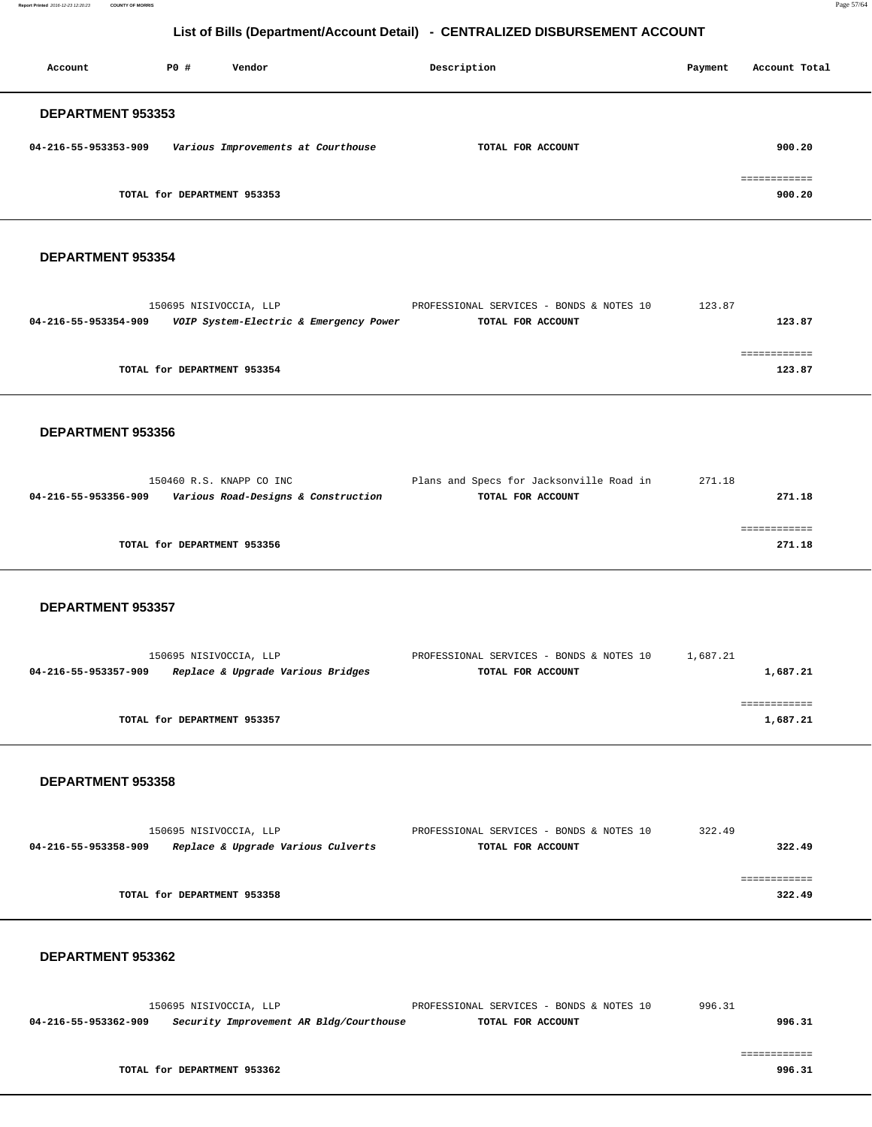**Report Printed** 2016-12-23 12:20:23 **COUNTY OF MORRIS** Page 57/64

## **List of Bills (Department/Account Detail) - CENTRALIZED DISBURSEMENT ACCOUNT**

| Account                  | PO#                         | Vendor                             | Description       | Account Total<br>Payment |
|--------------------------|-----------------------------|------------------------------------|-------------------|--------------------------|
| <b>DEPARTMENT 953353</b> |                             |                                    |                   |                          |
| 04-216-55-953353-909     |                             | Various Improvements at Courthouse | TOTAL FOR ACCOUNT | 900.20                   |
|                          |                             |                                    |                   |                          |
|                          | TOTAL for DEPARTMENT 953353 |                                    |                   | 900.20                   |

#### **DEPARTMENT 953354**

|                      | 150695 NISIVOCCIA, LLP                 | PROFESSIONAL SERVICES - BONDS & NOTES 10 | 123.87 |
|----------------------|----------------------------------------|------------------------------------------|--------|
| 04-216-55-953354-909 | VOIP System-Electric & Emergency Power | TOTAL FOR ACCOUNT                        | 123.87 |
|                      |                                        |                                          |        |
|                      |                                        |                                          |        |
|                      | TOTAL for DEPARTMENT 953354            |                                          | 123.87 |
|                      |                                        |                                          |        |

#### **DEPARTMENT 953356**

| 150460 R.S. KNAPP CO INC                                    | Plans and Specs for Jacksonville Road in | 271.18 |
|-------------------------------------------------------------|------------------------------------------|--------|
| Various Road-Designs & Construction<br>04-216-55-953356-909 | TOTAL FOR ACCOUNT                        | 271.18 |
|                                                             |                                          |        |
|                                                             |                                          |        |
| TOTAL for DEPARTMENT 953356                                 |                                          | 271.18 |
|                                                             |                                          |        |

#### **DEPARTMENT 953357**

| 150695 NISIVOCCIA, LLP                                    | PROFESSIONAL SERVICES - BONDS & NOTES 10 | 1,687.21 |
|-----------------------------------------------------------|------------------------------------------|----------|
| Replace & Upgrade Various Bridges<br>04-216-55-953357-909 | TOTAL FOR ACCOUNT                        | 1,687.21 |
|                                                           |                                          |          |
|                                                           |                                          |          |
| TOTAL for DEPARTMENT 953357                               |                                          | 1,687.21 |

#### **DEPARTMENT 953358**

| 150695 NISIVOCCIA, LLP                                     | PROFESSIONAL SERVICES - BONDS & NOTES 10 | 322.49 |
|------------------------------------------------------------|------------------------------------------|--------|
| Replace & Upgrade Various Culverts<br>04-216-55-953358-909 | TOTAL FOR ACCOUNT                        | 322.49 |
|                                                            |                                          |        |
|                                                            |                                          |        |
| TOTAL for DEPARTMENT 953358                                |                                          | 322.49 |
|                                                            |                                          |        |

|                      | 150695 NISIVOCCIA, LLP                  | PROFESSIONAL SERVICES - BONDS & NOTES 10 | 996.31 |
|----------------------|-----------------------------------------|------------------------------------------|--------|
| 04-216-55-953362-909 | Security Improvement AR Bldg/Courthouse | TOTAL FOR ACCOUNT                        | 996.31 |
|                      |                                         |                                          |        |
|                      | TOTAL for DEPARTMENT 953362             |                                          | 996.31 |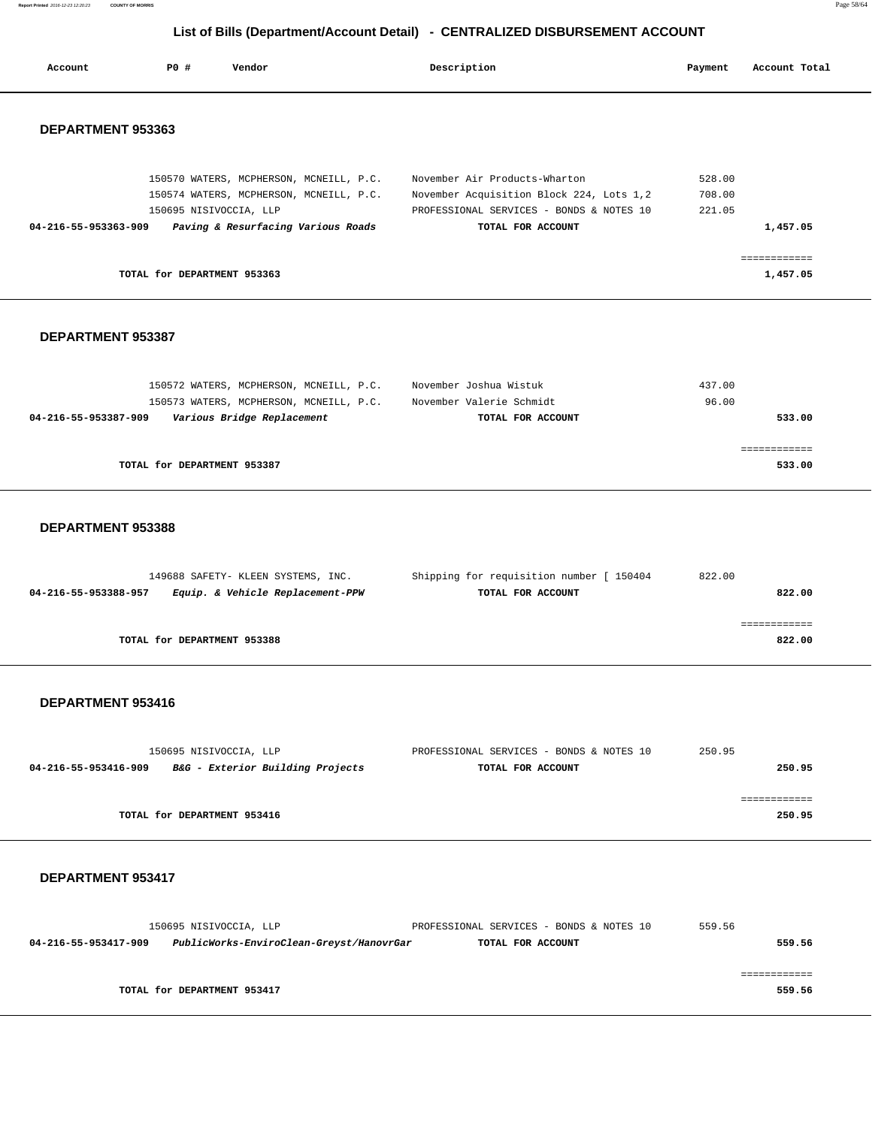**Report Printed** 2016-12-23 12:20:23 **COUNTY OF MORRIS** Page 58/64

## **List of Bills (Department/Account Detail) - CENTRALIZED DISBURSEMENT ACCOUNT**

| Account              | PO#                         | Vendor                                  | Description                              | Payment | Account Total |
|----------------------|-----------------------------|-----------------------------------------|------------------------------------------|---------|---------------|
| DEPARTMENT 953363    |                             |                                         |                                          |         |               |
|                      |                             | 150570 WATERS, MCPHERSON, MCNEILL, P.C. | November Air Products-Wharton            | 528.00  |               |
|                      |                             | 150574 WATERS, MCPHERSON, MCNEILL, P.C. | November Acquisition Block 224, Lots 1,2 | 708.00  |               |
|                      | 150695 NISIVOCCIA, LLP      |                                         | PROFESSIONAL SERVICES - BONDS & NOTES 10 | 221.05  |               |
| 04-216-55-953363-909 |                             | Paving & Resurfacing Various Roads      | TOTAL FOR ACCOUNT                        |         | 1,457.05      |
|                      | TOTAL for DEPARTMENT 953363 |                                         |                                          |         | 1,457.05      |

#### **DEPARTMENT 953387**

| 150572 WATERS, MCPHERSON, MCNEILL, P.C.            | November Joshua Wistuk   | 437.00 |
|----------------------------------------------------|--------------------------|--------|
| 150573 WATERS, MCPHERSON, MCNEILL, P.C.            | November Valerie Schmidt | 96.00  |
| Various Bridge Replacement<br>04-216-55-953387-909 | TOTAL FOR ACCOUNT        | 533.00 |
|                                                    |                          |        |
|                                                    |                          |        |
| TOTAL for DEPARTMENT 953387                        |                          | 533.00 |
|                                                    |                          |        |

#### **DEPARTMENT 953388**

| 149688 SAFETY- KLEEN SYSTEMS, INC.                       | Shipping for requisition number [ 150404 | 822.00 |
|----------------------------------------------------------|------------------------------------------|--------|
| Equip. & Vehicle Replacement-PPW<br>04-216-55-953388-957 | TOTAL FOR ACCOUNT                        | 822.00 |
|                                                          |                                          |        |
|                                                          |                                          |        |
| TOTAL for DEPARTMENT 953388                              |                                          | 822.00 |
|                                                          |                                          |        |

#### **DEPARTMENT 953416**

|                      | 150695 NISIVOCCIA, LLP           | PROFESSIONAL SERVICES - BONDS & NOTES 10 | 250.95 |        |
|----------------------|----------------------------------|------------------------------------------|--------|--------|
| 04-216-55-953416-909 | B&G - Exterior Building Projects | TOTAL FOR ACCOUNT                        |        | 250.95 |
|                      |                                  |                                          |        |        |
|                      |                                  |                                          |        |        |
|                      | TOTAL for DEPARTMENT 953416      |                                          |        | 250.95 |

|                      | 150695 NISIVOCCIA, LLP                   | PROFESSIONAL SERVICES - BONDS & NOTES 10 | 559.56 |
|----------------------|------------------------------------------|------------------------------------------|--------|
| 04-216-55-953417-909 | PublicWorks-EnviroClean-Greyst/HanovrGar | TOTAL FOR ACCOUNT                        | 559.56 |
|                      |                                          |                                          |        |
|                      |                                          |                                          |        |
|                      | TOTAL for DEPARTMENT 953417              |                                          | 559.56 |
|                      |                                          |                                          |        |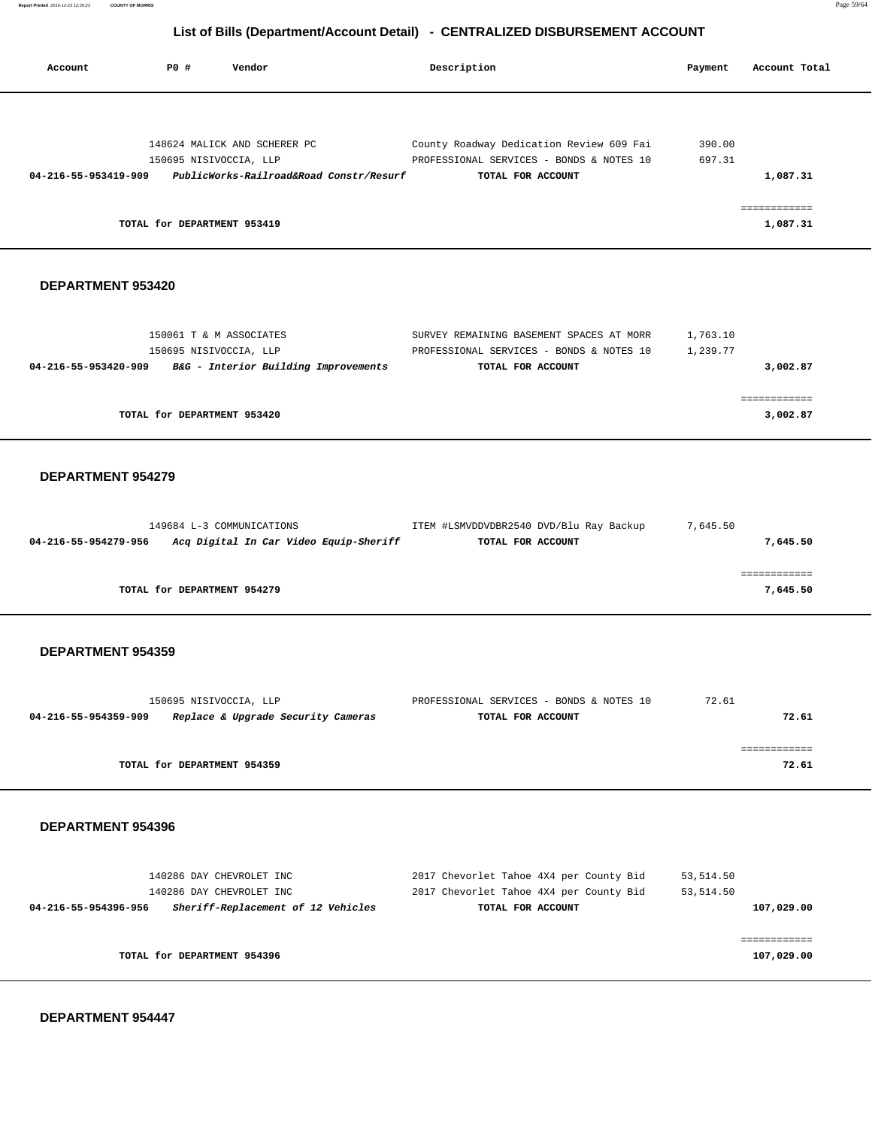| Account                                          | <b>PO #</b>                                           | Vendor                                                                  | Description                                                                                               | Payment                  | Account Total                        |
|--------------------------------------------------|-------------------------------------------------------|-------------------------------------------------------------------------|-----------------------------------------------------------------------------------------------------------|--------------------------|--------------------------------------|
| 04-216-55-953419-909                             | 150695 NISIVOCCIA, LLP<br>TOTAL for DEPARTMENT 953419 | 148624 MALICK AND SCHERER PC<br>PublicWorks-Railroad&Road Constr/Resurf | County Roadway Dedication Review 609 Fai<br>PROFESSIONAL SERVICES - BONDS & NOTES 10<br>TOTAL FOR ACCOUNT | 390.00<br>697.31         | 1,087.31<br>============<br>1,087.31 |
|                                                  |                                                       |                                                                         |                                                                                                           |                          |                                      |
| DEPARTMENT 953420                                |                                                       |                                                                         |                                                                                                           |                          |                                      |
| 04-216-55-953420-909                             | 150061 T & M ASSOCIATES<br>150695 NISIVOCCIA, LLP     | B&G - Interior Building Improvements                                    | SURVEY REMAINING BASEMENT SPACES AT MORR<br>PROFESSIONAL SERVICES - BONDS & NOTES 10<br>TOTAL FOR ACCOUNT | 1,763.10<br>1,239.77     | 3,002.87                             |
|                                                  | TOTAL for DEPARTMENT 953420                           |                                                                         |                                                                                                           |                          | ============<br>3,002.87             |
| <b>DEPARTMENT 954279</b><br>04-216-55-954279-956 | 149684 L-3 COMMUNICATIONS                             | Acq Digital In Car Video Equip-Sheriff                                  | ITEM #LSMVDDVDBR2540 DVD/Blu Ray Backup<br>TOTAL FOR ACCOUNT                                              | 7,645.50                 | 7,645.50<br>------------             |
|                                                  | TOTAL for DEPARTMENT 954279                           |                                                                         |                                                                                                           |                          | 7,645.50                             |
| <b>DEPARTMENT 954359</b>                         |                                                       |                                                                         |                                                                                                           |                          |                                      |
| 04-216-55-954359-909                             | 150695 NISIVOCCIA, LLP                                | Replace & Upgrade Security Cameras                                      | PROFESSIONAL SERVICES - BONDS & NOTES 10<br>TOTAL FOR ACCOUNT                                             | 72.61                    | 72.61                                |
|                                                  | TOTAL for DEPARTMENT 954359                           |                                                                         |                                                                                                           |                          | ============<br>72.61                |
| DEPARTMENT 954396                                |                                                       |                                                                         |                                                                                                           |                          |                                      |
| 04-216-55-954396-956                             | 140286 DAY CHEVROLET INC<br>140286 DAY CHEVROLET INC  | Sheriff-Replacement of 12 Vehicles                                      | 2017 Chevorlet Tahoe 4X4 per County Bid<br>2017 Chevorlet Tahoe 4X4 per County Bid<br>TOTAL FOR ACCOUNT   | 53, 514.50<br>53, 514.50 | 107,029.00                           |
|                                                  | TOTAL for DEPARTMENT 954396                           |                                                                         |                                                                                                           |                          | ============<br>107,029.00           |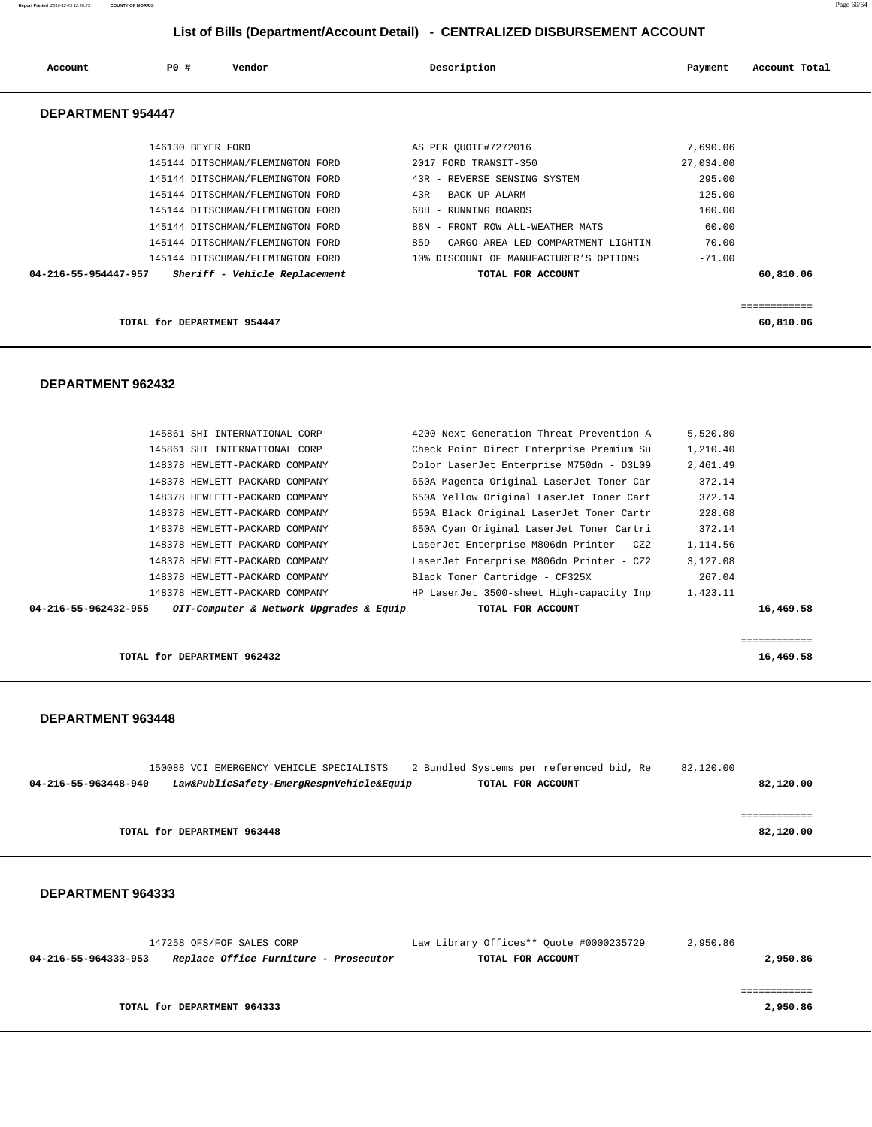**Report Printed** 2016-12-23 12:20:23 **COUNTY OF MORRIS** Page 60/64

## **List of Bills (Department/Account Detail) - CENTRALIZED DISBURSEMENT ACCOUNT**

| Account                  | PO#               | Vendor                           | Description                              | Payment   | Account Total |
|--------------------------|-------------------|----------------------------------|------------------------------------------|-----------|---------------|
| <b>DEPARTMENT 954447</b> |                   |                                  |                                          |           |               |
|                          | 146130 BEYER FORD |                                  | AS PER OUOTE#7272016                     | 7,690.06  |               |
|                          |                   | 145144 DITSCHMAN/FLEMINGTON FORD | 2017 FORD TRANSIT-350                    | 27,034.00 |               |
|                          |                   | 145144 DITSCHMAN/FLEMINGTON FORD | 43R - REVERSE SENSING SYSTEM             | 295.00    |               |
|                          |                   | 145144 DITSCHMAN/FLEMINGTON FORD | 43R - BACK UP ALARM                      | 125.00    |               |
|                          |                   | 145144 DITSCHMAN/FLEMINGTON FORD | 68H - RUNNING BOARDS                     | 160.00    |               |
|                          |                   | 145144 DITSCHMAN/FLEMINGTON FORD | - FRONT ROW ALL-WEATHER MATS<br>86N      | 60.00     |               |
|                          |                   | 145144 DITSCHMAN/FLEMINGTON FORD | 85D - CARGO AREA LED COMPARTMENT LIGHTIN | 70.00     |               |
|                          |                   | 145144 DITSCHMAN/FLEMINGTON FORD | 10% DISCOUNT OF MANUFACTURER'S OPTIONS   | $-71.00$  |               |
| 04-216-55-954447-957     |                   | Sheriff - Vehicle Replacement    | TOTAL FOR ACCOUNT                        |           | 60,810.06     |

# **DEPARTMENT 962432**

|                             | ------------ |
|-----------------------------|--------------|
| TOTAL for DEPARTMENT 954447 | 60,810.06    |
|                             |              |

| 04-216-55-962432-955 | OIT-Computer & Network Upgrades & Equip | TOTAL FOR ACCOUNT                        | 16,469.58 |
|----------------------|-----------------------------------------|------------------------------------------|-----------|
|                      | 148378 HEWLETT-PACKARD COMPANY          | HP LaserJet 3500-sheet High-capacity Inp | 1,423.11  |
|                      | 148378 HEWLETT-PACKARD COMPANY          | Black Toner Cartridge - CF325X           | 267.04    |
|                      | 148378 HEWLETT-PACKARD COMPANY          | LaserJet Enterprise M806dn Printer - CZ2 | 3,127.08  |
|                      | 148378 HEWLETT-PACKARD COMPANY          | LaserJet Enterprise M806dn Printer - CZ2 | 1,114.56  |
|                      | 148378 HEWLETT-PACKARD COMPANY          | 650A Cyan Original LaserJet Toner Cartri | 372.14    |
|                      | 148378 HEWLETT-PACKARD COMPANY          | 650A Black Original LaserJet Toner Cartr | 228.68    |
|                      | 148378 HEWLETT-PACKARD COMPANY          | 650A Yellow Original LaserJet Toner Cart | 372.14    |
|                      | 148378 HEWLETT-PACKARD COMPANY          | 650A Magenta Original LaserJet Toner Car | 372.14    |
|                      | 148378 HEWLETT-PACKARD COMPANY          | Color LaserJet Enterprise M750dn - D3L09 | 2,461.49  |
|                      | 145861 SHI INTERNATIONAL CORP           | Check Point Direct Enterprise Premium Su | 1,210.40  |
|                      | 145861 SHI INTERNATIONAL CORP           | 4200 Next Generation Threat Prevention A | 5,520.80  |

**TOTAL for DEPARTMENT 962432** 16,469.58

#### **DEPARTMENT 963448**

|                      |                                                                         | 82,120.00                                |                                          |
|----------------------|-------------------------------------------------------------------------|------------------------------------------|------------------------------------------|
|                      | TOTAL FOR ACCOUNT                                                       |                                          | 82,120.00                                |
|                      |                                                                         |                                          |                                          |
|                      |                                                                         |                                          |                                          |
|                      |                                                                         |                                          | 82,120.00                                |
| 04-216-55-963448-940 | 150088 VCI EMERGENCY VEHICLE SPECIALISTS<br>TOTAL for DEPARTMENT 963448 | Law&PublicSafety-EmergRespnVehicle&Equip | 2 Bundled Systems per referenced bid, Re |

============

| 147258 OFS/FOF SALES CORP                                     | Law Library Offices** Quote #0000235729 | 2,950.86 |
|---------------------------------------------------------------|-----------------------------------------|----------|
| Replace Office Furniture - Prosecutor<br>04-216-55-964333-953 | TOTAL FOR ACCOUNT                       | 2,950.86 |
|                                                               |                                         |          |
|                                                               |                                         |          |
| TOTAL for DEPARTMENT 964333                                   |                                         | 2,950.86 |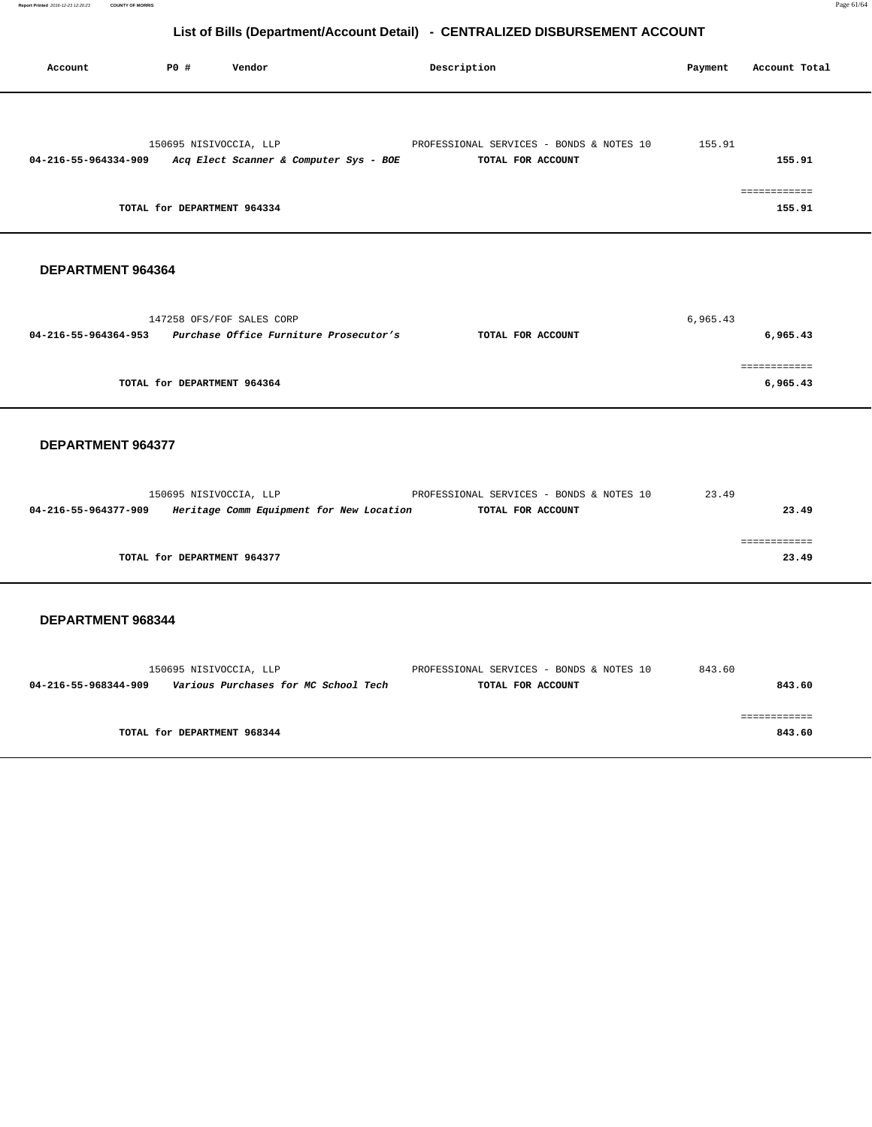| Account                  | P0#<br>Vendor                                               | Description |                                          | Payment  | Account Total            |
|--------------------------|-------------------------------------------------------------|-------------|------------------------------------------|----------|--------------------------|
|                          | 150695 NISIVOCCIA, LLP                                      |             | PROFESSIONAL SERVICES - BONDS & NOTES 10 | 155.91   |                          |
|                          | 04-216-55-964334-909 Acq Elect Scanner & Computer Sys - BOE |             | TOTAL FOR ACCOUNT                        |          | 155.91                   |
|                          | TOTAL for DEPARTMENT 964334                                 |             |                                          |          | ============<br>155.91   |
| DEPARTMENT 964364        |                                                             |             |                                          |          |                          |
|                          | 147258 OFS/FOF SALES CORP                                   |             |                                          | 6,965.43 |                          |
|                          | 04-216-55-964364-953 Purchase Office Furniture Prosecutor's |             | TOTAL FOR ACCOUNT                        |          | 6,965.43                 |
|                          | TOTAL for DEPARTMENT 964364                                 |             |                                          |          | ============<br>6,965.43 |
|                          |                                                             |             |                                          |          |                          |
| <b>DEPARTMENT 964377</b> |                                                             |             |                                          |          |                          |
|                          | 150695 NISIVOCCIA, LLP                                      |             | PROFESSIONAL SERVICES - BONDS & NOTES 10 | 23.49    |                          |
| 04-216-55-964377-909     | Heritage Comm Equipment for New Location                    |             | TOTAL FOR ACCOUNT                        |          | 23.49                    |

|                             | ------------<br>___________ |
|-----------------------------|-----------------------------|
| TOTAL for DEPARTMENT 964377 | 49<br>່າາ                   |

|                      | 150695 NISIVOCCIA, LLP               | PROFESSIONAL SERVICES - BONDS & NOTES 10 | 843.60 |
|----------------------|--------------------------------------|------------------------------------------|--------|
| 04-216-55-968344-909 | Various Purchases for MC School Tech | TOTAL FOR ACCOUNT                        | 843.60 |
|                      |                                      |                                          |        |
|                      |                                      |                                          |        |
|                      | TOTAL for DEPARTMENT 968344          |                                          | 843.60 |
|                      |                                      |                                          |        |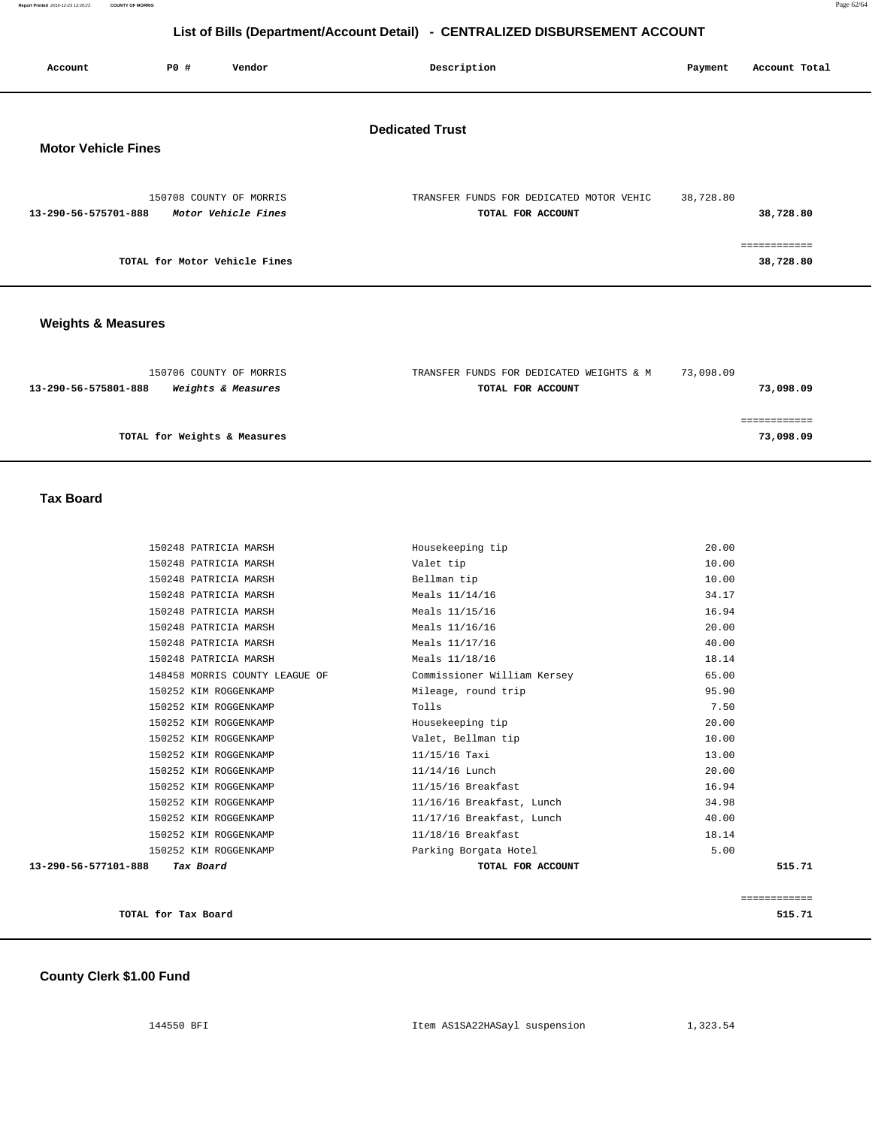| Account                    | <b>PO #</b> | Vendor                                         | Description                                                   | Payment   | Account Total             |
|----------------------------|-------------|------------------------------------------------|---------------------------------------------------------------|-----------|---------------------------|
| <b>Motor Vehicle Fines</b> |             |                                                | <b>Dedicated Trust</b>                                        |           |                           |
| 13-290-56-575701-888       |             | 150708 COUNTY OF MORRIS<br>Motor Vehicle Fines | TRANSFER FUNDS FOR DEDICATED MOTOR VEHIC<br>TOTAL FOR ACCOUNT | 38,728.80 | 38,728.80                 |
|                            |             | TOTAL for Motor Vehicle Fines                  |                                                               |           | ============<br>38,728.80 |
|                            |             |                                                |                                                               |           |                           |

## **Weights & Measures**

| 150706 COUNTY OF MORRIS                                      | TRANSFER FUNDS FOR DEDICATED WEIGHTS & M | 73,098.09 |
|--------------------------------------------------------------|------------------------------------------|-----------|
| <i><b>Weights &amp; Measures</b></i><br>13-290-56-575801-888 | TOTAL FOR ACCOUNT                        | 73,098.09 |
|                                                              |                                          |           |
|                                                              |                                          |           |
| TOTAL for Weights & Measures                                 |                                          | 73,098.09 |

 **Tax Board** 

| 13-290-56-577101-888 | Tax Board                      | TOTAL FOR ACCOUNT           | 515.71 |
|----------------------|--------------------------------|-----------------------------|--------|
|                      | 150252 KIM ROGGENKAMP          | Parking Borgata Hotel       | 5.00   |
|                      | 150252 KIM ROGGENKAMP          | 11/18/16 Breakfast          | 18.14  |
|                      | 150252 KIM ROGGENKAMP          | 11/17/16 Breakfast, Lunch   | 40.00  |
|                      | 150252 KIM ROGGENKAMP          | 11/16/16 Breakfast, Lunch   | 34.98  |
|                      | 150252 KIM ROGGENKAMP          | 11/15/16 Breakfast          | 16.94  |
|                      | 150252 KIM ROGGENKAMP          | 11/14/16 Lunch              | 20.00  |
|                      | 150252 KIM ROGGENKAMP          | $11/15/16$ Taxi             | 13.00  |
|                      | 150252 KIM ROGGENKAMP          | Valet, Bellman tip          | 10.00  |
|                      | 150252 KIM ROGGENKAMP          | Housekeeping tip            | 20.00  |
|                      | 150252 KIM ROGGENKAMP          | Tolls                       | 7.50   |
|                      | 150252 KIM ROGGENKAMP          | Mileage, round trip         | 95.90  |
|                      | 148458 MORRIS COUNTY LEAGUE OF | Commissioner William Kersey | 65.00  |
|                      | 150248 PATRICIA MARSH          | Meals 11/18/16              | 18.14  |
|                      | 150248 PATRICIA MARSH          | Meals 11/17/16              | 40.00  |
|                      | 150248 PATRICIA MARSH          | Meals 11/16/16              | 20.00  |
|                      | 150248 PATRICIA MARSH          | Meals 11/15/16              | 16.94  |
|                      | 150248 PATRICIA MARSH          | Meals 11/14/16              | 34.17  |
|                      | 150248 PATRICIA MARSH          | Bellman tip                 | 10.00  |
|                      | 150248 PATRICIA MARSH          | Valet tip                   | 10.00  |
|                      | 150248 PATRICIA MARSH          | Housekeeping tip            | 20.00  |

|                     | -------------<br>------------ |
|---------------------|-------------------------------|
| TOTAL for Tax Board | 515<br>. <i>.</i> .           |

#### **County Clerk \$1.00 Fund**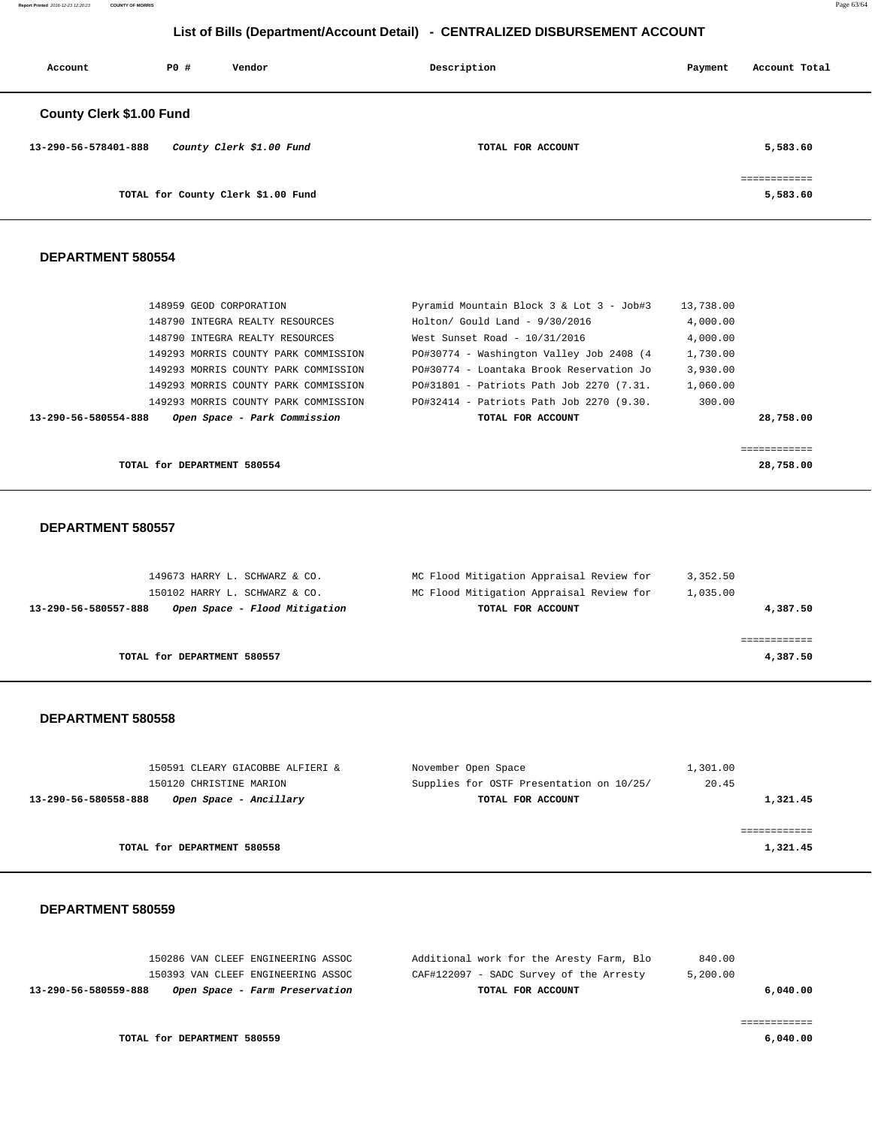**Report Printed** 2016-12-23 12:20:23 **COUNTY OF MORRIS** Page 63/64

## **List of Bills (Department/Account Detail) - CENTRALIZED DISBURSEMENT ACCOUNT**

| Account                         | PO# | Vendor                             | Description       | Payment | Account Total                            |
|---------------------------------|-----|------------------------------------|-------------------|---------|------------------------------------------|
| <b>County Clerk \$1.00 Fund</b> |     |                                    |                   |         |                                          |
| 13-290-56-578401-888            |     | County Clerk \$1.00 Fund           | TOTAL FOR ACCOUNT |         | 5,583.60                                 |
|                                 |     | TOTAL for County Clerk \$1.00 Fund |                   |         | ------------<br>------------<br>5,583.60 |

#### **DEPARTMENT 580554**

| 148959 GEOD CORPORATION                              | Pyramid Mountain Block 3 & Lot 3 - Job#3 | 13,738.00 |
|------------------------------------------------------|------------------------------------------|-----------|
| 148790 INTEGRA REALTY RESOURCES                      | $Holton/$ Gould Land - $9/30/2016$       | 4,000.00  |
| 148790 INTEGRA REALTY RESOURCES                      | West Sunset Road - $10/31/2016$          | 4,000.00  |
| 149293 MORRIS COUNTY PARK COMMISSION                 | PO#30774 - Washington Valley Job 2408 (4 | 1,730.00  |
| 149293 MORRIS COUNTY PARK COMMISSION                 | PO#30774 - Loantaka Brook Reservation Jo | 3.930.00  |
| 149293 MORRIS COUNTY PARK COMMISSION                 | PO#31801 - Patriots Path Job 2270 (7.31. | 1,060.00  |
| 149293 MORRIS COUNTY PARK COMMISSION                 | PO#32414 - Patriots Path Job 2270 (9.30. | 300.00    |
| 13-290-56-580554-888<br>Open Space - Park Commission | TOTAL FOR ACCOUNT                        | 28,758.00 |
|                                                      |                                          |           |
|                                                      |                                          |           |
| TOTAL for DEPARTMENT 580554                          |                                          | 28,758.00 |

#### **DEPARTMENT 580557**

| 149673 HARRY L. SCHWARZ & CO.                         | MC Flood Mitigation Appraisal Review for | 3,352.50 |
|-------------------------------------------------------|------------------------------------------|----------|
| 150102 HARRY L. SCHWARZ & CO.                         | MC Flood Mitigation Appraisal Review for | 1,035.00 |
| Open Space - Flood Mitigation<br>13-290-56-580557-888 | TOTAL FOR ACCOUNT                        | 4,387.50 |
|                                                       |                                          |          |
|                                                       |                                          |          |
| TOTAL for DEPARTMENT 580557                           |                                          | 4,387.50 |
|                                                       |                                          |          |

#### **DEPARTMENT 580558**

| 150591 CLEARY GIACOBBE ALFIERI &               | November Open Space                      | 1,301.00 |
|------------------------------------------------|------------------------------------------|----------|
| 150120 CHRISTINE MARION                        | Supplies for OSTF Presentation on 10/25/ | 20.45    |
| Open Space - Ancillary<br>13-290-56-580558-888 | TOTAL FOR ACCOUNT                        | 1,321.45 |
|                                                |                                          |          |
|                                                |                                          |          |
| TOTAL for DEPARTMENT 580558                    |                                          | 1,321.45 |
|                                                |                                          |          |

| 13-290-56-580559-888 | Open Space - Farm Preservation     | TOTAL FOR ACCOUNT                        |          | 6.040.00 |
|----------------------|------------------------------------|------------------------------------------|----------|----------|
|                      | 150393 VAN CLEEF ENGINEERING ASSOC | CAF#122097 - SADC Survey of the Arresty  | 5,200.00 |          |
|                      | 150286 VAN CLEEF ENGINEERING ASSOC | Additional work for the Aresty Farm, Blo | 840.00   |          |